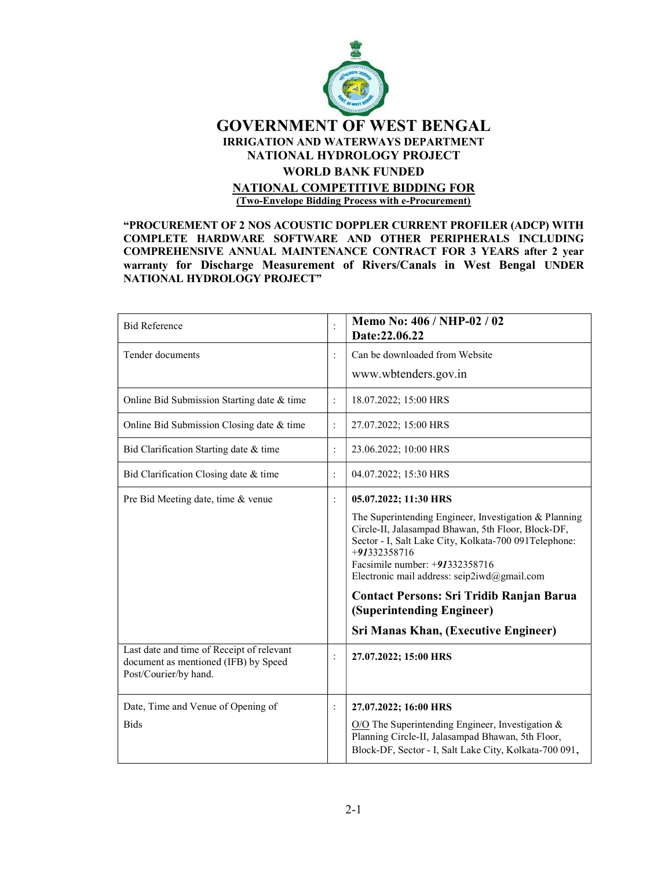

#### "PROCUREMENT OF 2 NOS ACOUSTIC DOPPLER CURRENT PROFILER (ADCP) WITH COMPLETE HARDWARE SOFTWARE AND OTHER PERIPHERALS INCLUDING COMPREHENSIVE ANNUAL MAINTENANCE CONTRACT FOR 3 YEARS after 2 year warranty for Discharge Measurement of Rivers/Canals in West Bengal UNDER NATIONAL HYDROLOGY PROJECT"

| <b>Bid Reference</b>                                                                                       |                | Memo No: 406 / NHP-02 / 02<br>Date:22.06.22                                                                                                                                                                                                                            |
|------------------------------------------------------------------------------------------------------------|----------------|------------------------------------------------------------------------------------------------------------------------------------------------------------------------------------------------------------------------------------------------------------------------|
| Tender documents                                                                                           |                | Can be downloaded from Website                                                                                                                                                                                                                                         |
|                                                                                                            |                | www.wbtenders.gov.in                                                                                                                                                                                                                                                   |
| Online Bid Submission Starting date & time                                                                 | $\colon$       | 18.07.2022; 15:00 HRS                                                                                                                                                                                                                                                  |
| Online Bid Submission Closing date & time                                                                  | $\vdots$       | 27.07.2022; 15:00 HRS                                                                                                                                                                                                                                                  |
| Bid Clarification Starting date & time                                                                     | $\ddot{\cdot}$ | 23.06.2022; 10:00 HRS                                                                                                                                                                                                                                                  |
| Bid Clarification Closing date & time                                                                      | $\ddot{\cdot}$ | 04.07.2022; 15:30 HRS                                                                                                                                                                                                                                                  |
| Pre Bid Meeting date, time & venue                                                                         | $\ddot{\cdot}$ | 05.07.2022; 11:30 HRS                                                                                                                                                                                                                                                  |
|                                                                                                            |                | The Superintending Engineer, Investigation & Planning<br>Circle-II, Jalasampad Bhawan, 5th Floor, Block-DF,<br>Sector - I, Salt Lake City, Kolkata-700 091 Telephone:<br>+91332358716<br>Facsimile number: +91332358716<br>Electronic mail address: seip2iwd@gmail.com |
|                                                                                                            |                | <b>Contact Persons: Sri Tridib Ranjan Barua</b><br>(Superintending Engineer)                                                                                                                                                                                           |
|                                                                                                            |                | Sri Manas Khan, (Executive Engineer)                                                                                                                                                                                                                                   |
| Last date and time of Receipt of relevant<br>document as mentioned (IFB) by Speed<br>Post/Courier/by hand. | :              | 27.07.2022; 15:00 HRS                                                                                                                                                                                                                                                  |
| Date, Time and Venue of Opening of                                                                         | :              | 27.07.2022; 16:00 HRS                                                                                                                                                                                                                                                  |
| <b>Bids</b>                                                                                                |                | $O/O$ The Superintending Engineer, Investigation &<br>Planning Circle-II, Jalasampad Bhawan, 5th Floor,<br>Block-DF, Sector - I, Salt Lake City, Kolkata-700 091,                                                                                                      |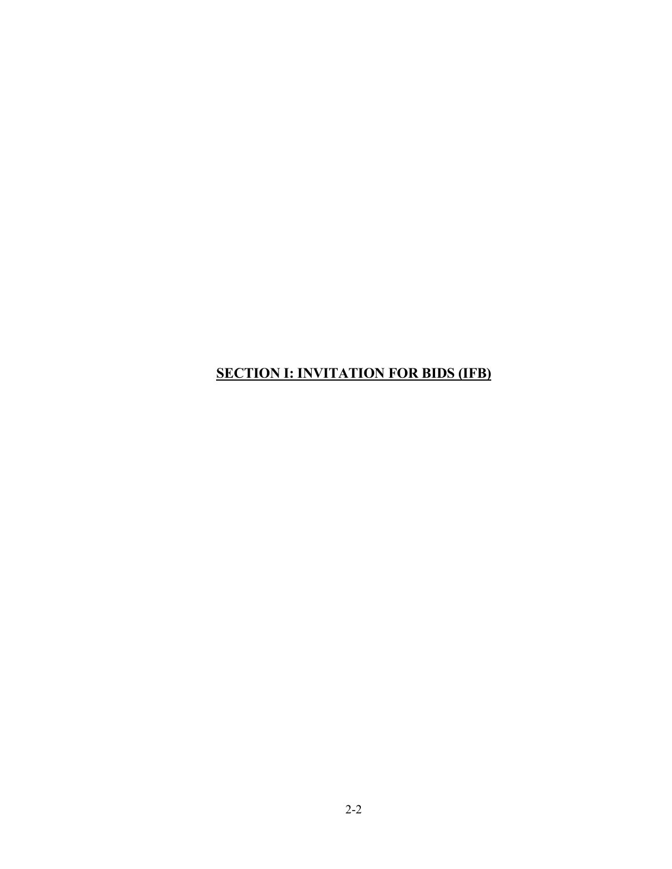## SECTION I: INVITATION FOR BIDS (IFB)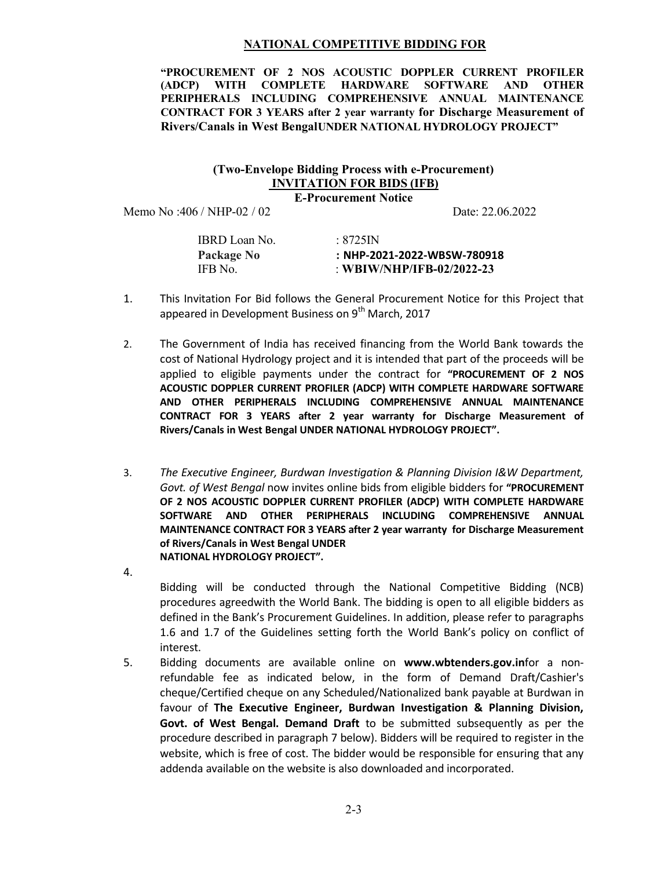#### NATIONAL COMPETITIVE BIDDING FOR

"PROCUREMENT OF 2 NOS ACOUSTIC DOPPLER CURRENT PROFILER<br>(ADCP) WITH COMPLETE HARDWARE SOFTWARE AND OTHER (ADCP) WITH COMPLETE HARDWARE SOFTWARE AND OTHER PERIPHERALS INCLUDING COMPREHENSIVE ANNUAL MAINTENANCE CONTRACT FOR 3 YEARS after 2 year warranty for Discharge Measurement of Rivers/Canals in West BengalUNDER NATIONAL HYDROLOGY PROJECT"

#### (Two-Envelope Bidding Process with e-Procurement) INVITATION FOR BIDS (IFB)

E-Procurement Notice

Memo No :406 / NHP-02 / 02 Date: 22.06.2022

| IBRD Loan No.     | :8725IN                     |
|-------------------|-----------------------------|
| <b>Package No</b> | : NHP-2021-2022-WBSW-780918 |
| IFB No.           | : WBIW/NHP/IFB-02/2022-23   |

- 1. This Invitation For Bid follows the General Procurement Notice for this Project that appeared in Development Business on 9<sup>th</sup> March, 2017
- 2. The Government of India has received financing from the World Bank towards the cost of National Hydrology project and it is intended that part of the proceeds will be applied to eligible payments under the contract for "PROCUREMENT OF 2 NOS ACOUSTIC DOPPLER CURRENT PROFILER (ADCP) WITH COMPLETE HARDWARE SOFTWARE AND OTHER PERIPHERALS INCLUDING COMPREHENSIVE ANNUAL MAINTENANCE CONTRACT FOR 3 YEARS after 2 year warranty for Discharge Measurement of Rivers/Canals in West Bengal UNDER NATIONAL HYDROLOGY PROJECT".
- 3. The Executive Engineer, Burdwan Investigation & Planning Division I&W Department, Govt. of West Bengal now invites online bids from eligible bidders for "PROCUREMENT OF 2 NOS ACOUSTIC DOPPLER CURRENT PROFILER (ADCP) WITH COMPLETE HARDWARE SOFTWARE AND OTHER PERIPHERALS INCLUDING COMPREHENSIVE ANNUAL MAINTENANCE CONTRACT FOR 3 YEARS after 2 year warranty for Discharge Measurement of Rivers/Canals in West Bengal UNDER NATIONAL HYDROLOGY PROJECT".
- 4.

Bidding will be conducted through the National Competitive Bidding (NCB) procedures agreedwith the World Bank. The bidding is open to all eligible bidders as defined in the Bank's Procurement Guidelines. In addition, please refer to paragraphs 1.6 and 1.7 of the Guidelines setting forth the World Bank's policy on conflict of interest.

5. Bidding documents are available online on www.wbtenders.gov.infor a nonrefundable fee as indicated below, in the form of Demand Draft/Cashier's cheque/Certified cheque on any Scheduled/Nationalized bank payable at Burdwan in favour of The Executive Engineer, Burdwan Investigation & Planning Division, Govt. of West Bengal. Demand Draft to be submitted subsequently as per the procedure described in paragraph 7 below). Bidders will be required to register in the website, which is free of cost. The bidder would be responsible for ensuring that any addenda available on the website is also downloaded and incorporated.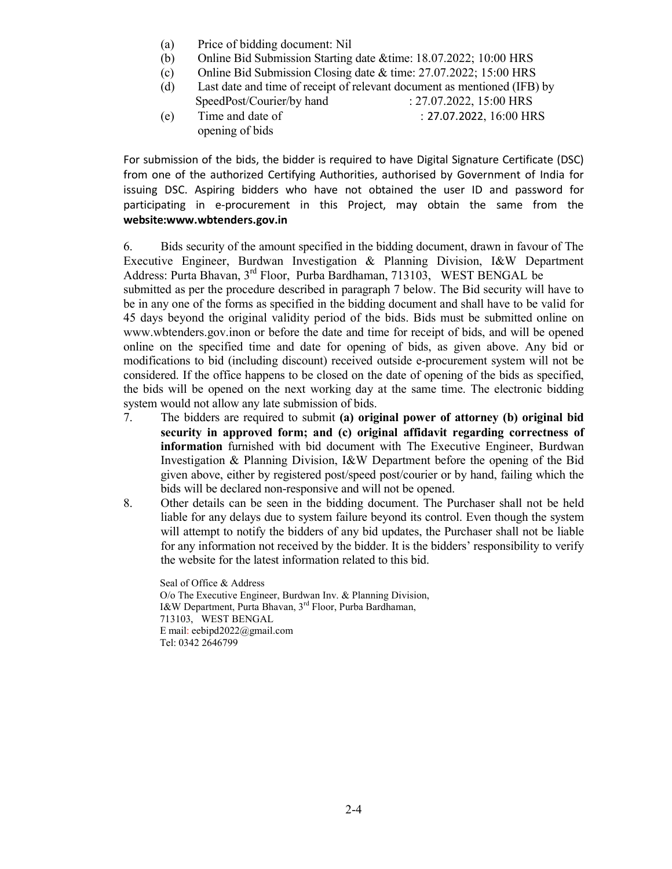- (a) Price of bidding document: Nil
- (b) Online Bid Submission Starting date &time: 18.07.2022; 10:00 HRS
- (c) Online Bid Submission Closing date & time: 27.07.2022; 15:00 HRS
- (d) Last date and time of receipt of relevant document as mentioned (IFB) by SpeedPost/Courier/by hand : 27.07.2022, 15:00 HRS
- (e) Time and date of : 27.07.2022, 16:00 HRS opening of bids

For submission of the bids, the bidder is required to have Digital Signature Certificate (DSC) from one of the authorized Certifying Authorities, authorised by Government of India for issuing DSC. Aspiring bidders who have not obtained the user ID and password for participating in e-procurement in this Project, may obtain the same from the website:www.wbtenders.gov.in

6. Bids security of the amount specified in the bidding document, drawn in favour of The Executive Engineer, Burdwan Investigation & Planning Division, I&W Department Address: Purta Bhavan, 3rd Floor, Purba Bardhaman, 713103, WEST BENGAL be submitted as per the procedure described in paragraph 7 below. The Bid security will have to be in any one of the forms as specified in the bidding document and shall have to be valid for 45 days beyond the original validity period of the bids. Bids must be submitted online on www.wbtenders.gov.inon or before the date and time for receipt of bids, and will be opened online on the specified time and date for opening of bids, as given above. Any bid or modifications to bid (including discount) received outside e-procurement system will not be considered. If the office happens to be closed on the date of opening of the bids as specified, the bids will be opened on the next working day at the same time. The electronic bidding system would not allow any late submission of bids.

- 7. The bidders are required to submit (a) original power of attorney (b) original bid security in approved form; and (c) original affidavit regarding correctness of information furnished with bid document with The Executive Engineer, Burdwan Investigation & Planning Division, I&W Department before the opening of the Bid given above, either by registered post/speed post/courier or by hand, failing which the bids will be declared non-responsive and will not be opened.
- 8. Other details can be seen in the bidding document. The Purchaser shall not be held liable for any delays due to system failure beyond its control. Even though the system will attempt to notify the bidders of any bid updates, the Purchaser shall not be liable for any information not received by the bidder. It is the bidders' responsibility to verify the website for the latest information related to this bid.

Seal of Office & Address O/o The Executive Engineer, Burdwan Inv. & Planning Division, I&W Department, Purta Bhavan, 3rd Floor, Purba Bardhaman, 713103, WEST BENGAL E mail: eebipd2022@gmail.com Tel: 0342 2646799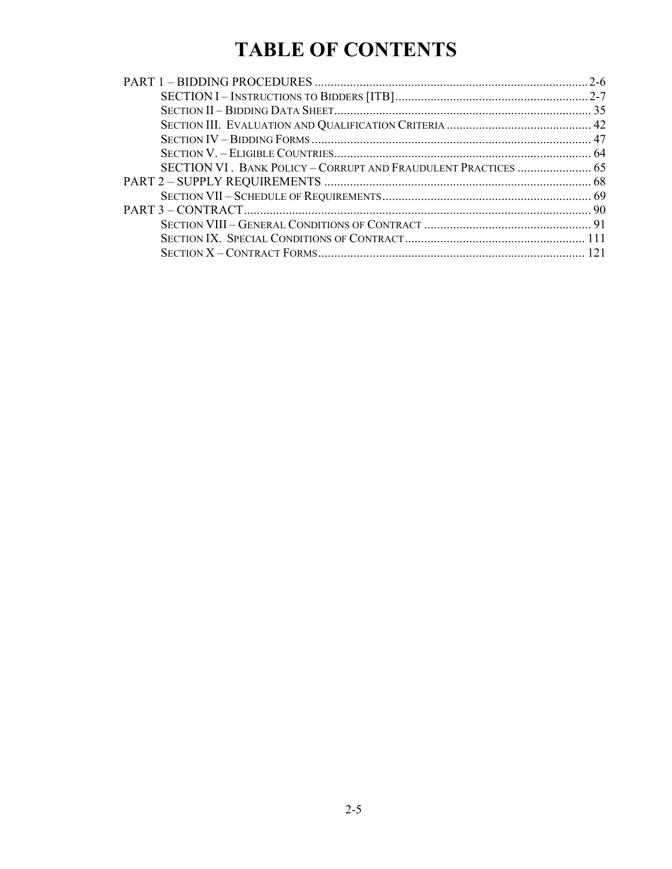# TABLE OF CONTENTS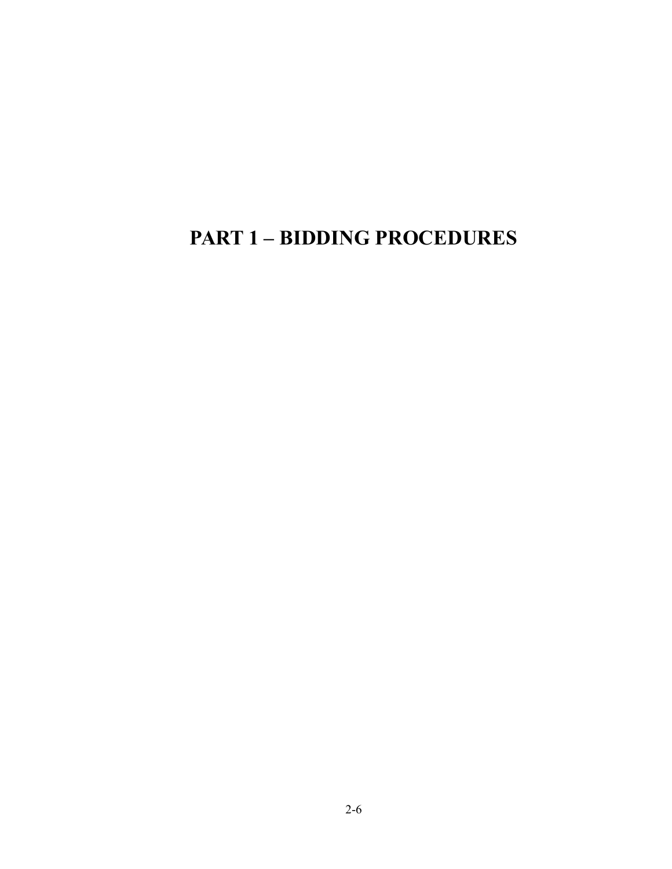## PART 1 – BIDDING PROCEDURES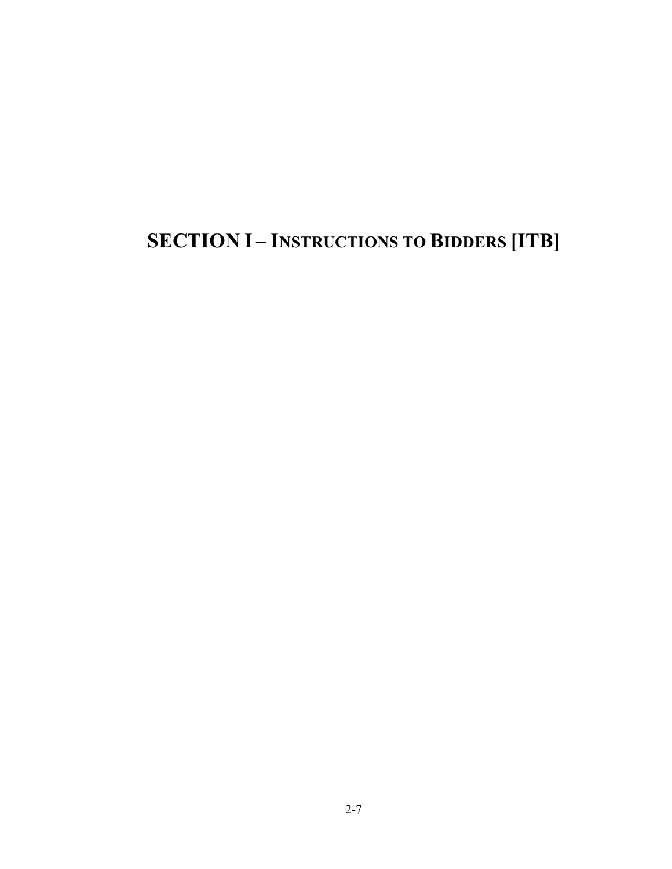# SECTION I – INSTRUCTIONS TO BIDDERS [ITB]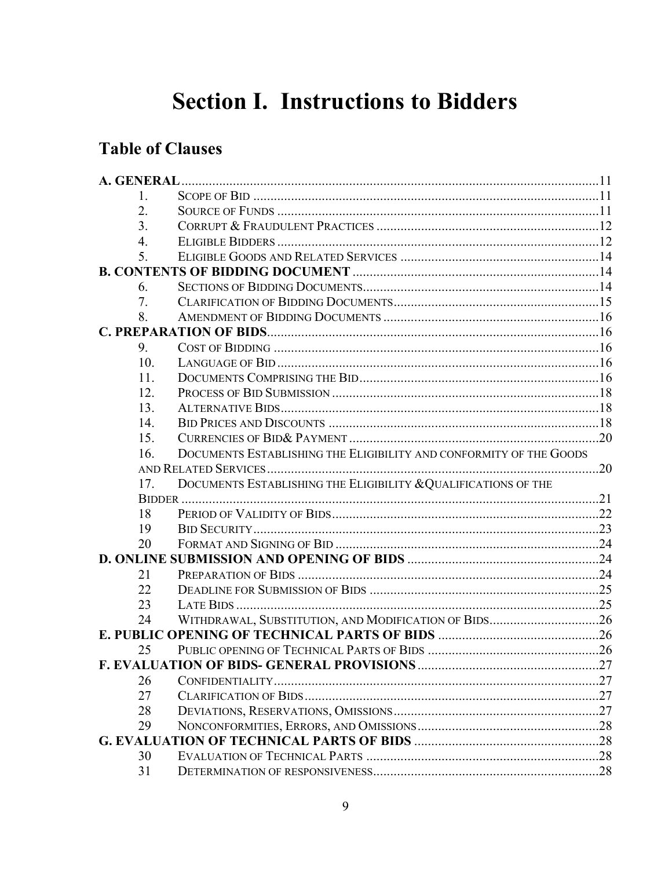# **Section I. Instructions to Bidders**

## **Table of Clauses**

| 1.  |                                                                    |  |
|-----|--------------------------------------------------------------------|--|
| 2.  |                                                                    |  |
| 3.  |                                                                    |  |
| 4.  |                                                                    |  |
| 5.  |                                                                    |  |
|     |                                                                    |  |
| 6.  |                                                                    |  |
| 7.  |                                                                    |  |
| 8.  |                                                                    |  |
|     |                                                                    |  |
| 9.  |                                                                    |  |
| 10. |                                                                    |  |
| 11. |                                                                    |  |
| 12. |                                                                    |  |
| 13. |                                                                    |  |
| 14. |                                                                    |  |
| 15. |                                                                    |  |
| 16. | DOCUMENTS ESTABLISHING THE ELIGIBILITY AND CONFORMITY OF THE GOODS |  |
|     |                                                                    |  |
| 17. | DOCUMENTS ESTABLISHING THE ELIGIBILITY & QUALIFICATIONS OF THE     |  |
|     |                                                                    |  |
| 18  |                                                                    |  |
| 19  |                                                                    |  |
| 20  |                                                                    |  |
|     |                                                                    |  |
| 21  |                                                                    |  |
| 22  |                                                                    |  |
| 23  |                                                                    |  |
| 24  | WITHDRAWAL, SUBSTITUTION, AND MODIFICATION OF BIDS26               |  |
|     |                                                                    |  |
| 25  |                                                                    |  |
|     |                                                                    |  |
| 26  |                                                                    |  |
| 27  |                                                                    |  |
| 28  |                                                                    |  |
| 29  |                                                                    |  |
|     |                                                                    |  |
| 30  |                                                                    |  |
| 31  |                                                                    |  |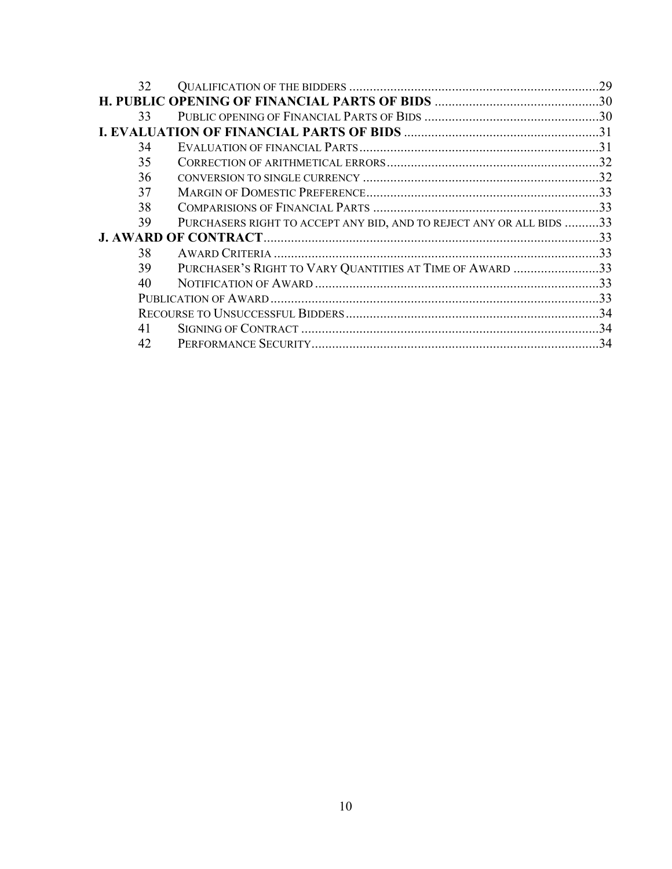| 32 |                                                                      |  |
|----|----------------------------------------------------------------------|--|
|    |                                                                      |  |
| 33 |                                                                      |  |
|    |                                                                      |  |
| 34 |                                                                      |  |
| 35 |                                                                      |  |
| 36 |                                                                      |  |
| 37 |                                                                      |  |
| 38 |                                                                      |  |
| 39 | PURCHASERS RIGHT TO ACCEPT ANY BID, AND TO REJECT ANY OR ALL BIDS 33 |  |
|    |                                                                      |  |
| 38 |                                                                      |  |
| 39 | PURCHASER'S RIGHT TO VARY QUANTITIES AT TIME OF AWARD 33             |  |
| 40 |                                                                      |  |
|    |                                                                      |  |
|    |                                                                      |  |
| 41 |                                                                      |  |
| 42 |                                                                      |  |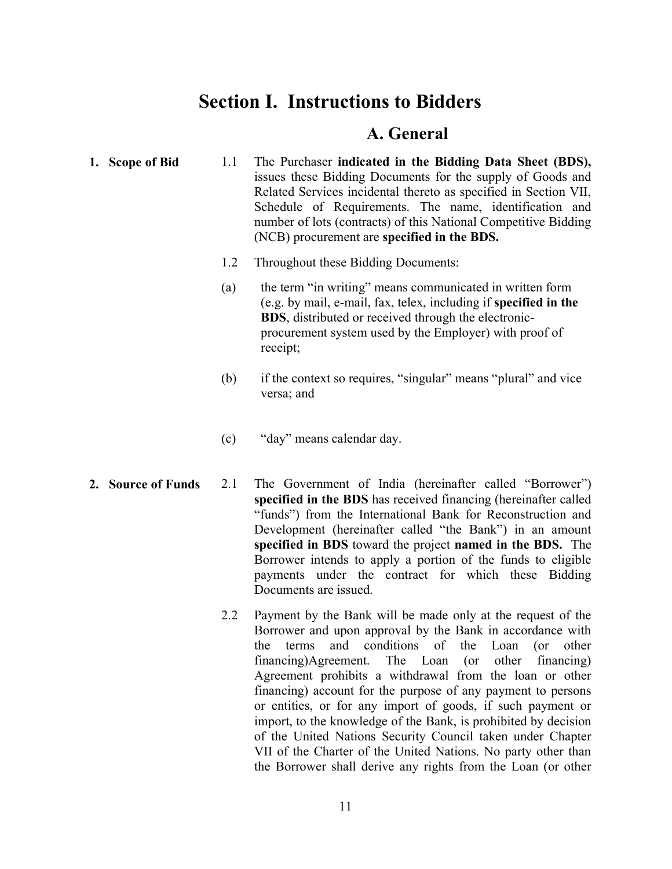## Section I. Instructions to Bidders

### A. General

- 1. Scope of Bid 1.1 The Purchaser indicated in the Bidding Data Sheet (BDS), issues these Bidding Documents for the supply of Goods and Related Services incidental thereto as specified in Section VII, Schedule of Requirements. The name, identification and number of lots (contracts) of this National Competitive Bidding (NCB) procurement are specified in the BDS.
	- 1.2 Throughout these Bidding Documents:
	- (a) the term "in writing" means communicated in written form (e.g. by mail, e-mail, fax, telex, including if specified in the BDS, distributed or received through the electronicprocurement system used by the Employer) with proof of receipt;
	- (b) if the context so requires, "singular" means "plural" and vice versa; and
	- (c) "day" means calendar day.
- 2. Source of Funds 2.1 The Government of India (hereinafter called "Borrower") specified in the BDS has received financing (hereinafter called "funds") from the International Bank for Reconstruction and Development (hereinafter called "the Bank") in an amount specified in BDS toward the project named in the BDS. The Borrower intends to apply a portion of the funds to eligible payments under the contract for which these Bidding Documents are issued.
	- 2.2 Payment by the Bank will be made only at the request of the Borrower and upon approval by the Bank in accordance with the terms and conditions of the Loan (or other financing)Agreement. The Loan (or other financing) Agreement prohibits a withdrawal from the loan or other financing) account for the purpose of any payment to persons or entities, or for any import of goods, if such payment or import, to the knowledge of the Bank, is prohibited by decision of the United Nations Security Council taken under Chapter VII of the Charter of the United Nations. No party other than the Borrower shall derive any rights from the Loan (or other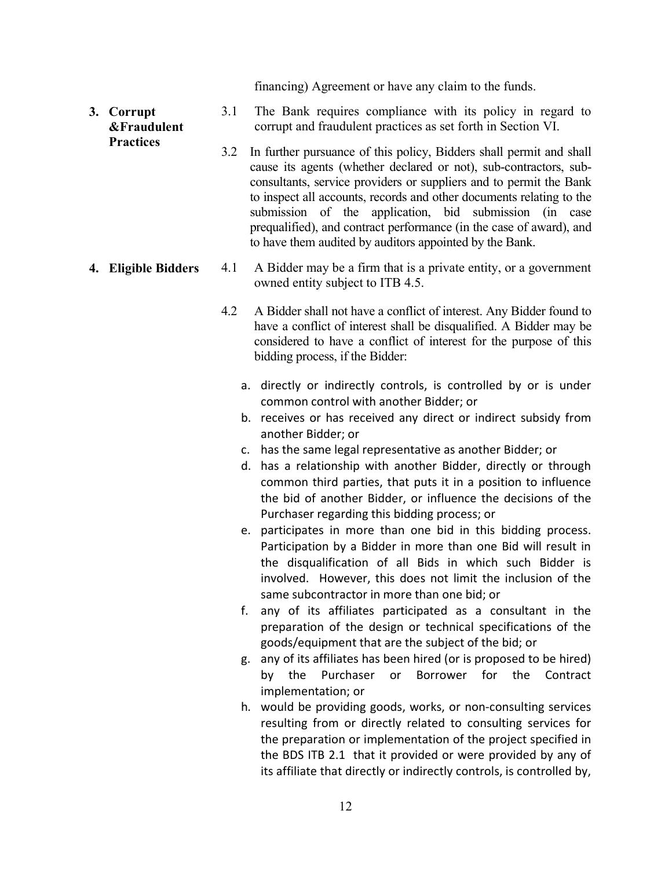financing) Agreement or have any claim to the funds.

#### 3. Corrupt &Fraudulent **Practices** 3.1 The Bank requires compliance with its policy in regard to corrupt and fraudulent practices as set forth in Section VI.

3.2 In further pursuance of this policy, Bidders shall permit and shall cause its agents (whether declared or not), sub-contractors, subconsultants, service providers or suppliers and to permit the Bank to inspect all accounts, records and other documents relating to the submission of the application, bid submission (in case prequalified), and contract performance (in the case of award), and to have them audited by auditors appointed by the Bank.

#### 4. Eligible Bidders 4.1 A Bidder may be a firm that is a private entity, or a government owned entity subject to ITB 4.5.

- 4.2 A Bidder shall not have a conflict of interest. Any Bidder found to have a conflict of interest shall be disqualified. A Bidder may be considered to have a conflict of interest for the purpose of this bidding process, if the Bidder:
	- a. directly or indirectly controls, is controlled by or is under common control with another Bidder; or
	- b. receives or has received any direct or indirect subsidy from another Bidder; or
	- c. has the same legal representative as another Bidder; or
	- d. has a relationship with another Bidder, directly or through common third parties, that puts it in a position to influence the bid of another Bidder, or influence the decisions of the Purchaser regarding this bidding process; or
	- e. participates in more than one bid in this bidding process. Participation by a Bidder in more than one Bid will result in the disqualification of all Bids in which such Bidder is involved. However, this does not limit the inclusion of the same subcontractor in more than one bid; or
	- f. any of its affiliates participated as a consultant in the preparation of the design or technical specifications of the goods/equipment that are the subject of the bid; or
	- g. any of its affiliates has been hired (or is proposed to be hired) by the Purchaser or Borrower for the Contract implementation; or
	- h. would be providing goods, works, or non-consulting services resulting from or directly related to consulting services for the preparation or implementation of the project specified in the BDS ITB 2.1 that it provided or were provided by any of its affiliate that directly or indirectly controls, is controlled by,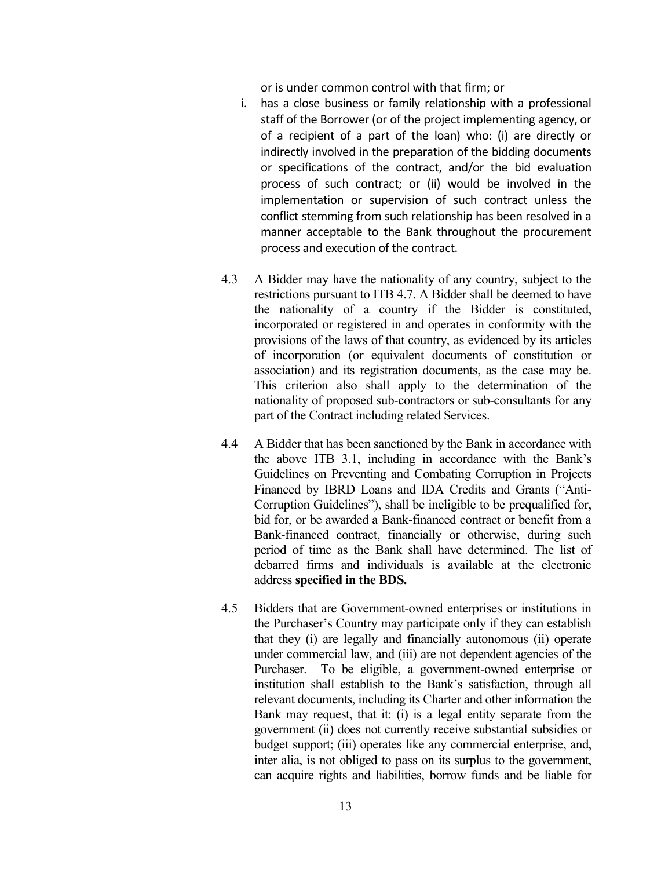or is under common control with that firm; or

- i. has a close business or family relationship with a professional staff of the Borrower (or of the project implementing agency, or of a recipient of a part of the loan) who: (i) are directly or indirectly involved in the preparation of the bidding documents or specifications of the contract, and/or the bid evaluation process of such contract; or (ii) would be involved in the implementation or supervision of such contract unless the conflict stemming from such relationship has been resolved in a manner acceptable to the Bank throughout the procurement process and execution of the contract.
- 4.3 A Bidder may have the nationality of any country, subject to the restrictions pursuant to ITB 4.7. A Bidder shall be deemed to have the nationality of a country if the Bidder is constituted, incorporated or registered in and operates in conformity with the provisions of the laws of that country, as evidenced by its articles of incorporation (or equivalent documents of constitution or association) and its registration documents, as the case may be. This criterion also shall apply to the determination of the nationality of proposed sub-contractors or sub-consultants for any part of the Contract including related Services.
- 4.4 A Bidder that has been sanctioned by the Bank in accordance with the above ITB 3.1, including in accordance with the Bank's Guidelines on Preventing and Combating Corruption in Projects Financed by IBRD Loans and IDA Credits and Grants ("Anti-Corruption Guidelines"), shall be ineligible to be prequalified for, bid for, or be awarded a Bank-financed contract or benefit from a Bank-financed contract, financially or otherwise, during such period of time as the Bank shall have determined. The list of debarred firms and individuals is available at the electronic address specified in the BDS.
- 4.5 Bidders that are Government-owned enterprises or institutions in the Purchaser's Country may participate only if they can establish that they (i) are legally and financially autonomous (ii) operate under commercial law, and (iii) are not dependent agencies of the Purchaser. To be eligible, a government-owned enterprise or institution shall establish to the Bank's satisfaction, through all relevant documents, including its Charter and other information the Bank may request, that it: (i) is a legal entity separate from the government (ii) does not currently receive substantial subsidies or budget support; (iii) operates like any commercial enterprise, and, inter alia, is not obliged to pass on its surplus to the government, can acquire rights and liabilities, borrow funds and be liable for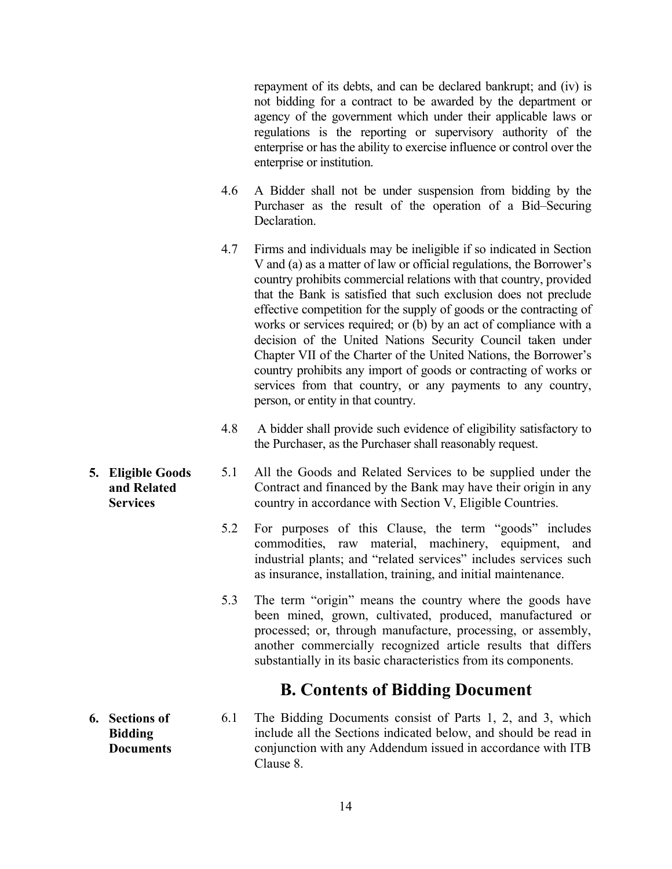repayment of its debts, and can be declared bankrupt; and (iv) is not bidding for a contract to be awarded by the department or agency of the government which under their applicable laws or regulations is the reporting or supervisory authority of the enterprise or has the ability to exercise influence or control over the enterprise or institution.

- 4.6 A Bidder shall not be under suspension from bidding by the Purchaser as the result of the operation of a Bid–Securing Declaration.
- 4.7 Firms and individuals may be ineligible if so indicated in Section V and (a) as a matter of law or official regulations, the Borrower's country prohibits commercial relations with that country, provided that the Bank is satisfied that such exclusion does not preclude effective competition for the supply of goods or the contracting of works or services required; or (b) by an act of compliance with a decision of the United Nations Security Council taken under Chapter VII of the Charter of the United Nations, the Borrower's country prohibits any import of goods or contracting of works or services from that country, or any payments to any country, person, or entity in that country.
- 4.8 A bidder shall provide such evidence of eligibility satisfactory to the Purchaser, as the Purchaser shall reasonably request.
- 5.1 All the Goods and Related Services to be supplied under the Contract and financed by the Bank may have their origin in any country in accordance with Section V, Eligible Countries.
	- 5.2 For purposes of this Clause, the term "goods" includes commodities, raw material, machinery, equipment, and industrial plants; and "related services" includes services such as insurance, installation, training, and initial maintenance.
	- 5.3 The term "origin" means the country where the goods have been mined, grown, cultivated, produced, manufactured or processed; or, through manufacture, processing, or assembly, another commercially recognized article results that differs substantially in its basic characteristics from its components.

## B. Contents of Bidding Document

6. Sections of Bidding Documents 6.1 The Bidding Documents consist of Parts 1, 2, and 3, which include all the Sections indicated below, and should be read in conjunction with any Addendum issued in accordance with ITB Clause 8.

5. Eligible Goods and Related **Services**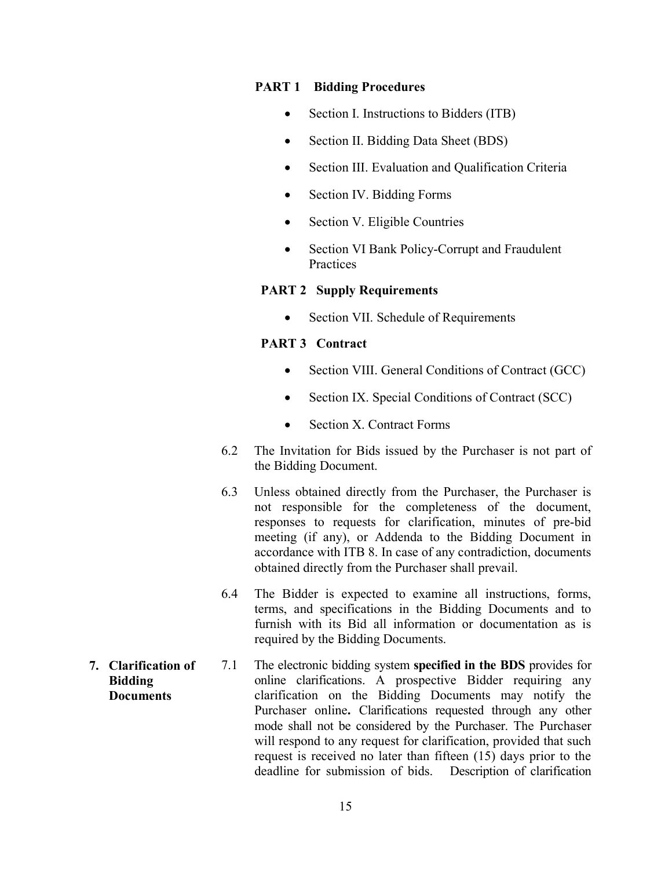#### PART 1 Bidding Procedures

- Section I. Instructions to Bidders (ITB)
- Section II. Bidding Data Sheet (BDS)
- Section III. Evaluation and Qualification Criteria
- Section IV. Bidding Forms
- Section V. Eligible Countries
- Section VI Bank Policy-Corrupt and Fraudulent Practices

#### PART 2 Supply Requirements

Section VII. Schedule of Requirements

#### PART 3 Contract

- Section VIII. General Conditions of Contract (GCC)
- Section IX. Special Conditions of Contract (SCC)
- Section X. Contract Forms
- 6.2 The Invitation for Bids issued by the Purchaser is not part of the Bidding Document.
- 6.3 Unless obtained directly from the Purchaser, the Purchaser is not responsible for the completeness of the document, responses to requests for clarification, minutes of pre-bid meeting (if any), or Addenda to the Bidding Document in accordance with ITB 8. In case of any contradiction, documents obtained directly from the Purchaser shall prevail.
- 6.4 The Bidder is expected to examine all instructions, forms, terms, and specifications in the Bidding Documents and to furnish with its Bid all information or documentation as is required by the Bidding Documents.
- 7.1 The electronic bidding system specified in the BDS provides for online clarifications. A prospective Bidder requiring any clarification on the Bidding Documents may notify the Purchaser online. Clarifications requested through any other mode shall not be considered by the Purchaser. The Purchaser will respond to any request for clarification, provided that such request is received no later than fifteen (15) days prior to the deadline for submission of bids. Description of clarification
- 7. Clarification of Bidding **Documents**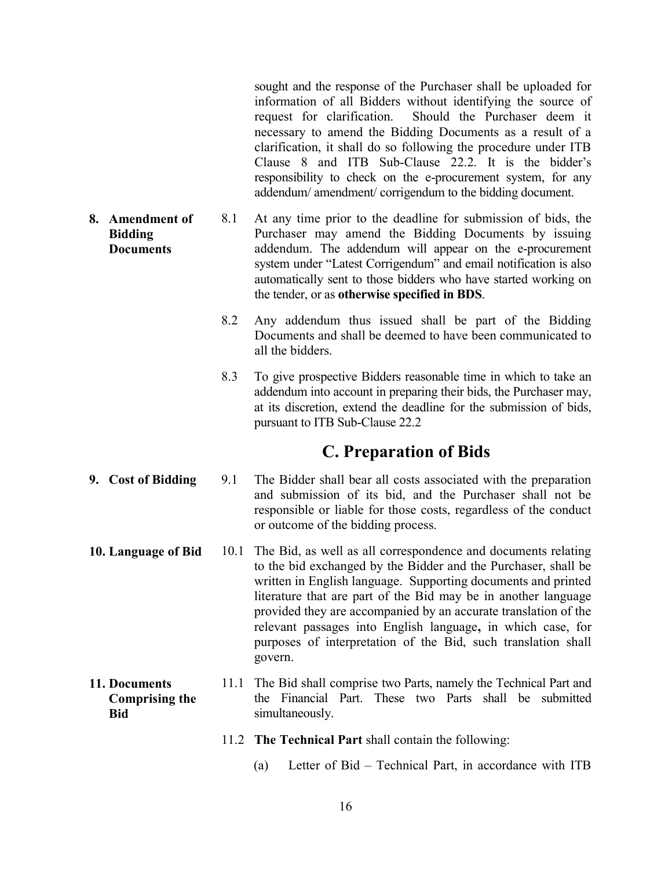sought and the response of the Purchaser shall be uploaded for information of all Bidders without identifying the source of request for clarification. Should the Purchaser deem it necessary to amend the Bidding Documents as a result of a clarification, it shall do so following the procedure under ITB Clause 8 and ITB Sub-Clause 22.2. It is the bidder's responsibility to check on the e-procurement system, for any addendum/ amendment/ corrigendum to the bidding document.

- 8. Amendment of Bidding Documents 8.1 At any time prior to the deadline for submission of bids, the Purchaser may amend the Bidding Documents by issuing addendum. The addendum will appear on the e-procurement system under "Latest Corrigendum" and email notification is also automatically sent to those bidders who have started working on the tender, or as otherwise specified in BDS.
	- 8.2 Any addendum thus issued shall be part of the Bidding Documents and shall be deemed to have been communicated to all the bidders.
	- 8.3 To give prospective Bidders reasonable time in which to take an addendum into account in preparing their bids, the Purchaser may, at its discretion, extend the deadline for the submission of bids, pursuant to ITB Sub-Clause 22.2

### C. Preparation of Bids

- 9. Cost of Bidding 9.1 The Bidder shall bear all costs associated with the preparation and submission of its bid, and the Purchaser shall not be responsible or liable for those costs, regardless of the conduct or outcome of the bidding process.
- 10. Language of Bid 10.1 The Bid, as well as all correspondence and documents relating to the bid exchanged by the Bidder and the Purchaser, shall be written in English language. Supporting documents and printed literature that are part of the Bid may be in another language provided they are accompanied by an accurate translation of the relevant passages into English language, in which case, for purposes of interpretation of the Bid, such translation shall govern.
- 11. Documents Comprising the Bid 11.1 The Bid shall comprise two Parts, namely the Technical Part and the Financial Part. These two Parts shall be submitted simultaneously.
	- 11.2 The Technical Part shall contain the following:
		- (a) Letter of Bid Technical Part, in accordance with ITB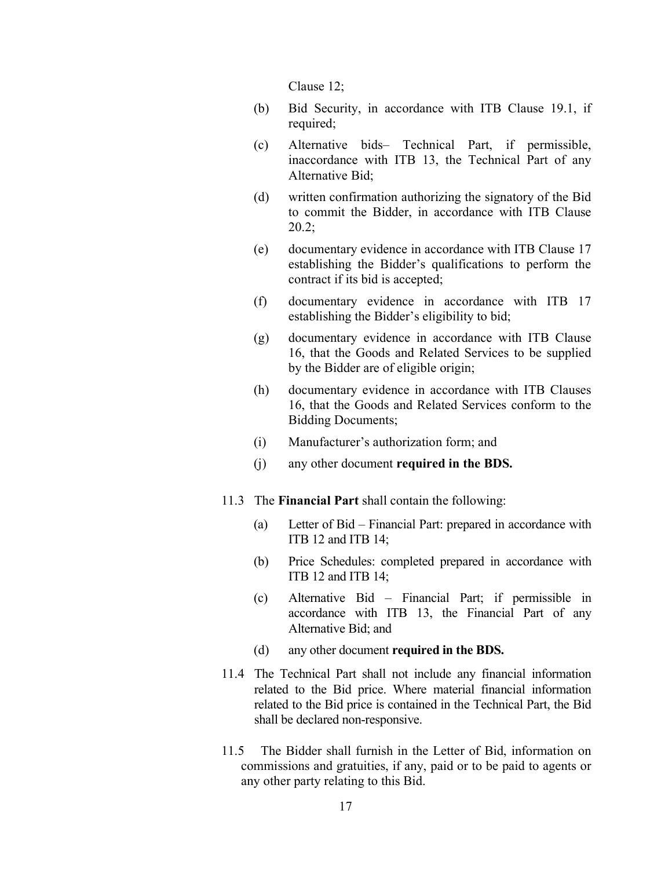Clause 12;

- (b) Bid Security, in accordance with ITB Clause 19.1, if required;
- (c) Alternative bids– Technical Part, if permissible, inaccordance with ITB 13, the Technical Part of any Alternative Bid;
- (d) written confirmation authorizing the signatory of the Bid to commit the Bidder, in accordance with ITB Clause 20.2;
- (e) documentary evidence in accordance with ITB Clause 17 establishing the Bidder's qualifications to perform the contract if its bid is accepted;
- (f) documentary evidence in accordance with ITB 17 establishing the Bidder's eligibility to bid;
- (g) documentary evidence in accordance with ITB Clause 16, that the Goods and Related Services to be supplied by the Bidder are of eligible origin;
- (h) documentary evidence in accordance with ITB Clauses 16, that the Goods and Related Services conform to the Bidding Documents;
- (i) Manufacturer's authorization form; and
- (j) any other document required in the BDS.
- 11.3 The Financial Part shall contain the following:
	- (a) Letter of Bid Financial Part: prepared in accordance with ITB 12 and ITB 14;
	- (b) Price Schedules: completed prepared in accordance with ITB 12 and ITB 14;
	- (c) Alternative Bid Financial Part; if permissible in accordance with ITB 13, the Financial Part of any Alternative Bid; and
	- (d) any other document required in the BDS.
- 11.4 The Technical Part shall not include any financial information related to the Bid price. Where material financial information related to the Bid price is contained in the Technical Part, the Bid shall be declared non-responsive.
- 11.5 The Bidder shall furnish in the Letter of Bid, information on commissions and gratuities, if any, paid or to be paid to agents or any other party relating to this Bid.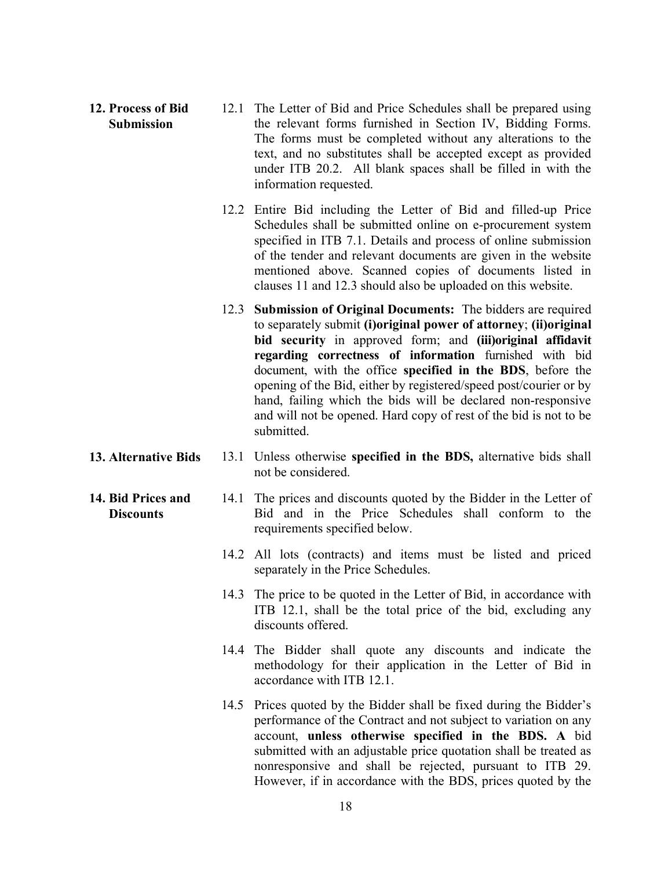- 12. Process of Bid Submission 12.1 The Letter of Bid and Price Schedules shall be prepared using the relevant forms furnished in Section IV, Bidding Forms. The forms must be completed without any alterations to the text, and no substitutes shall be accepted except as provided under ITB 20.2. All blank spaces shall be filled in with the information requested.
	- 12.2 Entire Bid including the Letter of Bid and filled-up Price Schedules shall be submitted online on e-procurement system specified in ITB 7.1. Details and process of online submission of the tender and relevant documents are given in the website mentioned above. Scanned copies of documents listed in clauses 11 and 12.3 should also be uploaded on this website.
	- 12.3 Submission of Original Documents: The bidders are required to separately submit (i)original power of attorney; (ii)original bid security in approved form; and (iii)original affidavit regarding correctness of information furnished with bid document, with the office specified in the BDS, before the opening of the Bid, either by registered/speed post/courier or by hand, failing which the bids will be declared non-responsive and will not be opened. Hard copy of rest of the bid is not to be submitted.
- 13. Alternative Bids 13.1 Unless otherwise specified in the BDS, alternative bids shall not be considered.

**Discounts** 

- 14. Bid Prices and 14.1 The prices and discounts quoted by the Bidder in the Letter of Bid and in the Price Schedules shall conform to the requirements specified below.
	- 14.2 All lots (contracts) and items must be listed and priced separately in the Price Schedules.
	- 14.3 The price to be quoted in the Letter of Bid, in accordance with ITB 12.1, shall be the total price of the bid, excluding any discounts offered.
	- 14.4 The Bidder shall quote any discounts and indicate the methodology for their application in the Letter of Bid in accordance with ITB 12.1.
	- 14.5 Prices quoted by the Bidder shall be fixed during the Bidder's performance of the Contract and not subject to variation on any account, unless otherwise specified in the BDS. A bid submitted with an adjustable price quotation shall be treated as nonresponsive and shall be rejected, pursuant to ITB 29. However, if in accordance with the BDS, prices quoted by the
		- 18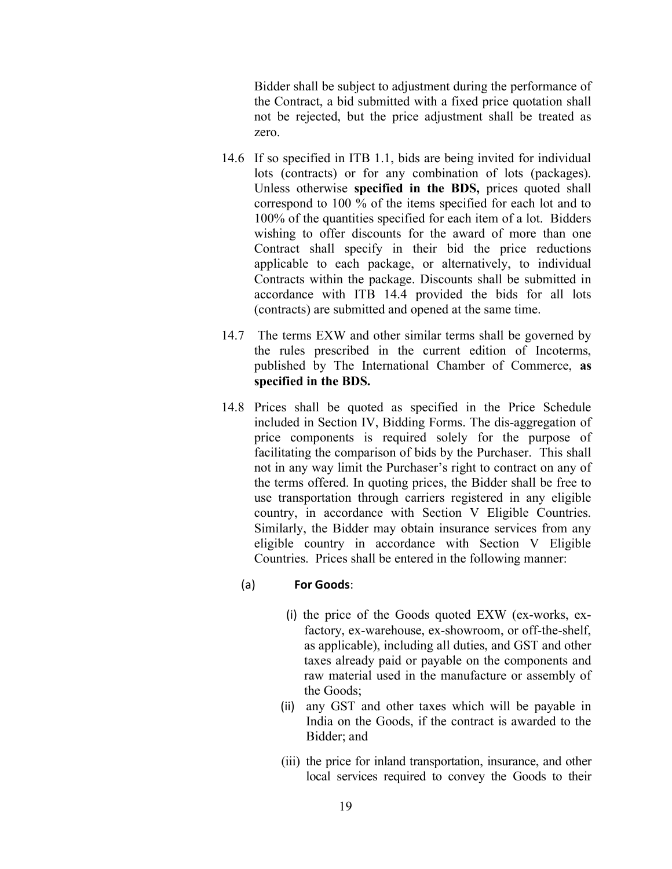Bidder shall be subject to adjustment during the performance of the Contract, a bid submitted with a fixed price quotation shall not be rejected, but the price adjustment shall be treated as zero.

- 14.6 If so specified in ITB 1.1, bids are being invited for individual lots (contracts) or for any combination of lots (packages). Unless otherwise specified in the BDS, prices quoted shall correspond to 100 % of the items specified for each lot and to 100% of the quantities specified for each item of a lot. Bidders wishing to offer discounts for the award of more than one Contract shall specify in their bid the price reductions applicable to each package, or alternatively, to individual Contracts within the package. Discounts shall be submitted in accordance with ITB 14.4 provided the bids for all lots (contracts) are submitted and opened at the same time.
- 14.7 The terms EXW and other similar terms shall be governed by the rules prescribed in the current edition of Incoterms, published by The International Chamber of Commerce, as specified in the BDS.
- 14.8 Prices shall be quoted as specified in the Price Schedule included in Section IV, Bidding Forms. The dis-aggregation of price components is required solely for the purpose of facilitating the comparison of bids by the Purchaser. This shall not in any way limit the Purchaser's right to contract on any of the terms offered. In quoting prices, the Bidder shall be free to use transportation through carriers registered in any eligible country, in accordance with Section V Eligible Countries. Similarly, the Bidder may obtain insurance services from any eligible country in accordance with Section V Eligible Countries. Prices shall be entered in the following manner:

#### (a) For Goods:

- (i) the price of the Goods quoted EXW (ex-works, exfactory, ex-warehouse, ex-showroom, or off-the-shelf, as applicable), including all duties, and GST and other taxes already paid or payable on the components and raw material used in the manufacture or assembly of the Goods;
- (ii) any GST and other taxes which will be payable in India on the Goods, if the contract is awarded to the Bidder; and
- (iii) the price for inland transportation, insurance, and other local services required to convey the Goods to their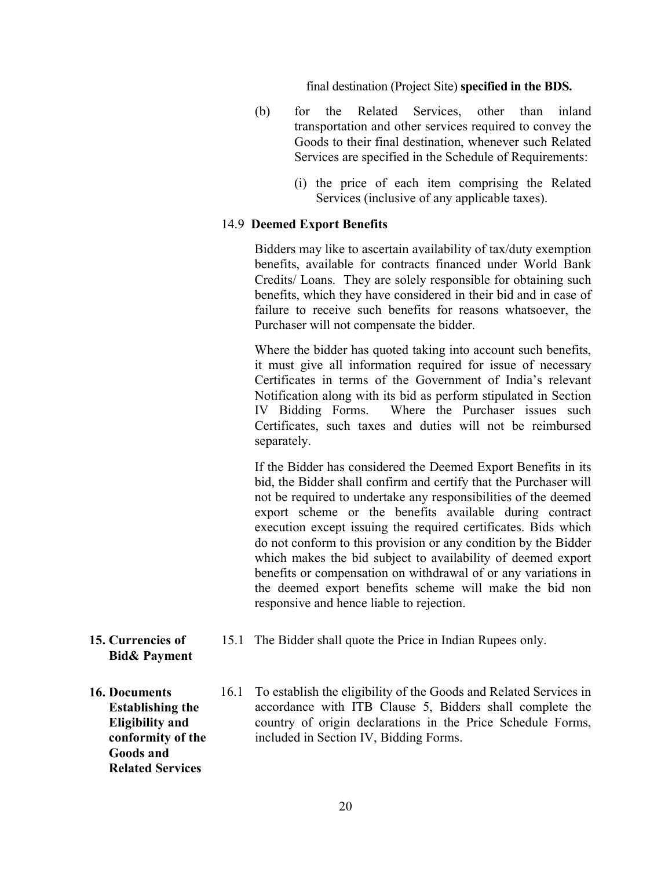final destination (Project Site) specified in the BDS.

- (b) for the Related Services, other than inland transportation and other services required to convey the Goods to their final destination, whenever such Related Services are specified in the Schedule of Requirements:
	- (i) the price of each item comprising the Related Services (inclusive of any applicable taxes).

#### 14.9 Deemed Export Benefits

Bidders may like to ascertain availability of tax/duty exemption benefits, available for contracts financed under World Bank Credits/ Loans. They are solely responsible for obtaining such benefits, which they have considered in their bid and in case of failure to receive such benefits for reasons whatsoever, the Purchaser will not compensate the bidder.

 Where the bidder has quoted taking into account such benefits, it must give all information required for issue of necessary Certificates in terms of the Government of India's relevant Notification along with its bid as perform stipulated in Section IV Bidding Forms. Where the Purchaser issues such Certificates, such taxes and duties will not be reimbursed separately.

If the Bidder has considered the Deemed Export Benefits in its bid, the Bidder shall confirm and certify that the Purchaser will not be required to undertake any responsibilities of the deemed export scheme or the benefits available during contract execution except issuing the required certificates. Bids which do not conform to this provision or any condition by the Bidder which makes the bid subject to availability of deemed export benefits or compensation on withdrawal of or any variations in the deemed export benefits scheme will make the bid non responsive and hence liable to rejection.

- 15. Currencies of Bid& Payment
- 16. Documents Establishing the Eligibility and conformity of the Goods and Related Services
- 15.1 The Bidder shall quote the Price in Indian Rupees only.
- 16.1 To establish the eligibility of the Goods and Related Services in accordance with ITB Clause 5, Bidders shall complete the country of origin declarations in the Price Schedule Forms, included in Section IV, Bidding Forms.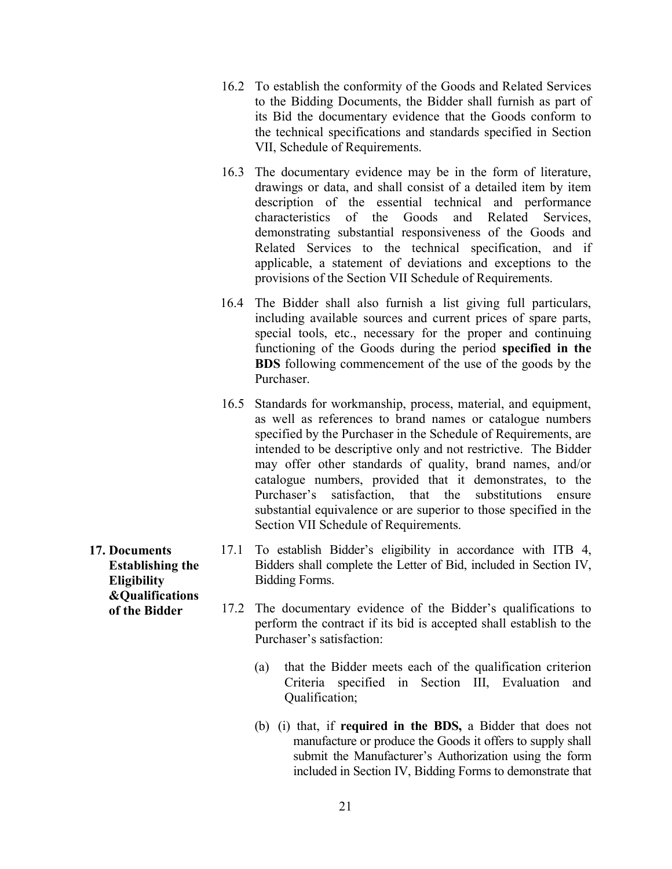- 16.2 To establish the conformity of the Goods and Related Services to the Bidding Documents, the Bidder shall furnish as part of its Bid the documentary evidence that the Goods conform to the technical specifications and standards specified in Section VII, Schedule of Requirements.
- 16.3 The documentary evidence may be in the form of literature, drawings or data, and shall consist of a detailed item by item description of the essential technical and performance characteristics of the Goods and Related Services, demonstrating substantial responsiveness of the Goods and Related Services to the technical specification, and if applicable, a statement of deviations and exceptions to the provisions of the Section VII Schedule of Requirements.
- 16.4 The Bidder shall also furnish a list giving full particulars, including available sources and current prices of spare parts, special tools, etc., necessary for the proper and continuing functioning of the Goods during the period specified in the BDS following commencement of the use of the goods by the Purchaser.
- 16.5 Standards for workmanship, process, material, and equipment, as well as references to brand names or catalogue numbers specified by the Purchaser in the Schedule of Requirements, are intended to be descriptive only and not restrictive. The Bidder may offer other standards of quality, brand names, and/or catalogue numbers, provided that it demonstrates, to the Purchaser's satisfaction, that the substitutions ensure substantial equivalence or are superior to those specified in the Section VII Schedule of Requirements.
- 17.1 To establish Bidder's eligibility in accordance with ITB 4, Bidders shall complete the Letter of Bid, included in Section IV, Bidding Forms.
	- 17.2 The documentary evidence of the Bidder's qualifications to perform the contract if its bid is accepted shall establish to the Purchaser's satisfaction:
		- (a) that the Bidder meets each of the qualification criterion Criteria specified in Section III, Evaluation and Qualification;
		- (b) (i) that, if required in the BDS, a Bidder that does not manufacture or produce the Goods it offers to supply shall submit the Manufacturer's Authorization using the form included in Section IV, Bidding Forms to demonstrate that

17. Documents Establishing the **Eligibility** &Qualifications of the Bidder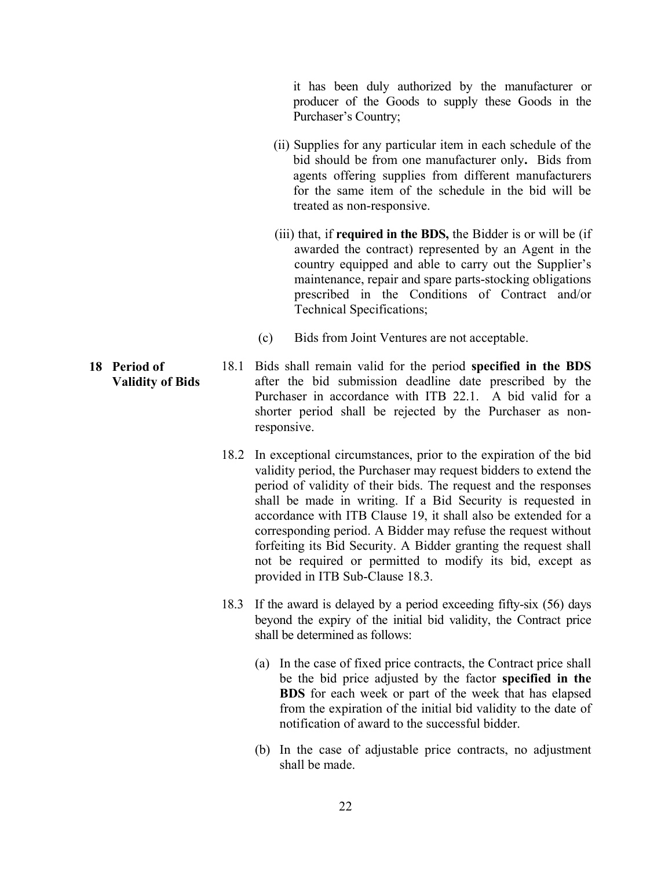it has been duly authorized by the manufacturer or producer of the Goods to supply these Goods in the Purchaser's Country;

- (ii) Supplies for any particular item in each schedule of the bid should be from one manufacturer only. Bids from agents offering supplies from different manufacturers for the same item of the schedule in the bid will be treated as non-responsive.
- (iii) that, if **required in the BDS**, the Bidder is or will be (if awarded the contract) represented by an Agent in the country equipped and able to carry out the Supplier's maintenance, repair and spare parts-stocking obligations prescribed in the Conditions of Contract and/or Technical Specifications;
- (c) Bids from Joint Ventures are not acceptable.
- Validity of Bids 18.1 Bids shall remain valid for the period specified in the BDS after the bid submission deadline date prescribed by the Purchaser in accordance with ITB 22.1. A bid valid for a shorter period shall be rejected by the Purchaser as nonresponsive.
	- 18.2 In exceptional circumstances, prior to the expiration of the bid validity period, the Purchaser may request bidders to extend the period of validity of their bids. The request and the responses shall be made in writing. If a Bid Security is requested in accordance with ITB Clause 19, it shall also be extended for a corresponding period. A Bidder may refuse the request without forfeiting its Bid Security. A Bidder granting the request shall not be required or permitted to modify its bid, except as provided in ITB Sub-Clause 18.3.
	- 18.3 If the award is delayed by a period exceeding fifty-six (56) days beyond the expiry of the initial bid validity, the Contract price shall be determined as follows:
		- (a) In the case of fixed price contracts, the Contract price shall be the bid price adjusted by the factor specified in the BDS for each week or part of the week that has elapsed from the expiration of the initial bid validity to the date of notification of award to the successful bidder.
		- (b) In the case of adjustable price contracts, no adjustment shall be made.

18 Period of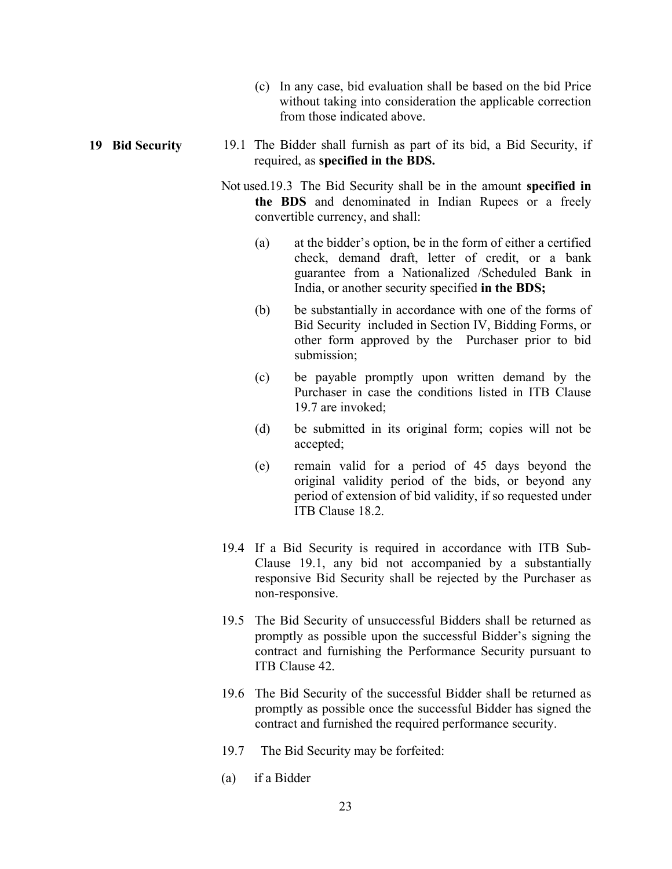- (c) In any case, bid evaluation shall be based on the bid Price without taking into consideration the applicable correction from those indicated above.
- 19 Bid Security 19.1 The Bidder shall furnish as part of its bid, a Bid Security, if required, as specified in the BDS.
	- Not used.19.3 The Bid Security shall be in the amount specified in the BDS and denominated in Indian Rupees or a freely convertible currency, and shall:
		- (a) at the bidder's option, be in the form of either a certified check, demand draft, letter of credit, or a bank guarantee from a Nationalized /Scheduled Bank in India, or another security specified in the BDS;
		- (b) be substantially in accordance with one of the forms of Bid Security included in Section IV, Bidding Forms, or other form approved by the Purchaser prior to bid submission;
		- (c) be payable promptly upon written demand by the Purchaser in case the conditions listed in ITB Clause 19.7 are invoked;
		- (d) be submitted in its original form; copies will not be accepted;
		- (e) remain valid for a period of 45 days beyond the original validity period of the bids, or beyond any period of extension of bid validity, if so requested under ITB Clause 18.2.
	- 19.4 If a Bid Security is required in accordance with ITB Sub-Clause 19.1, any bid not accompanied by a substantially responsive Bid Security shall be rejected by the Purchaser as non-responsive.
	- 19.5 The Bid Security of unsuccessful Bidders shall be returned as promptly as possible upon the successful Bidder's signing the contract and furnishing the Performance Security pursuant to ITB Clause 42.
	- 19.6 The Bid Security of the successful Bidder shall be returned as promptly as possible once the successful Bidder has signed the contract and furnished the required performance security.
	- 19.7 The Bid Security may be forfeited:
	- (a) if a Bidder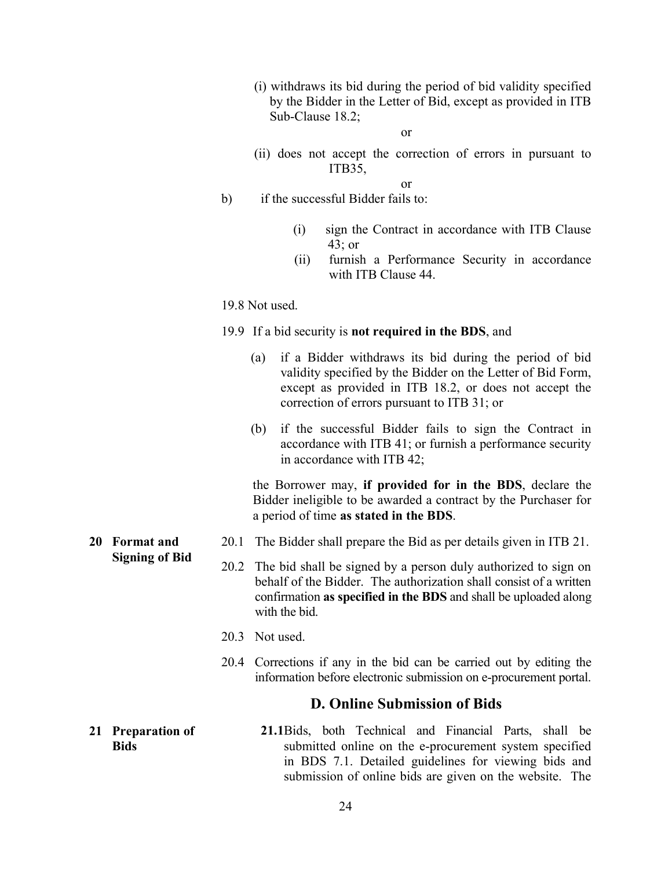- (i) withdraws its bid during the period of bid validity specified by the Bidder in the Letter of Bid, except as provided in ITB Sub-Clause 18.2;
	- or
- (ii) does not accept the correction of errors in pursuant to ITB35,

or

- b) if the successful Bidder fails to:
	- (i) sign the Contract in accordance with ITB Clause 43; or
	- (ii) furnish a Performance Security in accordance with ITB Clause 44.

19.8 Not used.

- 19.9 If a bid security is not required in the BDS, and
	- (a) if a Bidder withdraws its bid during the period of bid validity specified by the Bidder on the Letter of Bid Form, except as provided in ITB 18.2, or does not accept the correction of errors pursuant to ITB 31; or
	- (b) if the successful Bidder fails to sign the Contract in accordance with ITB 41; or furnish a performance security in accordance with ITB 42;

 the Borrower may, if provided for in the BDS, declare the Bidder ineligible to be awarded a contract by the Purchaser for a period of time as stated in the BDS.

- 20.1 The Bidder shall prepare the Bid as per details given in ITB 21.
- 20.2 The bid shall be signed by a person duly authorized to sign on behalf of the Bidder. The authorization shall consist of a written confirmation as specified in the BDS and shall be uploaded along with the bid.
- 20.3 Not used.
- 20.4 Corrections if any in the bid can be carried out by editing the information before electronic submission on e-procurement portal.

#### D. Online Submission of Bids

21.1Bids, both Technical and Financial Parts, shall be submitted online on the e-procurement system specified in BDS 7.1. Detailed guidelines for viewing bids and submission of online bids are given on the website. The

20 Format and Signing of Bid

21 Preparation of

**Bids**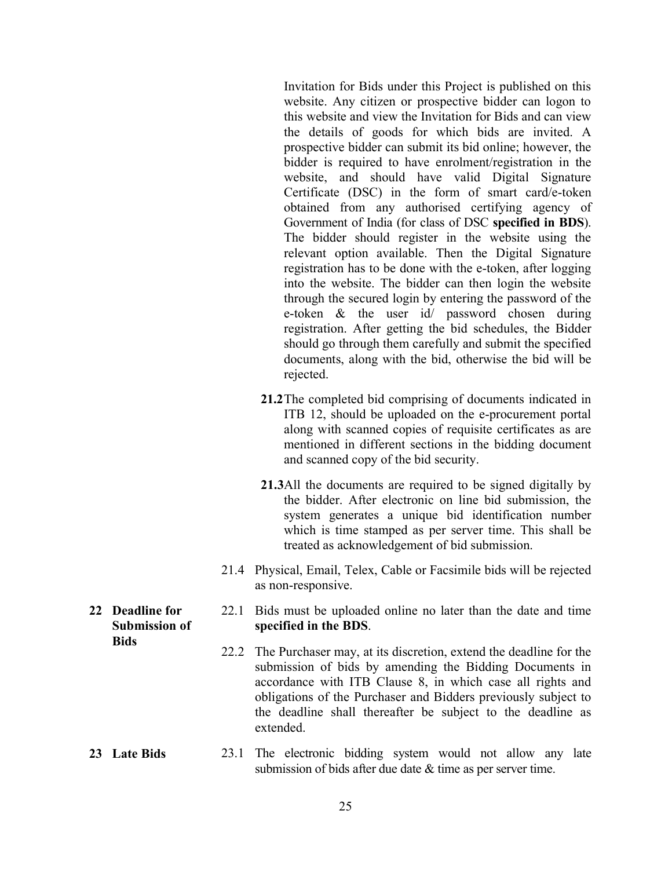Invitation for Bids under this Project is published on this website. Any citizen or prospective bidder can logon to this website and view the Invitation for Bids and can view the details of goods for which bids are invited. A prospective bidder can submit its bid online; however, the bidder is required to have enrolment/registration in the website, and should have valid Digital Signature Certificate (DSC) in the form of smart card/e-token obtained from any authorised certifying agency of Government of India (for class of DSC specified in BDS). The bidder should register in the website using the relevant option available. Then the Digital Signature registration has to be done with the e-token, after logging into the website. The bidder can then login the website through the secured login by entering the password of the e-token & the user id/ password chosen during registration. After getting the bid schedules, the Bidder should go through them carefully and submit the specified documents, along with the bid, otherwise the bid will be rejected.

- 21.2The completed bid comprising of documents indicated in ITB 12, should be uploaded on the e-procurement portal along with scanned copies of requisite certificates as are mentioned in different sections in the bidding document and scanned copy of the bid security.
- 21.3All the documents are required to be signed digitally by the bidder. After electronic on line bid submission, the system generates a unique bid identification number which is time stamped as per server time. This shall be treated as acknowledgement of bid submission.
- 21.4 Physical, Email, Telex, Cable or Facsimile bids will be rejected as non-responsive.
- 22.1 Bids must be uploaded online no later than the date and time specified in the BDS.
- 22.2 The Purchaser may, at its discretion, extend the deadline for the submission of bids by amending the Bidding Documents in accordance with ITB Clause 8, in which case all rights and obligations of the Purchaser and Bidders previously subject to the deadline shall thereafter be subject to the deadline as extended.

#### 23 Late Bids 23.1 The electronic bidding system would not allow any late submission of bids after due date & time as per server time.

22 Deadline for Submission of **Bids**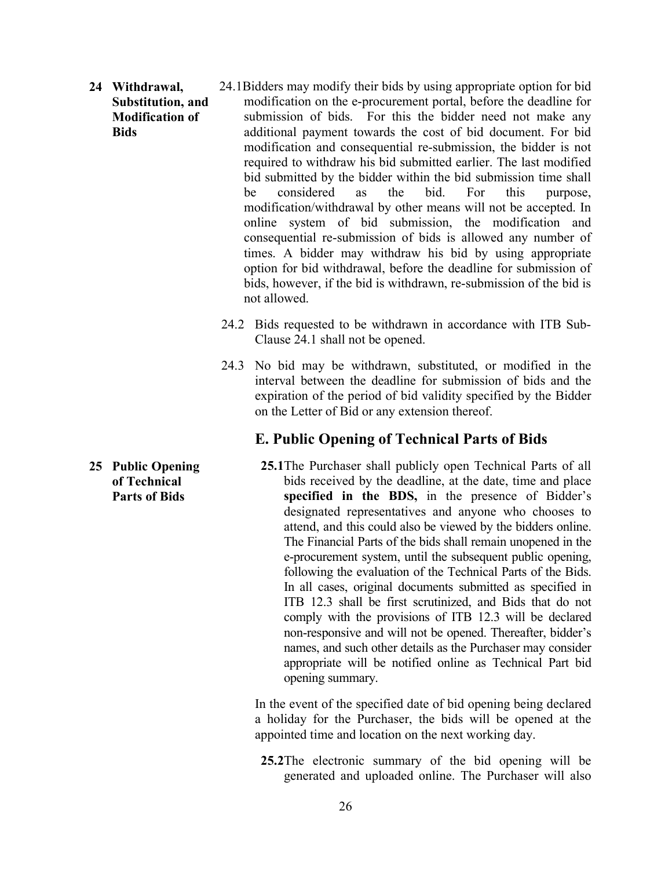- 24 Withdrawal, Substitution, and Modification of **Bids** 24.1Bidders may modify their bids by using appropriate option for bid modification on the e-procurement portal, before the deadline for submission of bids. For this the bidder need not make any additional payment towards the cost of bid document. For bid modification and consequential re-submission, the bidder is not required to withdraw his bid submitted earlier. The last modified bid submitted by the bidder within the bid submission time shall be considered as the bid. For this purpose, modification/withdrawal by other means will not be accepted. In online system of bid submission, the modification and consequential re-submission of bids is allowed any number of times. A bidder may withdraw his bid by using appropriate option for bid withdrawal, before the deadline for submission of bids, however, if the bid is withdrawn, re-submission of the bid is not allowed.
	- 24.2 Bids requested to be withdrawn in accordance with ITB Sub-Clause 24.1 shall not be opened.
	- 24.3 No bid may be withdrawn, substituted, or modified in the interval between the deadline for submission of bids and the expiration of the period of bid validity specified by the Bidder on the Letter of Bid or any extension thereof.

#### E. Public Opening of Technical Parts of Bids

25 Public Opening of Technical Parts of Bids 25.1The Purchaser shall publicly open Technical Parts of all bids received by the deadline, at the date, time and place specified in the BDS, in the presence of Bidder's designated representatives and anyone who chooses to attend, and this could also be viewed by the bidders online. The Financial Parts of the bids shall remain unopened in the e-procurement system, until the subsequent public opening, following the evaluation of the Technical Parts of the Bids. In all cases, original documents submitted as specified in ITB 12.3 shall be first scrutinized, and Bids that do not comply with the provisions of ITB 12.3 will be declared non-responsive and will not be opened. Thereafter, bidder's names, and such other details as the Purchaser may consider appropriate will be notified online as Technical Part bid opening summary.

26

In the event of the specified date of bid opening being declared a holiday for the Purchaser, the bids will be opened at the appointed time and location on the next working day.

25.2The electronic summary of the bid opening will be generated and uploaded online. The Purchaser will also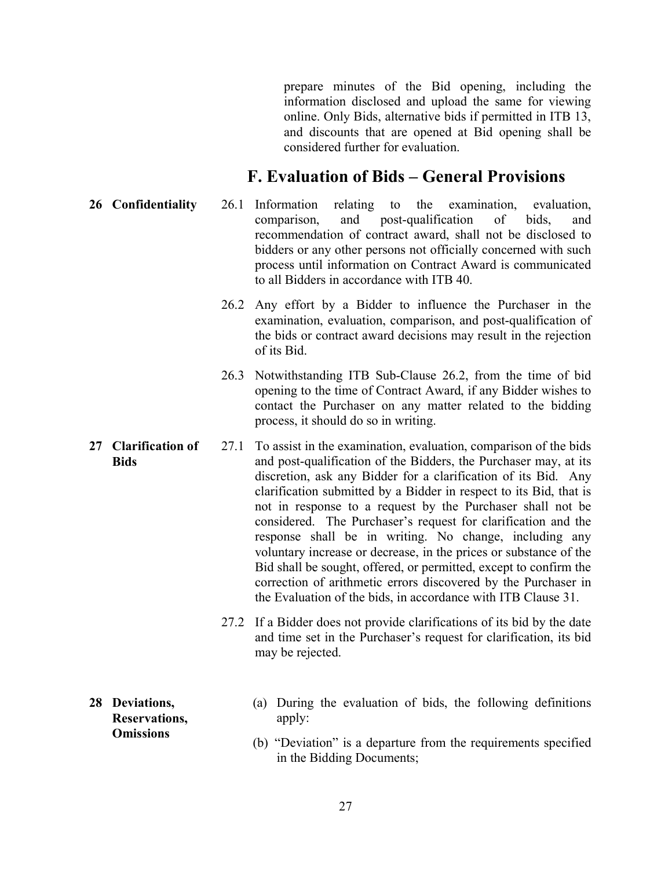prepare minutes of the Bid opening, including the information disclosed and upload the same for viewing online. Only Bids, alternative bids if permitted in ITB 13, and discounts that are opened at Bid opening shall be considered further for evaluation.

## F. Evaluation of Bids – General Provisions

- 26 Confidentiality 26.1 Information relating to the examination, evaluation, comparison, and post-qualification of bids, and recommendation of contract award, shall not be disclosed to bidders or any other persons not officially concerned with such process until information on Contract Award is communicated to all Bidders in accordance with ITB 40.
	- 26.2 Any effort by a Bidder to influence the Purchaser in the examination, evaluation, comparison, and post-qualification of the bids or contract award decisions may result in the rejection of its Bid.
	- 26.3 Notwithstanding ITB Sub-Clause 26.2, from the time of bid opening to the time of Contract Award, if any Bidder wishes to contact the Purchaser on any matter related to the bidding process, it should do so in writing.
- 27 Clarification of **Bids** 27.1 To assist in the examination, evaluation, comparison of the bids and post-qualification of the Bidders, the Purchaser may, at its discretion, ask any Bidder for a clarification of its Bid. Any clarification submitted by a Bidder in respect to its Bid, that is not in response to a request by the Purchaser shall not be considered. The Purchaser's request for clarification and the response shall be in writing. No change, including any voluntary increase or decrease, in the prices or substance of the Bid shall be sought, offered, or permitted, except to confirm the correction of arithmetic errors discovered by the Purchaser in the Evaluation of the bids, in accordance with ITB Clause 31.
	- 27.2 If a Bidder does not provide clarifications of its bid by the date and time set in the Purchaser's request for clarification, its bid may be rejected.
- 28 Deviations, Reservations, **Omissions**
- (a) During the evaluation of bids, the following definitions apply:
	- (b) "Deviation" is a departure from the requirements specified in the Bidding Documents;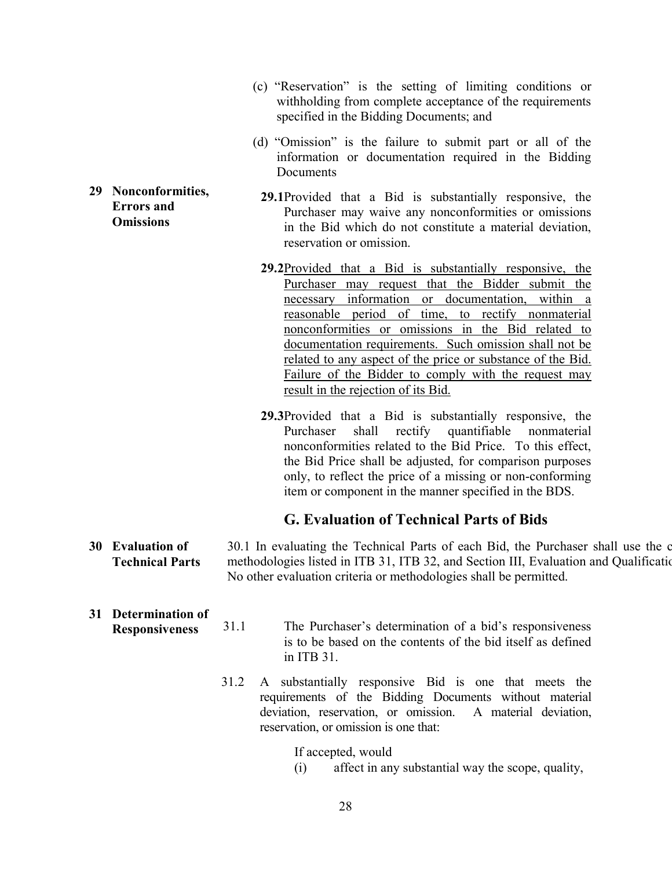- (c) "Reservation" is the setting of limiting conditions or withholding from complete acceptance of the requirements specified in the Bidding Documents; and
- (d) "Omission" is the failure to submit part or all of the information or documentation required in the Bidding **Documents**
- 29.1Provided that a Bid is substantially responsive, the Purchaser may waive any nonconformities or omissions in the Bid which do not constitute a material deviation, reservation or omission.
	- 29.2Provided that a Bid is substantially responsive, the Purchaser may request that the Bidder submit the necessary information or documentation, within a reasonable period of time, to rectify nonmaterial nonconformities or omissions in the Bid related to documentation requirements. Such omission shall not be related to any aspect of the price or substance of the Bid. Failure of the Bidder to comply with the request may result in the rejection of its Bid.
	- 29.3Provided that a Bid is substantially responsive, the Purchaser shall rectify quantifiable nonmaterial nonconformities related to the Bid Price. To this effect, the Bid Price shall be adjusted, for comparison purposes only, to reflect the price of a missing or non-conforming item or component in the manner specified in the BDS.

#### G. Evaluation of Technical Parts of Bids

- 30 Evaluation of Technical Parts 30.1 In evaluating the Technical Parts of each Bid, the Purchaser shall use the c methodologies listed in ITB 31, ITB 32, and Section III, Evaluation and Qualification No other evaluation criteria or methodologies shall be permitted.
- 31 Determination of Responsiveness 31.1 The Purchaser's determination of a bid's responsiveness is to be based on the contents of the bid itself as defined in ITB 31.
	- 31.2 A substantially responsive Bid is one that meets the requirements of the Bidding Documents without material deviation, reservation, or omission. A material deviation, reservation, or omission is one that:

If accepted, would

(i) affect in any substantial way the scope, quality,

29 Nonconformities, Errors and **Omissions**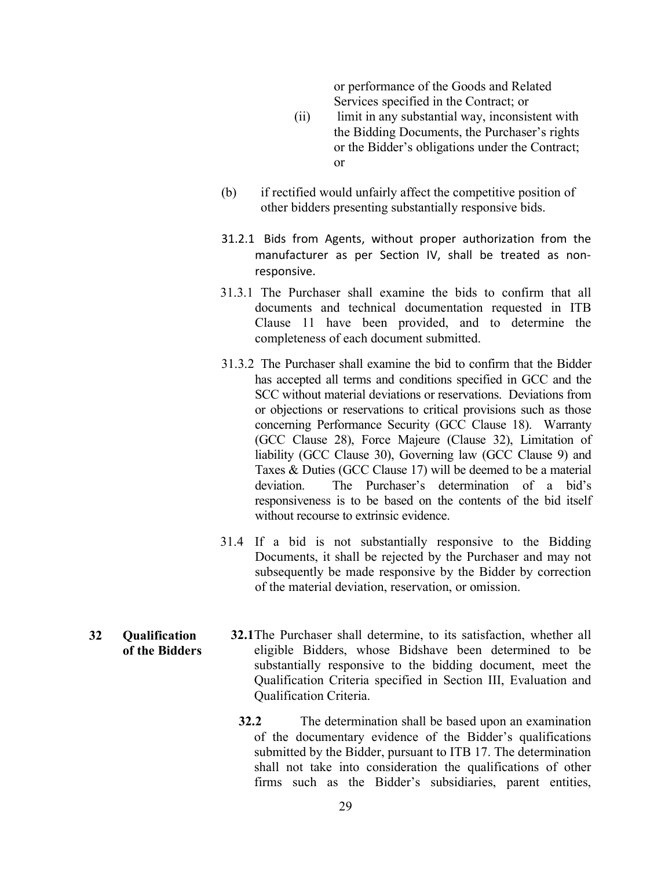or performance of the Goods and Related Services specified in the Contract; or

- (ii) limit in any substantial way, inconsistent with the Bidding Documents, the Purchaser's rights or the Bidder's obligations under the Contract; or
- (b) if rectified would unfairly affect the competitive position of other bidders presenting substantially responsive bids.
- 31.2.1 Bids from Agents, without proper authorization from the manufacturer as per Section IV, shall be treated as nonresponsive.
- 31.3.1 The Purchaser shall examine the bids to confirm that all documents and technical documentation requested in ITB Clause 11 have been provided, and to determine the completeness of each document submitted.
- 31.3.2 The Purchaser shall examine the bid to confirm that the Bidder has accepted all terms and conditions specified in GCC and the SCC without material deviations or reservations. Deviations from or objections or reservations to critical provisions such as those concerning Performance Security (GCC Clause 18). Warranty (GCC Clause 28), Force Majeure (Clause 32), Limitation of liability (GCC Clause 30), Governing law (GCC Clause 9) and Taxes & Duties (GCC Clause 17) will be deemed to be a material deviation. The Purchaser's determination of a bid's responsiveness is to be based on the contents of the bid itself without recourse to extrinsic evidence.
- 31.4 If a bid is not substantially responsive to the Bidding Documents, it shall be rejected by the Purchaser and may not subsequently be made responsive by the Bidder by correction of the material deviation, reservation, or omission.
- 32 Qualification of the Bidders 32.1The Purchaser shall determine, to its satisfaction, whether all eligible Bidders, whose Bidshave been determined to be substantially responsive to the bidding document, meet the Qualification Criteria specified in Section III, Evaluation and Qualification Criteria.
	- 32.2 The determination shall be based upon an examination of the documentary evidence of the Bidder's qualifications submitted by the Bidder, pursuant to ITB 17. The determination shall not take into consideration the qualifications of other firms such as the Bidder's subsidiaries, parent entities,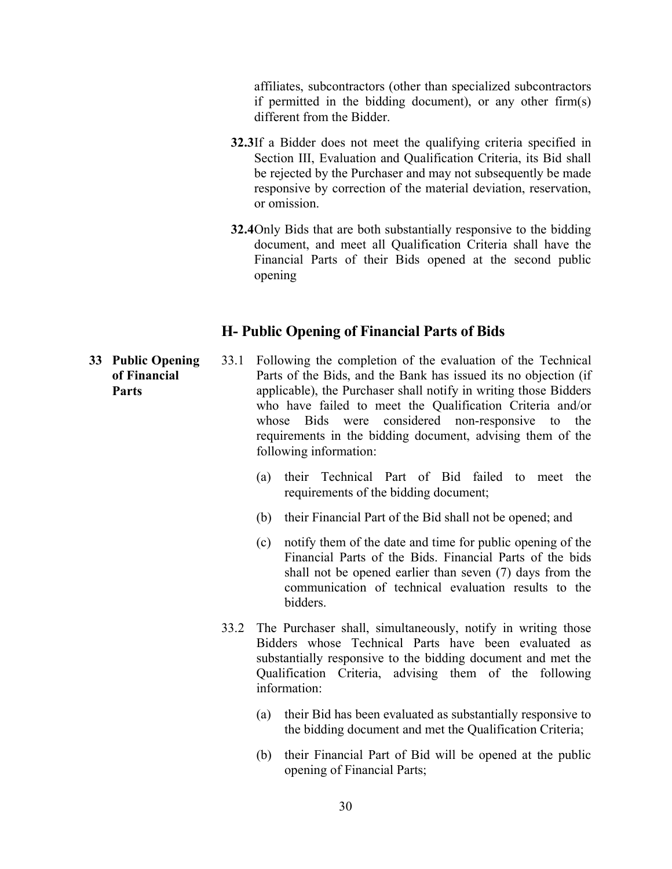affiliates, subcontractors (other than specialized subcontractors if permitted in the bidding document), or any other firm(s) different from the Bidder.

- 32.3If a Bidder does not meet the qualifying criteria specified in Section III, Evaluation and Qualification Criteria, its Bid shall be rejected by the Purchaser and may not subsequently be made responsive by correction of the material deviation, reservation, or omission.
- 32.4Only Bids that are both substantially responsive to the bidding document, and meet all Qualification Criteria shall have the Financial Parts of their Bids opened at the second public opening

#### H- Public Opening of Financial Parts of Bids

- 33 Public Opening of Financial Parts 33.1 Following the completion of the evaluation of the Technical Parts of the Bids, and the Bank has issued its no objection (if applicable), the Purchaser shall notify in writing those Bidders who have failed to meet the Qualification Criteria and/or whose Bids were considered non-responsive to the requirements in the bidding document, advising them of the following information:
	- (a) their Technical Part of Bid failed to meet the requirements of the bidding document;
	- (b) their Financial Part of the Bid shall not be opened; and
	- (c) notify them of the date and time for public opening of the Financial Parts of the Bids. Financial Parts of the bids shall not be opened earlier than seven (7) days from the communication of technical evaluation results to the bidders.
	- 33.2 The Purchaser shall, simultaneously, notify in writing those Bidders whose Technical Parts have been evaluated as substantially responsive to the bidding document and met the Qualification Criteria, advising them of the following information:
		- (a) their Bid has been evaluated as substantially responsive to the bidding document and met the Qualification Criteria;
		- (b) their Financial Part of Bid will be opened at the public opening of Financial Parts;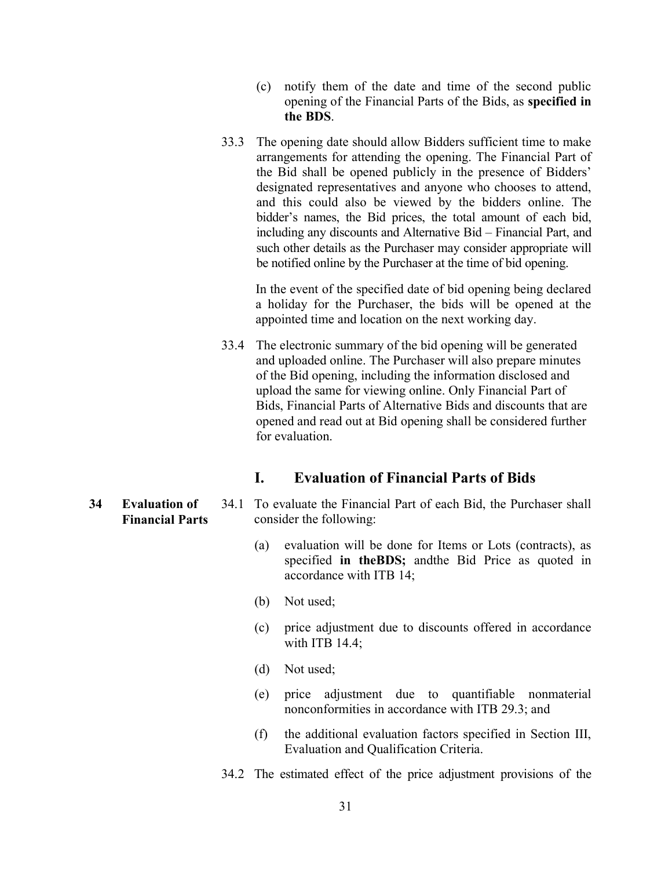- (c) notify them of the date and time of the second public opening of the Financial Parts of the Bids, as specified in the BDS.
- 33.3 The opening date should allow Bidders sufficient time to make arrangements for attending the opening. The Financial Part of the Bid shall be opened publicly in the presence of Bidders' designated representatives and anyone who chooses to attend, and this could also be viewed by the bidders online. The bidder's names, the Bid prices, the total amount of each bid, including any discounts and Alternative Bid – Financial Part, and such other details as the Purchaser may consider appropriate will be notified online by the Purchaser at the time of bid opening.

In the event of the specified date of bid opening being declared a holiday for the Purchaser, the bids will be opened at the appointed time and location on the next working day.

33.4 The electronic summary of the bid opening will be generated and uploaded online. The Purchaser will also prepare minutes of the Bid opening, including the information disclosed and upload the same for viewing online. Only Financial Part of Bids, Financial Parts of Alternative Bids and discounts that are opened and read out at Bid opening shall be considered further for evaluation.

### I. Evaluation of Financial Parts of Bids

- 34.1 To evaluate the Financial Part of each Bid, the Purchaser shall consider the following:
	- (a) evaluation will be done for Items or Lots (contracts), as specified in theBDS; andthe Bid Price as quoted in accordance with ITB 14;
	- (b) Not used;
	- (c) price adjustment due to discounts offered in accordance with ITB 14.4;
	- (d) Not used;
	- (e) price adjustment due to quantifiable nonmaterial nonconformities in accordance with ITB 29.3; and
	- (f) the additional evaluation factors specified in Section III, Evaluation and Qualification Criteria.
	- 34.2 The estimated effect of the price adjustment provisions of the

34 Evaluation of Financial Parts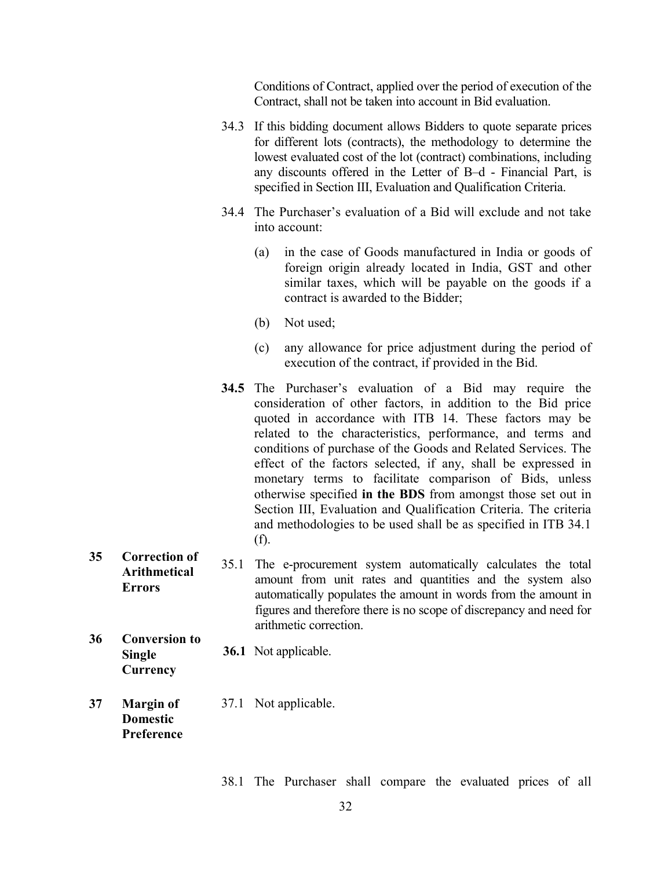Conditions of Contract, applied over the period of execution of the Contract, shall not be taken into account in Bid evaluation.

- 34.3 If this bidding document allows Bidders to quote separate prices for different lots (contracts), the methodology to determine the lowest evaluated cost of the lot (contract) combinations, including any discounts offered in the Letter of B–d - Financial Part, is specified in Section III, Evaluation and Qualification Criteria.
- 34.4 The Purchaser's evaluation of a Bid will exclude and not take into account:
	- (a) in the case of Goods manufactured in India or goods of foreign origin already located in India, GST and other similar taxes, which will be payable on the goods if a contract is awarded to the Bidder;
	- (b) Not used;
	- (c) any allowance for price adjustment during the period of execution of the contract, if provided in the Bid.
- 34.5 The Purchaser's evaluation of a Bid may require the consideration of other factors, in addition to the Bid price quoted in accordance with ITB 14. These factors may be related to the characteristics, performance, and terms and conditions of purchase of the Goods and Related Services. The effect of the factors selected, if any, shall be expressed in monetary terms to facilitate comparison of Bids, unless otherwise specified in the BDS from amongst those set out in Section III, Evaluation and Qualification Criteria. The criteria and methodologies to be used shall be as specified in ITB 34.1 (f).
- 35 Correction of Arithmetical **Errors** 35.1 The e-procurement system automatically calculates the total amount from unit rates and quantities and the system also automatically populates the amount in words from the amount in figures and therefore there is no scope of discrepancy and need for arithmetic correction.
- 36 Conversion to Single **Currency** 36.1 Not applicable.
- 37 Margin of Domestic Preference 37.1 Not applicable.

38.1 The Purchaser shall compare the evaluated prices of all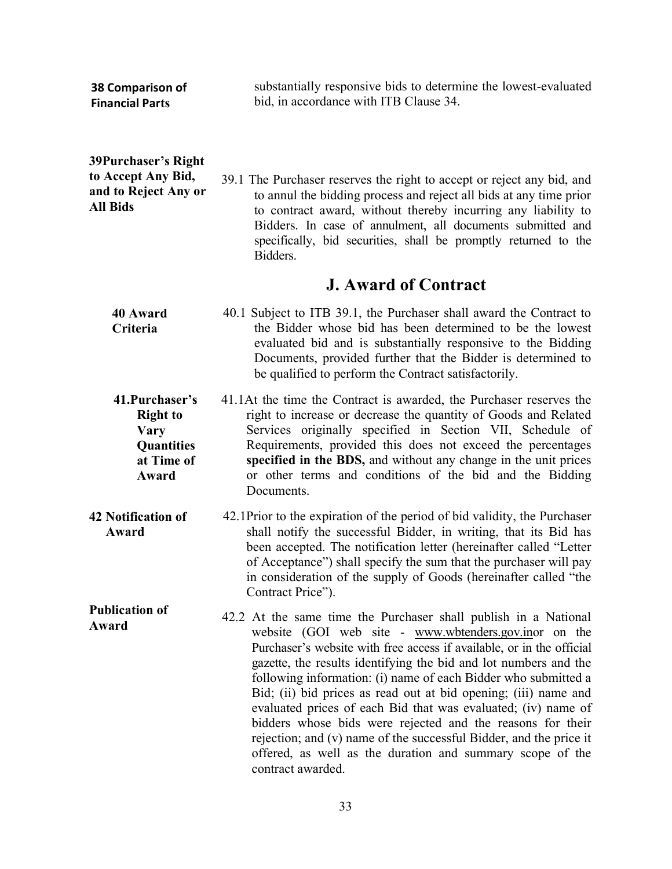| 38 Comparison of<br><b>Financial Parts</b>                                             | substantially responsive bids to determine the lowest-evaluated<br>bid, in accordance with ITB Clause 34.                                                                                                                                                                                                                                                                                                                                                                                                                                                                                                                                                                                         |
|----------------------------------------------------------------------------------------|---------------------------------------------------------------------------------------------------------------------------------------------------------------------------------------------------------------------------------------------------------------------------------------------------------------------------------------------------------------------------------------------------------------------------------------------------------------------------------------------------------------------------------------------------------------------------------------------------------------------------------------------------------------------------------------------------|
| 39Purchaser's Right<br>to Accept Any Bid,<br>and to Reject Any or<br><b>All Bids</b>   | 39.1 The Purchaser reserves the right to accept or reject any bid, and<br>to annul the bidding process and reject all bids at any time prior<br>to contract award, without thereby incurring any liability to<br>Bidders. In case of annulment, all documents submitted and<br>specifically, bid securities, shall be promptly returned to the<br>Bidders.                                                                                                                                                                                                                                                                                                                                        |
|                                                                                        | <b>J. Award of Contract</b>                                                                                                                                                                                                                                                                                                                                                                                                                                                                                                                                                                                                                                                                       |
| <b>40 Award</b><br>Criteria                                                            | 40.1 Subject to ITB 39.1, the Purchaser shall award the Contract to<br>the Bidder whose bid has been determined to be the lowest<br>evaluated bid and is substantially responsive to the Bidding<br>Documents, provided further that the Bidder is determined to<br>be qualified to perform the Contract satisfactorily.                                                                                                                                                                                                                                                                                                                                                                          |
| 41. Purchaser's<br><b>Right to</b><br><b>Vary</b><br>Quantities<br>at Time of<br>Award | 41.1At the time the Contract is awarded, the Purchaser reserves the<br>right to increase or decrease the quantity of Goods and Related<br>Services originally specified in Section VII, Schedule of<br>Requirements, provided this does not exceed the percentages<br>specified in the BDS, and without any change in the unit prices<br>or other terms and conditions of the bid and the Bidding<br>Documents.                                                                                                                                                                                                                                                                                   |
| <b>42 Notification of</b><br>Award                                                     | 42.1Prior to the expiration of the period of bid validity, the Purchaser<br>shall notify the successful Bidder, in writing, that its Bid has<br>been accepted. The notification letter (hereinafter called "Letter<br>of Acceptance") shall specify the sum that the purchaser will pay<br>in consideration of the supply of Goods (hereinafter called "the<br>Contract Price").                                                                                                                                                                                                                                                                                                                  |
| <b>Publication of</b><br>Award                                                         | 42.2 At the same time the Purchaser shall publish in a National<br>website (GOI web site - www.wbtenders.gov.inor on the<br>Purchaser's website with free access if available, or in the official<br>gazette, the results identifying the bid and lot numbers and the<br>following information: (i) name of each Bidder who submitted a<br>Bid; (ii) bid prices as read out at bid opening; (iii) name and<br>evaluated prices of each Bid that was evaluated; (iv) name of<br>bidders whose bids were rejected and the reasons for their<br>rejection; and (v) name of the successful Bidder, and the price it<br>offered, as well as the duration and summary scope of the<br>contract awarded. |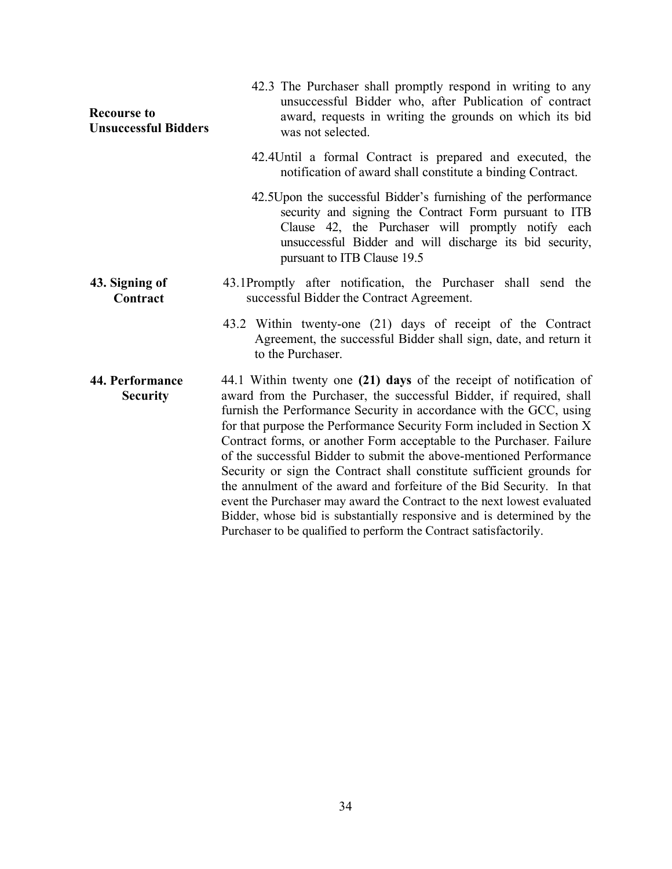| <b>Recourse to</b><br><b>Unsuccessful Bidders</b> | 42.3 The Purchaser shall promptly respond in writing to any<br>unsuccessful Bidder who, after Publication of contract<br>award, requests in writing the grounds on which its bid<br>was not selected.                                                                                                                                                                                                                                                                                                                                                                                                                                                                                                                                                                                                              |
|---------------------------------------------------|--------------------------------------------------------------------------------------------------------------------------------------------------------------------------------------------------------------------------------------------------------------------------------------------------------------------------------------------------------------------------------------------------------------------------------------------------------------------------------------------------------------------------------------------------------------------------------------------------------------------------------------------------------------------------------------------------------------------------------------------------------------------------------------------------------------------|
|                                                   | 42.4Until a formal Contract is prepared and executed, the<br>notification of award shall constitute a binding Contract.                                                                                                                                                                                                                                                                                                                                                                                                                                                                                                                                                                                                                                                                                            |
|                                                   | 42.5 Upon the successful Bidder's furnishing of the performance<br>security and signing the Contract Form pursuant to ITB<br>Clause 42, the Purchaser will promptly notify each<br>unsuccessful Bidder and will discharge its bid security,<br>pursuant to ITB Clause 19.5                                                                                                                                                                                                                                                                                                                                                                                                                                                                                                                                         |
| 43. Signing of<br>Contract                        | 43.1Promptly after notification, the Purchaser shall send the<br>successful Bidder the Contract Agreement.                                                                                                                                                                                                                                                                                                                                                                                                                                                                                                                                                                                                                                                                                                         |
|                                                   | 43.2 Within twenty-one (21) days of receipt of the Contract<br>Agreement, the successful Bidder shall sign, date, and return it<br>to the Purchaser.                                                                                                                                                                                                                                                                                                                                                                                                                                                                                                                                                                                                                                                               |
| 44. Performance<br><b>Security</b>                | 44.1 Within twenty one (21) days of the receipt of notification of<br>award from the Purchaser, the successful Bidder, if required, shall<br>furnish the Performance Security in accordance with the GCC, using<br>for that purpose the Performance Security Form included in Section X<br>Contract forms, or another Form acceptable to the Purchaser. Failure<br>of the successful Bidder to submit the above-mentioned Performance<br>Security or sign the Contract shall constitute sufficient grounds for<br>the annulment of the award and forfeiture of the Bid Security. In that<br>event the Purchaser may award the Contract to the next lowest evaluated<br>Bidder, whose bid is substantially responsive and is determined by the<br>Purchaser to be qualified to perform the Contract satisfactorily. |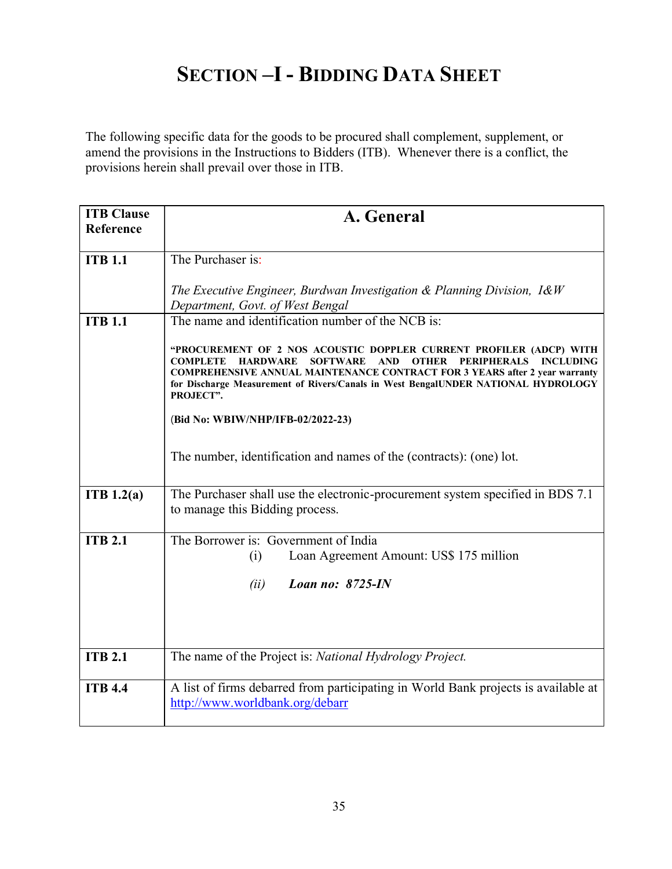## SECTION -I - BIDDING DATA SHEET

The following specific data for the goods to be procured shall complement, supplement, or amend the provisions in the Instructions to Bidders (ITB). Whenever there is a conflict, the provisions herein shall prevail over those in ITB.

| <b>ITB Clause</b><br>Reference | A. General                                                                                                                                                                                                                                                                                                                                                                            |
|--------------------------------|---------------------------------------------------------------------------------------------------------------------------------------------------------------------------------------------------------------------------------------------------------------------------------------------------------------------------------------------------------------------------------------|
| <b>ITB 1.1</b>                 | The Purchaser is:                                                                                                                                                                                                                                                                                                                                                                     |
|                                | The Executive Engineer, Burdwan Investigation & Planning Division, $1 \& W$<br>Department, Govt. of West Bengal                                                                                                                                                                                                                                                                       |
| <b>ITB 1.1</b>                 | The name and identification number of the NCB is:                                                                                                                                                                                                                                                                                                                                     |
|                                | "PROCUREMENT OF 2 NOS ACOUSTIC DOPPLER CURRENT PROFILER (ADCP) WITH<br><b>SOFTWARE</b><br><b>INCLUDING</b><br><b>COMPLETE</b><br><b>HARDWARE</b><br><b>AND</b><br><b>OTHER</b><br>PERIPHERALS<br><b>COMPREHENSIVE ANNUAL MAINTENANCE CONTRACT FOR 3 YEARS after 2 year warranty</b><br>for Discharge Measurement of Rivers/Canals in West BengalUNDER NATIONAL HYDROLOGY<br>PROJECT". |
|                                | (Bid No: WBIW/NHP/IFB-02/2022-23)                                                                                                                                                                                                                                                                                                                                                     |
|                                | The number, identification and names of the (contracts): (one) lot.                                                                                                                                                                                                                                                                                                                   |
| ITB 1.2(a)                     | The Purchaser shall use the electronic-procurement system specified in BDS 7.1<br>to manage this Bidding process.                                                                                                                                                                                                                                                                     |
| <b>ITB 2.1</b>                 | The Borrower is: Government of India                                                                                                                                                                                                                                                                                                                                                  |
|                                | Loan Agreement Amount: US\$ 175 million<br>(i)                                                                                                                                                                                                                                                                                                                                        |
|                                | Loan no: 8725-IN<br>(ii)                                                                                                                                                                                                                                                                                                                                                              |
|                                |                                                                                                                                                                                                                                                                                                                                                                                       |
|                                |                                                                                                                                                                                                                                                                                                                                                                                       |
| <b>ITB 2.1</b>                 | The name of the Project is: National Hydrology Project.                                                                                                                                                                                                                                                                                                                               |
| <b>ITB 4.4</b>                 | A list of firms debarred from participating in World Bank projects is available at<br>http://www.worldbank.org/debarr                                                                                                                                                                                                                                                                 |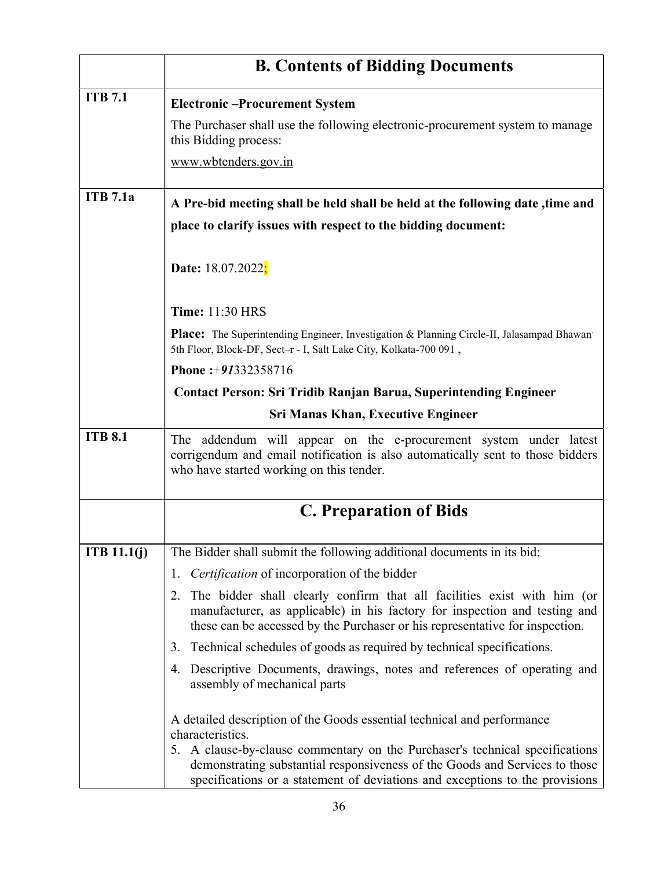|                 | <b>B. Contents of Bidding Documents</b>                                                                                                                                                                                                     |
|-----------------|---------------------------------------------------------------------------------------------------------------------------------------------------------------------------------------------------------------------------------------------|
| <b>ITB 7.1</b>  | <b>Electronic-Procurement System</b>                                                                                                                                                                                                        |
|                 | The Purchaser shall use the following electronic-procurement system to manage<br>this Bidding process:                                                                                                                                      |
|                 | www.wbtenders.gov.in                                                                                                                                                                                                                        |
| <b>ITB</b> 7.1a | A Pre-bid meeting shall be held shall be held at the following date, time and                                                                                                                                                               |
|                 | place to clarify issues with respect to the bidding document:                                                                                                                                                                               |
|                 | Date: 18.07.2022 <mark>;</mark>                                                                                                                                                                                                             |
|                 | <b>Time: 11:30 HRS</b>                                                                                                                                                                                                                      |
|                 | Place: The Superintending Engineer, Investigation & Planning Circle-II, Jalasampad Bhawan'<br>5th Floor, Block-DF, Sect-r - I, Salt Lake City, Kolkata-700 091,                                                                             |
|                 | Phone: +91332358716                                                                                                                                                                                                                         |
|                 | <b>Contact Person: Sri Tridib Ranjan Barua, Superintending Engineer</b>                                                                                                                                                                     |
|                 | <b>Sri Manas Khan, Executive Engineer</b>                                                                                                                                                                                                   |
| <b>ITB 8.1</b>  | The addendum will appear on the e-procurement system under latest<br>corrigendum and email notification is also automatically sent to those bidders<br>who have started working on this tender.                                             |
|                 | <b>C. Preparation of Bids</b>                                                                                                                                                                                                               |
| ITB $11.1(j)$   | The Bidder shall submit the following additional documents in its bid:                                                                                                                                                                      |
|                 | <i>Certification</i> of incorporation of the bidder<br>1.                                                                                                                                                                                   |
|                 | The bidder shall clearly confirm that all facilities exist with him (or<br>2.<br>manufacturer, as applicable) in his factory for inspection and testing and<br>these can be accessed by the Purchaser or his representative for inspection. |
|                 | Technical schedules of goods as required by technical specifications.<br>3.                                                                                                                                                                 |
|                 | Descriptive Documents, drawings, notes and references of operating and<br>4.<br>assembly of mechanical parts                                                                                                                                |
|                 | A detailed description of the Goods essential technical and performance<br>characteristics.                                                                                                                                                 |
|                 | 5. A clause-by-clause commentary on the Purchaser's technical specifications<br>demonstrating substantial responsiveness of the Goods and Services to those<br>specifications or a statement of deviations and exceptions to the provisions |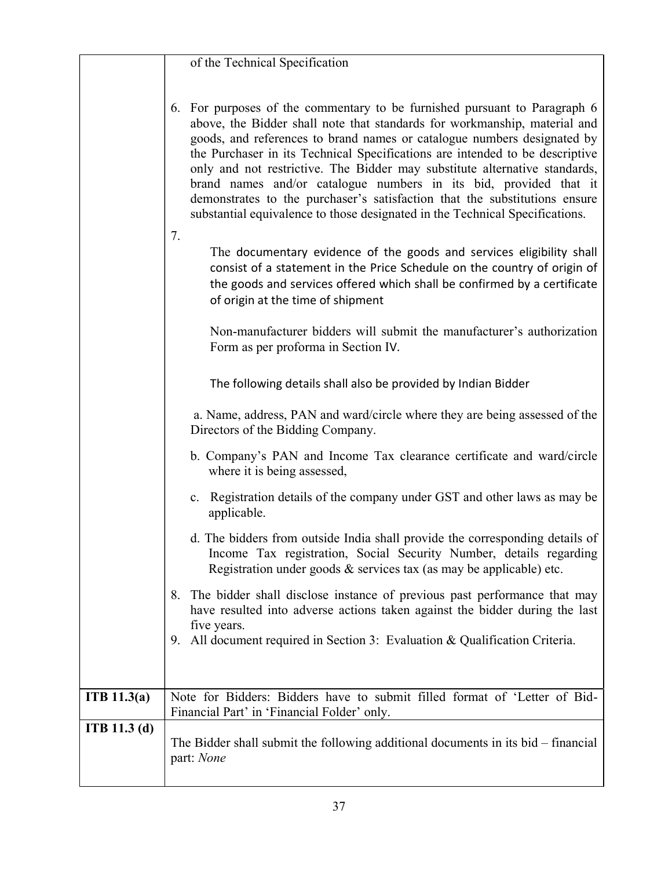|                     | of the Technical Specification                                                                                                                                                                                                                                                                                                                                                                                                                                                                                                                                                                                                     |
|---------------------|------------------------------------------------------------------------------------------------------------------------------------------------------------------------------------------------------------------------------------------------------------------------------------------------------------------------------------------------------------------------------------------------------------------------------------------------------------------------------------------------------------------------------------------------------------------------------------------------------------------------------------|
|                     |                                                                                                                                                                                                                                                                                                                                                                                                                                                                                                                                                                                                                                    |
|                     | 6. For purposes of the commentary to be furnished pursuant to Paragraph 6<br>above, the Bidder shall note that standards for workmanship, material and<br>goods, and references to brand names or catalogue numbers designated by<br>the Purchaser in its Technical Specifications are intended to be descriptive<br>only and not restrictive. The Bidder may substitute alternative standards,<br>brand names and/or catalogue numbers in its bid, provided that it<br>demonstrates to the purchaser's satisfaction that the substitutions ensure<br>substantial equivalence to those designated in the Technical Specifications. |
|                     | 7.<br>The documentary evidence of the goods and services eligibility shall<br>consist of a statement in the Price Schedule on the country of origin of<br>the goods and services offered which shall be confirmed by a certificate<br>of origin at the time of shipment                                                                                                                                                                                                                                                                                                                                                            |
|                     | Non-manufacturer bidders will submit the manufacturer's authorization<br>Form as per proforma in Section IV.                                                                                                                                                                                                                                                                                                                                                                                                                                                                                                                       |
|                     | The following details shall also be provided by Indian Bidder                                                                                                                                                                                                                                                                                                                                                                                                                                                                                                                                                                      |
|                     | a. Name, address, PAN and ward/circle where they are being assessed of the<br>Directors of the Bidding Company.                                                                                                                                                                                                                                                                                                                                                                                                                                                                                                                    |
|                     | b. Company's PAN and Income Tax clearance certificate and ward/circle<br>where it is being assessed,                                                                                                                                                                                                                                                                                                                                                                                                                                                                                                                               |
|                     | c. Registration details of the company under GST and other laws as may be<br>applicable.                                                                                                                                                                                                                                                                                                                                                                                                                                                                                                                                           |
|                     | d. The bidders from outside India shall provide the corresponding details of<br>Income Tax registration, Social Security Number, details regarding<br>Registration under goods $\&$ services tax (as may be applicable) etc.                                                                                                                                                                                                                                                                                                                                                                                                       |
|                     | 8. The bidder shall disclose instance of previous past performance that may<br>have resulted into adverse actions taken against the bidder during the last<br>five years.                                                                                                                                                                                                                                                                                                                                                                                                                                                          |
|                     | All document required in Section 3: Evaluation & Qualification Criteria.<br>9.                                                                                                                                                                                                                                                                                                                                                                                                                                                                                                                                                     |
|                     |                                                                                                                                                                                                                                                                                                                                                                                                                                                                                                                                                                                                                                    |
| ITB $11.3(a)$       | Note for Bidders: Bidders have to submit filled format of 'Letter of Bid-<br>Financial Part' in 'Financial Folder' only.                                                                                                                                                                                                                                                                                                                                                                                                                                                                                                           |
| <b>ITB</b> 11.3 (d) | The Bidder shall submit the following additional documents in its bid $-$ financial<br>part: None                                                                                                                                                                                                                                                                                                                                                                                                                                                                                                                                  |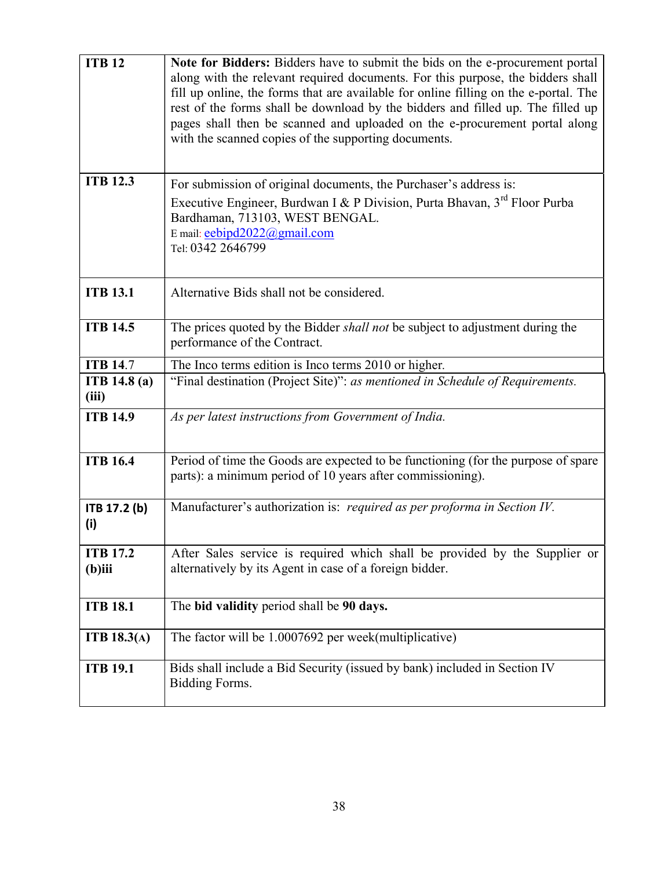| <b>ITB 12</b>                | Note for Bidders: Bidders have to submit the bids on the e-procurement portal<br>along with the relevant required documents. For this purpose, the bidders shall<br>fill up online, the forms that are available for online filling on the e-portal. The<br>rest of the forms shall be download by the bidders and filled up. The filled up<br>pages shall then be scanned and uploaded on the e-procurement portal along<br>with the scanned copies of the supporting documents. |
|------------------------------|-----------------------------------------------------------------------------------------------------------------------------------------------------------------------------------------------------------------------------------------------------------------------------------------------------------------------------------------------------------------------------------------------------------------------------------------------------------------------------------|
| <b>ITB 12.3</b>              | For submission of original documents, the Purchaser's address is:<br>Executive Engineer, Burdwan I & P Division, Purta Bhavan, 3 <sup>rd</sup> Floor Purba<br>Bardhaman, 713103, WEST BENGAL.<br>E mail: eebipd2022@gmail.com<br>Tel: 0342 2646799                                                                                                                                                                                                                                |
| <b>ITB 13.1</b>              | Alternative Bids shall not be considered.                                                                                                                                                                                                                                                                                                                                                                                                                                         |
| <b>ITB 14.5</b>              | The prices quoted by the Bidder shall not be subject to adjustment during the<br>performance of the Contract.                                                                                                                                                                                                                                                                                                                                                                     |
| <b>ITB 14.7</b>              | The Inco terms edition is Inco terms 2010 or higher.                                                                                                                                                                                                                                                                                                                                                                                                                              |
| <b>ITB</b> 14.8 (a)<br>(iii) | "Final destination (Project Site)": as mentioned in Schedule of Requirements.                                                                                                                                                                                                                                                                                                                                                                                                     |
| <b>ITB 14.9</b>              | As per latest instructions from Government of India.                                                                                                                                                                                                                                                                                                                                                                                                                              |
| <b>ITB 16.4</b>              | Period of time the Goods are expected to be functioning (for the purpose of spare<br>parts): a minimum period of 10 years after commissioning).                                                                                                                                                                                                                                                                                                                                   |
| ITB 17.2 (b)<br>(i)          | Manufacturer's authorization is: required as per proforma in Section IV.                                                                                                                                                                                                                                                                                                                                                                                                          |
| <b>ITB 17.2</b><br>$(b)$ iii | After Sales service is required which shall be provided by the Supplier or<br>alternatively by its Agent in case of a foreign bidder.                                                                                                                                                                                                                                                                                                                                             |
| <b>ITB 18.1</b>              | The bid validity period shall be 90 days.                                                                                                                                                                                                                                                                                                                                                                                                                                         |
| ITB $18.3(A)$                | The factor will be 1.0007692 per week(multiplicative)                                                                                                                                                                                                                                                                                                                                                                                                                             |
| <b>ITB 19.1</b>              | Bids shall include a Bid Security (issued by bank) included in Section IV<br>Bidding Forms.                                                                                                                                                                                                                                                                                                                                                                                       |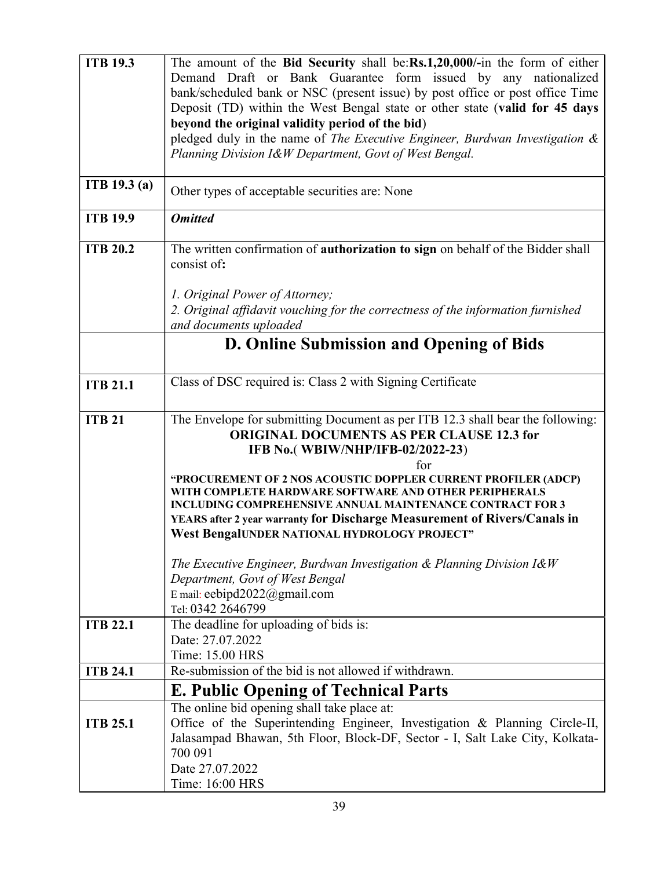| <b>ITB 19.3</b>     | The amount of the Bid Security shall be:Rs.1,20,000/-in the form of either                                                                                                                                                                                                                                               |
|---------------------|--------------------------------------------------------------------------------------------------------------------------------------------------------------------------------------------------------------------------------------------------------------------------------------------------------------------------|
|                     | Demand Draft or Bank Guarantee form issued by any nationalized                                                                                                                                                                                                                                                           |
|                     | bank/scheduled bank or NSC (present issue) by post office or post office Time                                                                                                                                                                                                                                            |
|                     | Deposit (TD) within the West Bengal state or other state (valid for 45 days                                                                                                                                                                                                                                              |
|                     | beyond the original validity period of the bid)                                                                                                                                                                                                                                                                          |
|                     | pledged duly in the name of The Executive Engineer, Burdwan Investigation &                                                                                                                                                                                                                                              |
|                     | Planning Division I&W Department, Govt of West Bengal.                                                                                                                                                                                                                                                                   |
| <b>ITB</b> 19.3 (a) | Other types of acceptable securities are: None                                                                                                                                                                                                                                                                           |
| <b>ITB 19.9</b>     | <b>Omitted</b>                                                                                                                                                                                                                                                                                                           |
| <b>ITB 20.2</b>     | The written confirmation of authorization to sign on behalf of the Bidder shall<br>consist of:                                                                                                                                                                                                                           |
|                     | 1. Original Power of Attorney;                                                                                                                                                                                                                                                                                           |
|                     | 2. Original affidavit vouching for the correctness of the information furnished<br>and documents uploaded                                                                                                                                                                                                                |
|                     | D. Online Submission and Opening of Bids                                                                                                                                                                                                                                                                                 |
|                     |                                                                                                                                                                                                                                                                                                                          |
| <b>ITB 21.1</b>     | Class of DSC required is: Class 2 with Signing Certificate                                                                                                                                                                                                                                                               |
| <b>ITB 21</b>       | The Envelope for submitting Document as per ITB 12.3 shall bear the following:<br><b>ORIGINAL DOCUMENTS AS PER CLAUSE 12.3 for</b><br>IFB No.(WBIW/NHP/IFB-02/2022-23)<br>for                                                                                                                                            |
|                     | "PROCUREMENT OF 2 NOS ACOUSTIC DOPPLER CURRENT PROFILER (ADCP)<br>WITH COMPLETE HARDWARE SOFTWARE AND OTHER PERIPHERALS<br><b>INCLUDING COMPREHENSIVE ANNUAL MAINTENANCE CONTRACT FOR 3</b><br>YEARS after 2 year warranty for Discharge Measurement of Rivers/Canals in<br>West BengalUNDER NATIONAL HYDROLOGY PROJECT" |
|                     | The Executive Engineer, Burdwan Investigation $\&$ Planning Division I&W<br>Department, Govt of West Bengal<br>E mail: eebipd2022@gmail.com<br>Tel: 0342 2646799                                                                                                                                                         |
| <b>ITB 22.1</b>     | The deadline for uploading of bids is:                                                                                                                                                                                                                                                                                   |
|                     | Date: 27.07.2022                                                                                                                                                                                                                                                                                                         |
|                     | Time: 15.00 HRS                                                                                                                                                                                                                                                                                                          |
| <b>ITB 24.1</b>     | Re-submission of the bid is not allowed if withdrawn.                                                                                                                                                                                                                                                                    |
|                     | <b>E. Public Opening of Technical Parts</b>                                                                                                                                                                                                                                                                              |
|                     | The online bid opening shall take place at:                                                                                                                                                                                                                                                                              |
| <b>ITB 25.1</b>     | Office of the Superintending Engineer, Investigation & Planning Circle-II,                                                                                                                                                                                                                                               |
|                     | Jalasampad Bhawan, 5th Floor, Block-DF, Sector - I, Salt Lake City, Kolkata-                                                                                                                                                                                                                                             |
|                     | 700 091                                                                                                                                                                                                                                                                                                                  |
|                     | Date 27.07.2022                                                                                                                                                                                                                                                                                                          |
|                     | Time: 16:00 HRS                                                                                                                                                                                                                                                                                                          |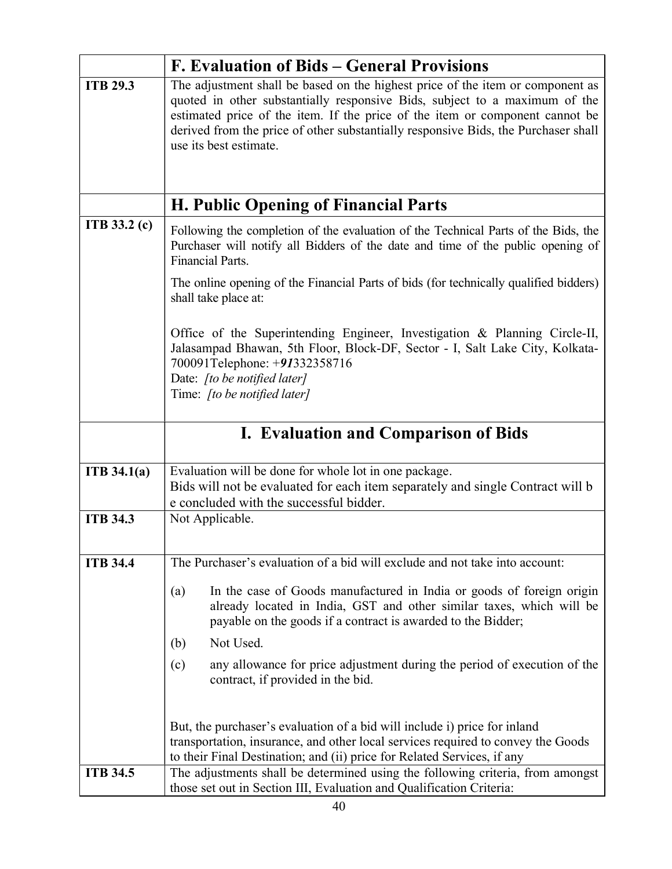|                 | <b>F. Evaluation of Bids – General Provisions</b>                                                                                                                                                                                                                                                                                                            |
|-----------------|--------------------------------------------------------------------------------------------------------------------------------------------------------------------------------------------------------------------------------------------------------------------------------------------------------------------------------------------------------------|
| <b>ITB 29.3</b> | The adjustment shall be based on the highest price of the item or component as<br>quoted in other substantially responsive Bids, subject to a maximum of the<br>estimated price of the item. If the price of the item or component cannot be<br>derived from the price of other substantially responsive Bids, the Purchaser shall<br>use its best estimate. |
|                 |                                                                                                                                                                                                                                                                                                                                                              |
|                 | <b>H. Public Opening of Financial Parts</b>                                                                                                                                                                                                                                                                                                                  |
| ITB 33.2 (c)    | Following the completion of the evaluation of the Technical Parts of the Bids, the<br>Purchaser will notify all Bidders of the date and time of the public opening of<br><b>Financial Parts.</b>                                                                                                                                                             |
|                 | The online opening of the Financial Parts of bids (for technically qualified bidders)<br>shall take place at:                                                                                                                                                                                                                                                |
|                 | Office of the Superintending Engineer, Investigation & Planning Circle-II,<br>Jalasampad Bhawan, 5th Floor, Block-DF, Sector - I, Salt Lake City, Kolkata-<br>700091Telephone: +91332358716<br>Date: [to be notified later]<br>Time: [to be notified later]                                                                                                  |
|                 | <b>I. Evaluation and Comparison of Bids</b>                                                                                                                                                                                                                                                                                                                  |
| ITB 34.1(a)     | Evaluation will be done for whole lot in one package.<br>Bids will not be evaluated for each item separately and single Contract will b<br>e concluded with the successful bidder.                                                                                                                                                                           |
| <b>ITB 34.3</b> | Not Applicable.                                                                                                                                                                                                                                                                                                                                              |
|                 |                                                                                                                                                                                                                                                                                                                                                              |
| <b>ITB 34.4</b> | The Purchaser's evaluation of a bid will exclude and not take into account:                                                                                                                                                                                                                                                                                  |
|                 | In the case of Goods manufactured in India or goods of foreign origin<br>(a)<br>already located in India, GST and other similar taxes, which will be<br>payable on the goods if a contract is awarded to the Bidder;                                                                                                                                         |
|                 | Not Used.<br>(b)                                                                                                                                                                                                                                                                                                                                             |
|                 | any allowance for price adjustment during the period of execution of the<br>(c)<br>contract, if provided in the bid.                                                                                                                                                                                                                                         |
|                 | But, the purchaser's evaluation of a bid will include i) price for inland<br>transportation, insurance, and other local services required to convey the Goods                                                                                                                                                                                                |
| <b>ITB 34.5</b> | to their Final Destination; and (ii) price for Related Services, if any                                                                                                                                                                                                                                                                                      |
|                 | The adjustments shall be determined using the following criteria, from amongst<br>those set out in Section III, Evaluation and Qualification Criteria:                                                                                                                                                                                                       |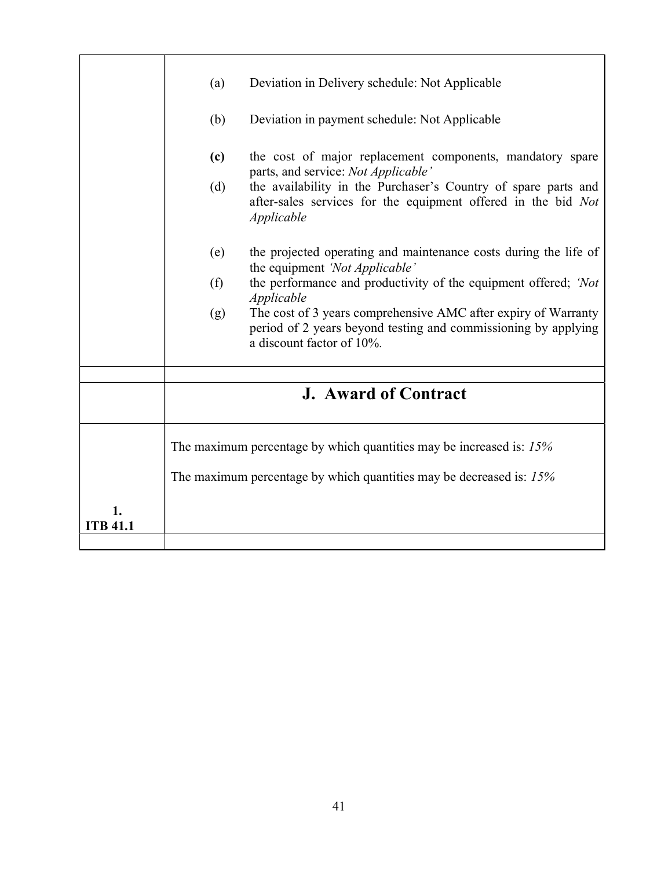|                       | Deviation in Delivery schedule: Not Applicable<br>(a)                                                                                                                |
|-----------------------|----------------------------------------------------------------------------------------------------------------------------------------------------------------------|
|                       | (b)<br>Deviation in payment schedule: Not Applicable                                                                                                                 |
|                       | the cost of major replacement components, mandatory spare<br>(c)<br>parts, and service: Not Applicable'                                                              |
|                       | the availability in the Purchaser's Country of spare parts and<br>(d)<br>after-sales services for the equipment offered in the bid Not<br>Applicable                 |
|                       | the projected operating and maintenance costs during the life of<br>(e)<br>the equipment 'Not Applicable'                                                            |
|                       | the performance and productivity of the equipment offered; 'Not<br>(f)<br>Applicable                                                                                 |
|                       | The cost of 3 years comprehensive AMC after expiry of Warranty<br>(g)<br>period of 2 years beyond testing and commissioning by applying<br>a discount factor of 10%. |
|                       |                                                                                                                                                                      |
|                       | <b>J. Award of Contract</b>                                                                                                                                          |
|                       | The maximum percentage by which quantities may be increased is: 15%                                                                                                  |
|                       | The maximum percentage by which quantities may be decreased is: 15%                                                                                                  |
| 1.<br><b>ITB 41.1</b> |                                                                                                                                                                      |
|                       |                                                                                                                                                                      |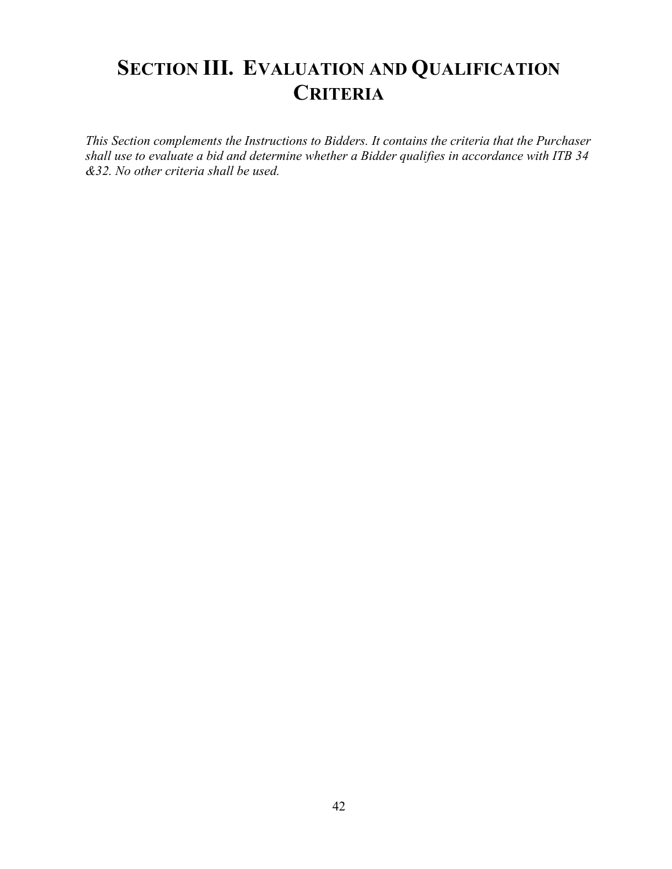# SECTION III. EVALUATION AND QUALIFICATION **CRITERIA**

This Section complements the Instructions to Bidders. It contains the criteria that the Purchaser shall use to evaluate a bid and determine whether a Bidder qualifies in accordance with ITB 34 &32. No other criteria shall be used.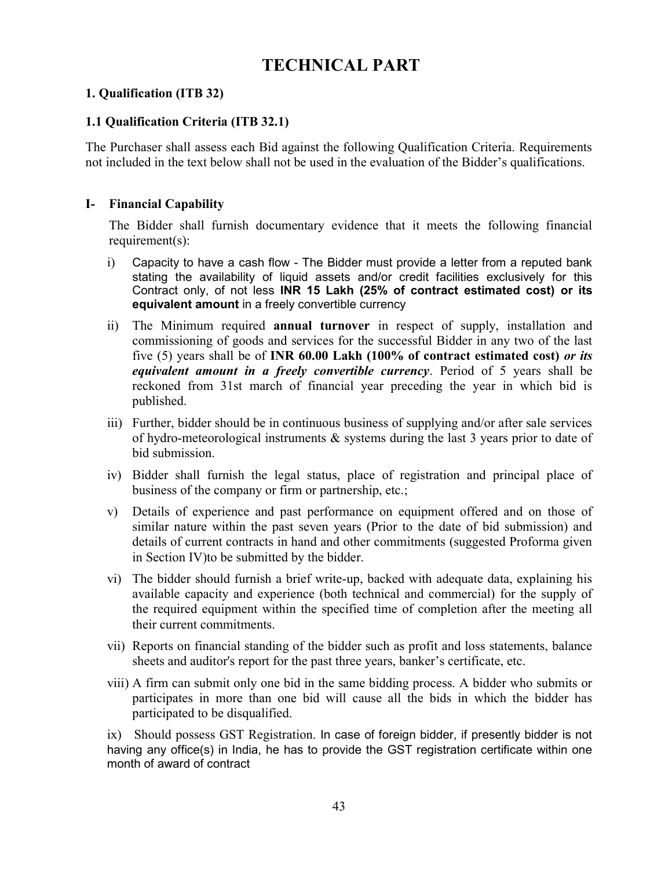## TECHNICAL PART

## 1. Qualification (ITB 32)

## 1.1 Qualification Criteria (ITB 32.1)

The Purchaser shall assess each Bid against the following Qualification Criteria. Requirements not included in the text below shall not be used in the evaluation of the Bidder's qualifications.

## I- Financial Capability

The Bidder shall furnish documentary evidence that it meets the following financial requirement(s):

- i) Capacity to have a cash flow The Bidder must provide a letter from a reputed bank stating the availability of liquid assets and/or credit facilities exclusively for this Contract only, of not less INR 15 Lakh (25% of contract estimated cost) or its equivalent amount in a freely convertible currency
- ii) The Minimum required annual turnover in respect of supply, installation and commissioning of goods and services for the successful Bidder in any two of the last five (5) years shall be of INR  $60.00$  Lakh (100% of contract estimated cost) or its equivalent amount in a freely convertible currency. Period of 5 years shall be reckoned from 31st march of financial year preceding the year in which bid is published.
- iii) Further, bidder should be in continuous business of supplying and/or after sale services of hydro-meteorological instruments  $\&$  systems during the last 3 years prior to date of bid submission.
- iv) Bidder shall furnish the legal status, place of registration and principal place of business of the company or firm or partnership, etc.;
- v) Details of experience and past performance on equipment offered and on those of similar nature within the past seven years (Prior to the date of bid submission) and details of current contracts in hand and other commitments (suggested Proforma given in Section IV)to be submitted by the bidder.
- vi) The bidder should furnish a brief write-up, backed with adequate data, explaining his available capacity and experience (both technical and commercial) for the supply of the required equipment within the specified time of completion after the meeting all their current commitments.
- vii) Reports on financial standing of the bidder such as profit and loss statements, balance sheets and auditor's report for the past three years, banker's certificate, etc.
- viii) A firm can submit only one bid in the same bidding process. A bidder who submits or participates in more than one bid will cause all the bids in which the bidder has participated to be disqualified.

ix) Should possess GST Registration. In case of foreign bidder, if presently bidder is not having any office(s) in India, he has to provide the GST registration certificate within one month of award of contract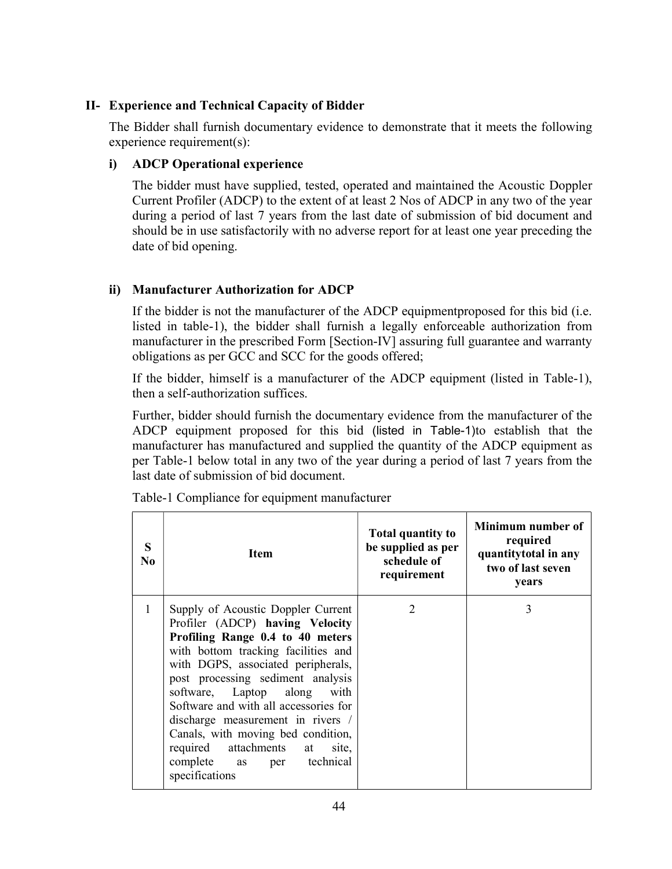#### II- Experience and Technical Capacity of Bidder

The Bidder shall furnish documentary evidence to demonstrate that it meets the following experience requirement(s):

#### i) ADCP Operational experience

The bidder must have supplied, tested, operated and maintained the Acoustic Doppler Current Profiler (ADCP) to the extent of at least 2 Nos of ADCP in any two of the year during a period of last 7 years from the last date of submission of bid document and should be in use satisfactorily with no adverse report for at least one year preceding the date of bid opening.

#### ii) Manufacturer Authorization for ADCP

If the bidder is not the manufacturer of the ADCP equipmentproposed for this bid (i.e. listed in table-1), the bidder shall furnish a legally enforceable authorization from manufacturer in the prescribed Form [Section-IV] assuring full guarantee and warranty obligations as per GCC and SCC for the goods offered;

If the bidder, himself is a manufacturer of the ADCP equipment (listed in Table-1), then a self-authorization suffices.

Further, bidder should furnish the documentary evidence from the manufacturer of the ADCP equipment proposed for this bid (listed in Table-1)to establish that the manufacturer has manufactured and supplied the quantity of the ADCP equipment as per Table-1 below total in any two of the year during a period of last 7 years from the last date of submission of bid document.

| S<br>No      | <b>Item</b>                                                                                                                                                                                                                                                                                                                                                                                                                                                       | <b>Total quantity to</b><br>be supplied as per<br>schedule of<br>requirement | Minimum number of<br>required<br>quantitytotal in any<br>two of last seven<br>years |
|--------------|-------------------------------------------------------------------------------------------------------------------------------------------------------------------------------------------------------------------------------------------------------------------------------------------------------------------------------------------------------------------------------------------------------------------------------------------------------------------|------------------------------------------------------------------------------|-------------------------------------------------------------------------------------|
| $\mathbf{1}$ | Supply of Acoustic Doppler Current<br>Profiler (ADCP) having Velocity<br>Profiling Range 0.4 to 40 meters<br>with bottom tracking facilities and<br>with DGPS, associated peripherals,<br>post processing sediment analysis<br>software, Laptop along with<br>Software and with all accessories for<br>discharge measurement in rivers /<br>Canals, with moving bed condition,<br>required attachments at<br>site,<br>complete as per technical<br>specifications | $\mathcal{D}_{\mathcal{L}}$                                                  | 3                                                                                   |

Table-1 Compliance for equipment manufacturer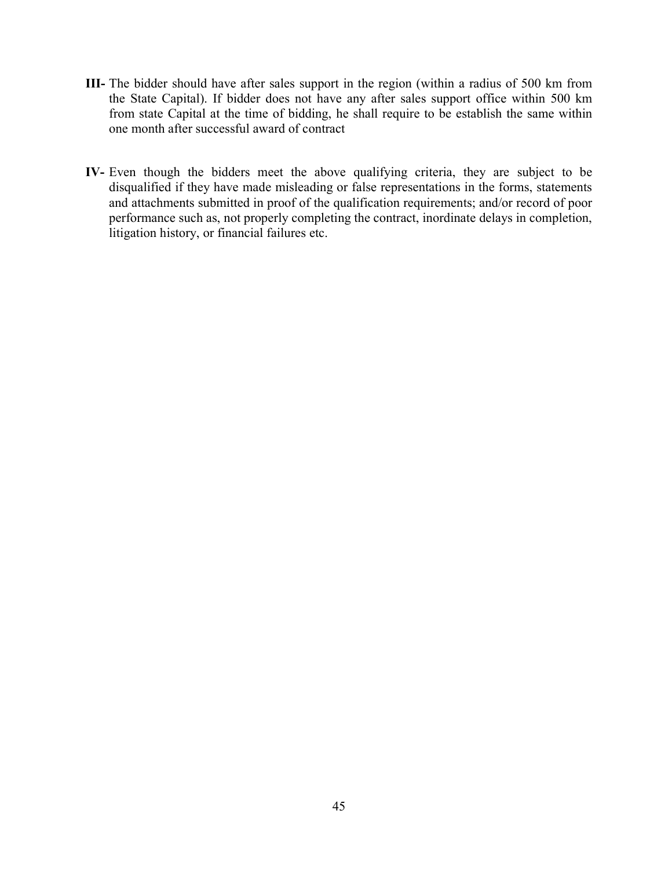- III- The bidder should have after sales support in the region (within a radius of 500 km from the State Capital). If bidder does not have any after sales support office within 500 km from state Capital at the time of bidding, he shall require to be establish the same within one month after successful award of contract
- IV- Even though the bidders meet the above qualifying criteria, they are subject to be disqualified if they have made misleading or false representations in the forms, statements and attachments submitted in proof of the qualification requirements; and/or record of poor performance such as, not properly completing the contract, inordinate delays in completion, litigation history, or financial failures etc.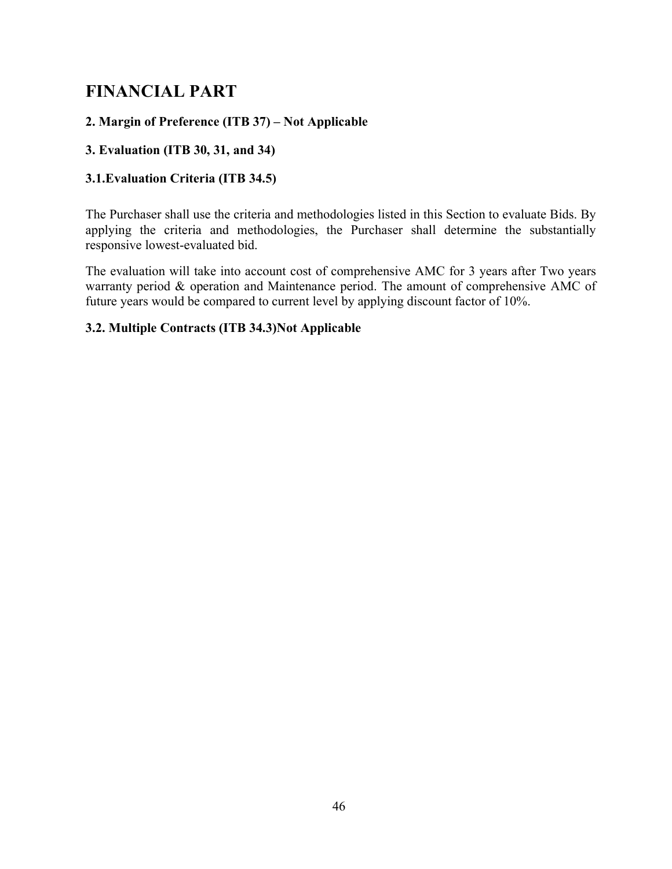## FINANCIAL PART

## 2. Margin of Preference (ITB 37) – Not Applicable

## 3. Evaluation (ITB 30, 31, and 34)

## 3.1.Evaluation Criteria (ITB 34.5)

The Purchaser shall use the criteria and methodologies listed in this Section to evaluate Bids. By applying the criteria and methodologies, the Purchaser shall determine the substantially responsive lowest-evaluated bid.

The evaluation will take into account cost of comprehensive AMC for 3 years after Two years warranty period & operation and Maintenance period. The amount of comprehensive AMC of future years would be compared to current level by applying discount factor of 10%.

#### 3.2. Multiple Contracts (ITB 34.3)Not Applicable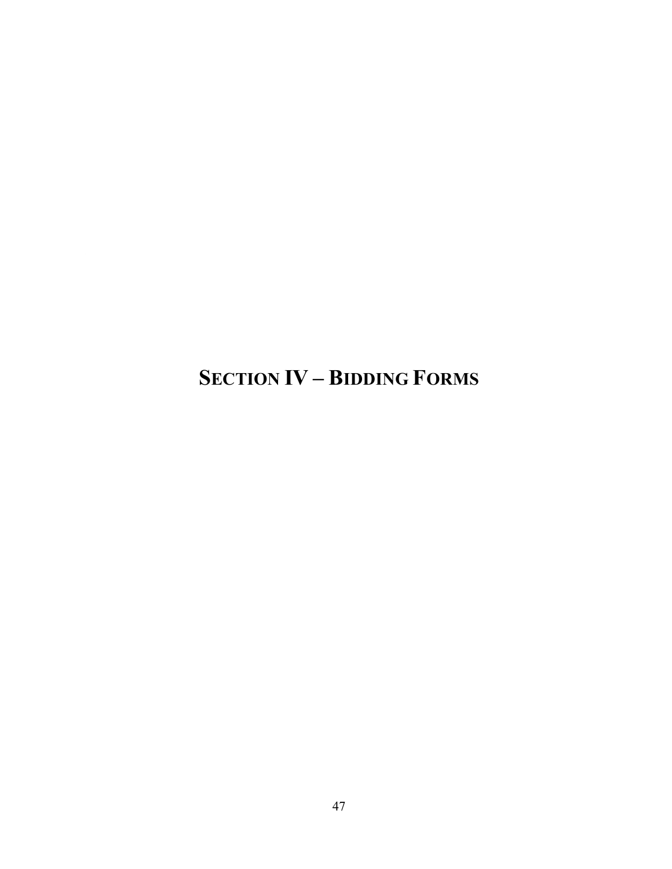SECTION IV – BIDDING FORMS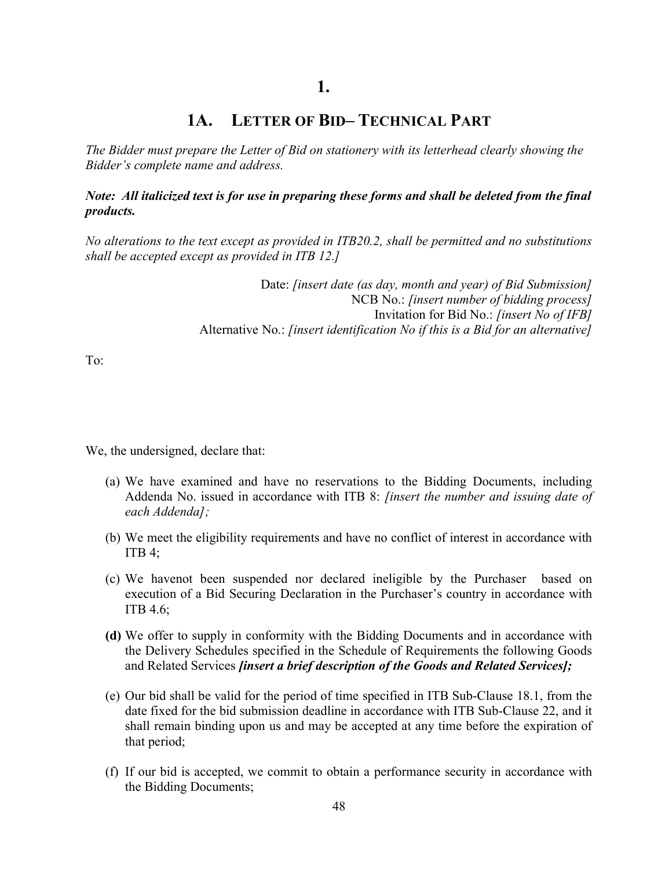## 1A. LETTER OF BID– TECHNICAL PART

The Bidder must prepare the Letter of Bid on stationery with its letterhead clearly showing the Bidder's complete name and address.

Note: All italicized text is for use in preparing these forms and shall be deleted from the final products.

No alterations to the text except as provided in ITB20.2, shall be permitted and no substitutions shall be accepted except as provided in ITB 12.]

> Date: *[insert date (as day, month and year) of Bid Submission]* NCB No.: *[insert number of bidding process]* Invitation for Bid No.: [insert No of IFB] Alternative No.: [insert identification No if this is a Bid for an alternative]

To:

We, the undersigned, declare that:

- (a) We have examined and have no reservations to the Bidding Documents, including Addenda No. issued in accordance with ITB 8: *[insert the number and issuing date of* each Addenda];
- (b) We meet the eligibility requirements and have no conflict of interest in accordance with ITB  $4$ ;
- (c) We havenot been suspended nor declared ineligible by the Purchaser based on execution of a Bid Securing Declaration in the Purchaser's country in accordance with ITB 4.6;
- (d) We offer to supply in conformity with the Bidding Documents and in accordance with the Delivery Schedules specified in the Schedule of Requirements the following Goods and Related Services *[insert a brief description of the Goods and Related Services]*;
- (e) Our bid shall be valid for the period of time specified in ITB Sub-Clause 18.1, from the date fixed for the bid submission deadline in accordance with ITB Sub-Clause 22, and it shall remain binding upon us and may be accepted at any time before the expiration of that period;
- (f) If our bid is accepted, we commit to obtain a performance security in accordance with the Bidding Documents;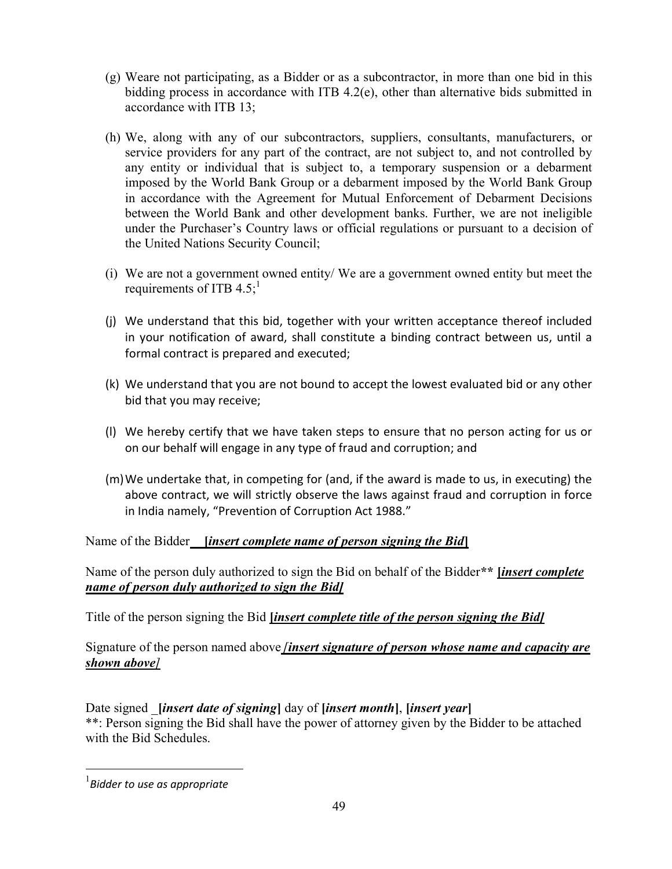- (g) Weare not participating, as a Bidder or as a subcontractor, in more than one bid in this bidding process in accordance with ITB 4.2(e), other than alternative bids submitted in accordance with ITB 13;
- (h) We, along with any of our subcontractors, suppliers, consultants, manufacturers, or service providers for any part of the contract, are not subject to, and not controlled by any entity or individual that is subject to, a temporary suspension or a debarment imposed by the World Bank Group or a debarment imposed by the World Bank Group in accordance with the Agreement for Mutual Enforcement of Debarment Decisions between the World Bank and other development banks. Further, we are not ineligible under the Purchaser's Country laws or official regulations or pursuant to a decision of the United Nations Security Council;
- (i) We are not a government owned entity/ We are a government owned entity but meet the requirements of ITB  $4.5$ ;
- (j) We understand that this bid, together with your written acceptance thereof included in your notification of award, shall constitute a binding contract between us, until a formal contract is prepared and executed;
- (k) We understand that you are not bound to accept the lowest evaluated bid or any other bid that you may receive;
- (l) We hereby certify that we have taken steps to ensure that no person acting for us or on our behalf will engage in any type of fraud and corruption; and
- (m)We undertake that, in competing for (and, if the award is made to us, in executing) the above contract, we will strictly observe the laws against fraud and corruption in force in India namely, "Prevention of Corruption Act 1988."

Name of the Bidder *linsert complete name of person signing the Bid* 

Name of the person duly authorized to sign the Bid on behalf of the Bidder<sup>\*\*</sup> *linsert complete* name of person duly authorized to sign the Bid]

Title of the person signing the Bid *linsert complete title of the person signing the Bidl* 

Signature of the person named above *[insert signature of person whose name and capacity are* shown above]

Date signed *linsert date of signing* day of *linsert month*, *linsert year* \*\*: Person signing the Bid shall have the power of attorney given by the Bidder to be attached with the Bid Schedules.

 $\overline{a}$ 

 $<sup>1</sup>$ Bidder to use as appropriate</sup>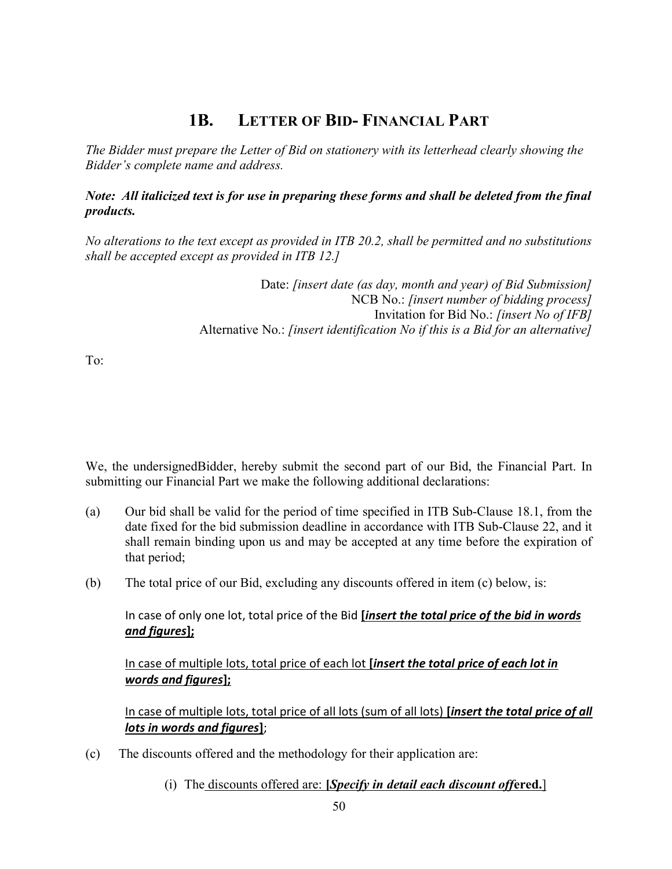## 1B. LETTER OF BID- FINANCIAL PART

The Bidder must prepare the Letter of Bid on stationery with its letterhead clearly showing the Bidder's complete name and address.

Note: All italicized text is for use in preparing these forms and shall be deleted from the final products.

No alterations to the text except as provided in ITB 20.2, shall be permitted and no substitutions shall be accepted except as provided in ITB 12.]

> Date: *[insert date (as day, month and year) of Bid Submission]* NCB No.: *[insert number of bidding process]* Invitation for Bid No.: [insert No of IFB] Alternative No.: *[insert identification No if this is a Bid for an alternative]*

To:

We, the undersignedBidder, hereby submit the second part of our Bid, the Financial Part. In submitting our Financial Part we make the following additional declarations:

- (a) Our bid shall be valid for the period of time specified in ITB Sub-Clause 18.1, from the date fixed for the bid submission deadline in accordance with ITB Sub-Clause 22, and it shall remain binding upon us and may be accepted at any time before the expiration of that period;
- (b) The total price of our Bid, excluding any discounts offered in item (c) below, is:

In case of only one lot, total price of the Bid *[insert the total price of the bid in words* and figures];

In case of multiple lots, total price of each lot *[insert the total price of each lot in* words and figures];

In case of multiple lots, total price of all lots (sum of all lots) [insert the total price of all lots in words and figures];

- (c) The discounts offered and the methodology for their application are:
	- (i) The discounts offered are:  $[Specify in detail each discount offered.]$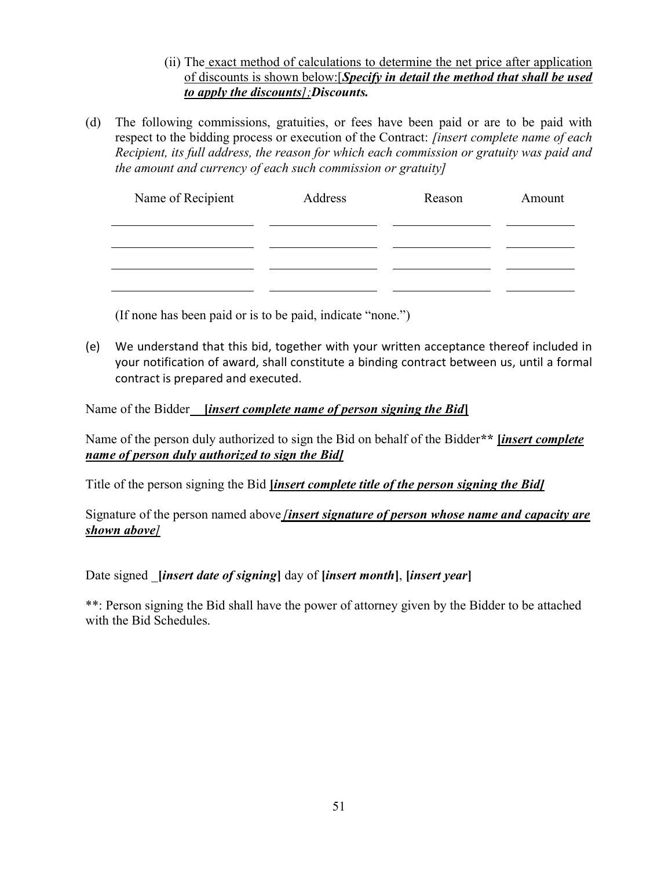- (ii) The exact method of calculations to determine the net price after application of discounts is shown below: [Specify in detail the method that shall be used to apply the discounts];Discounts.
- (d) The following commissions, gratuities, or fees have been paid or are to be paid with respect to the bidding process or execution of the Contract: *[insert complete name of each* Recipient, its full address, the reason for which each commission or gratuity was paid and the amount and currency of each such commission or gratuity]

| Name of Recipient | Address | Reason | Amount |
|-------------------|---------|--------|--------|
|                   |         |        |        |
|                   |         |        |        |
|                   |         |        |        |
|                   |         |        |        |

(If none has been paid or is to be paid, indicate "none.")

(e) We understand that this bid, together with your written acceptance thereof included in your notification of award, shall constitute a binding contract between us, until a formal contract is prepared and executed.

Name of the Bidder *[insert complete name of person signing the Bid]* 

Name of the person duly authorized to sign the Bid on behalf of the Bidder\*\* *linsert complete* name of person duly authorized to sign the Bid]

Title of the person signing the Bid *linsert complete title of the person signing the Bidl* 

Signature of the person named above *finsert signature of person whose name and capacity are* shown above]

Date signed *linsert date of signing* day of *linsert month*, *linsert year* 

\*\*: Person signing the Bid shall have the power of attorney given by the Bidder to be attached with the Bid Schedules.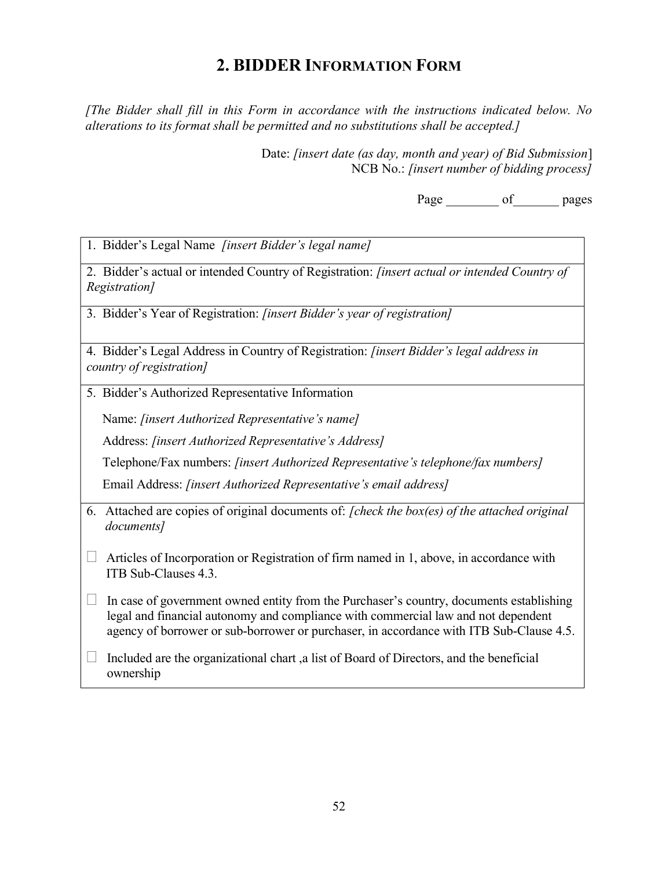## 2. BIDDER INFORMATION FORM

[The Bidder shall fill in this Form in accordance with the instructions indicated below. No alterations to its format shall be permitted and no substitutions shall be accepted.]

> Date: [insert date (as day, month and year) of Bid Submission] NCB No.: *[insert number of bidding process]*

> > Page of pages

1. Bidder's Legal Name [insert Bidder's legal name]

2. Bidder's actual or intended Country of Registration: [insert actual or intended Country of Registration]

3. Bidder's Year of Registration: [insert Bidder's year of registration]

4. Bidder's Legal Address in Country of Registration: [insert Bidder's legal address in country of registration]

5. Bidder's Authorized Representative Information

Name: [insert Authorized Representative's name]

Address: [insert Authorized Representative's Address]

Telephone/Fax numbers: [insert Authorized Representative's telephone/fax numbers]

Email Address: [insert Authorized Representative's email address]

- 6. Attached are copies of original documents of: [check the box(es) of the attached original documents]
- $\Box$  Articles of Incorporation or Registration of firm named in 1, above, in accordance with ITB Sub-Clauses 4.3.
- $\Box$  In case of government owned entity from the Purchaser's country, documents establishing legal and financial autonomy and compliance with commercial law and not dependent agency of borrower or sub-borrower or purchaser, in accordance with ITB Sub-Clause 4.5.
- Included are the organizational chart ,a list of Board of Directors, and the beneficial ownership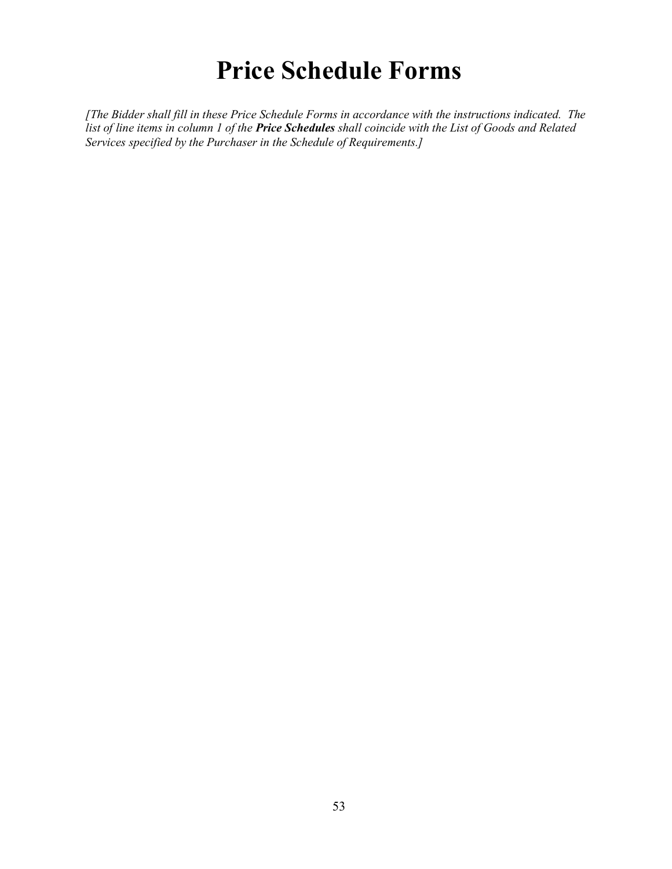# Price Schedule Forms

[The Bidder shall fill in these Price Schedule Forms in accordance with the instructions indicated. The list of line items in column 1 of the **Price Schedules** shall coincide with the List of Goods and Related Services specified by the Purchaser in the Schedule of Requirements.]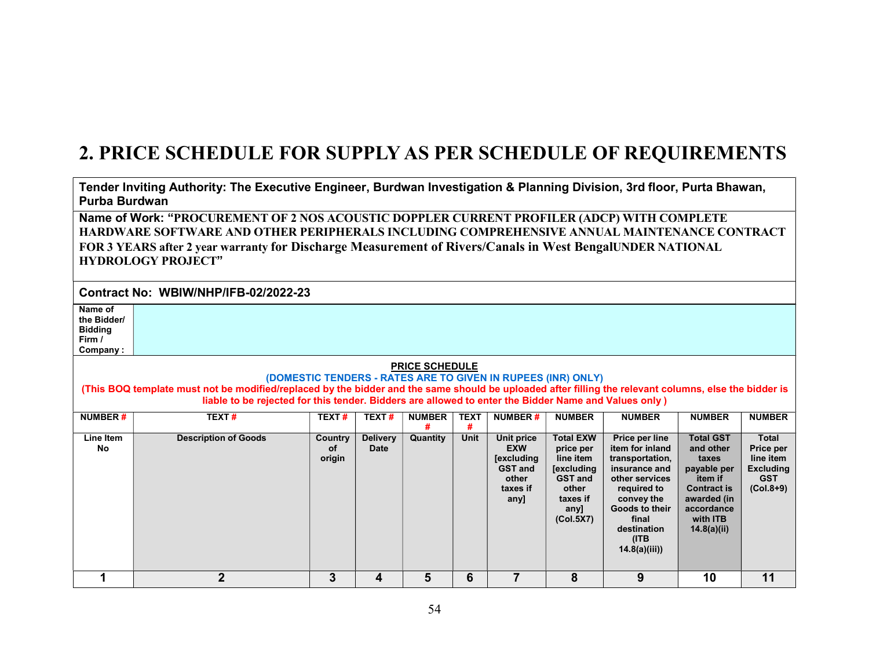# 2. PRICE SCHEDULE FOR SUPPLY AS PER SCHEDULE OF REQUIREMENTS

Tender Inviting Authority: The Executive Engineer, Burdwan Investigation & Planning Division, 3rd floor, Purta Bhawan, Purba Burdwan

Name of Work: "PROCUREMENT OF 2 NOS ACOUSTIC DOPPLER CURRENT PROFILER (ADCP) WITH COMPLETE HARDWARE SOFTWARE AND OTHER PERIPHERALS INCLUDING COMPREHENSIVE ANNUAL MAINTENANCE CONTRACT FOR 3 YEARS after 2 year warranty for Discharge Measurement of Rivers/Canals in West BengalUNDER NATIONAL HYDROLOGY PROJECT"

Contract No: WBIW/NHP/IFB-02/2022-23

Name of the Bidder/ Bidding Firm / Company :

#### PRICE SCHEDULE

#### (DOMESTIC TENDERS - RATES ARE TO GIVEN IN RUPEES (INR) ONLY) (This BOQ template must not be modified/replaced by the bidder and the same should be uploaded after filling the relevant columns, else the bidder is liable to be rejected for this tender. Bidders are allowed to enter the Bidder Name and Values only )

| <b>NUMBER#</b>  | <b>TEXT#</b>                | <b>TEXT#</b>                   | TEXT#                          | <b>NUMBER</b><br># | <b>TEXT</b><br># | <b>NUMBER#</b>                                                                               | <b>NUMBER</b>                                                                                                               | <b>NUMBER</b>                                                                                                                                                                          | <b>NUMBER</b>                                                                                                                                  | <b>NUMBER</b>                                                                                  |
|-----------------|-----------------------------|--------------------------------|--------------------------------|--------------------|------------------|----------------------------------------------------------------------------------------------|-----------------------------------------------------------------------------------------------------------------------------|----------------------------------------------------------------------------------------------------------------------------------------------------------------------------------------|------------------------------------------------------------------------------------------------------------------------------------------------|------------------------------------------------------------------------------------------------|
| Line Item<br>No | <b>Description of Goods</b> | <b>Country</b><br>οf<br>origin | <b>Delivery</b><br><b>Date</b> | Quantity           | Unit             | Unit price<br><b>EXW</b><br><b>[excluding</b><br><b>GST and</b><br>other<br>taxes if<br>any] | <b>Total EXW</b><br>price per<br>line item<br><b>[excluding</b><br><b>GST and</b><br>other<br>taxes if<br>any]<br>(Col.5X7) | Price per line<br>item for inland<br>transportation,<br>insurance and<br>other services<br>required to<br>convey the<br>Goods to their<br>final<br>destination<br>(ITB<br>14.8(a)(iii) | <b>Total GST</b><br>and other<br>taxes<br>payable per<br>item if<br><b>Contract is</b><br>awarded (in<br>accordance<br>with ITB<br>14.8(a)(ii) | <b>Total</b><br><b>Price per</b><br>line item<br><b>Excluding</b><br><b>GST</b><br>$(Col.8+9)$ |
|                 | ŋ                           | 3                              | 4                              | 5                  | 6                |                                                                                              | 8                                                                                                                           | 9                                                                                                                                                                                      | 10                                                                                                                                             | 11                                                                                             |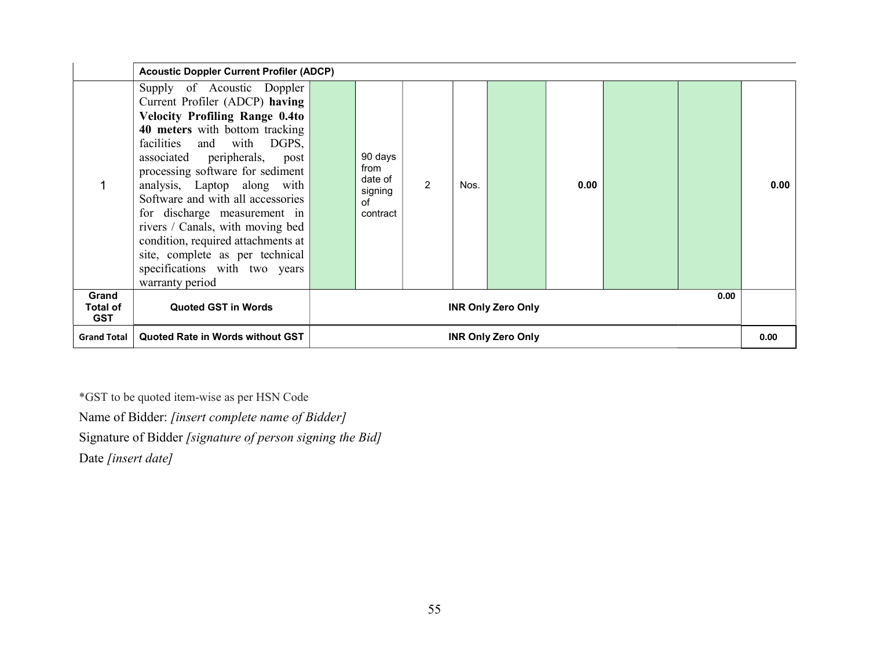|                                        | <b>Acoustic Doppler Current Profiler (ADCP)</b>                                                                                                                                                                                                                                                                                                                                                                                                                                                               |  |                                                         |   |      |      |      |  |  |      |
|----------------------------------------|---------------------------------------------------------------------------------------------------------------------------------------------------------------------------------------------------------------------------------------------------------------------------------------------------------------------------------------------------------------------------------------------------------------------------------------------------------------------------------------------------------------|--|---------------------------------------------------------|---|------|------|------|--|--|------|
|                                        | Supply of Acoustic Doppler<br>Current Profiler (ADCP) having<br><b>Velocity Profiling Range 0.4to</b><br>40 meters with bottom tracking<br>facilities and with DGPS,<br>associated peripherals, post<br>processing software for sediment<br>analysis, Laptop along with<br>Software and with all accessories<br>for discharge measurement in<br>rivers / Canals, with moving bed<br>condition, required attachments at<br>site, complete as per technical<br>specifications with two years<br>warranty period |  | 90 days<br>from<br>date of<br>signing<br>of<br>contract | 2 | Nos. |      | 0.00 |  |  | 0.00 |
| <b>Grand</b><br>Total of<br><b>GST</b> | <b>Quoted GST in Words</b>                                                                                                                                                                                                                                                                                                                                                                                                                                                                                    |  | 0.00<br><b>INR Only Zero Only</b>                       |   |      |      |      |  |  |      |
| <b>Grand Total</b>                     | Quoted Rate in Words without GST                                                                                                                                                                                                                                                                                                                                                                                                                                                                              |  | <b>INR Only Zero Only</b>                               |   |      | 0.00 |      |  |  |      |

\*GST to be quoted item-wise as per HSN Code

Name of Bidder: [insert complete name of Bidder]

Signature of Bidder [signature of person signing the Bid]

Date [insert date]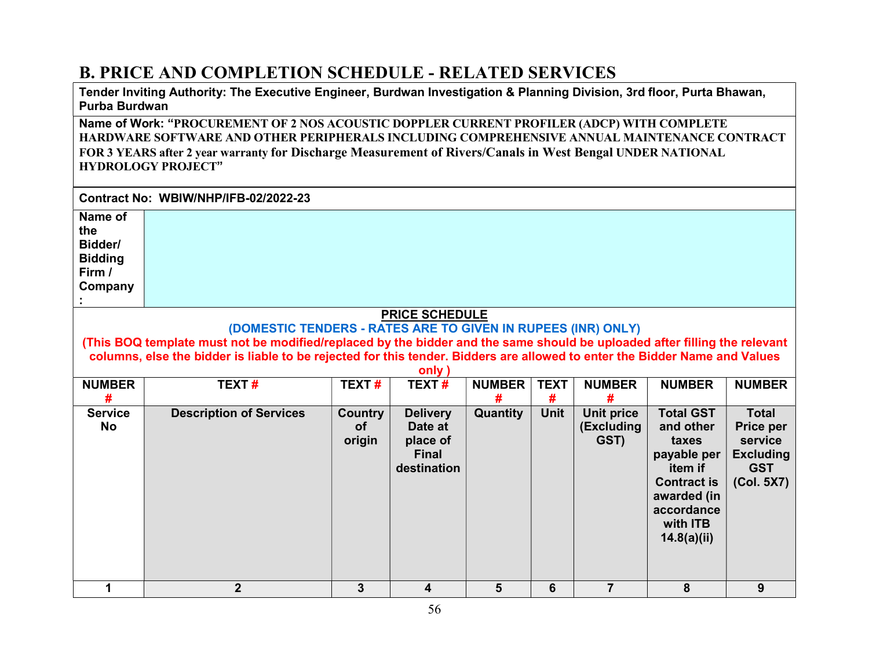## B. PRICE AND COMPLETION SCHEDULE - RELATED SERVICES

Tender Inviting Authority: The Executive Engineer, Burdwan Investigation & Planning Division, 3rd floor, Purta Bhawan, Purba Burdwan

Name of Work: "PROCUREMENT OF 2 NOS ACOUSTIC DOPPLER CURRENT PROFILER (ADCP) WITH COMPLETE HARDWARE SOFTWARE AND OTHER PERIPHERALS INCLUDING COMPREHENSIVE ANNUAL MAINTENANCE CONTRACT FOR 3 YEARS after 2 year warranty for Discharge Measurement of Rivers/Canals in West Bengal UNDER NATIONAL HYDROLOGY PROJECT"

|                                                                                                                                                                                                                                                                                                                                                           | Contract No: WBIW/NHP/IFB-02/2022-23 |                                |                                                                       |                    |                  |                                  |                                                                                                                                 |                                                                                      |
|-----------------------------------------------------------------------------------------------------------------------------------------------------------------------------------------------------------------------------------------------------------------------------------------------------------------------------------------------------------|--------------------------------------|--------------------------------|-----------------------------------------------------------------------|--------------------|------------------|----------------------------------|---------------------------------------------------------------------------------------------------------------------------------|--------------------------------------------------------------------------------------|
| Name of<br>the<br>Bidder/<br><b>Bidding</b><br>Firm /<br>Company                                                                                                                                                                                                                                                                                          |                                      |                                |                                                                       |                    |                  |                                  |                                                                                                                                 |                                                                                      |
| <b>PRICE SCHEDULE</b><br>(DOMESTIC TENDERS - RATES ARE TO GIVEN IN RUPEES (INR) ONLY)<br>(This BOQ template must not be modified/replaced by the bidder and the same should be uploaded after filling the relevant<br>columns, else the bidder is liable to be rejected for this tender. Bidders are allowed to enter the Bidder Name and Values<br>only) |                                      |                                |                                                                       |                    |                  |                                  |                                                                                                                                 |                                                                                      |
| <b>NUMBER</b><br>#                                                                                                                                                                                                                                                                                                                                        | <b>TEXT#</b>                         | TEXT#                          | <b>TEXT#</b>                                                          | <b>NUMBER</b><br># | <b>TEXT</b><br># | <b>NUMBER</b><br>#               | <b>NUMBER</b>                                                                                                                   | <b>NUMBER</b>                                                                        |
| <b>Service</b><br><b>No</b>                                                                                                                                                                                                                                                                                                                               | <b>Description of Services</b>       | <b>Country</b><br>οf<br>origin | <b>Delivery</b><br>Date at<br>place of<br><b>Final</b><br>destination | <b>Quantity</b>    | <b>Unit</b>      | Unit price<br>(Excluding<br>GST) | <b>Total GST</b><br>and other<br>taxes<br>payable per<br>item if<br><b>Contract is</b><br>awarded (in<br>accordance<br>with ITB | <b>Total</b><br>Price per<br>service<br><b>Excluding</b><br><b>GST</b><br>(Col. 5X7) |

14.8(a)(ii)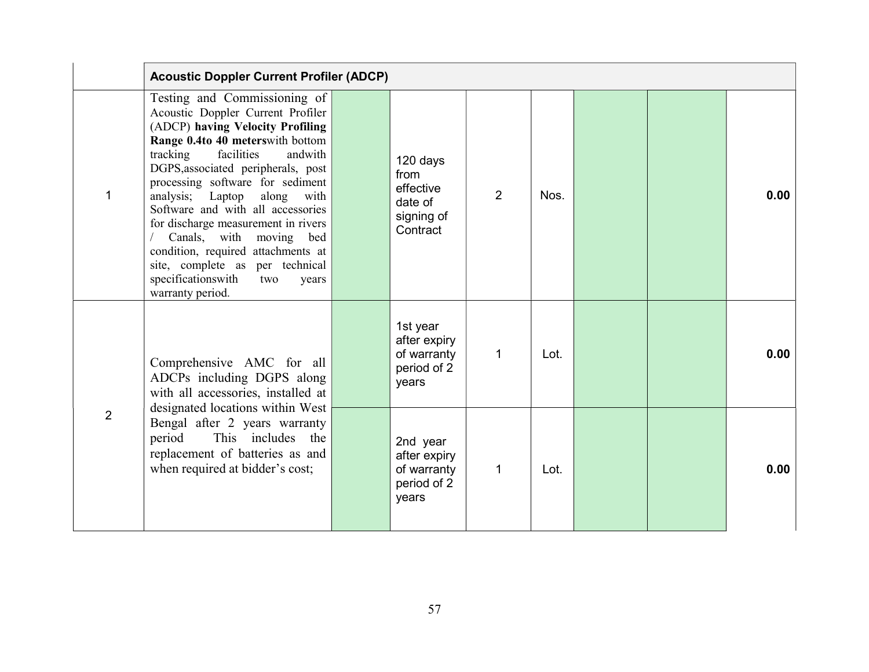|                | <b>Acoustic Doppler Current Profiler (ADCP)</b>                                                                                                                                                                                                                                                                                                                                                                                                                                                                                   |                                                                    |                |      |  |      |
|----------------|-----------------------------------------------------------------------------------------------------------------------------------------------------------------------------------------------------------------------------------------------------------------------------------------------------------------------------------------------------------------------------------------------------------------------------------------------------------------------------------------------------------------------------------|--------------------------------------------------------------------|----------------|------|--|------|
| 1              | Testing and Commissioning of<br>Acoustic Doppler Current Profiler<br>(ADCP) having Velocity Profiling<br>Range 0.4to 40 meterswith bottom<br>tracking<br>facilities<br>andwith<br>DGPS, associated peripherals, post<br>processing software for sediment<br>analysis; Laptop along with<br>Software and with all accessories<br>for discharge measurement in rivers<br>Canals, with moving bed<br>condition, required attachments at<br>site, complete as per technical<br>specificationswith<br>two<br>years<br>warranty period. | 120 days<br>from<br>effective<br>date of<br>signing of<br>Contract | $\overline{2}$ | Nos. |  | 0.00 |
|                | Comprehensive AMC for all<br>ADCPs including DGPS along<br>with all accessories, installed at                                                                                                                                                                                                                                                                                                                                                                                                                                     | 1st year<br>after expiry<br>of warranty<br>period of 2<br>years    | $\mathbf 1$    | Lot. |  | 0.00 |
| $\overline{2}$ | designated locations within West<br>Bengal after 2 years warranty<br>This includes<br>period<br>the<br>replacement of batteries as and<br>when required at bidder's cost;                                                                                                                                                                                                                                                                                                                                                         | 2nd year<br>after expiry<br>of warranty<br>period of 2<br>years    | $\mathbf{1}$   | Lot. |  | 0.00 |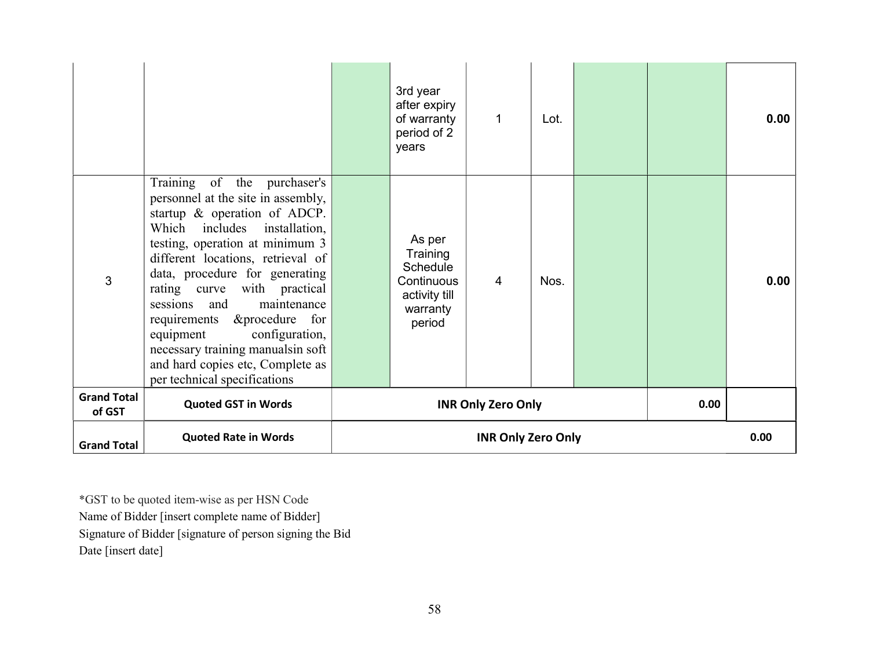|                              |                                                                                                                                                                                                                                                                                                                                                                                                                                                                                         | 3rd year<br>after expiry<br>of warranty<br>period of 2<br>years                     | 1                         | Lot. |      | 0.00 |
|------------------------------|-----------------------------------------------------------------------------------------------------------------------------------------------------------------------------------------------------------------------------------------------------------------------------------------------------------------------------------------------------------------------------------------------------------------------------------------------------------------------------------------|-------------------------------------------------------------------------------------|---------------------------|------|------|------|
| 3                            | Training of the purchaser's<br>personnel at the site in assembly,<br>startup & operation of ADCP.<br>Which includes<br>installation,<br>testing, operation at minimum 3<br>different locations, retrieval of<br>data, procedure for generating<br>rating curve with practical<br>maintenance<br>sessions<br>and<br>requirements & procedure for<br>configuration,<br>equipment<br>necessary training manualsin soft<br>and hard copies etc, Complete as<br>per technical specifications | As per<br>Training<br>Schedule<br>Continuous<br>activity till<br>warranty<br>period | $\overline{4}$            | Nos. |      | 0.00 |
| <b>Grand Total</b><br>of GST | <b>Quoted GST in Words</b>                                                                                                                                                                                                                                                                                                                                                                                                                                                              |                                                                                     | <b>INR Only Zero Only</b> |      | 0.00 |      |
| <b>Grand Total</b>           | <b>Quoted Rate in Words</b>                                                                                                                                                                                                                                                                                                                                                                                                                                                             |                                                                                     | <b>INR Only Zero Only</b> |      |      | 0.00 |

\*GST to be quoted item-wise as per HSN Code Name of Bidder [insert complete name of Bidder] Signature of Bidder [signature of person signing the Bid

Date [insert date]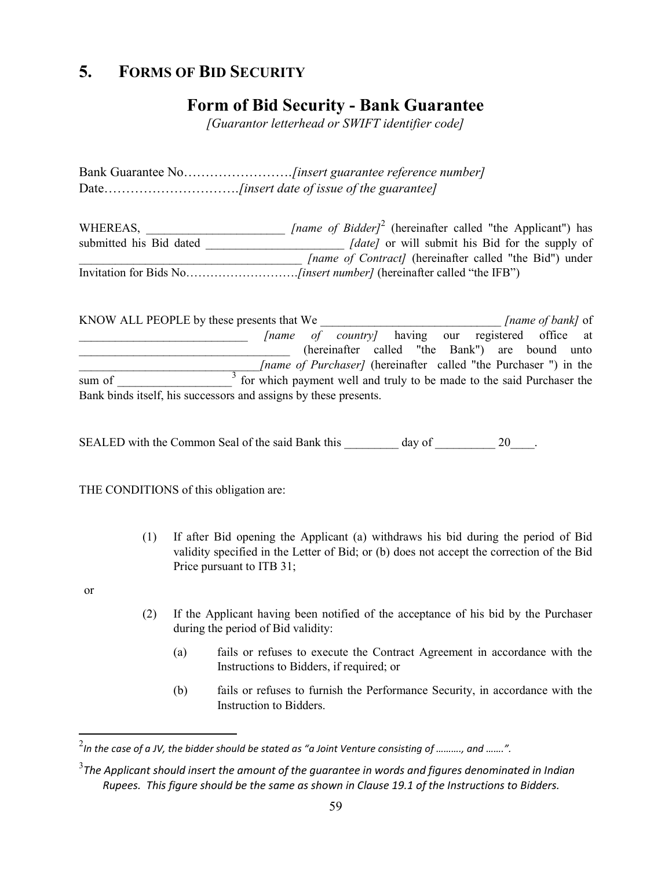## 5. FORMS OF BID SECURITY

## Form of Bid Security - Bank Guarantee

[Guarantor letterhead or SWIFT identifier code]

Bank Guarantee No…………………….[insert guarantee reference number] Date…………………………………....finsert date of issue of the guarantee]

WHEREAS,  $\int$  [name of Bidder]<sup>2</sup> (hereinafter called "the Applicant") has submitted his Bid dated  $\int date$  or will submit his Bid for the supply of *[name of Contract]* (hereinafter called "the Bid") under Invitation for Bids No……………………….[insert number] (hereinafter called "the IFB")

KNOW ALL PEOPLE by these presents that We *[name of bank]* of [name of country] having our registered office at \_\_\_\_\_\_\_\_\_\_\_\_\_\_\_\_\_\_\_\_\_\_\_\_\_\_\_\_\_\_\_\_\_\_\_ (hereinafter called "the Bank") are bound unto [name of Purchaser] (hereinafter called "the Purchaser ") in the sum of  $\frac{1}{3}$  for which payment well and truly to be made to the said Purchaser the Bank binds itself, his successors and assigns by these presents.

SEALED with the Common Seal of the said Bank this \_\_\_\_\_\_\_\_\_ day of  $20$ .

THE CONDITIONS of this obligation are:

 (1) If after Bid opening the Applicant (a) withdraws his bid during the period of Bid validity specified in the Letter of Bid; or (b) does not accept the correction of the Bid Price pursuant to ITB 31;

or

- (2) If the Applicant having been notified of the acceptance of his bid by the Purchaser during the period of Bid validity:
	- (a) fails or refuses to execute the Contract Agreement in accordance with the Instructions to Bidders, if required; or
	- (b) fails or refuses to furnish the Performance Security, in accordance with the Instruction to Bidders.

 $\frac{2}{\pi}$ In the case of a JV, the bidder should be stated as "a Joint Venture consisting of ………., and …….".

 $^3$ The Applicant should insert the amount of the guarantee in words and figures denominated in Indian  $^3$ Rupees. This figure should be the same as shown in Clause 19.1 of the Instructions to Bidders.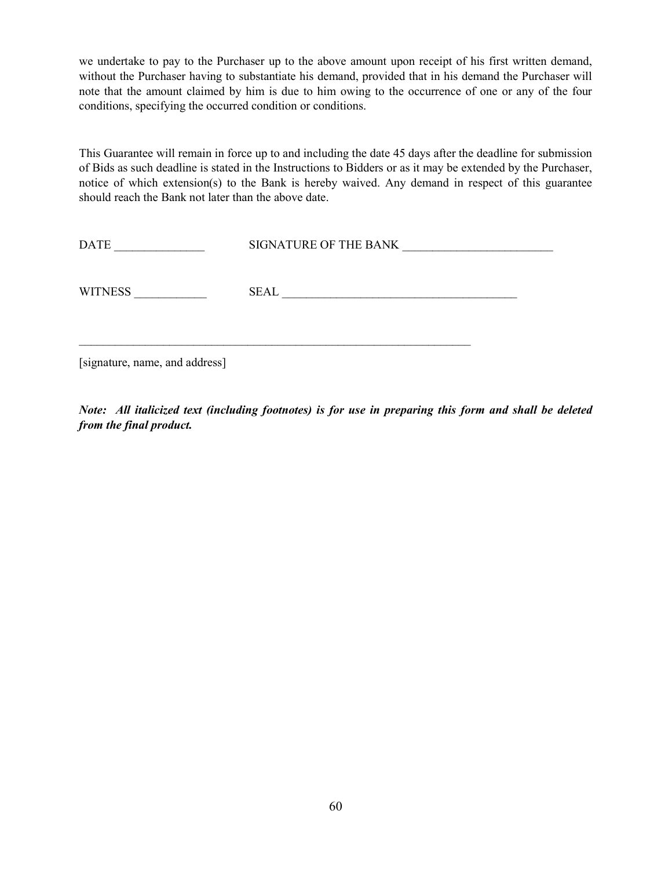we undertake to pay to the Purchaser up to the above amount upon receipt of his first written demand, without the Purchaser having to substantiate his demand, provided that in his demand the Purchaser will note that the amount claimed by him is due to him owing to the occurrence of one or any of the four conditions, specifying the occurred condition or conditions.

This Guarantee will remain in force up to and including the date 45 days after the deadline for submission of Bids as such deadline is stated in the Instructions to Bidders or as it may be extended by the Purchaser, notice of which extension(s) to the Bank is hereby waived. Any demand in respect of this guarantee should reach the Bank not later than the above date.

| <b>DATE</b>    | SIGNATURE OF THE BANK |
|----------------|-----------------------|
| <b>WITNESS</b> | <b>SEAL</b>           |

[signature, name, and address]

Note: All italicized text (including footnotes) is for use in preparing this form and shall be deleted from the final product.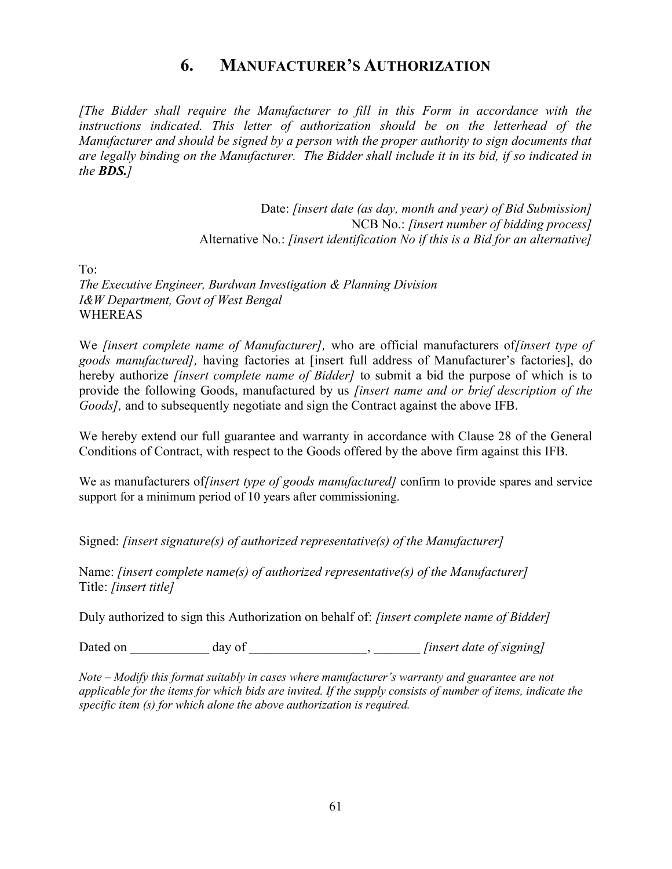## 6. MANUFACTURER'S AUTHORIZATION

[The Bidder shall require the Manufacturer to fill in this Form in accordance with the instructions indicated. This letter of authorization should be on the letterhead of the Manufacturer and should be signed by a person with the proper authority to sign documents that are legally binding on the Manufacturer. The Bidder shall include it in its bid, if so indicated in the **BDS.**]

> Date: *[insert date (as day, month and year) of Bid Submission]* NCB No.: *[insert number of bidding process]* Alternative No.: [insert identification No if this is a Bid for an alternative]

To:

The Executive Engineer, Burdwan Investigation & Planning Division I&W Department, Govt of West Bengal WHEREAS

We *[insert complete name of Manufacturer]*, who are official manufacturers of*[insert type of* goods manufactured], having factories at [insert full address of Manufacturer's factories], do hereby authorize *[insert complete name of Bidder]* to submit a bid the purpose of which is to provide the following Goods, manufactured by us *[insert name and or brief description of the* Goods], and to subsequently negotiate and sign the Contract against the above IFB.

We hereby extend our full guarantee and warranty in accordance with Clause 28 of the General Conditions of Contract, with respect to the Goods offered by the above firm against this IFB.

We as manufacturers of *[insert type of goods manufactured]* confirm to provide spares and service support for a minimum period of 10 years after commissioning.

Signed: [insert signature(s) of authorized representative(s) of the Manufacturer]

Name: [insert complete name(s) of authorized representative(s) of the Manufacturer] Title: [insert title]

Duly authorized to sign this Authorization on behalf of: *[insert complete name of Bidder]* 

Dated on \_\_\_\_\_\_\_\_\_\_\_\_ day of \_\_\_\_\_\_\_\_\_\_\_\_\_\_\_\_\_\_\_\_, finsert date of signing]

Note – Modify this format suitably in cases where manufacturer's warranty and guarantee are not applicable for the items for which bids are invited. If the supply consists of number of items, indicate the specific item (s) for which alone the above authorization is required.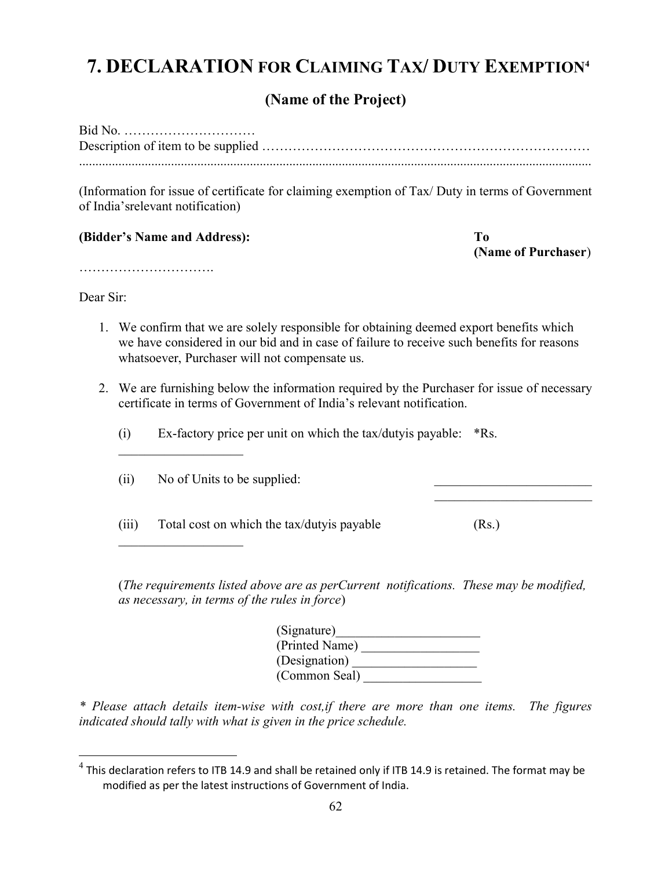## 7. DECLARATION FOR CLAIMING TAX/ DUTY EXEMPTION<sup>4</sup>

## (Name of the Project)

(Information for issue of certificate for claiming exemption of Tax/ Duty in terms of Government of India'srelevant notification)

(Bidder's Name and Address): To

(Name of Purchaser)

………………………….

Dear Sir:

 $\overline{a}$ 

- 1. We confirm that we are solely responsible for obtaining deemed export benefits which we have considered in our bid and in case of failure to receive such benefits for reasons whatsoever, Purchaser will not compensate us.
- 2. We are furnishing below the information required by the Purchaser for issue of necessary certificate in terms of Government of India's relevant notification.
	- (i) Ex-factory price per unit on which the tax/dutyis payable: \*Rs.

 $(ii)$  No of Units to be supplied:

 $\mathcal{L}_\text{max}$  , where  $\mathcal{L}_\text{max}$ 

(iii) Total cost on which the tax/duty is payable  $(Rs.)$ 

(The requirements listed above are as perCurrent notifications. These may be modified, as necessary, in terms of the rules in force)

| (Signature)    |  |
|----------------|--|
| (Printed Name) |  |
| (Designation)  |  |
| (Common Seal)  |  |

\* Please attach details item-wise with cost,if there are more than one items. The figures indicated should tally with what is given in the price schedule.

 $^4$  This declaration refers to ITB 14.9 and shall be retained only if ITB 14.9 is retained. The format may be modified as per the latest instructions of Government of India.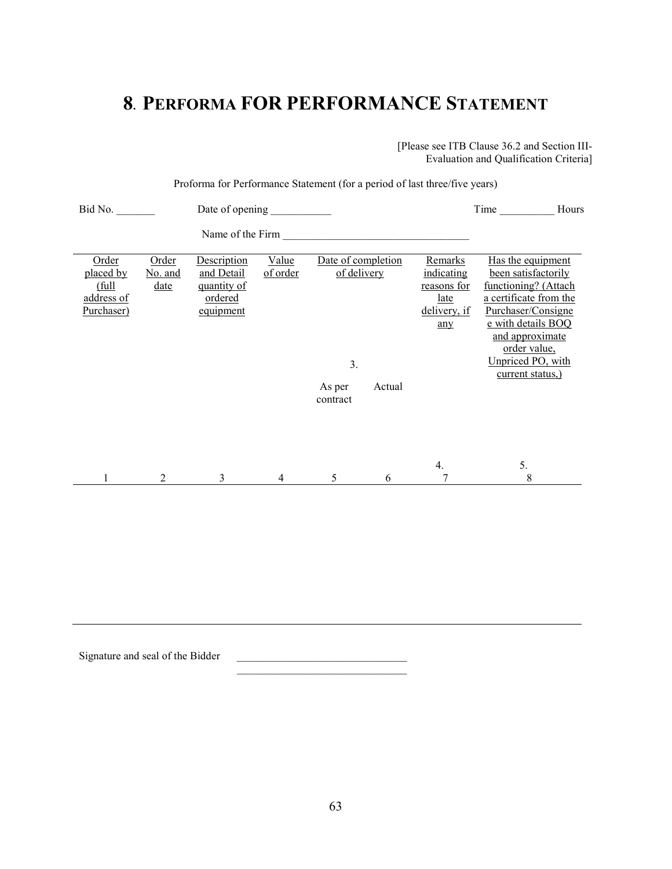## 8. PERFORMA FOR PERFORMANCE STATEMENT

[Please see ITB Clause 36.2 and Section III-Evaluation and Qualification Criteria]

| Proforma for Performance Statement (for a period of last three/five years)           |                                                                  |                   |                                                             |   |                                                                            |                                                                                                                                                                                                                    |  |
|--------------------------------------------------------------------------------------|------------------------------------------------------------------|-------------------|-------------------------------------------------------------|---|----------------------------------------------------------------------------|--------------------------------------------------------------------------------------------------------------------------------------------------------------------------------------------------------------------|--|
| Bid No.                                                                              | Date of opening _____________                                    |                   |                                                             |   |                                                                            | Time<br>Hours                                                                                                                                                                                                      |  |
|                                                                                      |                                                                  |                   |                                                             |   |                                                                            |                                                                                                                                                                                                                    |  |
| Order<br>Order<br>placed by<br>No. and<br>(full)<br>date<br>address of<br>Purchaser) | Description<br>and Detail<br>quantity of<br>ordered<br>equipment | Value<br>of order | Date of completion<br>of delivery<br>3.<br>As per<br>Actual |   | Remarks<br>indicating<br>reasons for<br>late<br><u>delivery, if</u><br>any | Has the equipment<br>been satisfactorily<br>functioning? (Attach<br>a certificate from the<br>Purchaser/Consigne<br>e with details BOQ<br>and approximate<br>order value,<br>Unpriced PO, with<br>current status,) |  |
| 1<br>2                                                                               | 3                                                                | $\overline{4}$    | contract<br>5                                               | 6 | 4.<br>7                                                                    | 5.<br>8                                                                                                                                                                                                            |  |

Signature and seal of the Bidder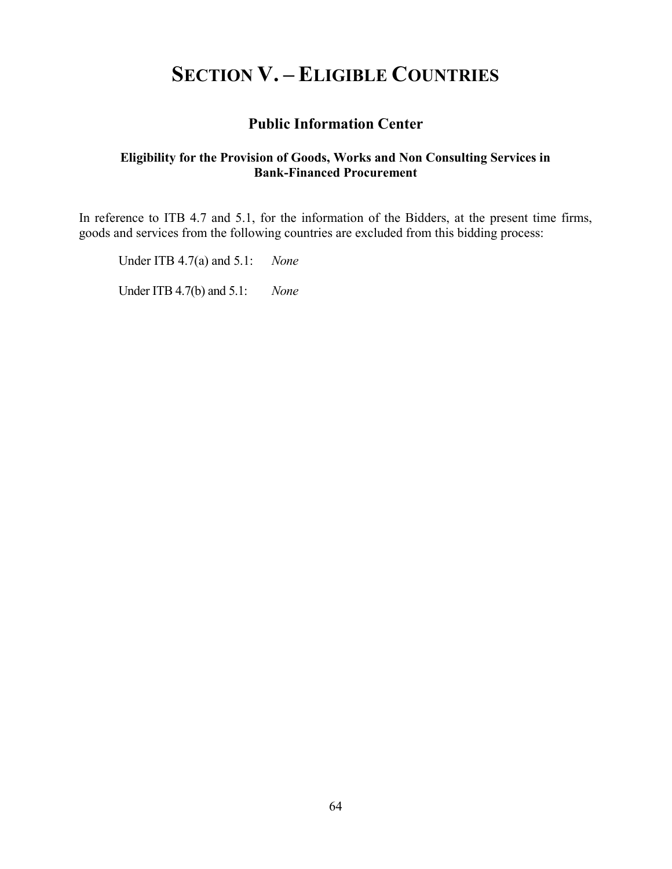# SECTION V. – ELIGIBLE COUNTRIES

## Public Information Center

#### Eligibility for the Provision of Goods, Works and Non Consulting Services in Bank-Financed Procurement

In reference to ITB 4.7 and 5.1, for the information of the Bidders, at the present time firms, goods and services from the following countries are excluded from this bidding process:

Under ITB 4.7(a) and 5.1: None

Under ITB 4.7(b) and 5.1: None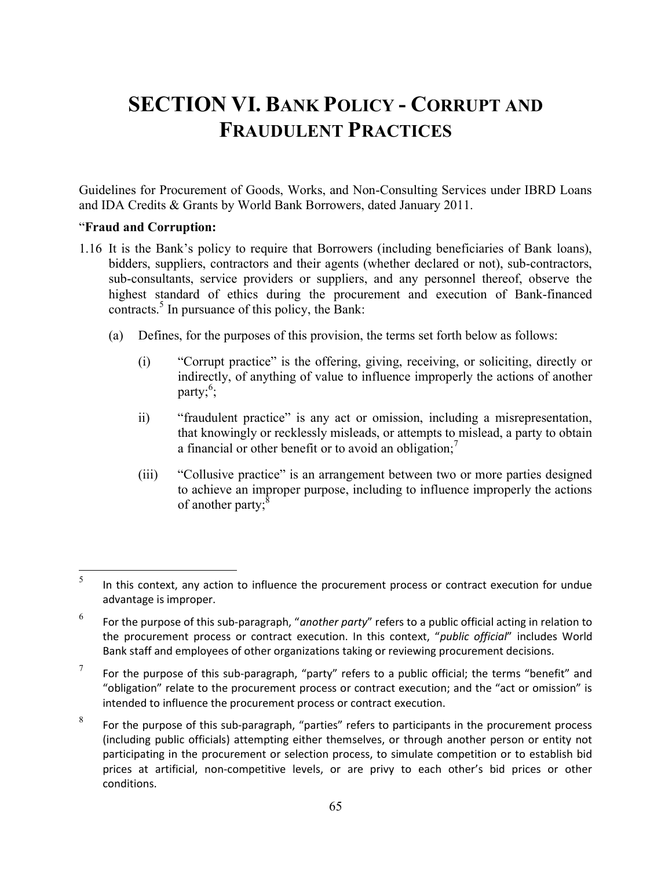# SECTION VI. BANK POLICY - CORRUPT AND FRAUDULENT PRACTICES

Guidelines for Procurement of Goods, Works, and Non-Consulting Services under IBRD Loans and IDA Credits & Grants by World Bank Borrowers, dated January 2011.

#### "Fraud and Corruption:

- 1.16 It is the Bank's policy to require that Borrowers (including beneficiaries of Bank loans), bidders, suppliers, contractors and their agents (whether declared or not), sub-contractors, sub-consultants, service providers or suppliers, and any personnel thereof, observe the highest standard of ethics during the procurement and execution of Bank-financed contracts.<sup>5</sup> In pursuance of this policy, the Bank:
	- (a) Defines, for the purposes of this provision, the terms set forth below as follows:
		- (i) "Corrupt practice" is the offering, giving, receiving, or soliciting, directly or indirectly, of anything of value to influence improperly the actions of another party; $^6$ ;
		- ii) "fraudulent practice" is any act or omission, including a misrepresentation, that knowingly or recklessly misleads, or attempts to mislead, a party to obtain a financial or other benefit or to avoid an obligation;<sup>7</sup>
		- (iii) "Collusive practice" is an arrangement between two or more parties designed to achieve an improper purpose, including to influence improperly the actions of another party;<sup>8</sup>

 5 In this context, any action to influence the procurement process or contract execution for undue advantage is improper.

<sup>6</sup> For the purpose of this sub-paragraph, "another party" refers to a public official acting in relation to the procurement process or contract execution. In this context, "public official" includes World Bank staff and employees of other organizations taking or reviewing procurement decisions.

<sup>7</sup> For the purpose of this sub-paragraph, "party" refers to a public official; the terms "benefit" and "obligation" relate to the procurement process or contract execution; and the "act or omission" is intended to influence the procurement process or contract execution.

<sup>8</sup> For the purpose of this sub-paragraph, "parties" refers to participants in the procurement process (including public officials) attempting either themselves, or through another person or entity not participating in the procurement or selection process, to simulate competition or to establish bid prices at artificial, non-competitive levels, or are privy to each other's bid prices or other conditions.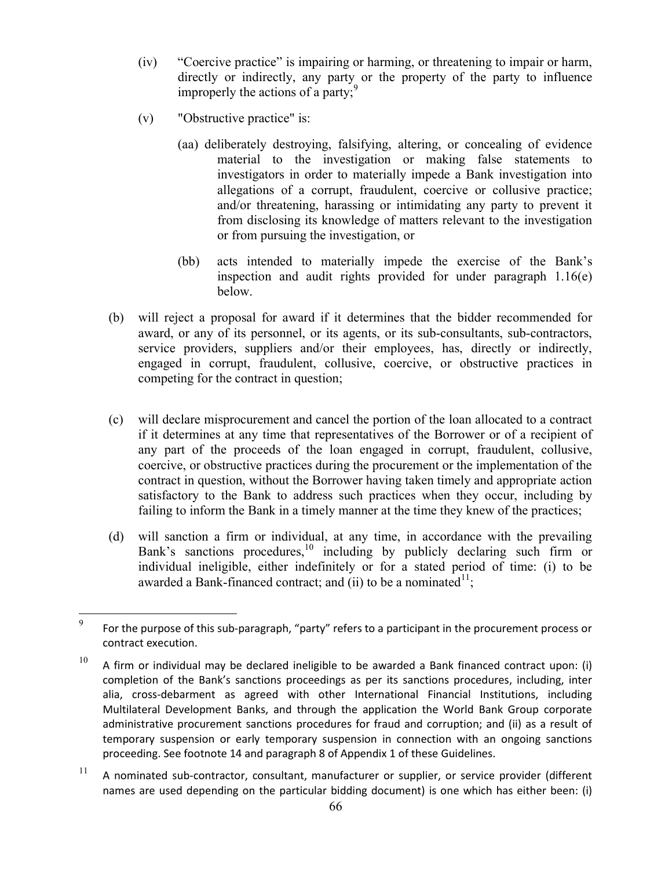- (iv) "Coercive practice" is impairing or harming, or threatening to impair or harm, directly or indirectly, any party or the property of the party to influence improperly the actions of a party; $\frac{9}{2}$
- (v) "Obstructive practice" is:
	- (aa) deliberately destroying, falsifying, altering, or concealing of evidence material to the investigation or making false statements to investigators in order to materially impede a Bank investigation into allegations of a corrupt, fraudulent, coercive or collusive practice; and/or threatening, harassing or intimidating any party to prevent it from disclosing its knowledge of matters relevant to the investigation or from pursuing the investigation, or
	- (bb) acts intended to materially impede the exercise of the Bank's inspection and audit rights provided for under paragraph 1.16(e) below.
- (b) will reject a proposal for award if it determines that the bidder recommended for award, or any of its personnel, or its agents, or its sub-consultants, sub-contractors, service providers, suppliers and/or their employees, has, directly or indirectly, engaged in corrupt, fraudulent, collusive, coercive, or obstructive practices in competing for the contract in question;
- (c) will declare misprocurement and cancel the portion of the loan allocated to a contract if it determines at any time that representatives of the Borrower or of a recipient of any part of the proceeds of the loan engaged in corrupt, fraudulent, collusive, coercive, or obstructive practices during the procurement or the implementation of the contract in question, without the Borrower having taken timely and appropriate action satisfactory to the Bank to address such practices when they occur, including by failing to inform the Bank in a timely manner at the time they knew of the practices;
- (d) will sanction a firm or individual, at any time, in accordance with the prevailing Bank's sanctions procedures,  $\frac{10}{10}$  including by publicly declaring such firm or individual ineligible, either indefinitely or for a stated period of time: (i) to be awarded a Bank-financed contract; and (ii) to be a nominated  $1$ ;

 $11$  A nominated sub-contractor, consultant, manufacturer or supplier, or service provider (different names are used depending on the particular bidding document) is one which has either been: (i)

<sup>9</sup>  For the purpose of this sub-paragraph, "party" refers to a participant in the procurement process or contract execution.

 $10$  A firm or individual may be declared ineligible to be awarded a Bank financed contract upon: (i) completion of the Bank's sanctions proceedings as per its sanctions procedures, including, inter alia, cross-debarment as agreed with other International Financial Institutions, including Multilateral Development Banks, and through the application the World Bank Group corporate administrative procurement sanctions procedures for fraud and corruption; and (ii) as a result of temporary suspension or early temporary suspension in connection with an ongoing sanctions proceeding. See footnote 14 and paragraph 8 of Appendix 1 of these Guidelines.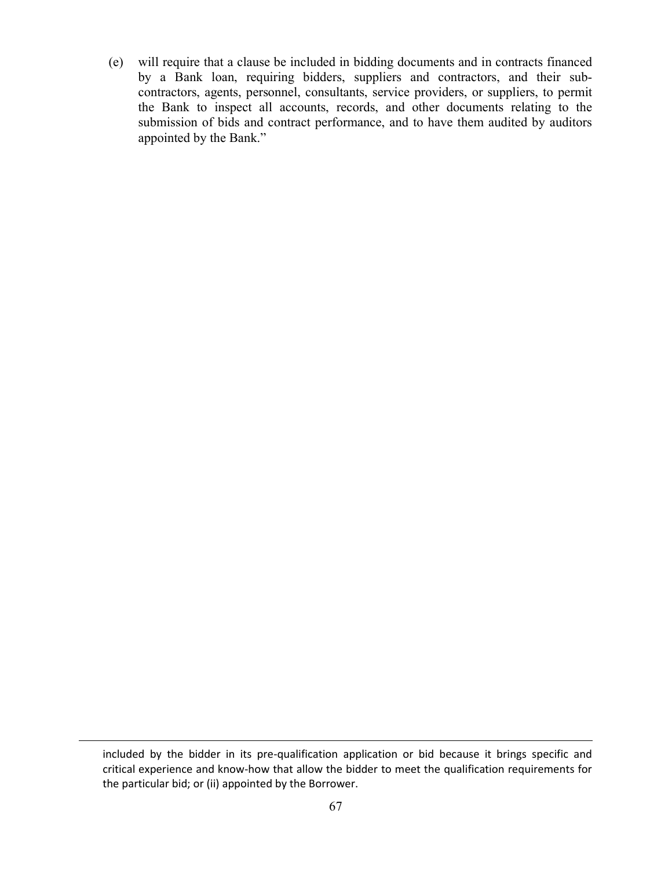(e) will require that a clause be included in bidding documents and in contracts financed by a Bank loan, requiring bidders, suppliers and contractors, and their subcontractors, agents, personnel, consultants, service providers, or suppliers, to permit the Bank to inspect all accounts, records, and other documents relating to the submission of bids and contract performance, and to have them audited by auditors appointed by the Bank."

 $\overline{a}$ 

included by the bidder in its pre-qualification application or bid because it brings specific and critical experience and know-how that allow the bidder to meet the qualification requirements for the particular bid; or (ii) appointed by the Borrower.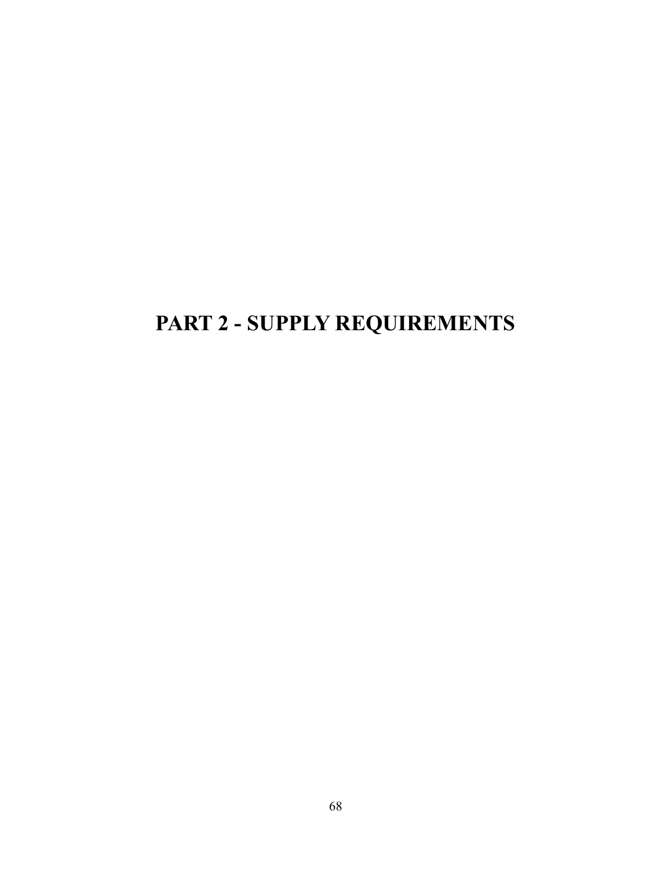# PART 2 - SUPPLY REQUIREMENTS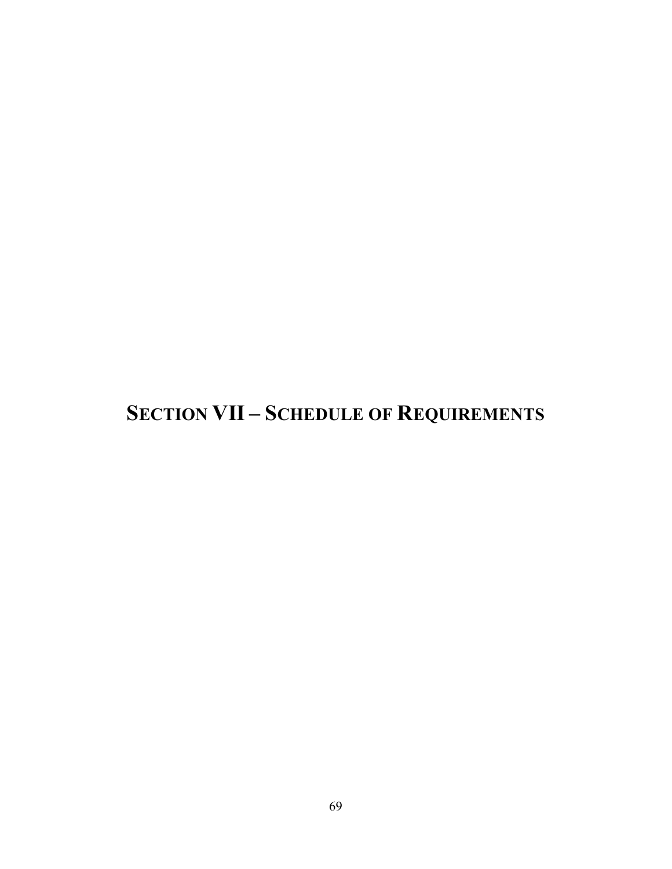# SECTION VII – SCHEDULE OF REQUIREMENTS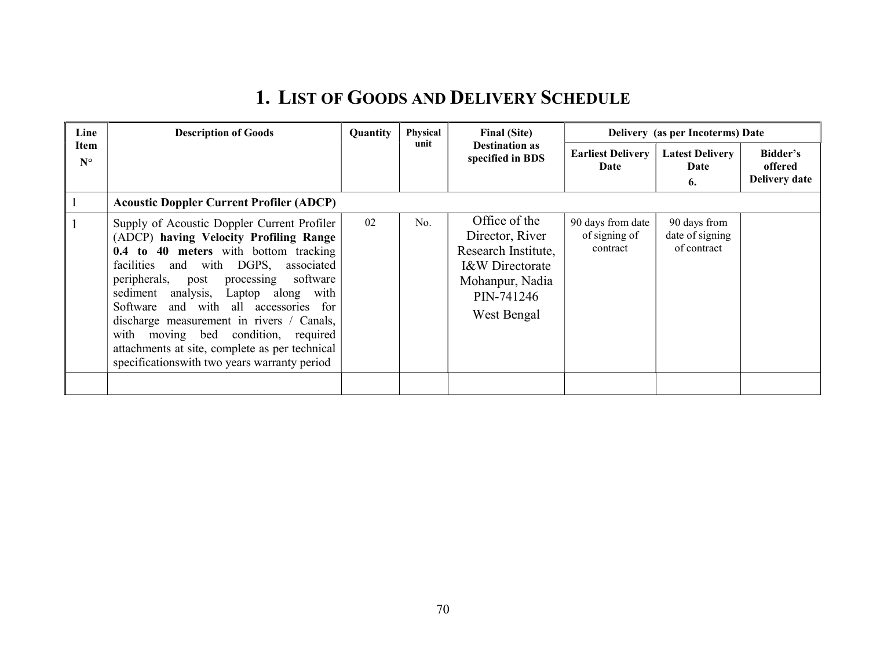# 1. LIST OF GOODS AND DELIVERY SCHEDULE

| Line                | <b>Description of Goods</b>                                                                                                                                                                                                                                                                                                                                                                                                                                                                                  | Quantity | <b>Physical</b> | <b>Final (Site)</b>                                                                                                                   | Delivery (as per Incoterms) Date               |                                                |                                             |  |
|---------------------|--------------------------------------------------------------------------------------------------------------------------------------------------------------------------------------------------------------------------------------------------------------------------------------------------------------------------------------------------------------------------------------------------------------------------------------------------------------------------------------------------------------|----------|-----------------|---------------------------------------------------------------------------------------------------------------------------------------|------------------------------------------------|------------------------------------------------|---------------------------------------------|--|
| Item<br>$N^{\circ}$ |                                                                                                                                                                                                                                                                                                                                                                                                                                                                                                              |          | unit            | <b>Destination as</b><br>specified in BDS                                                                                             | <b>Earliest Delivery</b><br>Date               | <b>Latest Delivery</b><br>Date<br>6.           | Bidder's<br>offered<br><b>Delivery date</b> |  |
|                     | <b>Acoustic Doppler Current Profiler (ADCP)</b>                                                                                                                                                                                                                                                                                                                                                                                                                                                              |          |                 |                                                                                                                                       |                                                |                                                |                                             |  |
|                     | Supply of Acoustic Doppler Current Profiler<br>(ADCP) having Velocity Profiling Range<br>0.4 to 40 meters with bottom tracking<br>and with DGPS,<br>facilities<br>associated<br>peripherals,<br>software<br>post<br>processing<br>sediment analysis,<br>Laptop along<br>with<br>Software and with all accessories for<br>discharge measurement in rivers / Canals,<br>with moving bed condition, required<br>attachments at site, complete as per technical<br>specifications with two years warranty period | 02       | No.             | Office of the<br>Director, River<br>Research Institute,<br><b>I&amp;W</b> Directorate<br>Mohanpur, Nadia<br>PIN-741246<br>West Bengal | 90 days from date<br>of signing of<br>contract | 90 days from<br>date of signing<br>of contract |                                             |  |
|                     |                                                                                                                                                                                                                                                                                                                                                                                                                                                                                                              |          |                 |                                                                                                                                       |                                                |                                                |                                             |  |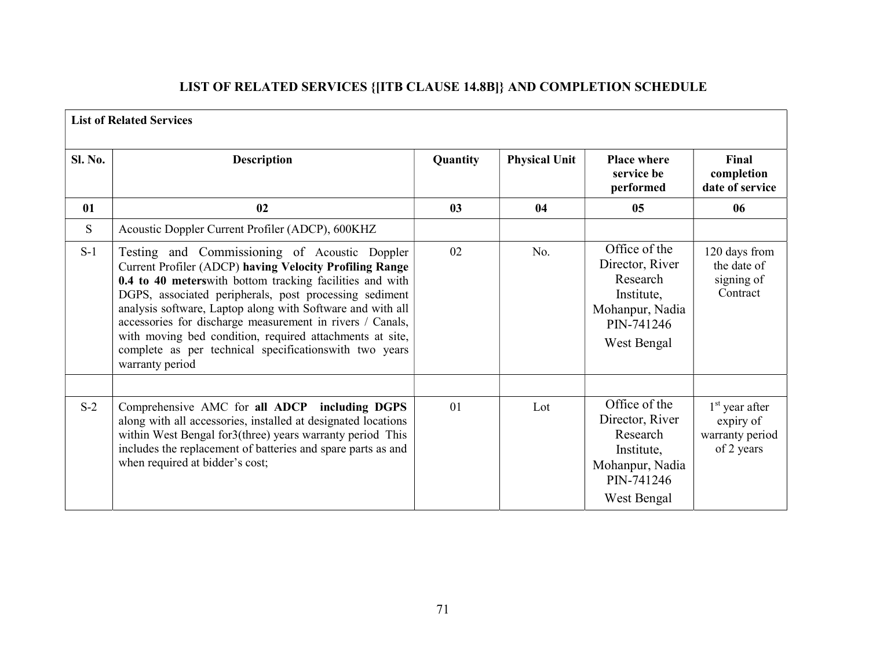## LIST OF RELATED SERVICES {[ITB CLAUSE 14.8B]} AND COMPLETION SCHEDULE

| <b>List of Related Services</b> |                                                                                                                                                                                                                                                                                                                                                                                                                                                                                                      |                |                      |                                                                                                            |                                                                |  |  |
|---------------------------------|------------------------------------------------------------------------------------------------------------------------------------------------------------------------------------------------------------------------------------------------------------------------------------------------------------------------------------------------------------------------------------------------------------------------------------------------------------------------------------------------------|----------------|----------------------|------------------------------------------------------------------------------------------------------------|----------------------------------------------------------------|--|--|
| <b>Sl. No.</b>                  | <b>Description</b>                                                                                                                                                                                                                                                                                                                                                                                                                                                                                   | Quantity       | <b>Physical Unit</b> | <b>Place where</b><br>service be<br>performed                                                              | Final<br>completion<br>date of service                         |  |  |
| 01                              | 02                                                                                                                                                                                                                                                                                                                                                                                                                                                                                                   | 0 <sub>3</sub> | 04                   | 05                                                                                                         | 06                                                             |  |  |
| S.                              | Acoustic Doppler Current Profiler (ADCP), 600KHZ                                                                                                                                                                                                                                                                                                                                                                                                                                                     |                |                      |                                                                                                            |                                                                |  |  |
| $S-1$                           | Testing and Commissioning of Acoustic Doppler<br>Current Profiler (ADCP) having Velocity Profiling Range<br>0.4 to 40 meters with bottom tracking facilities and with<br>DGPS, associated peripherals, post processing sediment<br>analysis software, Laptop along with Software and with all<br>accessories for discharge measurement in rivers / Canals,<br>with moving bed condition, required attachments at site,<br>complete as per technical specifications with two years<br>warranty period | 02             | No.                  | Office of the<br>Director, River<br>Research<br>Institute,<br>Mohanpur, Nadia<br>PIN-741246<br>West Bengal | 120 days from<br>the date of<br>signing of<br>Contract         |  |  |
| $S-2$                           | Comprehensive AMC for all ADCP including DGPS<br>along with all accessories, installed at designated locations<br>within West Bengal for3(three) years warranty period This<br>includes the replacement of batteries and spare parts as and<br>when required at bidder's cost;                                                                                                                                                                                                                       | 01             | Lot                  | Office of the<br>Director, River<br>Research<br>Institute,<br>Mohanpur, Nadia<br>PIN-741246<br>West Bengal | $1st$ year after<br>expiry of<br>warranty period<br>of 2 years |  |  |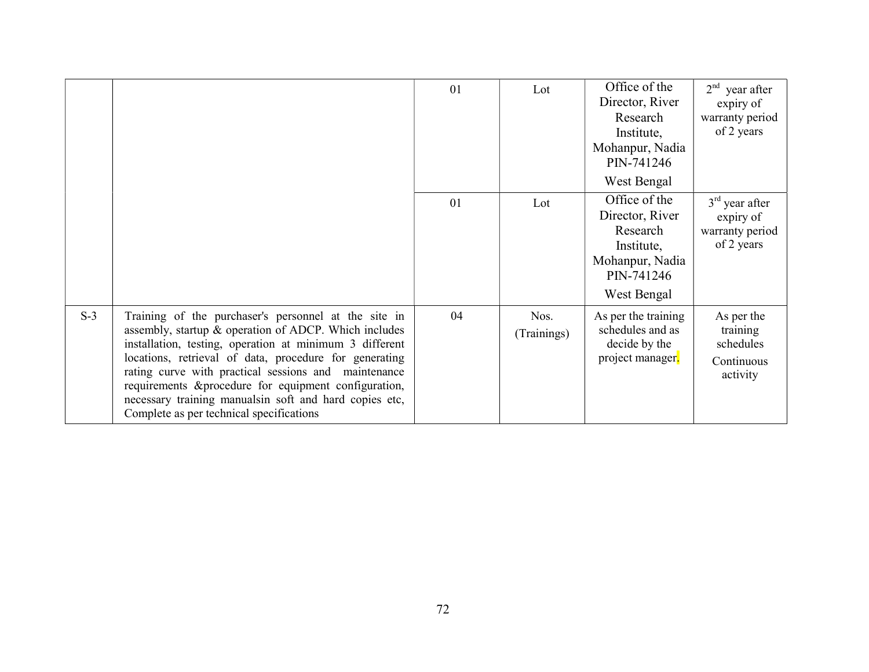|       |                                                                                                                                                                                                                                                                                                                                                                                                                                                           | 01 | Lot                 | Office of the<br>Director, River<br>Research<br>Institute,<br>Mohanpur, Nadia<br>PIN-741246<br>West Bengal | 2 <sup>nd</sup><br>year after<br>expiry of<br>warranty period<br>of 2 years |
|-------|-----------------------------------------------------------------------------------------------------------------------------------------------------------------------------------------------------------------------------------------------------------------------------------------------------------------------------------------------------------------------------------------------------------------------------------------------------------|----|---------------------|------------------------------------------------------------------------------------------------------------|-----------------------------------------------------------------------------|
|       |                                                                                                                                                                                                                                                                                                                                                                                                                                                           | 01 | Lot                 | Office of the<br>Director, River<br>Research<br>Institute,<br>Mohanpur, Nadia<br>PIN-741246<br>West Bengal | $3rd$ year after<br>expiry of<br>warranty period<br>of 2 years              |
| $S-3$ | Training of the purchaser's personnel at the site in<br>assembly, startup & operation of ADCP. Which includes<br>installation, testing, operation at minimum 3 different<br>locations, retrieval of data, procedure for generating<br>rating curve with practical sessions and maintenance<br>requirements & procedure for equipment configuration,<br>necessary training manualsin soft and hard copies etc,<br>Complete as per technical specifications | 04 | Nos.<br>(Trainings) | As per the training<br>schedules and as<br>decide by the<br>project manager.                               | As per the<br>training<br>schedules<br>Continuous<br>activity               |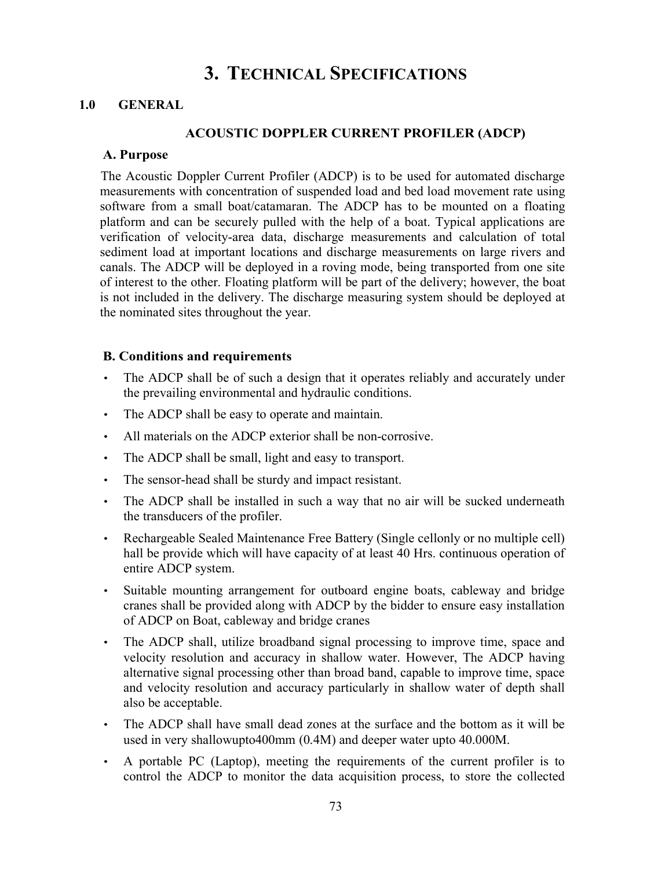## 3. TECHNICAL SPECIFICATIONS

#### 1.0 GENERAL

#### ACOUSTIC DOPPLER CURRENT PROFILER (ADCP)

#### A. Purpose

The Acoustic Doppler Current Profiler (ADCP) is to be used for automated discharge measurements with concentration of suspended load and bed load movement rate using software from a small boat/catamaran. The ADCP has to be mounted on a floating platform and can be securely pulled with the help of a boat. Typical applications are verification of velocity-area data, discharge measurements and calculation of total sediment load at important locations and discharge measurements on large rivers and canals. The ADCP will be deployed in a roving mode, being transported from one site of interest to the other. Floating platform will be part of the delivery; however, the boat is not included in the delivery. The discharge measuring system should be deployed at the nominated sites throughout the year.

#### B. Conditions and requirements

- The ADCP shall be of such a design that it operates reliably and accurately under the prevailing environmental and hydraulic conditions.
- The ADCP shall be easy to operate and maintain.
- All materials on the ADCP exterior shall be non-corrosive.
- The ADCP shall be small, light and easy to transport.
- The sensor-head shall be sturdy and impact resistant.
- The ADCP shall be installed in such a way that no air will be sucked underneath the transducers of the profiler.
- Rechargeable Sealed Maintenance Free Battery (Single cellonly or no multiple cell) hall be provide which will have capacity of at least 40 Hrs. continuous operation of entire ADCP system.
- Suitable mounting arrangement for outboard engine boats, cableway and bridge cranes shall be provided along with ADCP by the bidder to ensure easy installation of ADCP on Boat, cableway and bridge cranes
- The ADCP shall, utilize broadband signal processing to improve time, space and velocity resolution and accuracy in shallow water. However, The ADCP having alternative signal processing other than broad band, capable to improve time, space and velocity resolution and accuracy particularly in shallow water of depth shall also be acceptable.
- The ADCP shall have small dead zones at the surface and the bottom as it will be used in very shallowupto400mm (0.4M) and deeper water upto 40.000M.
- A portable PC (Laptop), meeting the requirements of the current profiler is to control the ADCP to monitor the data acquisition process, to store the collected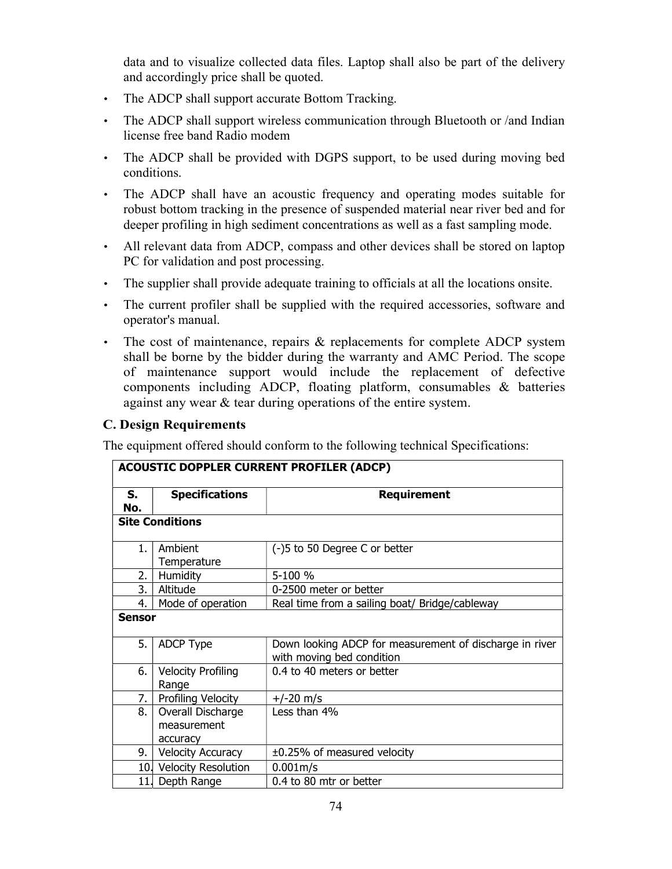data and to visualize collected data files. Laptop shall also be part of the delivery and accordingly price shall be quoted.

- The ADCP shall support accurate Bottom Tracking.
- The ADCP shall support wireless communication through Bluetooth or /and Indian license free band Radio modem
- The ADCP shall be provided with DGPS support, to be used during moving bed conditions.
- The ADCP shall have an acoustic frequency and operating modes suitable for robust bottom tracking in the presence of suspended material near river bed and for deeper profiling in high sediment concentrations as well as a fast sampling mode.
- All relevant data from ADCP, compass and other devices shall be stored on laptop PC for validation and post processing.
- The supplier shall provide adequate training to officials at all the locations onsite.
- The current profiler shall be supplied with the required accessories, software and operator's manual.
- The cost of maintenance, repairs & replacements for complete ADCP system shall be borne by the bidder during the warranty and AMC Period. The scope of maintenance support would include the replacement of defective components including ADCP, floating platform, consumables & batteries against any wear & tear during operations of the entire system.

### C. Design Requirements

The equipment offered should conform to the following technical Specifications:

| <b>ACOUSTIC DOPPLER CURRENT PROFILER (ADCP)</b> |                                              |                                                                                      |  |  |
|-------------------------------------------------|----------------------------------------------|--------------------------------------------------------------------------------------|--|--|
| S.<br>No.                                       | <b>Specifications</b>                        | <b>Requirement</b>                                                                   |  |  |
|                                                 | <b>Site Conditions</b>                       |                                                                                      |  |  |
| 1.                                              | Ambient<br>Temperature                       | (-)5 to 50 Degree C or better                                                        |  |  |
| 2.                                              | Humidity                                     | 5-100 %                                                                              |  |  |
| 3.                                              | Altitude                                     | 0-2500 meter or better                                                               |  |  |
| 4.                                              | Mode of operation                            | Real time from a sailing boat/ Bridge/cableway                                       |  |  |
| <b>Sensor</b>                                   |                                              |                                                                                      |  |  |
| 5.                                              | <b>ADCP Type</b>                             | Down looking ADCP for measurement of discharge in river<br>with moving bed condition |  |  |
| 6.                                              | <b>Velocity Profiling</b><br>Range           | 0.4 to 40 meters or better                                                           |  |  |
| 7.                                              | Profiling Velocity                           | $+/-20$ m/s                                                                          |  |  |
| 8.                                              | Overall Discharge<br>measurement<br>accuracy | Less than 4%                                                                         |  |  |
| 9.                                              | <b>Velocity Accuracy</b>                     | ±0.25% of measured velocity                                                          |  |  |
|                                                 | 10. Velocity Resolution                      | 0.001m/s                                                                             |  |  |
| 11.                                             | Depth Range                                  | 0.4 to 80 mtr or better                                                              |  |  |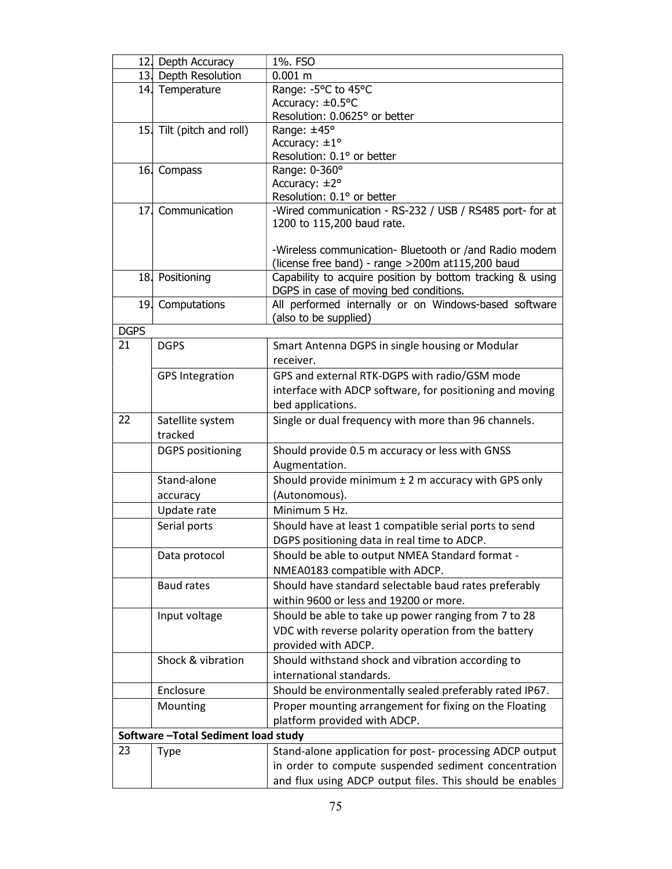|             | 12. Depth Accuracy                   | 1%. FSO                                                   |
|-------------|--------------------------------------|-----------------------------------------------------------|
|             | 13. Depth Resolution                 | $0.001$ m                                                 |
|             | 14. Temperature                      | Range: -5°C to 45°C                                       |
|             |                                      | Accuracy: ±0.5°C                                          |
|             |                                      | Resolution: 0.0625° or better                             |
|             | 15. Tilt (pitch and roll)            | Range: ±45°                                               |
|             |                                      | Accuracy: $\pm 1^{\circ}$                                 |
|             |                                      | Resolution: 0.1° or better                                |
|             | 16. Compass                          | Range: 0-360°                                             |
|             |                                      | Accuracy: $±2°$<br>Resolution: 0.1° or better             |
|             | 17. Communication                    | -Wired communication - RS-232 / USB / RS485 port- for at  |
|             |                                      | 1200 to 115,200 baud rate.                                |
|             |                                      | -Wireless communication- Bluetooth or /and Radio modem    |
|             |                                      | (license free band) - range >200m at115,200 baud          |
|             | 18 Positioning                       | Capability to acquire position by bottom tracking & using |
|             |                                      | DGPS in case of moving bed conditions.                    |
|             | 19. Computations                     | All performed internally or on Windows-based software     |
|             |                                      | (also to be supplied)                                     |
| <b>DGPS</b> |                                      |                                                           |
| 21          | <b>DGPS</b>                          | Smart Antenna DGPS in single housing or Modular           |
|             |                                      | receiver.                                                 |
|             | <b>GPS Integration</b>               | GPS and external RTK-DGPS with radio/GSM mode             |
|             |                                      | interface with ADCP software, for positioning and moving  |
|             |                                      | bed applications.                                         |
| 22          | Satellite system                     | Single or dual frequency with more than 96 channels.      |
|             | tracked                              |                                                           |
|             | <b>DGPS</b> positioning              | Should provide 0.5 m accuracy or less with GNSS           |
|             |                                      | Augmentation.                                             |
|             | Stand-alone                          | Should provide minimum $\pm$ 2 m accuracy with GPS only   |
|             | accuracy                             | (Autonomous).                                             |
|             | Update rate                          | Minimum 5 Hz.                                             |
|             | Serial ports                         | Should have at least 1 compatible serial ports to send    |
|             |                                      | DGPS positioning data in real time to ADCP.               |
|             | Data protocol                        | Should be able to output NMEA Standard format -           |
|             |                                      | NMEA0183 compatible with ADCP.                            |
|             | Baud rates                           | Should have standard selectable baud rates preferably     |
|             |                                      | within 9600 or less and 19200 or more.                    |
|             | Input voltage                        | Should be able to take up power ranging from 7 to 28      |
|             |                                      | VDC with reverse polarity operation from the battery      |
|             |                                      | provided with ADCP.                                       |
|             | Shock & vibration                    | Should withstand shock and vibration according to         |
|             |                                      | international standards.                                  |
|             | Enclosure                            | Should be environmentally sealed preferably rated IP67.   |
|             | Mounting                             | Proper mounting arrangement for fixing on the Floating    |
|             |                                      | platform provided with ADCP.                              |
|             | Software - Total Sediment load study |                                                           |
| 23          | <b>Type</b>                          | Stand-alone application for post- processing ADCP output  |
|             |                                      | in order to compute suspended sediment concentration      |
|             |                                      | and flux using ADCP output files. This should be enables  |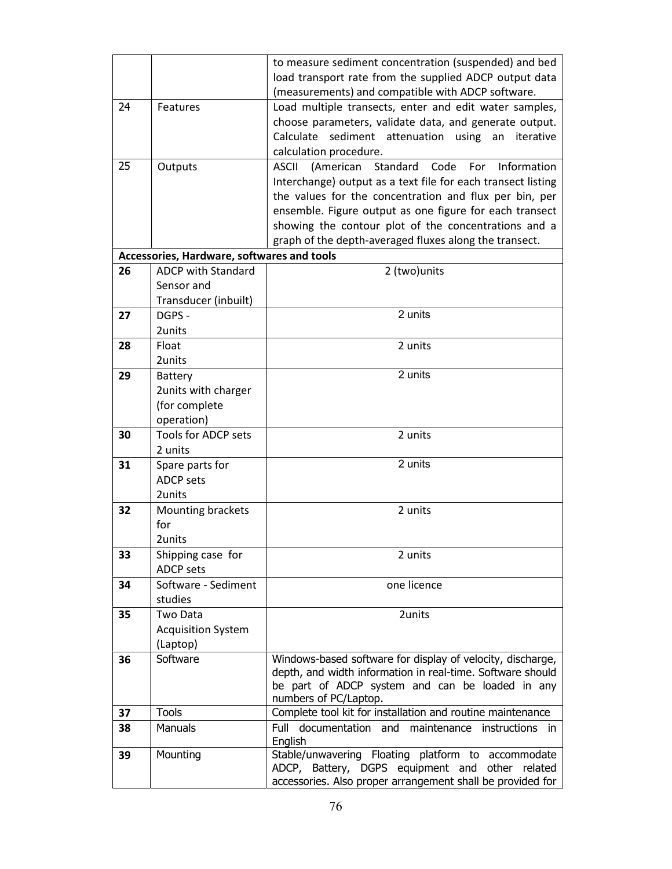|    |                                            | to measure sediment concentration (suspended) and bed                                                       |
|----|--------------------------------------------|-------------------------------------------------------------------------------------------------------------|
|    |                                            | load transport rate from the supplied ADCP output data<br>(measurements) and compatible with ADCP software. |
| 24 | Features                                   | Load multiple transects, enter and edit water samples,                                                      |
|    |                                            | choose parameters, validate data, and generate output.                                                      |
|    |                                            | Calculate sediment attenuation using an iterative                                                           |
|    |                                            | calculation procedure.                                                                                      |
| 25 | Outputs                                    | Standard<br>Information<br>Code<br>For<br><b>ASCII</b><br>(American                                         |
|    |                                            | Interchange) output as a text file for each transect listing                                                |
|    |                                            | the values for the concentration and flux per bin, per                                                      |
|    |                                            | ensemble. Figure output as one figure for each transect                                                     |
|    |                                            | showing the contour plot of the concentrations and a                                                        |
|    |                                            | graph of the depth-averaged fluxes along the transect.                                                      |
|    | Accessories, Hardware, softwares and tools |                                                                                                             |
| 26 | <b>ADCP with Standard</b>                  | 2 (two)units                                                                                                |
|    | Sensor and                                 |                                                                                                             |
|    | Transducer (inbuilt)                       |                                                                                                             |
| 27 | DGPS -                                     | 2 units                                                                                                     |
|    | 2units                                     |                                                                                                             |
| 28 | Float                                      | 2 units                                                                                                     |
|    | 2units                                     |                                                                                                             |
| 29 | <b>Battery</b>                             | 2 units                                                                                                     |
|    | 2units with charger                        |                                                                                                             |
|    | (for complete                              |                                                                                                             |
|    | operation)                                 |                                                                                                             |
| 30 | Tools for ADCP sets                        | 2 units                                                                                                     |
|    | 2 units                                    |                                                                                                             |
| 31 | Spare parts for                            | 2 units                                                                                                     |
|    | <b>ADCP</b> sets                           |                                                                                                             |
|    | 2units                                     |                                                                                                             |
| 32 | Mounting brackets                          | 2 units                                                                                                     |
|    | for<br>2units                              |                                                                                                             |
| 33 | Shipping case for                          | 2 units                                                                                                     |
|    | <b>ADCP sets</b>                           |                                                                                                             |
| 34 | Software - Sediment                        | one licence                                                                                                 |
|    | studies                                    |                                                                                                             |
| 35 | Two Data                                   | 2units                                                                                                      |
|    | <b>Acquisition System</b>                  |                                                                                                             |
|    | (Laptop)                                   |                                                                                                             |
| 36 | Software                                   | Windows-based software for display of velocity, discharge,                                                  |
|    |                                            | depth, and width information in real-time. Software should                                                  |
|    |                                            | be part of ADCP system and can be loaded in any                                                             |
| 37 | <b>Tools</b>                               | numbers of PC/Laptop.<br>Complete tool kit for installation and routine maintenance                         |
| 38 | Manuals                                    | Full documentation and maintenance instructions in                                                          |
|    |                                            | English                                                                                                     |
| 39 | Mounting                                   | Stable/unwavering Floating platform to accommodate                                                          |
|    |                                            | ADCP, Battery, DGPS equipment and other related                                                             |
|    |                                            | accessories. Also proper arrangement shall be provided for                                                  |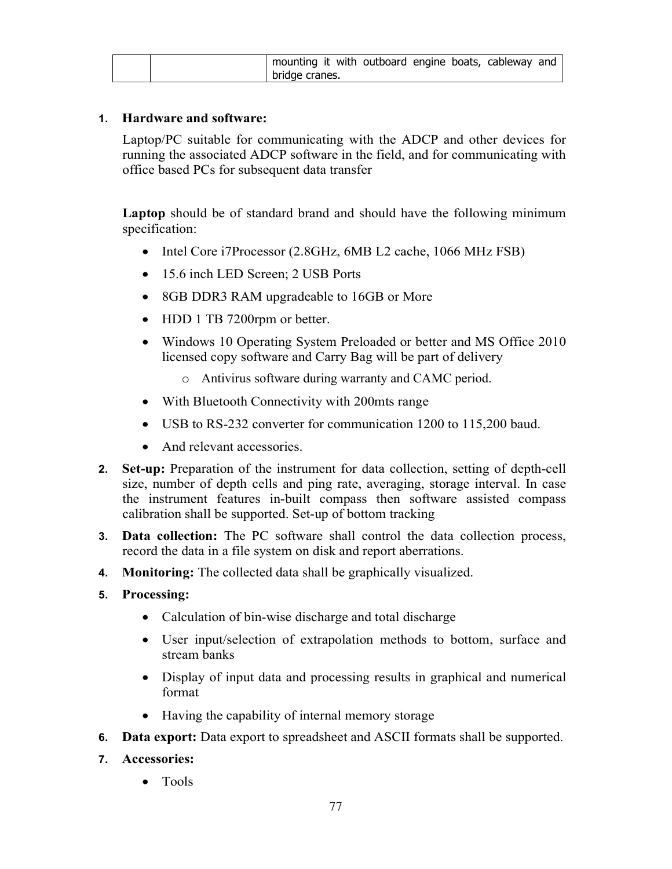| mounting it with outboard engine boats, cableway and |  |  |  |
|------------------------------------------------------|--|--|--|
| bridge cranes.                                       |  |  |  |

#### 1. Hardware and software:

Laptop/PC suitable for communicating with the ADCP and other devices for running the associated ADCP software in the field, and for communicating with office based PCs for subsequent data transfer

Laptop should be of standard brand and should have the following minimum specification:

- Intel Core i7Processor (2.8GHz, 6MB L2 cache, 1066 MHz FSB)
- 15.6 inch LED Screen; 2 USB Ports
- 8GB DDR3 RAM upgradeable to 16GB or More
- HDD 1 TB 7200rpm or better.
- Windows 10 Operating System Preloaded or better and MS Office 2010 licensed copy software and Carry Bag will be part of delivery
	- o Antivirus software during warranty and CAMC period.
- With Bluetooth Connectivity with 200mts range
- USB to RS-232 converter for communication 1200 to 115,200 baud.
- And relevant accessories.
- 2. Set-up: Preparation of the instrument for data collection, setting of depth-cell size, number of depth cells and ping rate, averaging, storage interval. In case the instrument features in-built compass then software assisted compass calibration shall be supported. Set-up of bottom tracking
- 3. Data collection: The PC software shall control the data collection process, record the data in a file system on disk and report aberrations.
- 4. Monitoring: The collected data shall be graphically visualized.
- 5. Processing:
	- Calculation of bin-wise discharge and total discharge
	- User input/selection of extrapolation methods to bottom, surface and stream banks
	- Display of input data and processing results in graphical and numerical format
	- Having the capability of internal memory storage
- **6.** Data export: Data export to spreadsheet and ASCII formats shall be supported.
- 7. Accessories:
	- Tools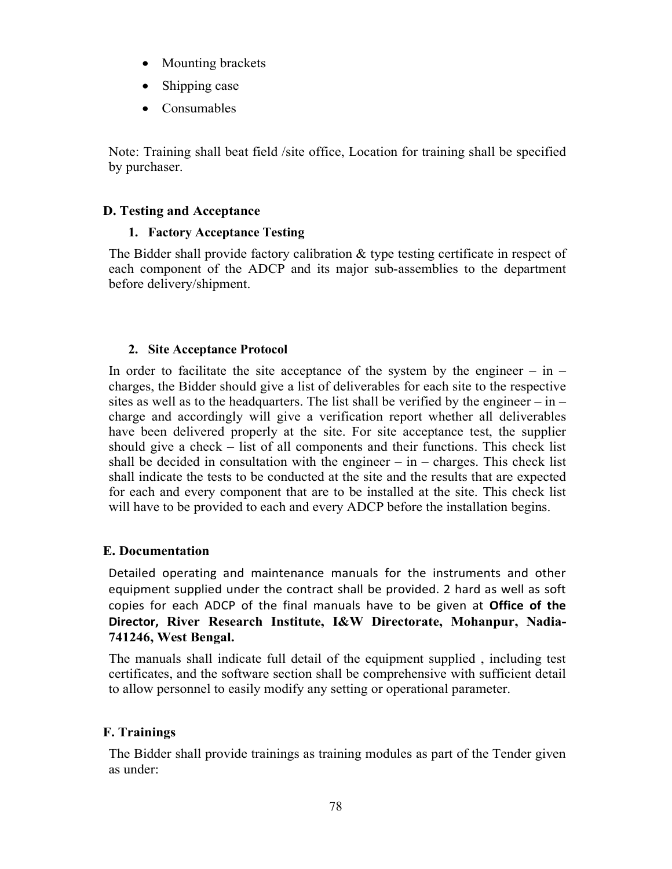- Mounting brackets
- Shipping case
- Consumables

Note: Training shall beat field /site office, Location for training shall be specified by purchaser.

#### D. Testing and Acceptance

#### 1. Factory Acceptance Testing

The Bidder shall provide factory calibration & type testing certificate in respect of each component of the ADCP and its major sub-assemblies to the department before delivery/shipment.

#### 2. Site Acceptance Protocol

In order to facilitate the site acceptance of the system by the engineer  $-$  in  $$ charges, the Bidder should give a list of deliverables for each site to the respective sites as well as to the headquarters. The list shall be verified by the engineer – in – charge and accordingly will give a verification report whether all deliverables have been delivered properly at the site. For site acceptance test, the supplier should give a check – list of all components and their functions. This check list shall be decided in consultation with the engineer  $-$  in  $-$  charges. This check list shall indicate the tests to be conducted at the site and the results that are expected for each and every component that are to be installed at the site. This check list will have to be provided to each and every ADCP before the installation begins.

#### E. Documentation

Detailed operating and maintenance manuals for the instruments and other equipment supplied under the contract shall be provided. 2 hard as well as soft copies for each ADCP of the final manuals have to be given at Office of the Director, River Research Institute, I&W Directorate, Mohanpur, Nadia-741246, West Bengal.

The manuals shall indicate full detail of the equipment supplied , including test certificates, and the software section shall be comprehensive with sufficient detail to allow personnel to easily modify any setting or operational parameter.

### F. Trainings

The Bidder shall provide trainings as training modules as part of the Tender given as under: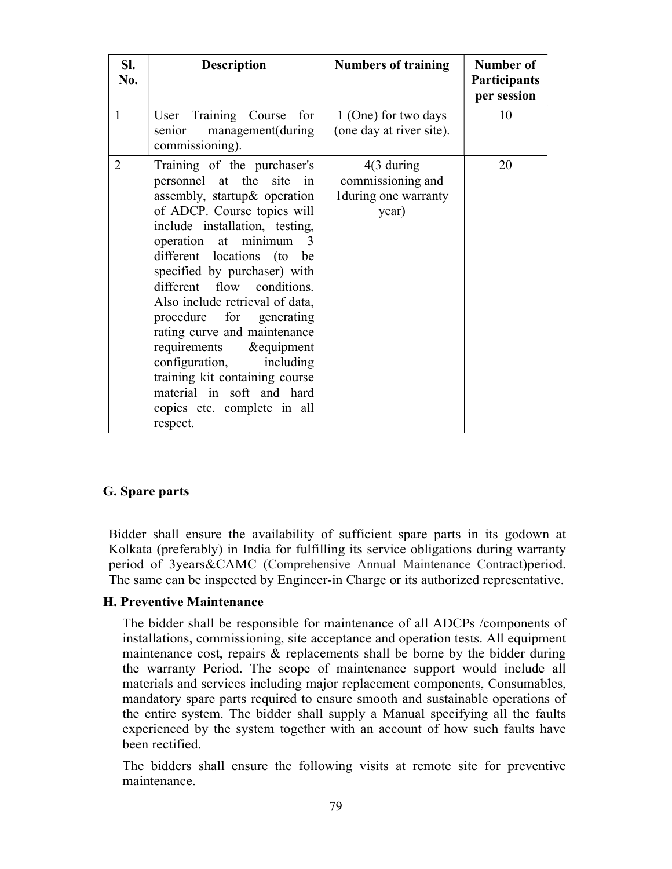| SI.<br>No.     | <b>Description</b>                                                                                                                                                                                                                                                                                                                                                                                                                                                                                                                                                     | <b>Numbers of training</b>                                                    | Number of<br><b>Participants</b><br>per session |
|----------------|------------------------------------------------------------------------------------------------------------------------------------------------------------------------------------------------------------------------------------------------------------------------------------------------------------------------------------------------------------------------------------------------------------------------------------------------------------------------------------------------------------------------------------------------------------------------|-------------------------------------------------------------------------------|-------------------------------------------------|
| $\mathbf{1}$   | User Training Course<br>for<br>senior management(during<br>commissioning).                                                                                                                                                                                                                                                                                                                                                                                                                                                                                             | 1 (One) for two days<br>(one day at river site).                              | 10                                              |
| $\overline{2}$ | Training of the purchaser's<br>personnel at the site in<br>assembly, startup& operation<br>of ADCP. Course topics will<br>include installation, testing,<br>operation at minimum<br>$\mathcal{R}$<br>different locations (to<br>be<br>specified by purchaser) with<br>different flow conditions.<br>Also include retrieval of data,<br>procedure for generating<br>rating curve and maintenance<br>requirements<br>&equipment<br>configuration,<br>including<br>training kit containing course<br>material in soft and hard<br>copies etc. complete in all<br>respect. | $4(3 \, \text{during})$<br>commissioning and<br>1during one warranty<br>year) | 20                                              |

#### G. Spare parts

Bidder shall ensure the availability of sufficient spare parts in its godown at Kolkata (preferably) in India for fulfilling its service obligations during warranty period of 3years&CAMC (Comprehensive Annual Maintenance Contract)period. The same can be inspected by Engineer-in Charge or its authorized representative.

#### H. Preventive Maintenance

The bidder shall be responsible for maintenance of all ADCPs /components of installations, commissioning, site acceptance and operation tests. All equipment maintenance cost, repairs & replacements shall be borne by the bidder during the warranty Period. The scope of maintenance support would include all materials and services including major replacement components, Consumables, mandatory spare parts required to ensure smooth and sustainable operations of the entire system. The bidder shall supply a Manual specifying all the faults experienced by the system together with an account of how such faults have been rectified.

The bidders shall ensure the following visits at remote site for preventive maintenance.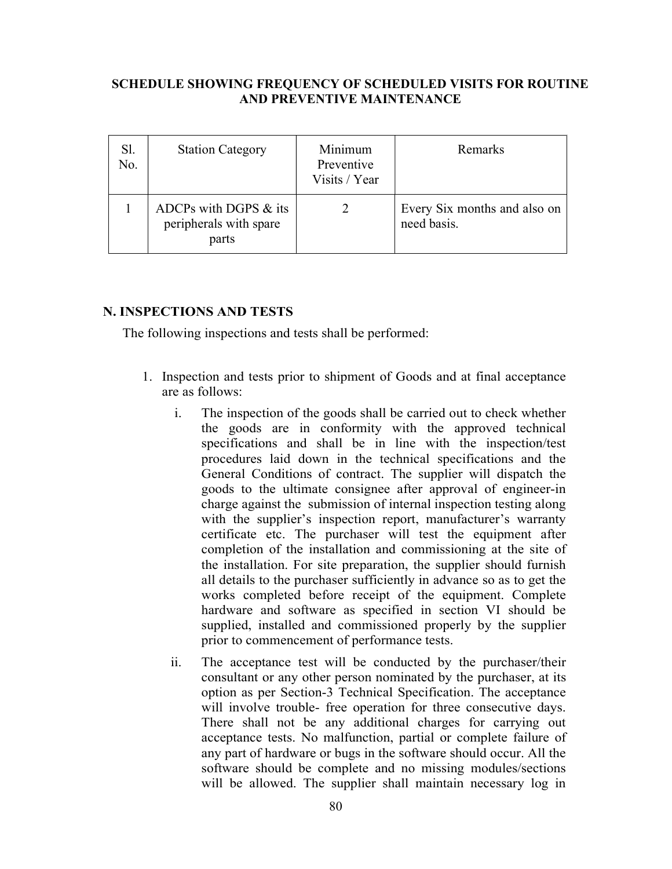#### SCHEDULE SHOWING FREQUENCY OF SCHEDULED VISITS FOR ROUTINE AND PREVENTIVE MAINTENANCE

| Sl.<br>No. | <b>Station Category</b>                                  | Minimum<br>Preventive<br>Visits / Year | Remarks                                     |
|------------|----------------------------------------------------------|----------------------------------------|---------------------------------------------|
|            | ADCPs with DGPS & its<br>peripherals with spare<br>parts |                                        | Every Six months and also on<br>need basis. |

#### N. INSPECTIONS AND TESTS

The following inspections and tests shall be performed:

- 1. Inspection and tests prior to shipment of Goods and at final acceptance are as follows:
	- i. The inspection of the goods shall be carried out to check whether the goods are in conformity with the approved technical specifications and shall be in line with the inspection/test procedures laid down in the technical specifications and the General Conditions of contract. The supplier will dispatch the goods to the ultimate consignee after approval of engineer-in charge against the submission of internal inspection testing along with the supplier's inspection report, manufacturer's warranty certificate etc. The purchaser will test the equipment after completion of the installation and commissioning at the site of the installation. For site preparation, the supplier should furnish all details to the purchaser sufficiently in advance so as to get the works completed before receipt of the equipment. Complete hardware and software as specified in section VI should be supplied, installed and commissioned properly by the supplier prior to commencement of performance tests.
	- ii. The acceptance test will be conducted by the purchaser/their consultant or any other person nominated by the purchaser, at its option as per Section-3 Technical Specification. The acceptance will involve trouble- free operation for three consecutive days. There shall not be any additional charges for carrying out acceptance tests. No malfunction, partial or complete failure of any part of hardware or bugs in the software should occur. All the software should be complete and no missing modules/sections will be allowed. The supplier shall maintain necessary log in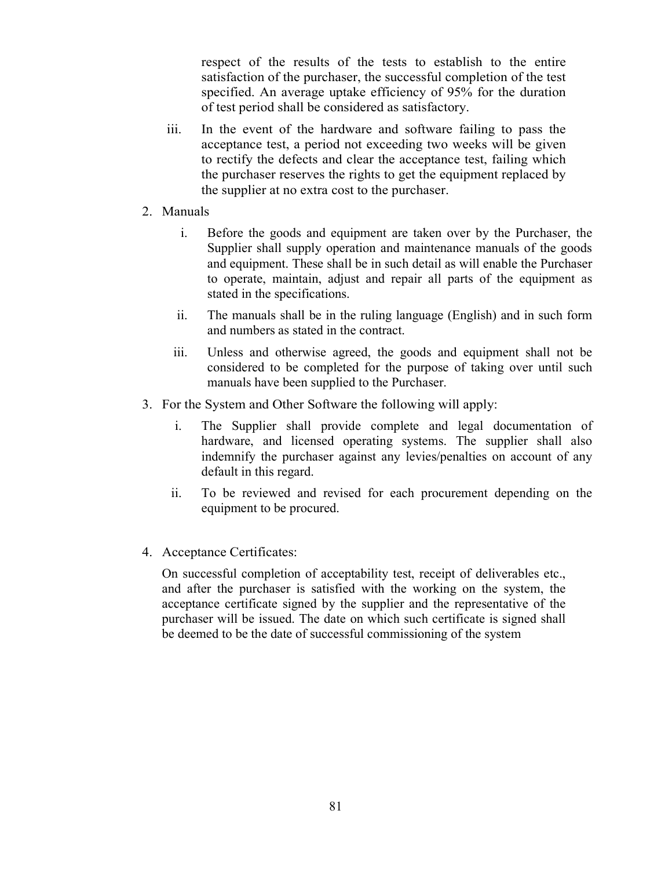respect of the results of the tests to establish to the entire satisfaction of the purchaser, the successful completion of the test specified. An average uptake efficiency of 95% for the duration of test period shall be considered as satisfactory.

- iii. In the event of the hardware and software failing to pass the acceptance test, a period not exceeding two weeks will be given to rectify the defects and clear the acceptance test, failing which the purchaser reserves the rights to get the equipment replaced by the supplier at no extra cost to the purchaser.
- 2. Manuals
	- i. Before the goods and equipment are taken over by the Purchaser, the Supplier shall supply operation and maintenance manuals of the goods and equipment. These shall be in such detail as will enable the Purchaser to operate, maintain, adjust and repair all parts of the equipment as stated in the specifications.
	- ii. The manuals shall be in the ruling language (English) and in such form and numbers as stated in the contract.
	- iii. Unless and otherwise agreed, the goods and equipment shall not be considered to be completed for the purpose of taking over until such manuals have been supplied to the Purchaser.
- 3. For the System and Other Software the following will apply:
	- i. The Supplier shall provide complete and legal documentation of hardware, and licensed operating systems. The supplier shall also indemnify the purchaser against any levies/penalties on account of any default in this regard.
	- ii. To be reviewed and revised for each procurement depending on the equipment to be procured.
- 4. Acceptance Certificates:

On successful completion of acceptability test, receipt of deliverables etc., and after the purchaser is satisfied with the working on the system, the acceptance certificate signed by the supplier and the representative of the purchaser will be issued. The date on which such certificate is signed shall be deemed to be the date of successful commissioning of the system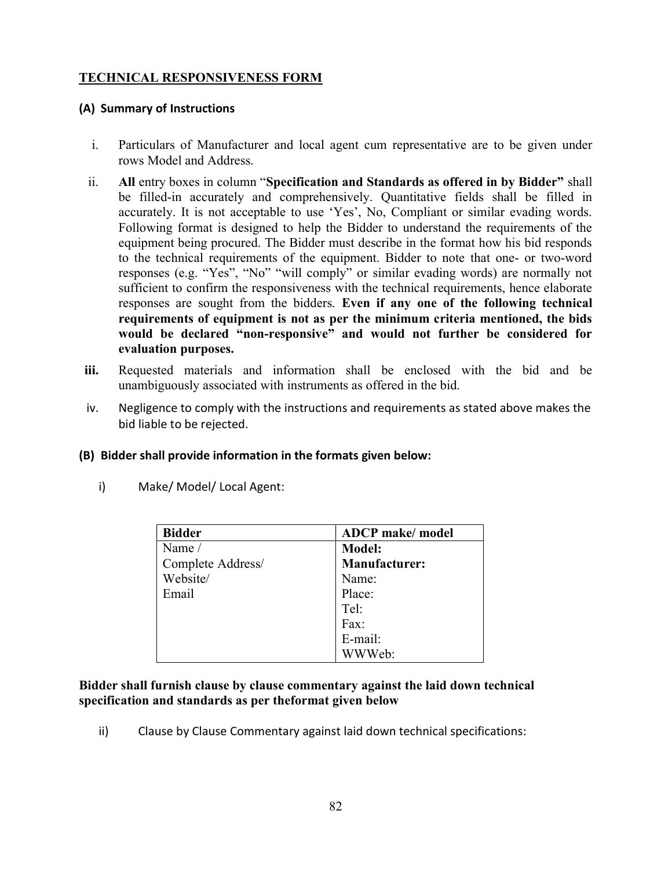## TECHNICAL RESPONSIVENESS FORM

### (A) Summary of Instructions

- i. Particulars of Manufacturer and local agent cum representative are to be given under rows Model and Address.
- ii. All entry boxes in column "Specification and Standards as offered in by Bidder" shall be filled-in accurately and comprehensively. Quantitative fields shall be filled in accurately. It is not acceptable to use 'Yes', No, Compliant or similar evading words. Following format is designed to help the Bidder to understand the requirements of the equipment being procured. The Bidder must describe in the format how his bid responds to the technical requirements of the equipment. Bidder to note that one- or two-word responses (e.g. "Yes", "No" "will comply" or similar evading words) are normally not sufficient to confirm the responsiveness with the technical requirements, hence elaborate responses are sought from the bidders. Even if any one of the following technical requirements of equipment is not as per the minimum criteria mentioned, the bids would be declared "non-responsive" and would not further be considered for evaluation purposes.
- iii. Requested materials and information shall be enclosed with the bid and be unambiguously associated with instruments as offered in the bid.
- iv. Negligence to comply with the instructions and requirements as stated above makes the bid liable to be rejected.

#### (B) Bidder shall provide information in the formats given below:

| <b>Bidder</b>     | <b>ADCP</b> make/ model |
|-------------------|-------------------------|
| Name /            | <b>Model:</b>           |
| Complete Address/ | <b>Manufacturer:</b>    |
| Website/          | Name:                   |
| Email             | Place:                  |
|                   | Tel:                    |
|                   | Fax:                    |
|                   | E-mail:                 |
|                   | WWeb:                   |

i) Make/ Model/ Local Agent:

#### Bidder shall furnish clause by clause commentary against the laid down technical specification and standards as per theformat given below

ii) Clause by Clause Commentary against laid down technical specifications: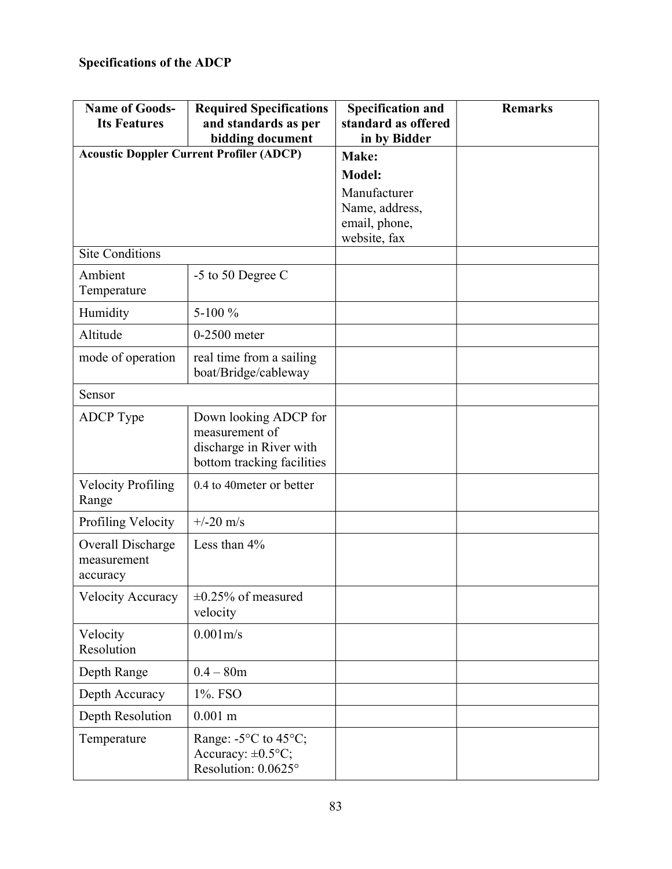| <b>Name of Goods-</b><br><b>Its Features</b> | <b>Required Specifications</b><br>and standards as per<br>bidding document                       | <b>Specification and</b><br>standard as offered<br>in by Bidder | <b>Remarks</b> |
|----------------------------------------------|--------------------------------------------------------------------------------------------------|-----------------------------------------------------------------|----------------|
|                                              | <b>Acoustic Doppler Current Profiler (ADCP)</b>                                                  | Make:                                                           |                |
|                                              |                                                                                                  | <b>Model:</b>                                                   |                |
|                                              |                                                                                                  | Manufacturer                                                    |                |
|                                              |                                                                                                  | Name, address,                                                  |                |
|                                              |                                                                                                  | email, phone,<br>website, fax                                   |                |
| <b>Site Conditions</b>                       |                                                                                                  |                                                                 |                |
| Ambient<br>Temperature                       | -5 to 50 Degree C                                                                                |                                                                 |                |
| Humidity                                     | 5-100 %                                                                                          |                                                                 |                |
| Altitude                                     | $0-2500$ meter                                                                                   |                                                                 |                |
| mode of operation                            | real time from a sailing<br>boat/Bridge/cableway                                                 |                                                                 |                |
| Sensor                                       |                                                                                                  |                                                                 |                |
| ADCP Type                                    | Down looking ADCP for<br>measurement of<br>discharge in River with<br>bottom tracking facilities |                                                                 |                |
| <b>Velocity Profiling</b><br>Range           | 0.4 to 40 meter or better                                                                        |                                                                 |                |
| Profiling Velocity                           | $+/-20$ m/s                                                                                      |                                                                 |                |
| Overall Discharge<br>measurement<br>accuracy | Less than $4\%$                                                                                  |                                                                 |                |
| <b>Velocity Accuracy</b>                     | $\pm 0.25\%$ of measured<br>velocity                                                             |                                                                 |                |
| Velocity<br>Resolution                       | 0.001m/s                                                                                         |                                                                 |                |
| Depth Range                                  | $0.4 - 80m$                                                                                      |                                                                 |                |
| Depth Accuracy                               | 1%. FSO                                                                                          |                                                                 |                |
| Depth Resolution                             | $0.001$ m                                                                                        |                                                                 |                |
| Temperature                                  | Range: $-5^{\circ}$ C to $45^{\circ}$ C;<br>Accuracy: $\pm 0.5$ °C;<br>Resolution: 0.0625°       |                                                                 |                |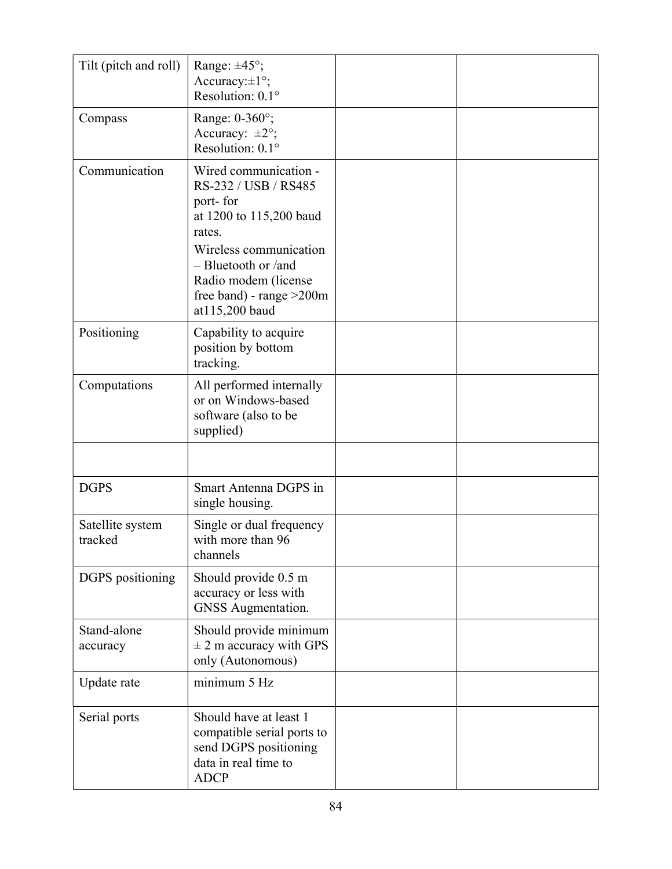| Tilt (pitch and roll)       | Range: $\pm 45^\circ$ ;<br>Accuracy: $\pm 1^{\circ}$ ;<br>Resolution: 0.1°                                                                                                                                                 |  |
|-----------------------------|----------------------------------------------------------------------------------------------------------------------------------------------------------------------------------------------------------------------------|--|
| Compass                     | Range: 0-360°;<br>Accuracy: $\pm 2^{\circ}$ ;<br>Resolution: $0.1^\circ$                                                                                                                                                   |  |
| Communication               | Wired communication -<br>RS-232 / USB / RS485<br>port-for<br>at 1200 to 115,200 baud<br>rates.<br>Wireless communication<br>$-$ Bluetooth or /and<br>Radio modem (license<br>free band) - range $>200$ m<br>at115,200 baud |  |
| Positioning                 | Capability to acquire<br>position by bottom<br>tracking.                                                                                                                                                                   |  |
| Computations                | All performed internally<br>or on Windows-based<br>software (also to be<br>supplied)                                                                                                                                       |  |
|                             |                                                                                                                                                                                                                            |  |
| <b>DGPS</b>                 | Smart Antenna DGPS in<br>single housing.                                                                                                                                                                                   |  |
| Satellite system<br>tracked | Single or dual frequency<br>with more than 96<br>channels                                                                                                                                                                  |  |
| DGPS positioning            | Should provide 0.5 m<br>accuracy or less with<br><b>GNSS</b> Augmentation.                                                                                                                                                 |  |
| Stand-alone<br>accuracy     | Should provide minimum<br>$\pm$ 2 m accuracy with GPS<br>only (Autonomous)                                                                                                                                                 |  |
| Update rate                 | minimum 5 Hz                                                                                                                                                                                                               |  |
| Serial ports                | Should have at least 1<br>compatible serial ports to<br>send DGPS positioning<br>data in real time to<br><b>ADCP</b>                                                                                                       |  |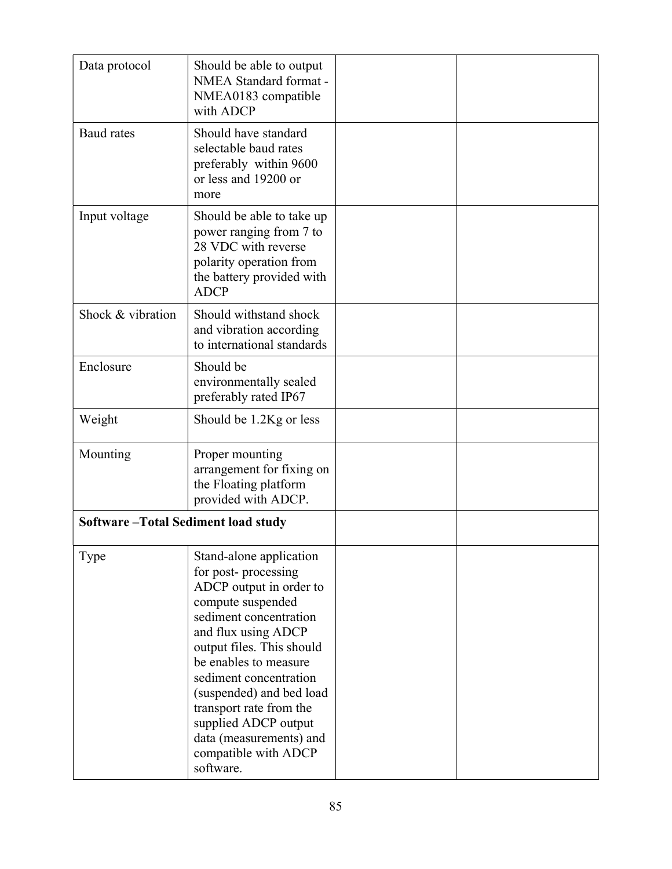| Data protocol                             | Should be able to output<br>NMEA Standard format -<br>NMEA0183 compatible<br>with ADCP                                                                                                                                                                                                                                                                                         |  |
|-------------------------------------------|--------------------------------------------------------------------------------------------------------------------------------------------------------------------------------------------------------------------------------------------------------------------------------------------------------------------------------------------------------------------------------|--|
| <b>Baud</b> rates                         | Should have standard<br>selectable baud rates<br>preferably within 9600<br>or less and 19200 or<br>more                                                                                                                                                                                                                                                                        |  |
| Input voltage                             | Should be able to take up<br>power ranging from 7 to<br>28 VDC with reverse<br>polarity operation from<br>the battery provided with<br><b>ADCP</b>                                                                                                                                                                                                                             |  |
| Shock & vibration                         | Should withstand shock<br>and vibration according<br>to international standards                                                                                                                                                                                                                                                                                                |  |
| Enclosure                                 | Should be<br>environmentally sealed<br>preferably rated IP67                                                                                                                                                                                                                                                                                                                   |  |
| Weight                                    | Should be 1.2Kg or less                                                                                                                                                                                                                                                                                                                                                        |  |
| Mounting                                  | Proper mounting<br>arrangement for fixing on<br>the Floating platform<br>provided with ADCP.                                                                                                                                                                                                                                                                                   |  |
| <b>Software-Total Sediment load study</b> |                                                                                                                                                                                                                                                                                                                                                                                |  |
| Type                                      | Stand-alone application<br>for post-processing<br>ADCP output in order to<br>compute suspended<br>sediment concentration<br>and flux using ADCP<br>output files. This should<br>be enables to measure<br>sediment concentration<br>(suspended) and bed load<br>transport rate from the<br>supplied ADCP output<br>data (measurements) and<br>compatible with ADCP<br>software. |  |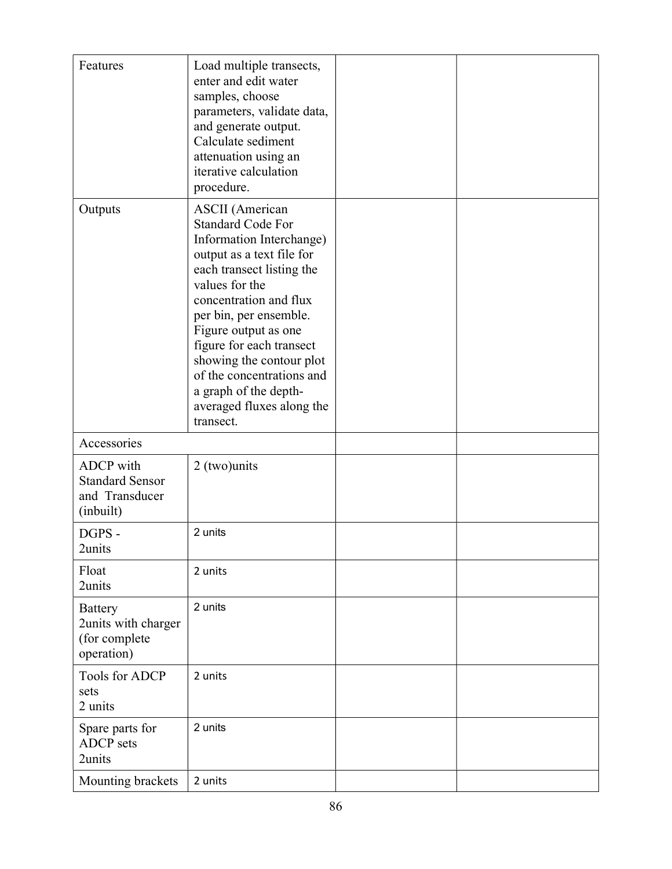| Features                                                             | Load multiple transects,<br>enter and edit water<br>samples, choose<br>parameters, validate data,<br>and generate output.<br>Calculate sediment<br>attenuation using an<br>iterative calculation<br>procedure.                                                                                                                                                                                 |  |
|----------------------------------------------------------------------|------------------------------------------------------------------------------------------------------------------------------------------------------------------------------------------------------------------------------------------------------------------------------------------------------------------------------------------------------------------------------------------------|--|
| Outputs                                                              | <b>ASCII</b> (American<br><b>Standard Code For</b><br>Information Interchange)<br>output as a text file for<br>each transect listing the<br>values for the<br>concentration and flux<br>per bin, per ensemble.<br>Figure output as one<br>figure for each transect<br>showing the contour plot<br>of the concentrations and<br>a graph of the depth-<br>averaged fluxes along the<br>transect. |  |
| Accessories                                                          |                                                                                                                                                                                                                                                                                                                                                                                                |  |
| ADCP with<br><b>Standard Sensor</b><br>and Transducer<br>(inbuilt)   | 2 (two)units                                                                                                                                                                                                                                                                                                                                                                                   |  |
| DGPS -<br>2units                                                     | 2 units                                                                                                                                                                                                                                                                                                                                                                                        |  |
| Float<br>2units                                                      | 2 units                                                                                                                                                                                                                                                                                                                                                                                        |  |
| <b>Battery</b><br>2units with charger<br>(for complete<br>operation) | 2 units                                                                                                                                                                                                                                                                                                                                                                                        |  |
| <b>Tools for ADCP</b><br>sets<br>2 units                             | 2 units                                                                                                                                                                                                                                                                                                                                                                                        |  |
| Spare parts for<br><b>ADCP</b> sets<br>2units                        | 2 units                                                                                                                                                                                                                                                                                                                                                                                        |  |
| Mounting brackets                                                    | 2 units                                                                                                                                                                                                                                                                                                                                                                                        |  |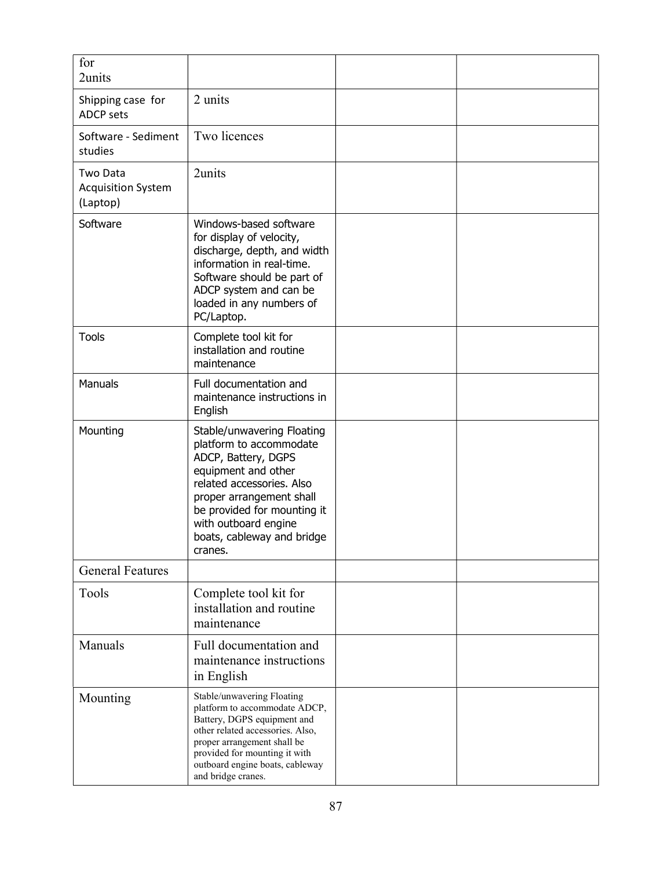| for<br>2units                                     |                                                                                                                                                                                                                                                              |  |
|---------------------------------------------------|--------------------------------------------------------------------------------------------------------------------------------------------------------------------------------------------------------------------------------------------------------------|--|
| Shipping case for<br><b>ADCP sets</b>             | 2 units                                                                                                                                                                                                                                                      |  |
| Software - Sediment<br>studies                    | Two licences                                                                                                                                                                                                                                                 |  |
| Two Data<br><b>Acquisition System</b><br>(Laptop) | 2units                                                                                                                                                                                                                                                       |  |
| Software                                          | Windows-based software<br>for display of velocity,<br>discharge, depth, and width<br>information in real-time.<br>Software should be part of<br>ADCP system and can be<br>loaded in any numbers of<br>PC/Laptop.                                             |  |
| <b>Tools</b>                                      | Complete tool kit for<br>installation and routine<br>maintenance                                                                                                                                                                                             |  |
| Manuals                                           | Full documentation and<br>maintenance instructions in<br>English                                                                                                                                                                                             |  |
| Mounting                                          | Stable/unwavering Floating<br>platform to accommodate<br>ADCP, Battery, DGPS<br>equipment and other<br>related accessories. Also<br>proper arrangement shall<br>be provided for mounting it<br>with outboard engine<br>boats, cableway and bridge<br>cranes. |  |
| <b>General Features</b>                           |                                                                                                                                                                                                                                                              |  |
| Tools                                             | Complete tool kit for<br>installation and routine<br>maintenance                                                                                                                                                                                             |  |
| Manuals                                           | Full documentation and<br>maintenance instructions<br>in English                                                                                                                                                                                             |  |
| Mounting                                          | Stable/unwavering Floating<br>platform to accommodate ADCP,<br>Battery, DGPS equipment and<br>other related accessories. Also,<br>proper arrangement shall be<br>provided for mounting it with<br>outboard engine boats, cableway<br>and bridge cranes.      |  |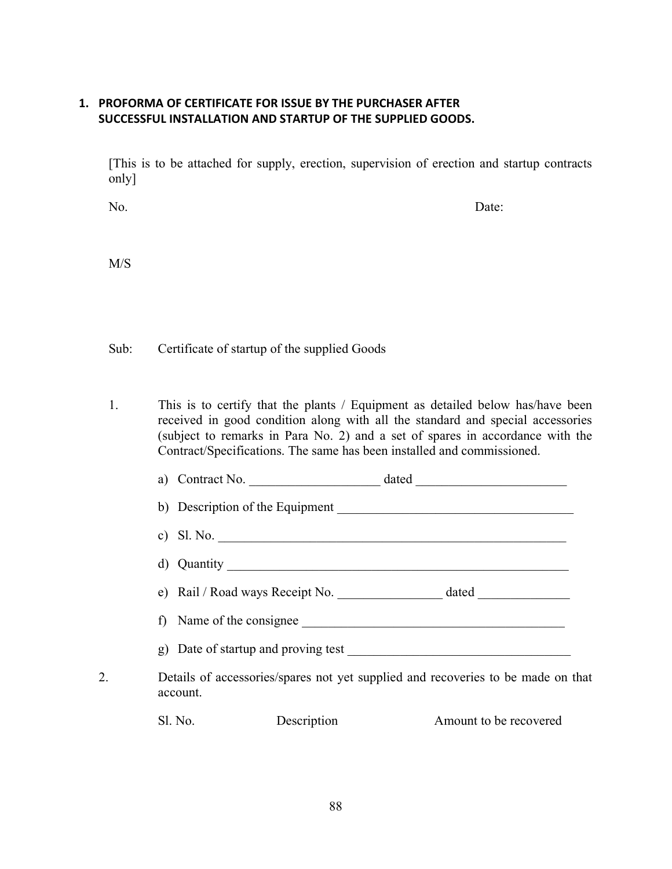### 1. PROFORMA OF CERTIFICATE FOR ISSUE BY THE PURCHASER AFTER SUCCESSFUL INSTALLATION AND STARTUP OF THE SUPPLIED GOODS.

[This is to be attached for supply, erection, supervision of erection and startup contracts only]

No. Date:

M/S

Sub: Certificate of startup of the supplied Goods

1. This is to certify that the plants / Equipment as detailed below has/have been received in good condition along with all the standard and special accessories (subject to remarks in Para No. 2) and a set of spares in accordance with the Contract/Specifications. The same has been installed and commissioned.

| Contract No.<br>a)                     | dated |
|----------------------------------------|-------|
| b) Description of the Equipment        |       |
| c) Sl. No.                             |       |
| d) Quantity                            |       |
| e) Rail / Road ways Receipt No.        |       |
| Name of the consignee                  |       |
| Date of startup and proving test<br>g) |       |

2. Details of accessories/spares not yet supplied and recoveries to be made on that account.

| Sl. No.<br>Description | Amount to be recovered |
|------------------------|------------------------|
|------------------------|------------------------|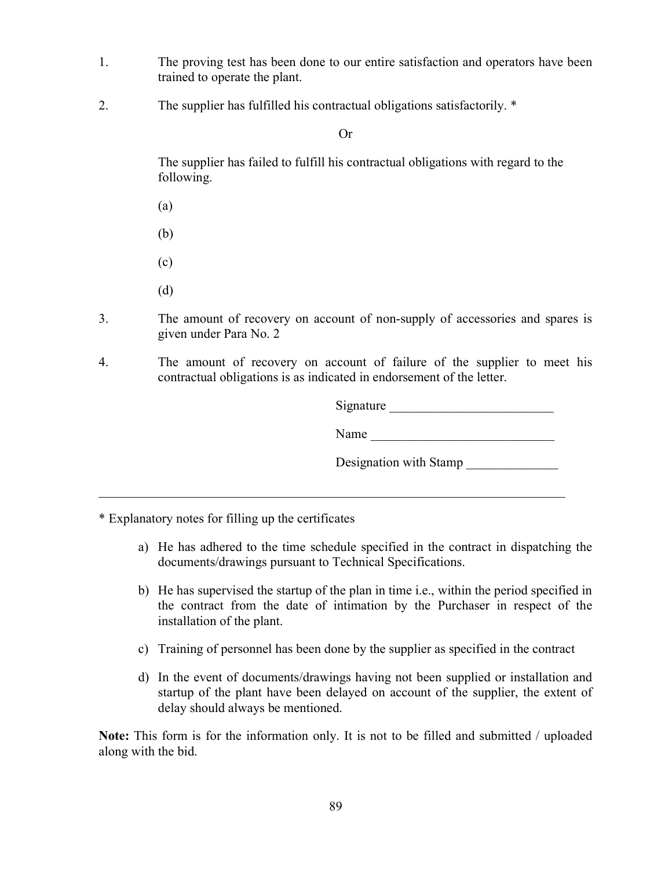- 1. The proving test has been done to our entire satisfaction and operators have been trained to operate the plant.
- 2. The supplier has fulfilled his contractual obligations satisfactorily. \*

Or

 The supplier has failed to fulfill his contractual obligations with regard to the following.

(a)

(b)

(c)

(d)

- 3. The amount of recovery on account of non-supply of accessories and spares is given under Para No. 2
- 4. The amount of recovery on account of failure of the supplier to meet his contractual obligations is as indicated in endorsement of the letter.

Signature

Name

Designation with Stamp

\* Explanatory notes for filling up the certificates

- a) He has adhered to the time schedule specified in the contract in dispatching the documents/drawings pursuant to Technical Specifications.
- b) He has supervised the startup of the plan in time i.e., within the period specified in the contract from the date of intimation by the Purchaser in respect of the installation of the plant.
- c) Training of personnel has been done by the supplier as specified in the contract
- d) In the event of documents/drawings having not been supplied or installation and startup of the plant have been delayed on account of the supplier, the extent of delay should always be mentioned.

Note: This form is for the information only. It is not to be filled and submitted / uploaded along with the bid.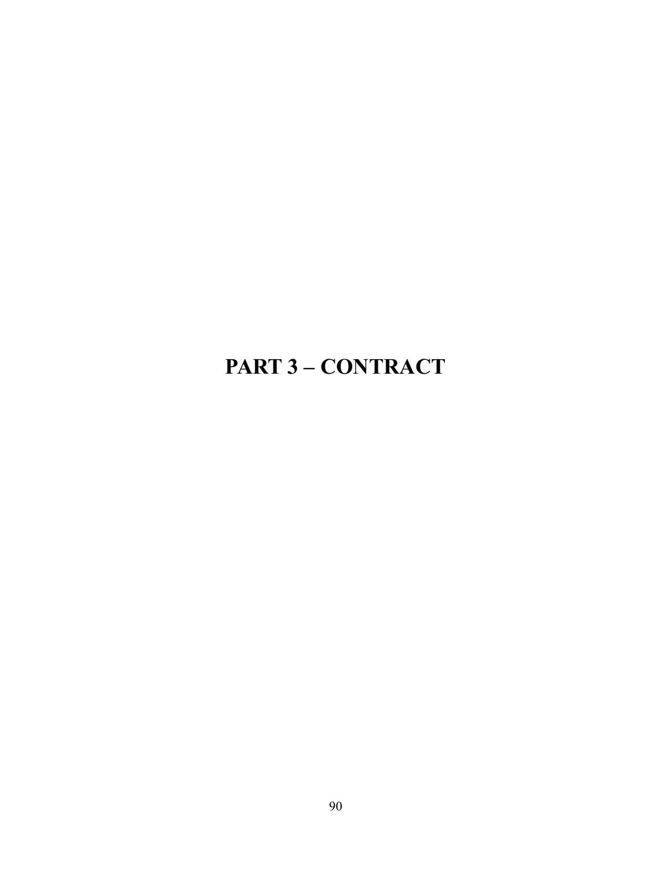# PART 3 – CONTRACT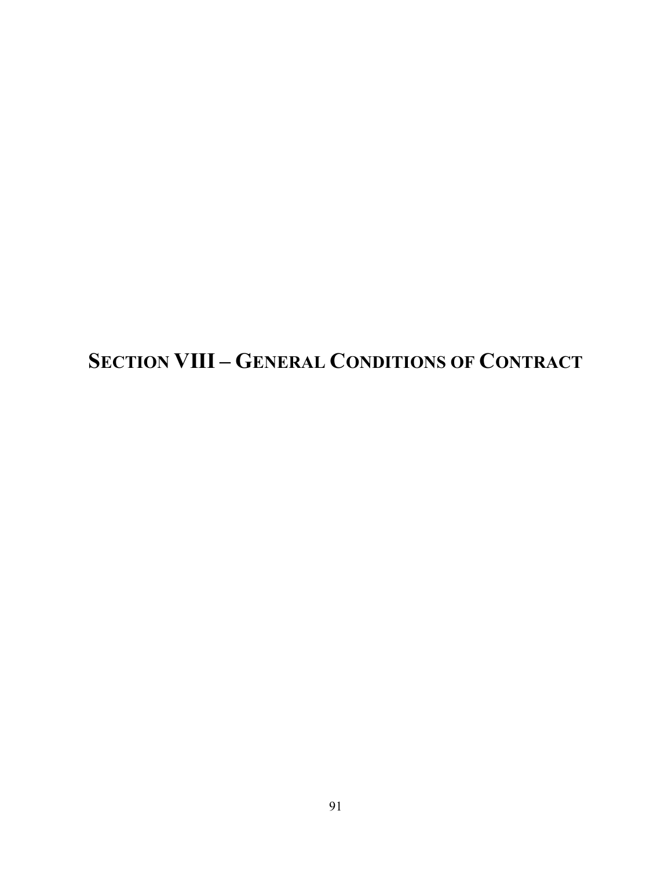SECTION VIII – GENERAL CONDITIONS OF CONTRACT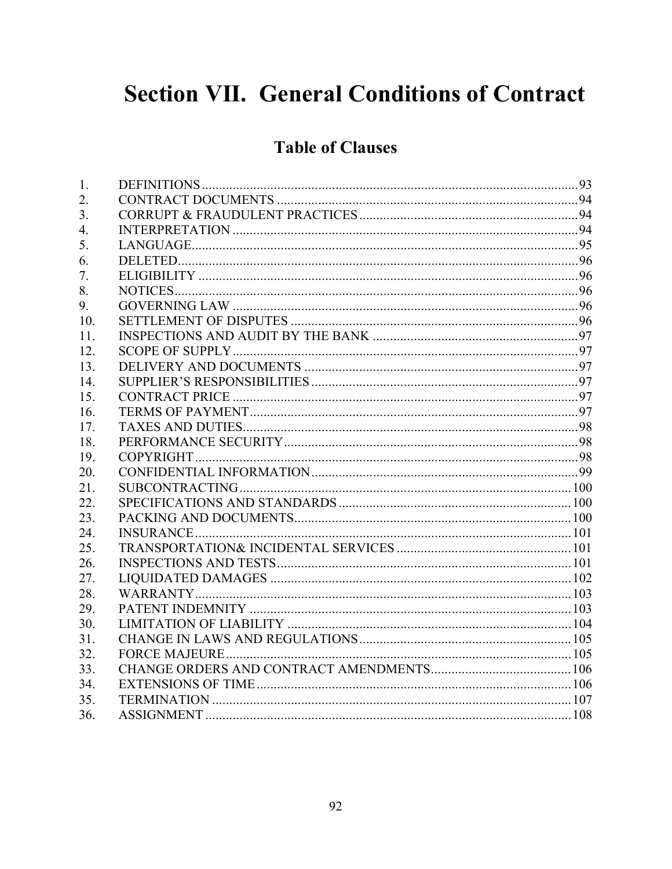# **Section VII. General Conditions of Contract**

# **Table of Clauses**

| 1.  |  |
|-----|--|
| 2.  |  |
| 3.  |  |
| 4.  |  |
| 5.  |  |
| 6.  |  |
| 7.  |  |
| 8.  |  |
| 9.  |  |
| 10. |  |
| 11. |  |
| 12. |  |
| 13. |  |
| 14. |  |
| 15. |  |
| 16. |  |
| 17. |  |
| 18. |  |
| 19. |  |
| 20. |  |
| 21. |  |
| 22. |  |
| 23. |  |
| 24. |  |
| 25. |  |
| 26. |  |
| 27. |  |
| 28. |  |
| 29. |  |
| 30. |  |
| 31. |  |
| 32. |  |
| 33. |  |
| 34. |  |
| 35. |  |
| 36. |  |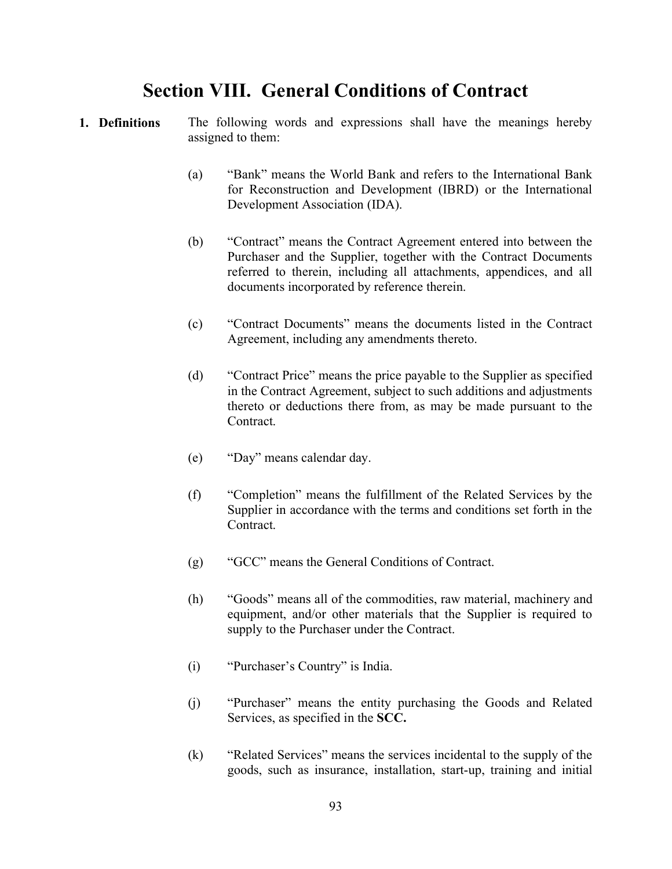## Section VIII. General Conditions of Contract

- 1. Definitions The following words and expressions shall have the meanings hereby assigned to them:
	- (a) "Bank" means the World Bank and refers to the International Bank for Reconstruction and Development (IBRD) or the International Development Association (IDA).
	- (b) "Contract" means the Contract Agreement entered into between the Purchaser and the Supplier, together with the Contract Documents referred to therein, including all attachments, appendices, and all documents incorporated by reference therein.
	- (c) "Contract Documents" means the documents listed in the Contract Agreement, including any amendments thereto.
	- (d) "Contract Price" means the price payable to the Supplier as specified in the Contract Agreement, subject to such additions and adjustments thereto or deductions there from, as may be made pursuant to the Contract.
	- (e) "Day" means calendar day.
	- (f) "Completion" means the fulfillment of the Related Services by the Supplier in accordance with the terms and conditions set forth in the Contract.
	- (g) "GCC" means the General Conditions of Contract.
	- (h) "Goods" means all of the commodities, raw material, machinery and equipment, and/or other materials that the Supplier is required to supply to the Purchaser under the Contract.
	- (i) "Purchaser's Country" is India.
	- (j) "Purchaser" means the entity purchasing the Goods and Related Services, as specified in the SCC.
	- (k) "Related Services" means the services incidental to the supply of the goods, such as insurance, installation, start-up, training and initial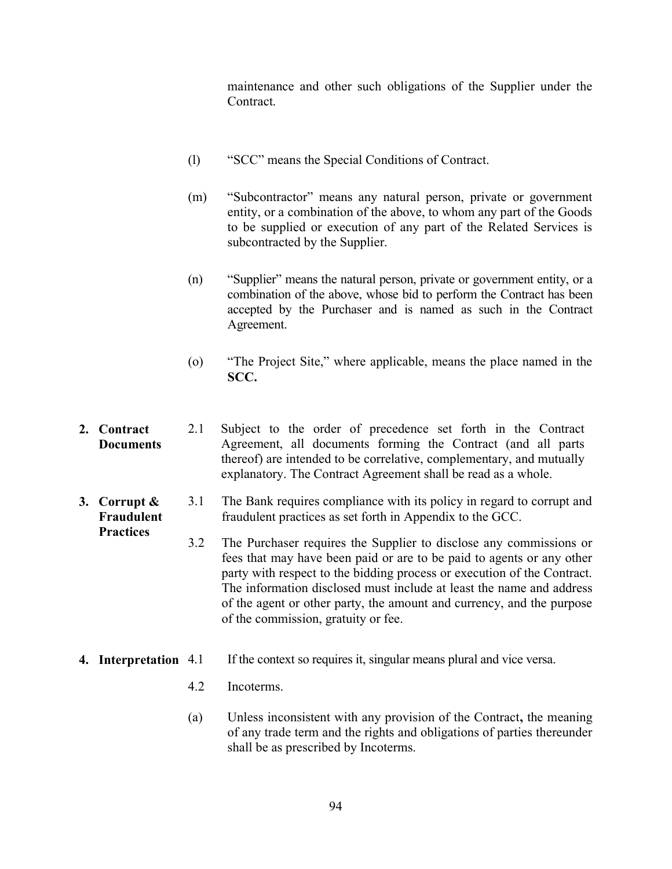maintenance and other such obligations of the Supplier under the Contract.

- (l) "SCC" means the Special Conditions of Contract.
- (m) "Subcontractor" means any natural person, private or government entity, or a combination of the above, to whom any part of the Goods to be supplied or execution of any part of the Related Services is subcontracted by the Supplier.
- (n) "Supplier" means the natural person, private or government entity, or a combination of the above, whose bid to perform the Contract has been accepted by the Purchaser and is named as such in the Contract Agreement.
- (o) "The Project Site," where applicable, means the place named in the SCC.
- 2. Contract **Documents** 2.1 Subject to the order of precedence set forth in the Contract Agreement, all documents forming the Contract (and all parts thereof) are intended to be correlative, complementary, and mutually explanatory. The Contract Agreement shall be read as a whole.
- 3. Corrupt & Fraudulent 3.1 The Bank requires compliance with its policy in regard to corrupt and fraudulent practices as set forth in Appendix to the GCC.
	- 3.2 The Purchaser requires the Supplier to disclose any commissions or fees that may have been paid or are to be paid to agents or any other party with respect to the bidding process or execution of the Contract. The information disclosed must include at least the name and address of the agent or other party, the amount and currency, and the purpose of the commission, gratuity or fee.
- 4. Interpretation 4.1 If the context so requires it, singular means plural and vice versa.
	- 4.2 Incoterms.

**Practices** 

(a) Unless inconsistent with any provision of the Contract, the meaning of any trade term and the rights and obligations of parties thereunder shall be as prescribed by Incoterms.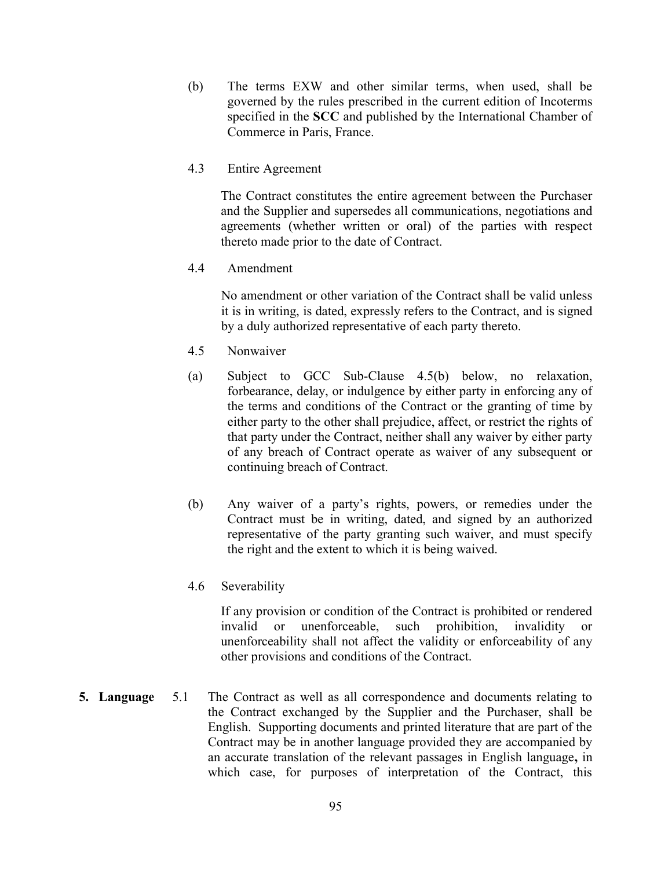- (b) The terms EXW and other similar terms, when used, shall be governed by the rules prescribed in the current edition of Incoterms specified in the SCC and published by the International Chamber of Commerce in Paris, France.
- 4.3 Entire Agreement

The Contract constitutes the entire agreement between the Purchaser and the Supplier and supersedes all communications, negotiations and agreements (whether written or oral) of the parties with respect thereto made prior to the date of Contract.

4.4 Amendment

No amendment or other variation of the Contract shall be valid unless it is in writing, is dated, expressly refers to the Contract, and is signed by a duly authorized representative of each party thereto.

- 4.5 Nonwaiver
- (a) Subject to GCC Sub-Clause 4.5(b) below, no relaxation, forbearance, delay, or indulgence by either party in enforcing any of the terms and conditions of the Contract or the granting of time by either party to the other shall prejudice, affect, or restrict the rights of that party under the Contract, neither shall any waiver by either party of any breach of Contract operate as waiver of any subsequent or continuing breach of Contract.
- (b) Any waiver of a party's rights, powers, or remedies under the Contract must be in writing, dated, and signed by an authorized representative of the party granting such waiver, and must specify the right and the extent to which it is being waived.
- 4.6 Severability

If any provision or condition of the Contract is prohibited or rendered invalid or unenforceable, such prohibition, invalidity or unenforceability shall not affect the validity or enforceability of any other provisions and conditions of the Contract.

5. Language 5.1 The Contract as well as all correspondence and documents relating to the Contract exchanged by the Supplier and the Purchaser, shall be English. Supporting documents and printed literature that are part of the Contract may be in another language provided they are accompanied by an accurate translation of the relevant passages in English language, in which case, for purposes of interpretation of the Contract, this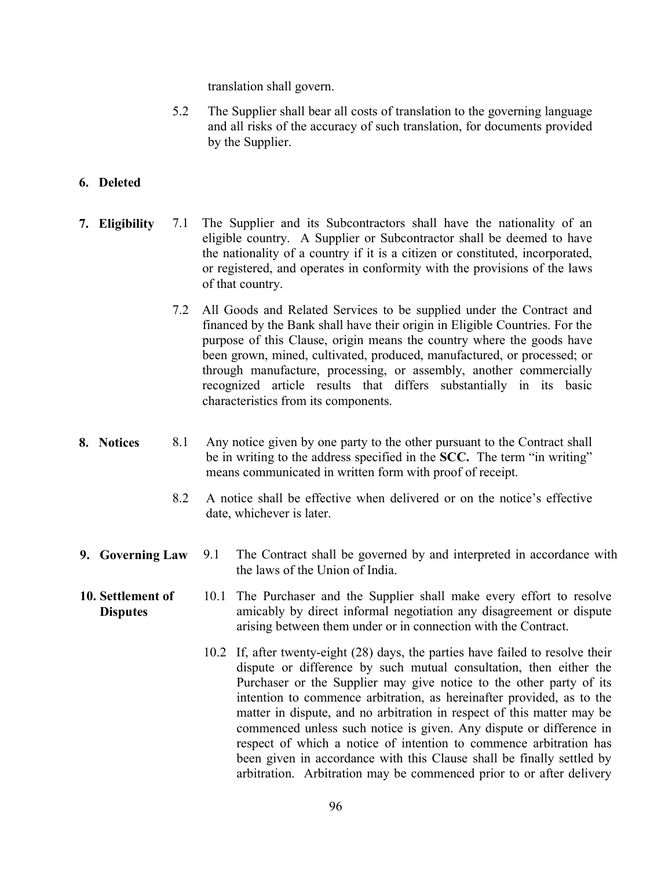translation shall govern.

5.2 The Supplier shall bear all costs of translation to the governing language and all risks of the accuracy of such translation, for documents provided by the Supplier.

### 6. Deleted

- 7. Eligibility 7.1 The Supplier and its Subcontractors shall have the nationality of an eligible country. A Supplier or Subcontractor shall be deemed to have the nationality of a country if it is a citizen or constituted, incorporated, or registered, and operates in conformity with the provisions of the laws of that country.
	- 7.2 All Goods and Related Services to be supplied under the Contract and financed by the Bank shall have their origin in Eligible Countries. For the purpose of this Clause, origin means the country where the goods have been grown, mined, cultivated, produced, manufactured, or processed; or through manufacture, processing, or assembly, another commercially recognized article results that differs substantially in its basic characteristics from its components.
- 8. Notices 8.1 Any notice given by one party to the other pursuant to the Contract shall be in writing to the address specified in the SCC. The term "in writing" means communicated in written form with proof of receipt.
	- 8.2 A notice shall be effective when delivered or on the notice's effective date, whichever is later.
- 9. Governing Law 9.1 The Contract shall be governed by and interpreted in accordance with the laws of the Union of India.
- 10. Settlement of **Disputes** 10.1 The Purchaser and the Supplier shall make every effort to resolve amicably by direct informal negotiation any disagreement or dispute arising between them under or in connection with the Contract.
	- 10.2 If, after twenty-eight (28) days, the parties have failed to resolve their dispute or difference by such mutual consultation, then either the Purchaser or the Supplier may give notice to the other party of its intention to commence arbitration, as hereinafter provided, as to the matter in dispute, and no arbitration in respect of this matter may be commenced unless such notice is given. Any dispute or difference in respect of which a notice of intention to commence arbitration has been given in accordance with this Clause shall be finally settled by arbitration. Arbitration may be commenced prior to or after delivery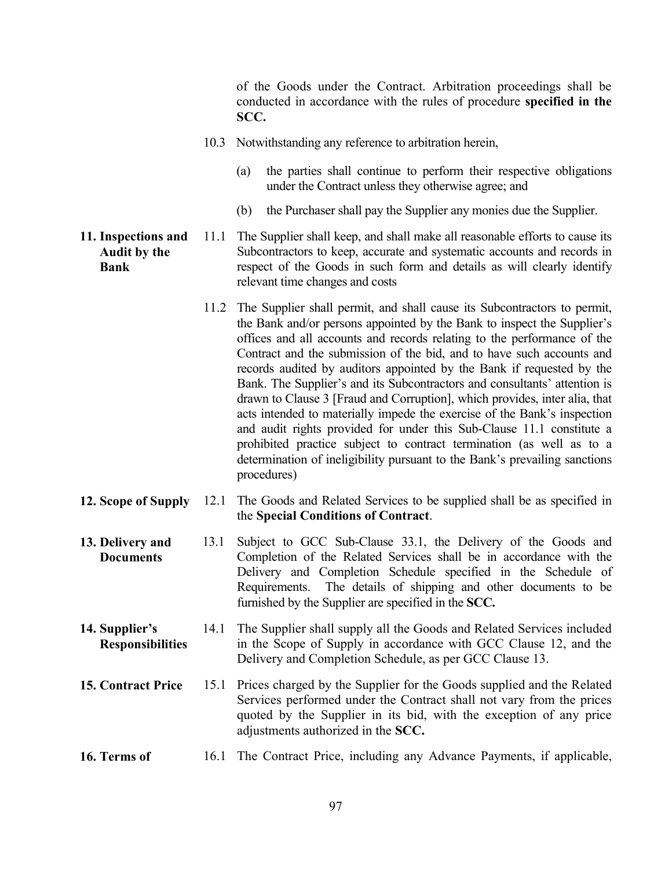of the Goods under the Contract. Arbitration proceedings shall be conducted in accordance with the rules of procedure specified in the SCC.

- 10.3 Notwithstanding any reference to arbitration herein,
	- (a) the parties shall continue to perform their respective obligations under the Contract unless they otherwise agree; and
	- (b) the Purchaser shall pay the Supplier any monies due the Supplier.
- 11. Inspections and Audit by the Bank 11.1 The Supplier shall keep, and shall make all reasonable efforts to cause its Subcontractors to keep, accurate and systematic accounts and records in respect of the Goods in such form and details as will clearly identify relevant time changes and costs
	- 11.2 The Supplier shall permit, and shall cause its Subcontractors to permit, the Bank and/or persons appointed by the Bank to inspect the Supplier's offices and all accounts and records relating to the performance of the Contract and the submission of the bid, and to have such accounts and records audited by auditors appointed by the Bank if requested by the Bank. The Supplier's and its Subcontractors and consultants' attention is drawn to Clause 3 [Fraud and Corruption], which provides, inter alia, that acts intended to materially impede the exercise of the Bank's inspection and audit rights provided for under this Sub-Clause 11.1 constitute a prohibited practice subject to contract termination (as well as to a determination of ineligibility pursuant to the Bank's prevailing sanctions procedures)
- 12. Scope of Supply 12.1 The Goods and Related Services to be supplied shall be as specified in the Special Conditions of Contract.
- 13. Delivery and **Documents** 13.1 Subject to GCC Sub-Clause 33.1, the Delivery of the Goods and Completion of the Related Services shall be in accordance with the Delivery and Completion Schedule specified in the Schedule of Requirements. The details of shipping and other documents to be furnished by the Supplier are specified in the SCC.
- 14. Supplier's Responsibilities 14.1 The Supplier shall supply all the Goods and Related Services included in the Scope of Supply in accordance with GCC Clause 12, and the Delivery and Completion Schedule, as per GCC Clause 13.
- 15. Contract Price 15.1 Prices charged by the Supplier for the Goods supplied and the Related Services performed under the Contract shall not vary from the prices quoted by the Supplier in its bid, with the exception of any price adjustments authorized in the SCC.
- 16. Terms of 16.1 The Contract Price, including any Advance Payments, if applicable,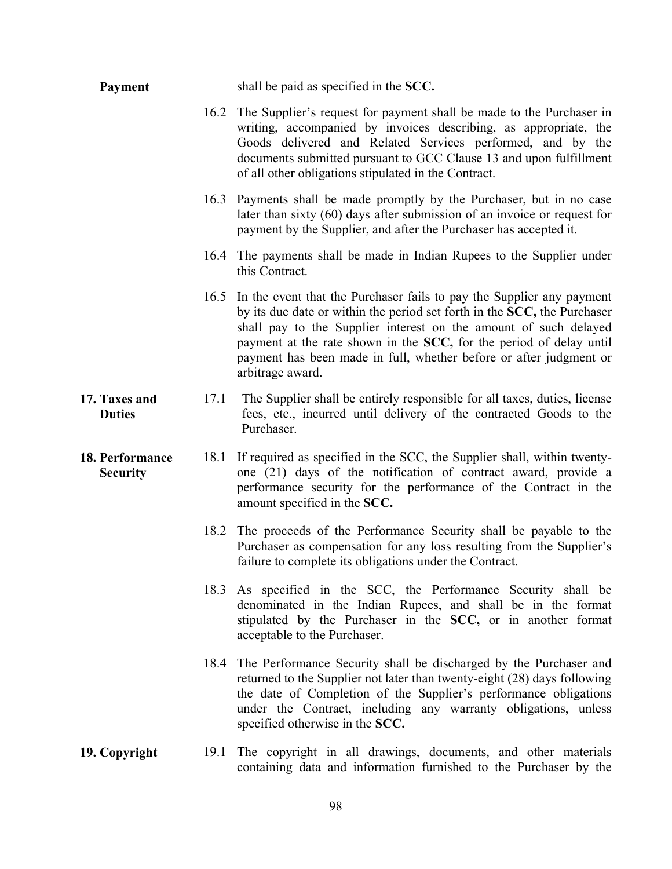| Payment                            |      | shall be paid as specified in the SCC.                                                                                                                                                                                                                                                                                                                                                      |
|------------------------------------|------|---------------------------------------------------------------------------------------------------------------------------------------------------------------------------------------------------------------------------------------------------------------------------------------------------------------------------------------------------------------------------------------------|
|                                    |      | 16.2 The Supplier's request for payment shall be made to the Purchaser in<br>writing, accompanied by invoices describing, as appropriate, the<br>Goods delivered and Related Services performed, and by the<br>documents submitted pursuant to GCC Clause 13 and upon fulfillment<br>of all other obligations stipulated in the Contract.                                                   |
|                                    |      | 16.3 Payments shall be made promptly by the Purchaser, but in no case<br>later than sixty $(60)$ days after submission of an invoice or request for<br>payment by the Supplier, and after the Purchaser has accepted it.                                                                                                                                                                    |
|                                    |      | 16.4 The payments shall be made in Indian Rupees to the Supplier under<br>this Contract.                                                                                                                                                                                                                                                                                                    |
|                                    |      | 16.5 In the event that the Purchaser fails to pay the Supplier any payment<br>by its due date or within the period set forth in the SCC, the Purchaser<br>shall pay to the Supplier interest on the amount of such delayed<br>payment at the rate shown in the SCC, for the period of delay until<br>payment has been made in full, whether before or after judgment or<br>arbitrage award. |
| 17. Taxes and<br><b>Duties</b>     | 17.1 | The Supplier shall be entirely responsible for all taxes, duties, license<br>fees, etc., incurred until delivery of the contracted Goods to the<br>Purchaser.                                                                                                                                                                                                                               |
| 18. Performance<br><b>Security</b> | 18.1 | If required as specified in the SCC, the Supplier shall, within twenty-<br>one (21) days of the notification of contract award, provide a<br>performance security for the performance of the Contract in the<br>amount specified in the SCC.                                                                                                                                                |
|                                    | 18.2 | The proceeds of the Performance Security shall be payable to the<br>Purchaser as compensation for any loss resulting from the Supplier's<br>failure to complete its obligations under the Contract.                                                                                                                                                                                         |
|                                    |      | 18.3 As specified in the SCC, the Performance Security shall be<br>denominated in the Indian Rupees, and shall be in the format<br>stipulated by the Purchaser in the SCC, or in another format<br>acceptable to the Purchaser.                                                                                                                                                             |
|                                    |      | 18.4 The Performance Security shall be discharged by the Purchaser and<br>returned to the Supplier not later than twenty-eight (28) days following<br>the date of Completion of the Supplier's performance obligations<br>under the Contract, including any warranty obligations, unless<br>specified otherwise in the SCC.                                                                 |
| 19. Copyright                      | 19.1 | The copyright in all drawings, documents, and other materials<br>containing data and information furnished to the Purchaser by the                                                                                                                                                                                                                                                          |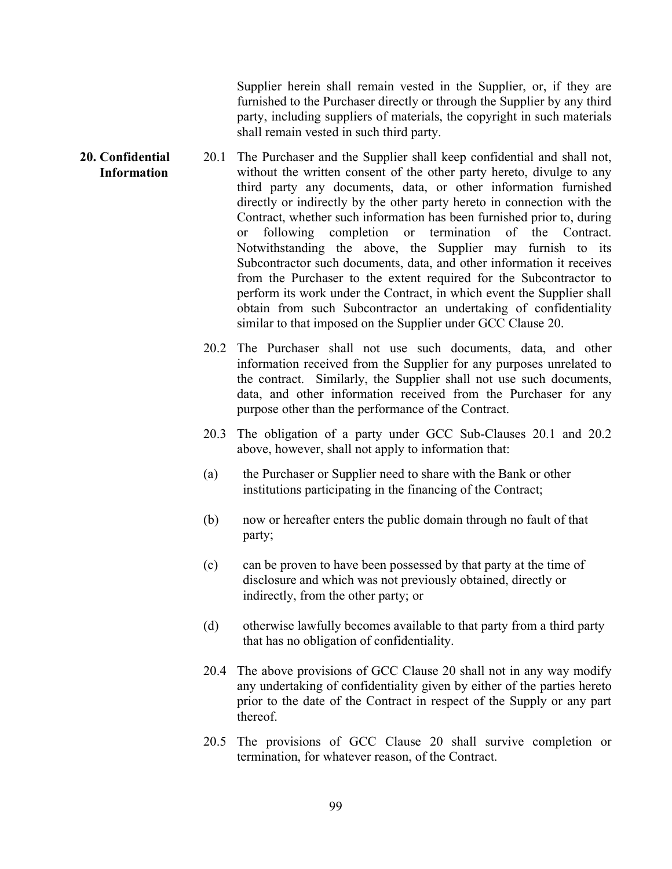Supplier herein shall remain vested in the Supplier, or, if they are furnished to the Purchaser directly or through the Supplier by any third party, including suppliers of materials, the copyright in such materials shall remain vested in such third party.

- 20. Confidential Information 20.1 The Purchaser and the Supplier shall keep confidential and shall not, without the written consent of the other party hereto, divulge to any third party any documents, data, or other information furnished directly or indirectly by the other party hereto in connection with the Contract, whether such information has been furnished prior to, during or following completion or termination of the Contract. Notwithstanding the above, the Supplier may furnish to its Subcontractor such documents, data, and other information it receives from the Purchaser to the extent required for the Subcontractor to perform its work under the Contract, in which event the Supplier shall obtain from such Subcontractor an undertaking of confidentiality similar to that imposed on the Supplier under GCC Clause 20.
	- 20.2 The Purchaser shall not use such documents, data, and other information received from the Supplier for any purposes unrelated to the contract. Similarly, the Supplier shall not use such documents, data, and other information received from the Purchaser for any purpose other than the performance of the Contract.
	- 20.3 The obligation of a party under GCC Sub-Clauses 20.1 and 20.2 above, however, shall not apply to information that:
	- (a) the Purchaser or Supplier need to share with the Bank or other institutions participating in the financing of the Contract;
	- (b) now or hereafter enters the public domain through no fault of that party;
	- (c) can be proven to have been possessed by that party at the time of disclosure and which was not previously obtained, directly or indirectly, from the other party; or
	- (d) otherwise lawfully becomes available to that party from a third party that has no obligation of confidentiality.
	- 20.4 The above provisions of GCC Clause 20 shall not in any way modify any undertaking of confidentiality given by either of the parties hereto prior to the date of the Contract in respect of the Supply or any part thereof.
	- 20.5 The provisions of GCC Clause 20 shall survive completion or termination, for whatever reason, of the Contract.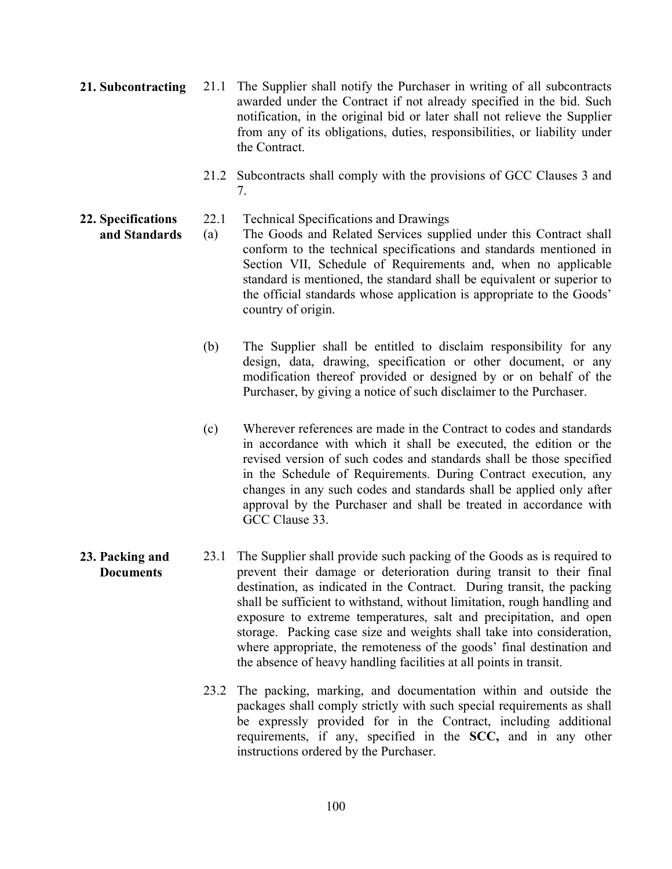- 21. Subcontracting 21.1 The Supplier shall notify the Purchaser in writing of all subcontracts awarded under the Contract if not already specified in the bid. Such notification, in the original bid or later shall not relieve the Supplier from any of its obligations, duties, responsibilities, or liability under the Contract.
	- 21.2 Subcontracts shall comply with the provisions of GCC Clauses 3 and 7.
	- 22.1 Technical Specifications and Drawings
	- and Standards

22. Specifications

- (a) The Goods and Related Services supplied under this Contract shall conform to the technical specifications and standards mentioned in Section VII, Schedule of Requirements and, when no applicable standard is mentioned, the standard shall be equivalent or superior to the official standards whose application is appropriate to the Goods' country of origin.
- (b) The Supplier shall be entitled to disclaim responsibility for any design, data, drawing, specification or other document, or any modification thereof provided or designed by or on behalf of the Purchaser, by giving a notice of such disclaimer to the Purchaser.
- (c) Wherever references are made in the Contract to codes and standards in accordance with which it shall be executed, the edition or the revised version of such codes and standards shall be those specified in the Schedule of Requirements. During Contract execution, any changes in any such codes and standards shall be applied only after approval by the Purchaser and shall be treated in accordance with GCC Clause 33.
- 23. Packing and **Documents** 23.1 The Supplier shall provide such packing of the Goods as is required to prevent their damage or deterioration during transit to their final destination, as indicated in the Contract. During transit, the packing shall be sufficient to withstand, without limitation, rough handling and exposure to extreme temperatures, salt and precipitation, and open storage. Packing case size and weights shall take into consideration, where appropriate, the remoteness of the goods' final destination and the absence of heavy handling facilities at all points in transit.
	- 23.2 The packing, marking, and documentation within and outside the packages shall comply strictly with such special requirements as shall be expressly provided for in the Contract, including additional requirements, if any, specified in the SCC, and in any other instructions ordered by the Purchaser.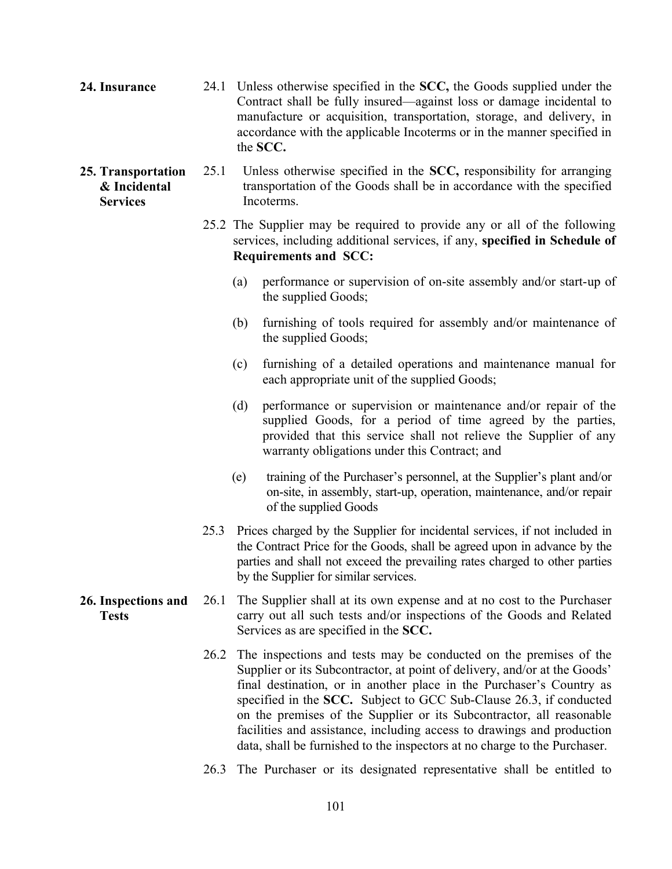| 24. Insurance                                         |      | 24.1 Unless otherwise specified in the SCC, the Goods supplied under the<br>Contract shall be fully insured—against loss or damage incidental to<br>manufacture or acquisition, transportation, storage, and delivery, in<br>accordance with the applicable Incoterms or in the manner specified in<br>the SCC. |                                                                                                                                                                                                                                                                                                                                                                                                                                                                                                                             |  |  |
|-------------------------------------------------------|------|-----------------------------------------------------------------------------------------------------------------------------------------------------------------------------------------------------------------------------------------------------------------------------------------------------------------|-----------------------------------------------------------------------------------------------------------------------------------------------------------------------------------------------------------------------------------------------------------------------------------------------------------------------------------------------------------------------------------------------------------------------------------------------------------------------------------------------------------------------------|--|--|
| 25. Transportation<br>& Incidental<br><b>Services</b> | 25.1 |                                                                                                                                                                                                                                                                                                                 | Unless otherwise specified in the SCC, responsibility for arranging<br>transportation of the Goods shall be in accordance with the specified<br>Incoterms.                                                                                                                                                                                                                                                                                                                                                                  |  |  |
|                                                       |      |                                                                                                                                                                                                                                                                                                                 | 25.2 The Supplier may be required to provide any or all of the following<br>services, including additional services, if any, specified in Schedule of<br><b>Requirements and SCC:</b>                                                                                                                                                                                                                                                                                                                                       |  |  |
|                                                       |      | (a)                                                                                                                                                                                                                                                                                                             | performance or supervision of on-site assembly and/or start-up of<br>the supplied Goods;                                                                                                                                                                                                                                                                                                                                                                                                                                    |  |  |
|                                                       |      | (b)                                                                                                                                                                                                                                                                                                             | furnishing of tools required for assembly and/or maintenance of<br>the supplied Goods;                                                                                                                                                                                                                                                                                                                                                                                                                                      |  |  |
|                                                       |      | (c)                                                                                                                                                                                                                                                                                                             | furnishing of a detailed operations and maintenance manual for<br>each appropriate unit of the supplied Goods;                                                                                                                                                                                                                                                                                                                                                                                                              |  |  |
|                                                       |      | (d)                                                                                                                                                                                                                                                                                                             | performance or supervision or maintenance and/or repair of the<br>supplied Goods, for a period of time agreed by the parties,<br>provided that this service shall not relieve the Supplier of any<br>warranty obligations under this Contract; and                                                                                                                                                                                                                                                                          |  |  |
|                                                       |      | (e)                                                                                                                                                                                                                                                                                                             | training of the Purchaser's personnel, at the Supplier's plant and/or<br>on-site, in assembly, start-up, operation, maintenance, and/or repair<br>of the supplied Goods                                                                                                                                                                                                                                                                                                                                                     |  |  |
|                                                       | 25.3 |                                                                                                                                                                                                                                                                                                                 | Prices charged by the Supplier for incidental services, if not included in<br>the Contract Price for the Goods, shall be agreed upon in advance by the<br>parties and shall not exceed the prevailing rates charged to other parties<br>by the Supplier for similar services.                                                                                                                                                                                                                                               |  |  |
| 26. Inspections and<br><b>Tests</b>                   | 26.1 |                                                                                                                                                                                                                                                                                                                 | The Supplier shall at its own expense and at no cost to the Purchaser<br>carry out all such tests and/or inspections of the Goods and Related<br>Services as are specified in the SCC.                                                                                                                                                                                                                                                                                                                                      |  |  |
|                                                       | 26.2 |                                                                                                                                                                                                                                                                                                                 | The inspections and tests may be conducted on the premises of the<br>Supplier or its Subcontractor, at point of delivery, and/or at the Goods'<br>final destination, or in another place in the Purchaser's Country as<br>specified in the SCC. Subject to GCC Sub-Clause 26.3, if conducted<br>on the premises of the Supplier or its Subcontractor, all reasonable<br>facilities and assistance, including access to drawings and production<br>data, shall be furnished to the inspectors at no charge to the Purchaser. |  |  |
|                                                       |      |                                                                                                                                                                                                                                                                                                                 | 26.3 The Purchaser or its designated representative shall be entitled to                                                                                                                                                                                                                                                                                                                                                                                                                                                    |  |  |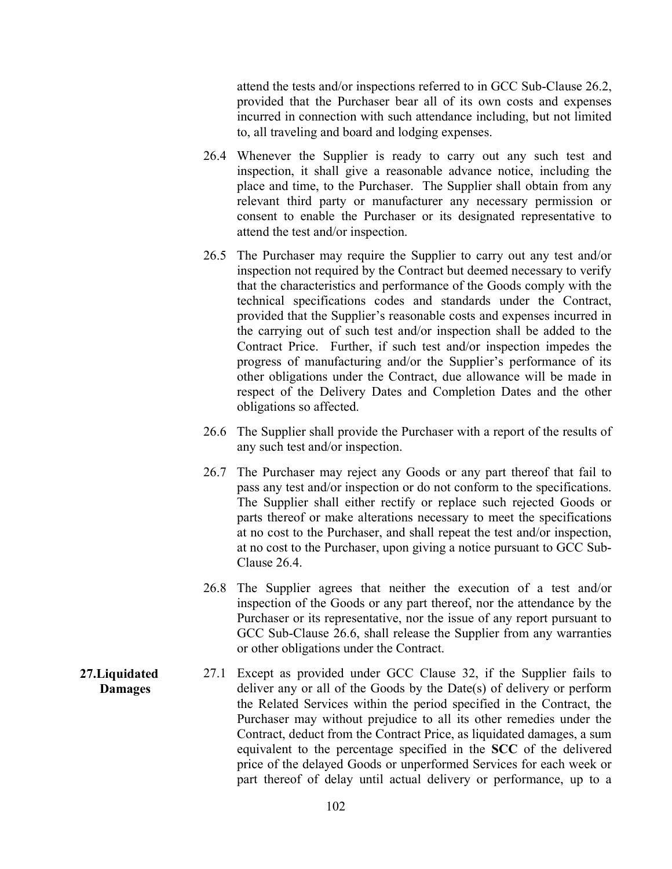attend the tests and/or inspections referred to in GCC Sub-Clause 26.2, provided that the Purchaser bear all of its own costs and expenses incurred in connection with such attendance including, but not limited to, all traveling and board and lodging expenses.

- 26.4 Whenever the Supplier is ready to carry out any such test and inspection, it shall give a reasonable advance notice, including the place and time, to the Purchaser. The Supplier shall obtain from any relevant third party or manufacturer any necessary permission or consent to enable the Purchaser or its designated representative to attend the test and/or inspection.
- 26.5 The Purchaser may require the Supplier to carry out any test and/or inspection not required by the Contract but deemed necessary to verify that the characteristics and performance of the Goods comply with the technical specifications codes and standards under the Contract, provided that the Supplier's reasonable costs and expenses incurred in the carrying out of such test and/or inspection shall be added to the Contract Price. Further, if such test and/or inspection impedes the progress of manufacturing and/or the Supplier's performance of its other obligations under the Contract, due allowance will be made in respect of the Delivery Dates and Completion Dates and the other obligations so affected.
- 26.6 The Supplier shall provide the Purchaser with a report of the results of any such test and/or inspection.
- 26.7 The Purchaser may reject any Goods or any part thereof that fail to pass any test and/or inspection or do not conform to the specifications. The Supplier shall either rectify or replace such rejected Goods or parts thereof or make alterations necessary to meet the specifications at no cost to the Purchaser, and shall repeat the test and/or inspection, at no cost to the Purchaser, upon giving a notice pursuant to GCC Sub-Clause 26.4.
- 26.8 The Supplier agrees that neither the execution of a test and/or inspection of the Goods or any part thereof, nor the attendance by the Purchaser or its representative, nor the issue of any report pursuant to GCC Sub-Clause 26.6, shall release the Supplier from any warranties or other obligations under the Contract.
- 27.Liquidated Damages 27.1 Except as provided under GCC Clause 32, if the Supplier fails to deliver any or all of the Goods by the Date(s) of delivery or perform the Related Services within the period specified in the Contract, the Purchaser may without prejudice to all its other remedies under the Contract, deduct from the Contract Price, as liquidated damages, a sum equivalent to the percentage specified in the SCC of the delivered price of the delayed Goods or unperformed Services for each week or part thereof of delay until actual delivery or performance, up to a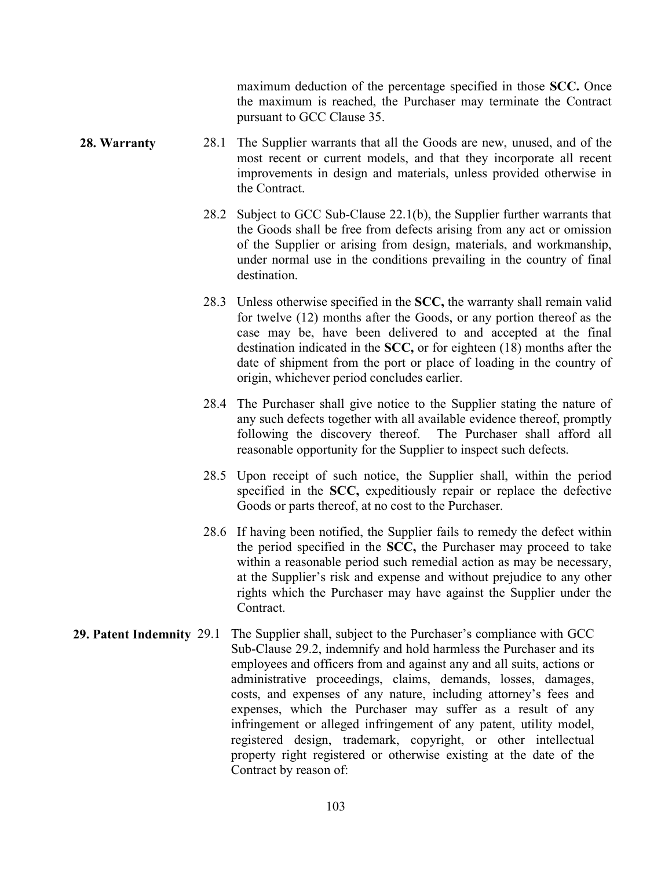maximum deduction of the percentage specified in those SCC. Once the maximum is reached, the Purchaser may terminate the Contract pursuant to GCC Clause 35.

- 28. Warranty 28.1 The Supplier warrants that all the Goods are new, unused, and of the most recent or current models, and that they incorporate all recent improvements in design and materials, unless provided otherwise in the Contract.
	- 28.2 Subject to GCC Sub-Clause 22.1(b), the Supplier further warrants that the Goods shall be free from defects arising from any act or omission of the Supplier or arising from design, materials, and workmanship, under normal use in the conditions prevailing in the country of final destination.
	- 28.3 Unless otherwise specified in the SCC, the warranty shall remain valid for twelve (12) months after the Goods, or any portion thereof as the case may be, have been delivered to and accepted at the final destination indicated in the SCC, or for eighteen (18) months after the date of shipment from the port or place of loading in the country of origin, whichever period concludes earlier.
	- 28.4 The Purchaser shall give notice to the Supplier stating the nature of any such defects together with all available evidence thereof, promptly following the discovery thereof. The Purchaser shall afford all reasonable opportunity for the Supplier to inspect such defects.
	- 28.5 Upon receipt of such notice, the Supplier shall, within the period specified in the SCC, expeditiously repair or replace the defective Goods or parts thereof, at no cost to the Purchaser.
	- 28.6 If having been notified, the Supplier fails to remedy the defect within the period specified in the SCC, the Purchaser may proceed to take within a reasonable period such remedial action as may be necessary, at the Supplier's risk and expense and without prejudice to any other rights which the Purchaser may have against the Supplier under the Contract.
- 29. Patent Indemnity 29.1 The Supplier shall, subject to the Purchaser's compliance with GCC Sub-Clause 29.2, indemnify and hold harmless the Purchaser and its employees and officers from and against any and all suits, actions or administrative proceedings, claims, demands, losses, damages, costs, and expenses of any nature, including attorney's fees and expenses, which the Purchaser may suffer as a result of any infringement or alleged infringement of any patent, utility model, registered design, trademark, copyright, or other intellectual property right registered or otherwise existing at the date of the Contract by reason of: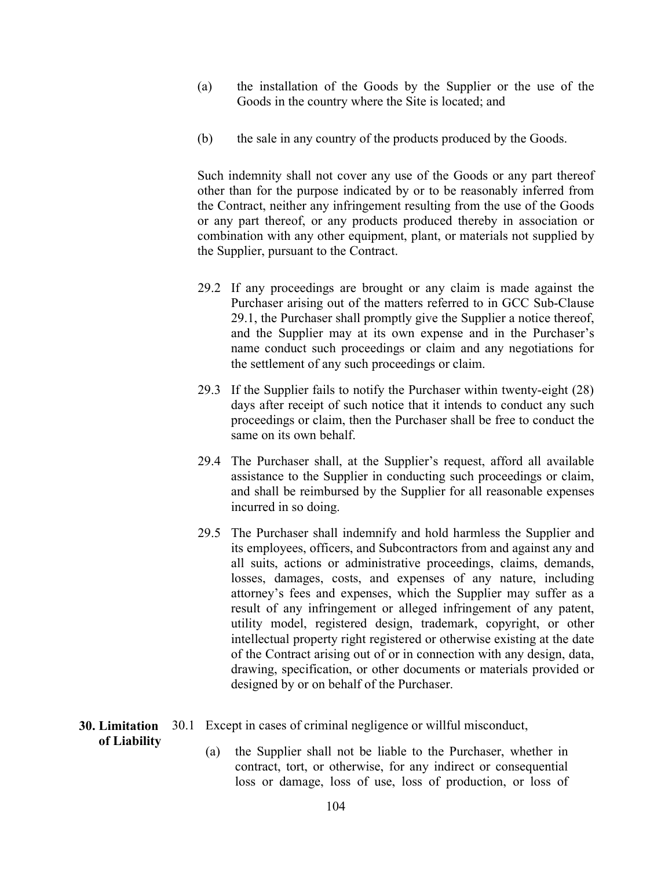- (a) the installation of the Goods by the Supplier or the use of the Goods in the country where the Site is located; and
- (b) the sale in any country of the products produced by the Goods.

Such indemnity shall not cover any use of the Goods or any part thereof other than for the purpose indicated by or to be reasonably inferred from the Contract, neither any infringement resulting from the use of the Goods or any part thereof, or any products produced thereby in association or combination with any other equipment, plant, or materials not supplied by the Supplier, pursuant to the Contract.

- 29.2 If any proceedings are brought or any claim is made against the Purchaser arising out of the matters referred to in GCC Sub-Clause 29.1, the Purchaser shall promptly give the Supplier a notice thereof, and the Supplier may at its own expense and in the Purchaser's name conduct such proceedings or claim and any negotiations for the settlement of any such proceedings or claim.
- 29.3 If the Supplier fails to notify the Purchaser within twenty-eight (28) days after receipt of such notice that it intends to conduct any such proceedings or claim, then the Purchaser shall be free to conduct the same on its own behalf.
- 29.4 The Purchaser shall, at the Supplier's request, afford all available assistance to the Supplier in conducting such proceedings or claim, and shall be reimbursed by the Supplier for all reasonable expenses incurred in so doing.
- 29.5 The Purchaser shall indemnify and hold harmless the Supplier and its employees, officers, and Subcontractors from and against any and all suits, actions or administrative proceedings, claims, demands, losses, damages, costs, and expenses of any nature, including attorney's fees and expenses, which the Supplier may suffer as a result of any infringement or alleged infringement of any patent, utility model, registered design, trademark, copyright, or other intellectual property right registered or otherwise existing at the date of the Contract arising out of or in connection with any design, data, drawing, specification, or other documents or materials provided or designed by or on behalf of the Purchaser.

### 30. Limitation 30.1 Except in cases of criminal negligence or willful misconduct,

of Liability

(a) the Supplier shall not be liable to the Purchaser, whether in contract, tort, or otherwise, for any indirect or consequential loss or damage, loss of use, loss of production, or loss of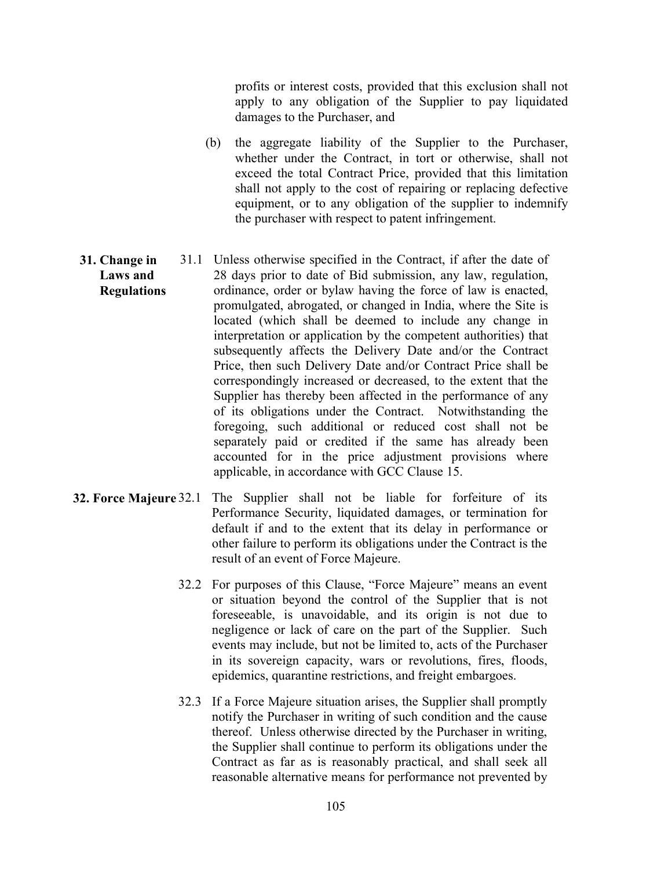profits or interest costs, provided that this exclusion shall not apply to any obligation of the Supplier to pay liquidated damages to the Purchaser, and

- (b) the aggregate liability of the Supplier to the Purchaser, whether under the Contract, in tort or otherwise, shall not exceed the total Contract Price, provided that this limitation shall not apply to the cost of repairing or replacing defective equipment, or to any obligation of the supplier to indemnify the purchaser with respect to patent infringement.
- 31. Change in Laws and Regulations 31.1 Unless otherwise specified in the Contract, if after the date of 28 days prior to date of Bid submission, any law, regulation, ordinance, order or bylaw having the force of law is enacted, promulgated, abrogated, or changed in India, where the Site is located (which shall be deemed to include any change in interpretation or application by the competent authorities) that subsequently affects the Delivery Date and/or the Contract Price, then such Delivery Date and/or Contract Price shall be correspondingly increased or decreased, to the extent that the Supplier has thereby been affected in the performance of any of its obligations under the Contract. Notwithstanding the foregoing, such additional or reduced cost shall not be separately paid or credited if the same has already been accounted for in the price adjustment provisions where applicable, in accordance with GCC Clause 15.
- 32. Force Majeure 32.1 The Supplier shall not be liable for forfeiture of its Performance Security, liquidated damages, or termination for default if and to the extent that its delay in performance or other failure to perform its obligations under the Contract is the result of an event of Force Majeure.
	- 32.2 For purposes of this Clause, "Force Majeure" means an event or situation beyond the control of the Supplier that is not foreseeable, is unavoidable, and its origin is not due to negligence or lack of care on the part of the Supplier. Such events may include, but not be limited to, acts of the Purchaser in its sovereign capacity, wars or revolutions, fires, floods, epidemics, quarantine restrictions, and freight embargoes.
	- 32.3 If a Force Majeure situation arises, the Supplier shall promptly notify the Purchaser in writing of such condition and the cause thereof. Unless otherwise directed by the Purchaser in writing, the Supplier shall continue to perform its obligations under the Contract as far as is reasonably practical, and shall seek all reasonable alternative means for performance not prevented by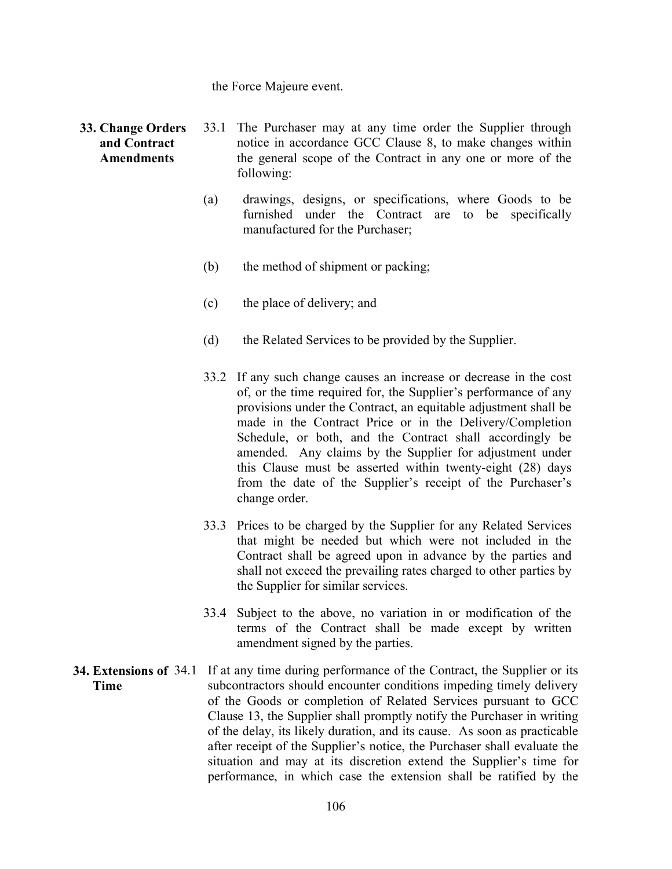#### the Force Majeure event.

#### 33. Change Orders and Contract **Amendments**

- 33.1 The Purchaser may at any time order the Supplier through notice in accordance GCC Clause 8, to make changes within the general scope of the Contract in any one or more of the following:
- (a) drawings, designs, or specifications, where Goods to be furnished under the Contract are to be specifically manufactured for the Purchaser;
- (b) the method of shipment or packing;
- (c) the place of delivery; and
- (d) the Related Services to be provided by the Supplier.
- 33.2 If any such change causes an increase or decrease in the cost of, or the time required for, the Supplier's performance of any provisions under the Contract, an equitable adjustment shall be made in the Contract Price or in the Delivery/Completion Schedule, or both, and the Contract shall accordingly be amended. Any claims by the Supplier for adjustment under this Clause must be asserted within twenty-eight (28) days from the date of the Supplier's receipt of the Purchaser's change order.
- 33.3 Prices to be charged by the Supplier for any Related Services that might be needed but which were not included in the Contract shall be agreed upon in advance by the parties and shall not exceed the prevailing rates charged to other parties by the Supplier for similar services.
- 33.4 Subject to the above, no variation in or modification of the terms of the Contract shall be made except by written amendment signed by the parties.
- 34. Extensions of 34.1 If at any time during performance of the Contract, the Supplier or its Time subcontractors should encounter conditions impeding timely delivery of the Goods or completion of Related Services pursuant to GCC Clause 13, the Supplier shall promptly notify the Purchaser in writing of the delay, its likely duration, and its cause. As soon as practicable after receipt of the Supplier's notice, the Purchaser shall evaluate the situation and may at its discretion extend the Supplier's time for performance, in which case the extension shall be ratified by the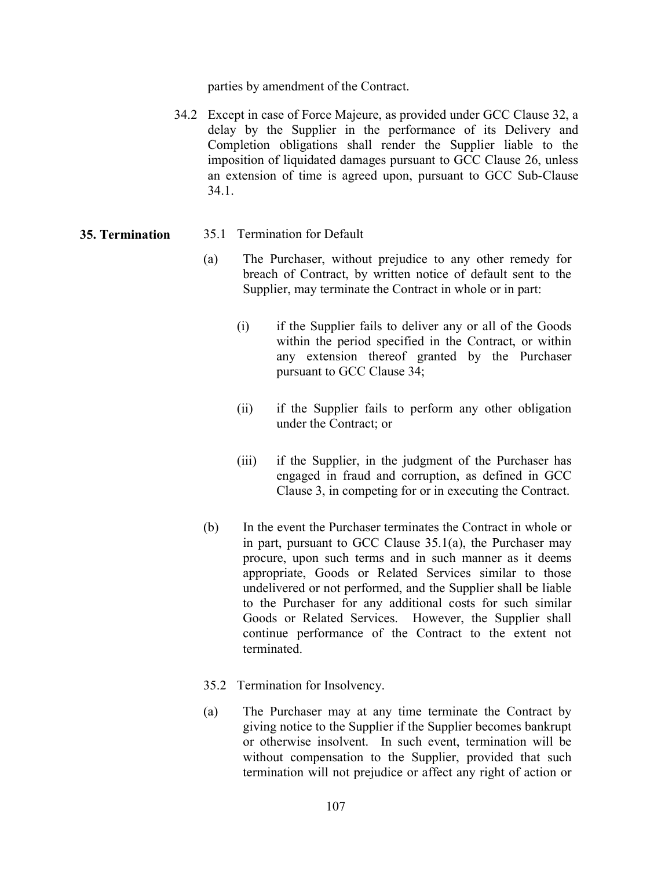parties by amendment of the Contract.

34.2 Except in case of Force Majeure, as provided under GCC Clause 32, a delay by the Supplier in the performance of its Delivery and Completion obligations shall render the Supplier liable to the imposition of liquidated damages pursuant to GCC Clause 26, unless an extension of time is agreed upon, pursuant to GCC Sub-Clause 34.1.

#### 35. Termination 35.1 Termination for Default

- (a) The Purchaser, without prejudice to any other remedy for breach of Contract, by written notice of default sent to the Supplier, may terminate the Contract in whole or in part:
	- (i) if the Supplier fails to deliver any or all of the Goods within the period specified in the Contract, or within any extension thereof granted by the Purchaser pursuant to GCC Clause 34;
	- (ii) if the Supplier fails to perform any other obligation under the Contract; or
	- (iii) if the Supplier, in the judgment of the Purchaser has engaged in fraud and corruption, as defined in GCC Clause 3, in competing for or in executing the Contract.
- (b) In the event the Purchaser terminates the Contract in whole or in part, pursuant to GCC Clause 35.1(a), the Purchaser may procure, upon such terms and in such manner as it deems appropriate, Goods or Related Services similar to those undelivered or not performed, and the Supplier shall be liable to the Purchaser for any additional costs for such similar Goods or Related Services. However, the Supplier shall continue performance of the Contract to the extent not terminated.
- 35.2 Termination for Insolvency.
- (a) The Purchaser may at any time terminate the Contract by giving notice to the Supplier if the Supplier becomes bankrupt or otherwise insolvent. In such event, termination will be without compensation to the Supplier, provided that such termination will not prejudice or affect any right of action or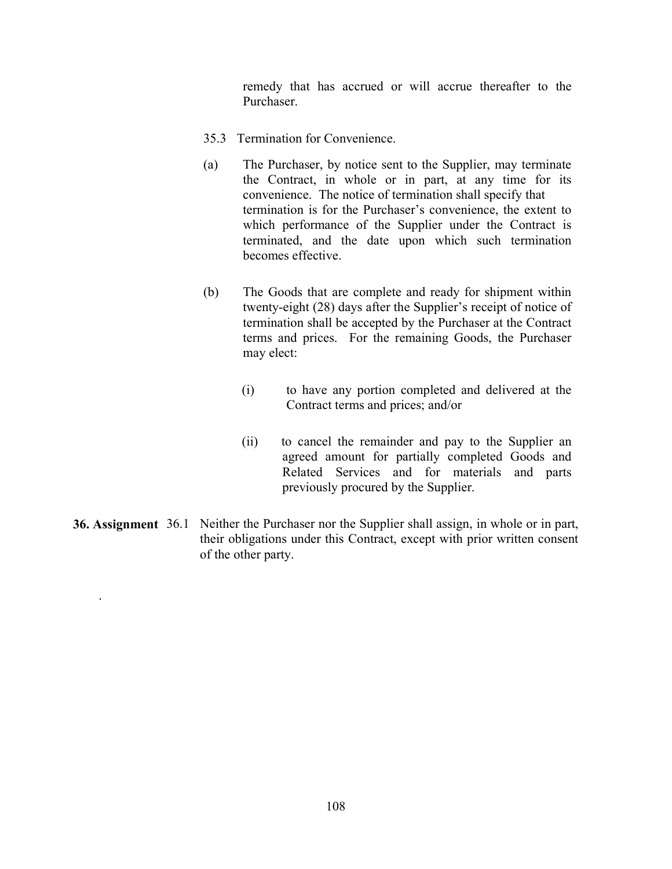remedy that has accrued or will accrue thereafter to the Purchaser.

- 35.3 Termination for Convenience.
- (a) The Purchaser, by notice sent to the Supplier, may terminate the Contract, in whole or in part, at any time for its convenience. The notice of termination shall specify that termination is for the Purchaser's convenience, the extent to which performance of the Supplier under the Contract is terminated, and the date upon which such termination becomes effective.
- (b) The Goods that are complete and ready for shipment within twenty-eight (28) days after the Supplier's receipt of notice of termination shall be accepted by the Purchaser at the Contract terms and prices. For the remaining Goods, the Purchaser may elect:
	- (i) to have any portion completed and delivered at the Contract terms and prices; and/or
	- (ii) to cancel the remainder and pay to the Supplier an agreed amount for partially completed Goods and Related Services and for materials and parts previously procured by the Supplier.
- 36. Assignment 36.1 Neither the Purchaser nor the Supplier shall assign, in whole or in part, their obligations under this Contract, except with prior written consent of the other party.

.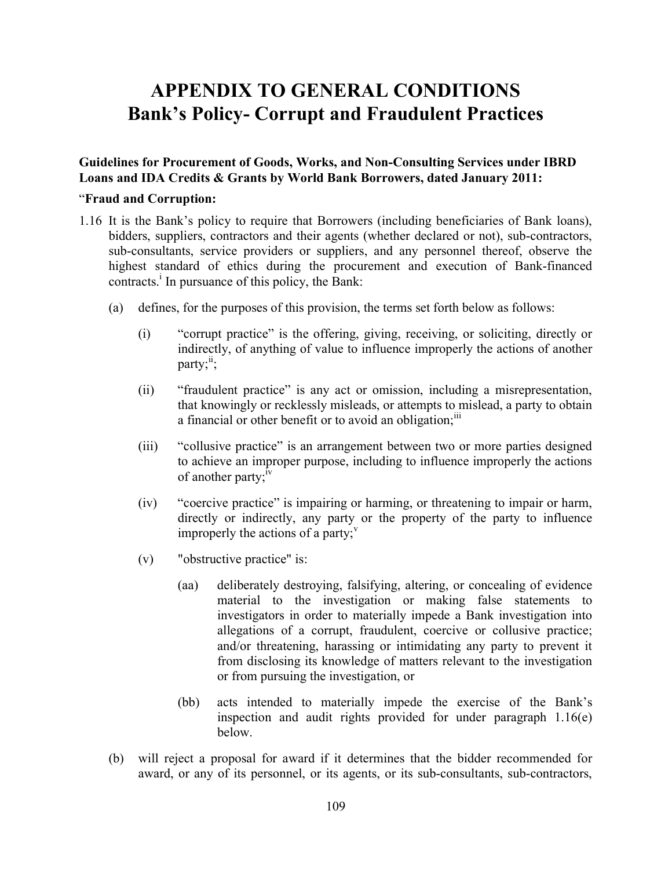# APPENDIX TO GENERAL CONDITIONS Bank's Policy- Corrupt and Fraudulent Practices

Guidelines for Procurement of Goods, Works, and Non-Consulting Services under IBRD Loans and IDA Credits & Grants by World Bank Borrowers, dated January 2011:

#### "Fraud and Corruption:

- 1.16 It is the Bank's policy to require that Borrowers (including beneficiaries of Bank loans), bidders, suppliers, contractors and their agents (whether declared or not), sub-contractors, sub-consultants, service providers or suppliers, and any personnel thereof, observe the highest standard of ethics during the procurement and execution of Bank-financed contracts.<sup>i</sup> In pursuance of this policy, the Bank:
	- (a) defines, for the purposes of this provision, the terms set forth below as follows:
		- (i) "corrupt practice" is the offering, giving, receiving, or soliciting, directly or indirectly, of anything of value to influence improperly the actions of another party; $i$ :
		- (ii) "fraudulent practice" is any act or omission, including a misrepresentation, that knowingly or recklessly misleads, or attempts to mislead, a party to obtain a financial or other benefit or to avoid an obligation;<sup>111</sup>
		- (iii) "collusive practice" is an arrangement between two or more parties designed to achieve an improper purpose, including to influence improperly the actions of another party; $\mathrm{N}^{\mathrm{IV}}$
		- (iv) "coercive practice" is impairing or harming, or threatening to impair or harm, directly or indirectly, any party or the property of the party to influence improperly the actions of a party;  $\overline{v}$
		- (v) "obstructive practice" is:
			- (aa) deliberately destroying, falsifying, altering, or concealing of evidence material to the investigation or making false statements to investigators in order to materially impede a Bank investigation into allegations of a corrupt, fraudulent, coercive or collusive practice; and/or threatening, harassing or intimidating any party to prevent it from disclosing its knowledge of matters relevant to the investigation or from pursuing the investigation, or
			- (bb) acts intended to materially impede the exercise of the Bank's inspection and audit rights provided for under paragraph 1.16(e) below.
	- (b) will reject a proposal for award if it determines that the bidder recommended for award, or any of its personnel, or its agents, or its sub-consultants, sub-contractors,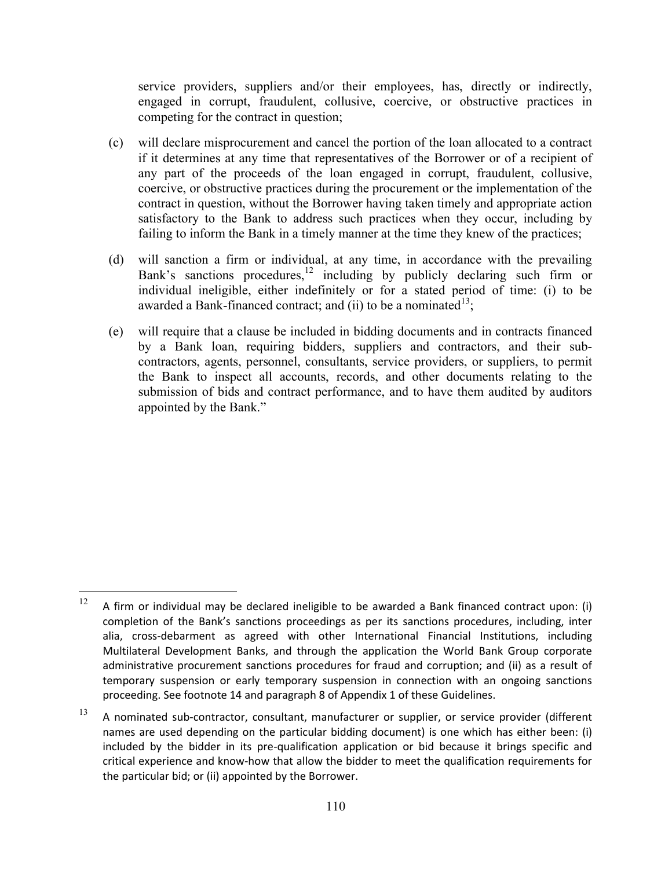service providers, suppliers and/or their employees, has, directly or indirectly, engaged in corrupt, fraudulent, collusive, coercive, or obstructive practices in competing for the contract in question;

- (c) will declare misprocurement and cancel the portion of the loan allocated to a contract if it determines at any time that representatives of the Borrower or of a recipient of any part of the proceeds of the loan engaged in corrupt, fraudulent, collusive, coercive, or obstructive practices during the procurement or the implementation of the contract in question, without the Borrower having taken timely and appropriate action satisfactory to the Bank to address such practices when they occur, including by failing to inform the Bank in a timely manner at the time they knew of the practices;
- (d) will sanction a firm or individual, at any time, in accordance with the prevailing Bank's sanctions procedures,  $\frac{12}{12}$  including by publicly declaring such firm or individual ineligible, either indefinitely or for a stated period of time: (i) to be awarded a Bank-financed contract; and (ii) to be a nominated  $13$ ;
- (e) will require that a clause be included in bidding documents and in contracts financed by a Bank loan, requiring bidders, suppliers and contractors, and their subcontractors, agents, personnel, consultants, service providers, or suppliers, to permit the Bank to inspect all accounts, records, and other documents relating to the submission of bids and contract performance, and to have them audited by auditors appointed by the Bank."

 $\overline{a}$ 

<sup>&</sup>lt;sup>12</sup> A firm or individual may be declared ineligible to be awarded a Bank financed contract upon: (i) completion of the Bank's sanctions proceedings as per its sanctions procedures, including, inter alia, cross-debarment as agreed with other International Financial Institutions, including Multilateral Development Banks, and through the application the World Bank Group corporate administrative procurement sanctions procedures for fraud and corruption; and (ii) as a result of temporary suspension or early temporary suspension in connection with an ongoing sanctions proceeding. See footnote 14 and paragraph 8 of Appendix 1 of these Guidelines.

 $13$  A nominated sub-contractor, consultant, manufacturer or supplier, or service provider (different names are used depending on the particular bidding document) is one which has either been: (i) included by the bidder in its pre-qualification application or bid because it brings specific and critical experience and know-how that allow the bidder to meet the qualification requirements for the particular bid; or (ii) appointed by the Borrower.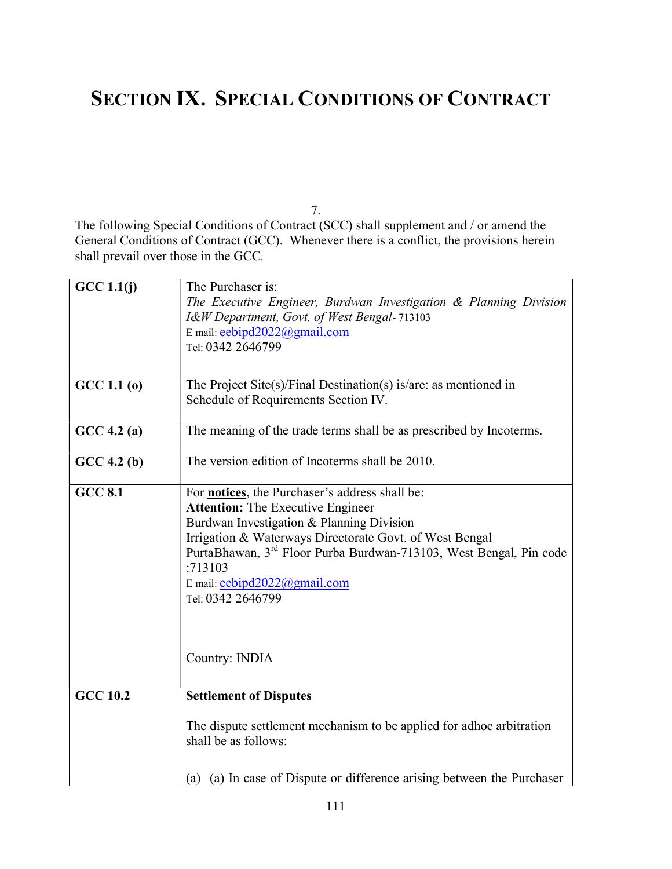## SECTION IX. SPECIAL CONDITIONS OF CONTRACT

7.

The following Special Conditions of Contract (SCC) shall supplement and / or amend the General Conditions of Contract (GCC). Whenever there is a conflict, the provisions herein shall prevail over those in the GCC.

| GCC 1.1(j)                               | The Purchaser is:                                                              |  |
|------------------------------------------|--------------------------------------------------------------------------------|--|
|                                          | The Executive Engineer, Burdwan Investigation & Planning Division              |  |
|                                          | I&W Department, Govt. of West Bengal-713103                                    |  |
|                                          | E mail: eebipd2022@gmail.com                                                   |  |
|                                          | Tel: 0342 2646799                                                              |  |
|                                          |                                                                                |  |
| GCC 1.1(0)                               | The Project Site(s)/Final Destination(s) is/are: as mentioned in               |  |
|                                          | Schedule of Requirements Section IV.                                           |  |
|                                          |                                                                                |  |
| GCC 4.2(a)                               | The meaning of the trade terms shall be as prescribed by Incoterms.            |  |
| GCC 4.2(b)                               | The version edition of Incoterms shall be 2010.                                |  |
|                                          |                                                                                |  |
| <b>GCC 8.1</b>                           | For <b>notices</b> , the Purchaser's address shall be:                         |  |
| <b>Attention:</b> The Executive Engineer |                                                                                |  |
|                                          | Burdwan Investigation & Planning Division                                      |  |
|                                          | Irrigation & Waterways Directorate Govt. of West Bengal                        |  |
|                                          | PurtaBhawan, 3 <sup>rd</sup> Floor Purba Burdwan-713103, West Bengal, Pin code |  |
|                                          | :713103                                                                        |  |
|                                          | E mail: eebipd2022@gmail.com                                                   |  |
|                                          | Tel: 0342 2646799                                                              |  |
|                                          |                                                                                |  |
|                                          |                                                                                |  |
|                                          | Country: INDIA                                                                 |  |
|                                          |                                                                                |  |
|                                          |                                                                                |  |
| <b>GCC 10.2</b>                          | <b>Settlement of Disputes</b>                                                  |  |
|                                          | The dispute settlement mechanism to be applied for adhoc arbitration           |  |
|                                          | shall be as follows:                                                           |  |
|                                          |                                                                                |  |
|                                          | (a) (a) In case of Dispute or difference arising between the Purchaser         |  |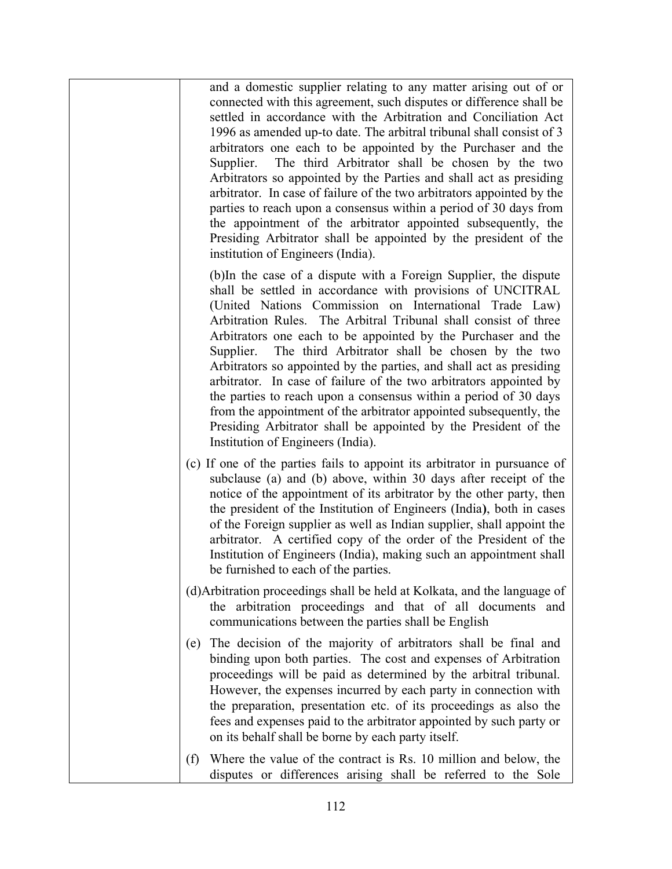and a domestic supplier relating to any matter arising out of or connected with this agreement, such disputes or difference shall be settled in accordance with the Arbitration and Conciliation Act 1996 as amended up-to date. The arbitral tribunal shall consist of 3 arbitrators one each to be appointed by the Purchaser and the Supplier. The third Arbitrator shall be chosen by the two Arbitrators so appointed by the Parties and shall act as presiding arbitrator. In case of failure of the two arbitrators appointed by the parties to reach upon a consensus within a period of 30 days from the appointment of the arbitrator appointed subsequently, the Presiding Arbitrator shall be appointed by the president of the institution of Engineers (India).

(b)In the case of a dispute with a Foreign Supplier, the dispute shall be settled in accordance with provisions of UNCITRAL (United Nations Commission on International Trade Law) Arbitration Rules. The Arbitral Tribunal shall consist of three Arbitrators one each to be appointed by the Purchaser and the Supplier. The third Arbitrator shall be chosen by the two Arbitrators so appointed by the parties, and shall act as presiding arbitrator. In case of failure of the two arbitrators appointed by the parties to reach upon a consensus within a period of 30 days from the appointment of the arbitrator appointed subsequently, the Presiding Arbitrator shall be appointed by the President of the Institution of Engineers (India).

- (c) If one of the parties fails to appoint its arbitrator in pursuance of subclause (a) and (b) above, within 30 days after receipt of the notice of the appointment of its arbitrator by the other party, then the president of the Institution of Engineers (India), both in cases of the Foreign supplier as well as Indian supplier, shall appoint the arbitrator. A certified copy of the order of the President of the Institution of Engineers (India), making such an appointment shall be furnished to each of the parties.
- (d)Arbitration proceedings shall be held at Kolkata, and the language of the arbitration proceedings and that of all documents and communications between the parties shall be English
- (e) The decision of the majority of arbitrators shall be final and binding upon both parties. The cost and expenses of Arbitration proceedings will be paid as determined by the arbitral tribunal. However, the expenses incurred by each party in connection with the preparation, presentation etc. of its proceedings as also the fees and expenses paid to the arbitrator appointed by such party or on its behalf shall be borne by each party itself.
- (f) Where the value of the contract is Rs. 10 million and below, the disputes or differences arising shall be referred to the Sole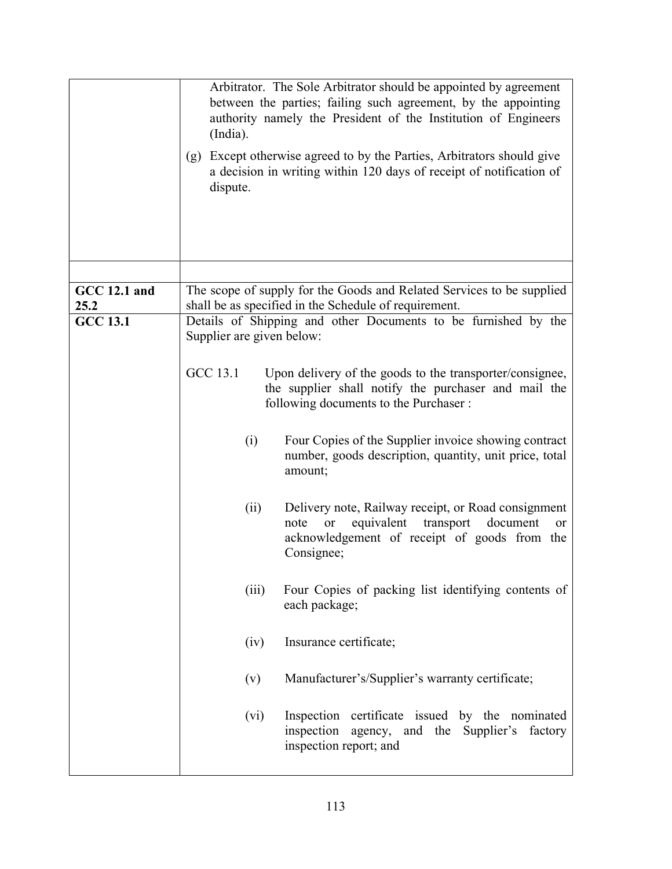|                             | Arbitrator. The Sole Arbitrator should be appointed by agreement<br>between the parties; failing such agreement, by the appointing<br>authority namely the President of the Institution of Engineers<br>(India).<br>Except otherwise agreed to by the Parties, Arbitrators should give<br>(g)<br>a decision in writing within 120 days of receipt of notification of<br>dispute. |  |  |
|-----------------------------|----------------------------------------------------------------------------------------------------------------------------------------------------------------------------------------------------------------------------------------------------------------------------------------------------------------------------------------------------------------------------------|--|--|
|                             |                                                                                                                                                                                                                                                                                                                                                                                  |  |  |
| <b>GCC 12.1 and</b><br>25.2 | The scope of supply for the Goods and Related Services to be supplied<br>shall be as specified in the Schedule of requirement.                                                                                                                                                                                                                                                   |  |  |
| <b>GCC 13.1</b>             | Details of Shipping and other Documents to be furnished by the<br>Supplier are given below:                                                                                                                                                                                                                                                                                      |  |  |
|                             | <b>GCC 13.1</b><br>Upon delivery of the goods to the transporter/consignee,<br>the supplier shall notify the purchaser and mail the<br>following documents to the Purchaser :                                                                                                                                                                                                    |  |  |
|                             | Four Copies of the Supplier invoice showing contract<br>(i)<br>number, goods description, quantity, unit price, total<br>amount;                                                                                                                                                                                                                                                 |  |  |
|                             | Delivery note, Railway receipt, or Road consignment<br>(ii)<br>equivalent<br>transport<br>document<br>note<br><b>or</b><br><sub>or</sub><br>acknowledgement of receipt of goods from the<br>Consignee;                                                                                                                                                                           |  |  |
|                             | Four Copies of packing list identifying contents of<br>(iii)<br>each package;                                                                                                                                                                                                                                                                                                    |  |  |
|                             | (iv)<br>Insurance certificate;                                                                                                                                                                                                                                                                                                                                                   |  |  |
|                             | Manufacturer's/Supplier's warranty certificate;<br>(v)                                                                                                                                                                                                                                                                                                                           |  |  |
|                             | Inspection certificate issued by the nominated<br>(vi)<br>inspection agency, and the Supplier's factory<br>inspection report; and                                                                                                                                                                                                                                                |  |  |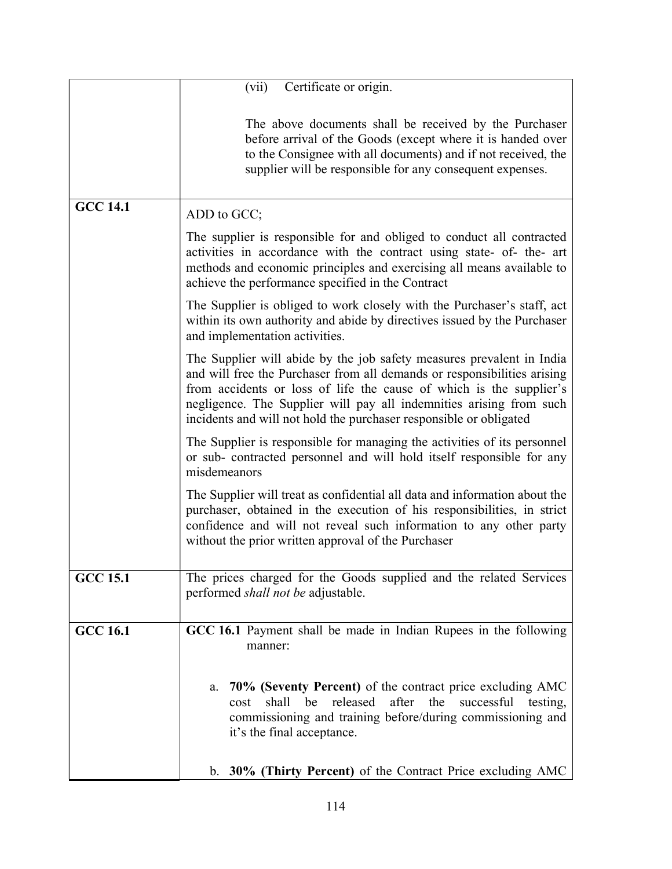|                 | Certificate or origin.<br>(vii)                                                                                                                                                                                                                                                                                                                                       |  |  |
|-----------------|-----------------------------------------------------------------------------------------------------------------------------------------------------------------------------------------------------------------------------------------------------------------------------------------------------------------------------------------------------------------------|--|--|
|                 | The above documents shall be received by the Purchaser<br>before arrival of the Goods (except where it is handed over<br>to the Consignee with all documents) and if not received, the<br>supplier will be responsible for any consequent expenses.                                                                                                                   |  |  |
| <b>GCC 14.1</b> | ADD to GCC;                                                                                                                                                                                                                                                                                                                                                           |  |  |
|                 | The supplier is responsible for and obliged to conduct all contracted<br>activities in accordance with the contract using state- of- the- art<br>methods and economic principles and exercising all means available to<br>achieve the performance specified in the Contract                                                                                           |  |  |
|                 | The Supplier is obliged to work closely with the Purchaser's staff, act<br>within its own authority and abide by directives issued by the Purchaser<br>and implementation activities.                                                                                                                                                                                 |  |  |
|                 | The Supplier will abide by the job safety measures prevalent in India<br>and will free the Purchaser from all demands or responsibilities arising<br>from accidents or loss of life the cause of which is the supplier's<br>negligence. The Supplier will pay all indemnities arising from such<br>incidents and will not hold the purchaser responsible or obligated |  |  |
|                 | The Supplier is responsible for managing the activities of its personnel<br>or sub- contracted personnel and will hold itself responsible for any<br>misdemeanors                                                                                                                                                                                                     |  |  |
|                 | The Supplier will treat as confidential all data and information about the<br>purchaser, obtained in the execution of his responsibilities, in strict<br>confidence and will not reveal such information to any other party<br>without the prior written approval of the Purchaser                                                                                    |  |  |
| <b>GCC 15.1</b> | The prices charged for the Goods supplied and the related Services<br>performed shall not be adjustable.                                                                                                                                                                                                                                                              |  |  |
| <b>GCC 16.1</b> | GCC 16.1 Payment shall be made in Indian Rupees in the following<br>manner:                                                                                                                                                                                                                                                                                           |  |  |
|                 | 70% (Seventy Percent) of the contract price excluding AMC<br>a.<br>released<br>after<br>shall<br>be<br>the<br>successful<br>testing,<br>cost<br>commissioning and training before/during commissioning and<br>it's the final acceptance.                                                                                                                              |  |  |
|                 | b. 30% (Thirty Percent) of the Contract Price excluding AMC                                                                                                                                                                                                                                                                                                           |  |  |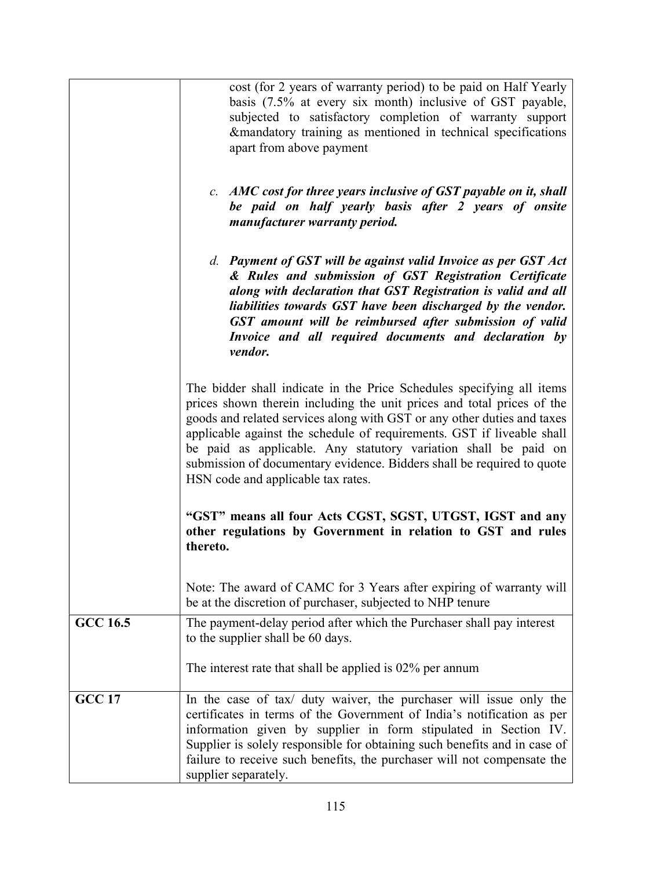|                 | cost (for 2 years of warranty period) to be paid on Half Yearly<br>basis (7.5% at every six month) inclusive of GST payable,<br>subjected to satisfactory completion of warranty support<br>&mandatory training as mentioned in technical specifications<br>apart from above payment                                                                                                                                                                                                                                                                                                                                             |  |
|-----------------|----------------------------------------------------------------------------------------------------------------------------------------------------------------------------------------------------------------------------------------------------------------------------------------------------------------------------------------------------------------------------------------------------------------------------------------------------------------------------------------------------------------------------------------------------------------------------------------------------------------------------------|--|
|                 | c. AMC cost for three years inclusive of GST payable on it, shall<br>be paid on half yearly basis after 2 years of onsite<br>manufacturer warranty period.                                                                                                                                                                                                                                                                                                                                                                                                                                                                       |  |
|                 | d. Payment of GST will be against valid Invoice as per GST Act<br>& Rules and submission of GST Registration Certificate<br>along with declaration that GST Registration is valid and all<br>liabilities towards GST have been discharged by the vendor.<br>GST amount will be reimbursed after submission of valid<br>Invoice and all required documents and declaration by<br>vendor.                                                                                                                                                                                                                                          |  |
|                 | The bidder shall indicate in the Price Schedules specifying all items<br>prices shown therein including the unit prices and total prices of the<br>goods and related services along with GST or any other duties and taxes<br>applicable against the schedule of requirements. GST if liveable shall<br>be paid as applicable. Any statutory variation shall be paid on<br>submission of documentary evidence. Bidders shall be required to quote<br>HSN code and applicable tax rates.<br>"GST" means all four Acts CGST, SGST, UTGST, IGST and any<br>other regulations by Government in relation to GST and rules<br>thereto. |  |
|                 |                                                                                                                                                                                                                                                                                                                                                                                                                                                                                                                                                                                                                                  |  |
|                 | Note: The award of CAMC for 3 Years after expiring of warranty will<br>be at the discretion of purchaser, subjected to NHP tenure                                                                                                                                                                                                                                                                                                                                                                                                                                                                                                |  |
| <b>GCC 16.5</b> | The payment-delay period after which the Purchaser shall pay interest<br>to the supplier shall be 60 days.                                                                                                                                                                                                                                                                                                                                                                                                                                                                                                                       |  |
|                 | The interest rate that shall be applied is $02\%$ per annum                                                                                                                                                                                                                                                                                                                                                                                                                                                                                                                                                                      |  |
| <b>GCC 17</b>   | In the case of tax/ duty waiver, the purchaser will issue only the<br>certificates in terms of the Government of India's notification as per<br>information given by supplier in form stipulated in Section IV.<br>Supplier is solely responsible for obtaining such benefits and in case of<br>failure to receive such benefits, the purchaser will not compensate the<br>supplier separately.                                                                                                                                                                                                                                  |  |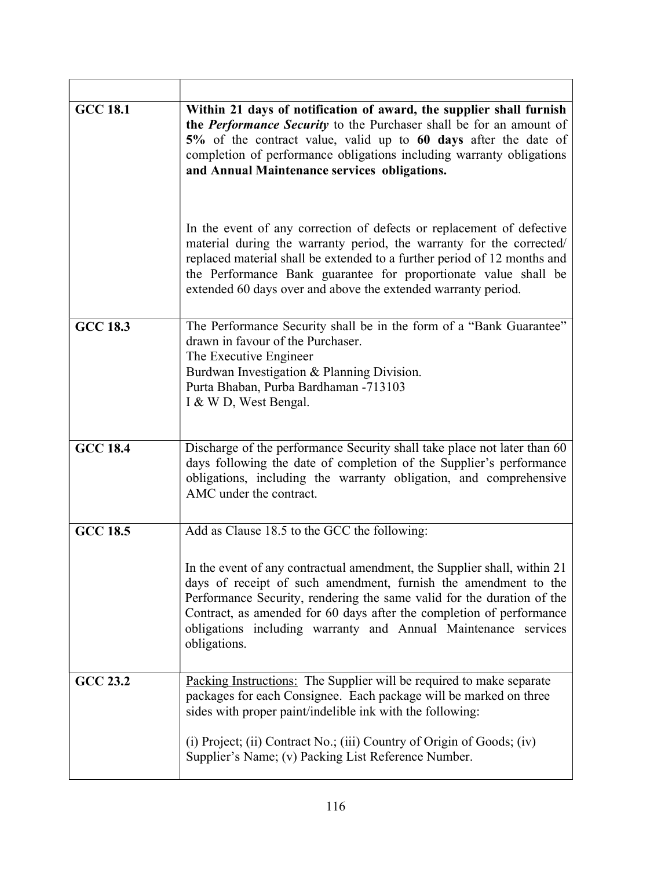| <b>GCC 18.1</b> | Within 21 days of notification of award, the supplier shall furnish<br>the <i>Performance Security</i> to the Purchaser shall be for an amount of<br>5% of the contract value, valid up to 60 days after the date of<br>completion of performance obligations including warranty obligations<br>and Annual Maintenance services obligations.                                    |
|-----------------|---------------------------------------------------------------------------------------------------------------------------------------------------------------------------------------------------------------------------------------------------------------------------------------------------------------------------------------------------------------------------------|
|                 | In the event of any correction of defects or replacement of defective<br>material during the warranty period, the warranty for the corrected/<br>replaced material shall be extended to a further period of 12 months and<br>the Performance Bank guarantee for proportionate value shall be<br>extended 60 days over and above the extended warranty period.                   |
| <b>GCC 18.3</b> | The Performance Security shall be in the form of a "Bank Guarantee"<br>drawn in favour of the Purchaser.<br>The Executive Engineer<br>Burdwan Investigation & Planning Division.<br>Purta Bhaban, Purba Bardhaman -713103<br>I & W D, West Bengal.                                                                                                                              |
| $GCC$ 18.4      | Discharge of the performance Security shall take place not later than 60<br>days following the date of completion of the Supplier's performance<br>obligations, including the warranty obligation, and comprehensive<br>AMC under the contract.                                                                                                                                 |
| <b>GCC 18.5</b> | Add as Clause 18.5 to the GCC the following:                                                                                                                                                                                                                                                                                                                                    |
|                 | In the event of any contractual amendment, the Supplier shall, within 21<br>days of receipt of such amendment, furnish the amendment to the<br>Performance Security, rendering the same valid for the duration of the<br>Contract, as amended for 60 days after the completion of performance<br>obligations including warranty and Annual Maintenance services<br>obligations. |
| <b>GCC 23.2</b> | Packing Instructions: The Supplier will be required to make separate<br>packages for each Consignee. Each package will be marked on three<br>sides with proper paint/indelible ink with the following:                                                                                                                                                                          |
|                 | (i) Project; (ii) Contract No.; (iii) Country of Origin of Goods; (iv)<br>Supplier's Name; (v) Packing List Reference Number.                                                                                                                                                                                                                                                   |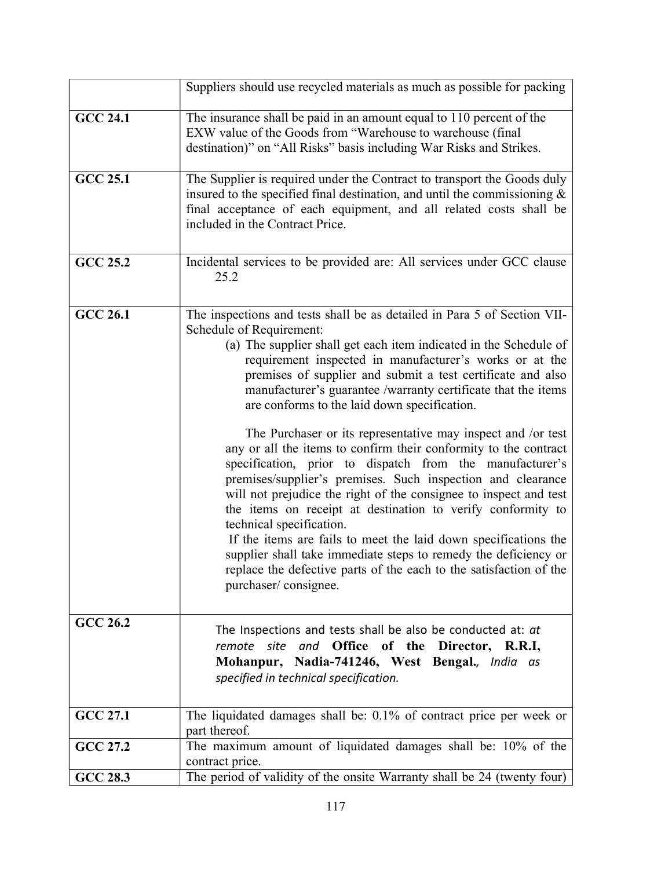|                 | Suppliers should use recycled materials as much as possible for packing                                                                                                                                                                                                                                                                                                                                                                                                                                                                                                                                                                                                                                                                                                                                                                                                                                                                                                                                                                                                                 |
|-----------------|-----------------------------------------------------------------------------------------------------------------------------------------------------------------------------------------------------------------------------------------------------------------------------------------------------------------------------------------------------------------------------------------------------------------------------------------------------------------------------------------------------------------------------------------------------------------------------------------------------------------------------------------------------------------------------------------------------------------------------------------------------------------------------------------------------------------------------------------------------------------------------------------------------------------------------------------------------------------------------------------------------------------------------------------------------------------------------------------|
| <b>GCC 24.1</b> | The insurance shall be paid in an amount equal to 110 percent of the<br>EXW value of the Goods from "Warehouse to warehouse (final<br>destination)" on "All Risks" basis including War Risks and Strikes.                                                                                                                                                                                                                                                                                                                                                                                                                                                                                                                                                                                                                                                                                                                                                                                                                                                                               |
| <b>GCC 25.1</b> | The Supplier is required under the Contract to transport the Goods duly<br>insured to the specified final destination, and until the commissioning $\&$<br>final acceptance of each equipment, and all related costs shall be<br>included in the Contract Price.                                                                                                                                                                                                                                                                                                                                                                                                                                                                                                                                                                                                                                                                                                                                                                                                                        |
| <b>GCC 25.2</b> | Incidental services to be provided are: All services under GCC clause<br>25.2                                                                                                                                                                                                                                                                                                                                                                                                                                                                                                                                                                                                                                                                                                                                                                                                                                                                                                                                                                                                           |
| <b>GCC 26.1</b> | The inspections and tests shall be as detailed in Para 5 of Section VII-<br>Schedule of Requirement:<br>(a) The supplier shall get each item indicated in the Schedule of<br>requirement inspected in manufacturer's works or at the<br>premises of supplier and submit a test certificate and also<br>manufacturer's guarantee /warranty certificate that the items<br>are conforms to the laid down specification.<br>The Purchaser or its representative may inspect and /or test<br>any or all the items to confirm their conformity to the contract<br>specification, prior to dispatch from the manufacturer's<br>premises/supplier's premises. Such inspection and clearance<br>will not prejudice the right of the consignee to inspect and test<br>the items on receipt at destination to verify conformity to<br>technical specification.<br>If the items are fails to meet the laid down specifications the<br>supplier shall take immediate steps to remedy the deficiency or<br>replace the defective parts of the each to the satisfaction of the<br>purchaser/consignee. |
| <b>GCC 26.2</b> | The Inspections and tests shall be also be conducted at: at<br>remote site and Office of the Director, R.R.I,<br>Mohanpur, Nadia-741246, West Bengal., India as<br>specified in technical specification.                                                                                                                                                                                                                                                                                                                                                                                                                                                                                                                                                                                                                                                                                                                                                                                                                                                                                |
| <b>GCC 27.1</b> | The liquidated damages shall be: 0.1% of contract price per week or<br>part thereof.                                                                                                                                                                                                                                                                                                                                                                                                                                                                                                                                                                                                                                                                                                                                                                                                                                                                                                                                                                                                    |
| GCC 27.2        | The maximum amount of liquidated damages shall be: 10% of the<br>contract price.                                                                                                                                                                                                                                                                                                                                                                                                                                                                                                                                                                                                                                                                                                                                                                                                                                                                                                                                                                                                        |
| <b>GCC 28.3</b> | The period of validity of the onsite Warranty shall be 24 (twenty four)                                                                                                                                                                                                                                                                                                                                                                                                                                                                                                                                                                                                                                                                                                                                                                                                                                                                                                                                                                                                                 |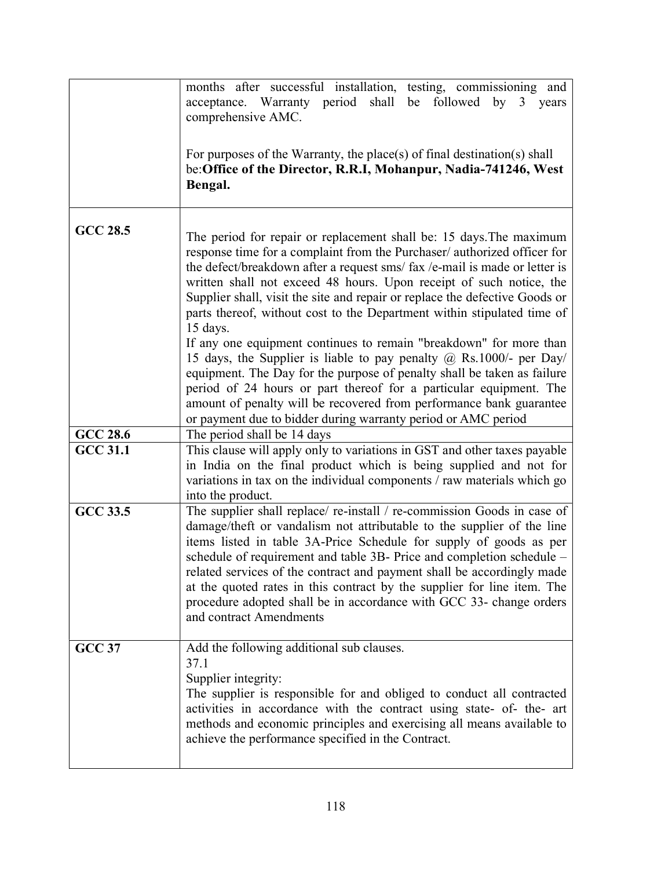|                 | months after successful installation, testing, commissioning and<br>acceptance. Warranty period shall be followed by 3 years<br>comprehensive AMC.<br>For purposes of the Warranty, the place(s) of final destination(s) shall<br>be: Office of the Director, R.R.I, Mohanpur, Nadia-741246, West<br>Bengal.                                                                                                                                                                                                                                                                                                                                                                                                                                                                                                                                                                                                     |
|-----------------|------------------------------------------------------------------------------------------------------------------------------------------------------------------------------------------------------------------------------------------------------------------------------------------------------------------------------------------------------------------------------------------------------------------------------------------------------------------------------------------------------------------------------------------------------------------------------------------------------------------------------------------------------------------------------------------------------------------------------------------------------------------------------------------------------------------------------------------------------------------------------------------------------------------|
| <b>GCC 28.5</b> | The period for repair or replacement shall be: 15 days. The maximum<br>response time for a complaint from the Purchaser/ authorized officer for<br>the defect/breakdown after a request sms/ fax /e-mail is made or letter is<br>written shall not exceed 48 hours. Upon receipt of such notice, the<br>Supplier shall, visit the site and repair or replace the defective Goods or<br>parts thereof, without cost to the Department within stipulated time of<br>15 days.<br>If any one equipment continues to remain "breakdown" for more than<br>15 days, the Supplier is liable to pay penalty @ Rs.1000/- per Day/<br>equipment. The Day for the purpose of penalty shall be taken as failure<br>period of 24 hours or part thereof for a particular equipment. The<br>amount of penalty will be recovered from performance bank guarantee<br>or payment due to bidder during warranty period or AMC period |
| <b>GCC 28.6</b> | The period shall be 14 days                                                                                                                                                                                                                                                                                                                                                                                                                                                                                                                                                                                                                                                                                                                                                                                                                                                                                      |
| <b>GCC 31.1</b> | This clause will apply only to variations in GST and other taxes payable<br>in India on the final product which is being supplied and not for<br>variations in tax on the individual components / raw materials which go<br>into the product.                                                                                                                                                                                                                                                                                                                                                                                                                                                                                                                                                                                                                                                                    |
| <b>GCC 33.5</b> | The supplier shall replace/re-install / re-commission Goods in case of<br>damage/theft or vandalism not attributable to the supplier of the line<br>items listed in table 3A-Price Schedule for supply of goods as per<br>schedule of requirement and table 3B- Price and completion schedule –<br>related services of the contract and payment shall be accordingly made<br>at the quoted rates in this contract by the supplier for line item. The<br>procedure adopted shall be in accordance with GCC 33- change orders<br>and contract Amendments                                                                                                                                                                                                                                                                                                                                                           |
| <b>GCC 37</b>   | Add the following additional sub clauses.<br>37.1<br>Supplier integrity:<br>The supplier is responsible for and obliged to conduct all contracted<br>activities in accordance with the contract using state- of- the- art<br>methods and economic principles and exercising all means available to<br>achieve the performance specified in the Contract.                                                                                                                                                                                                                                                                                                                                                                                                                                                                                                                                                         |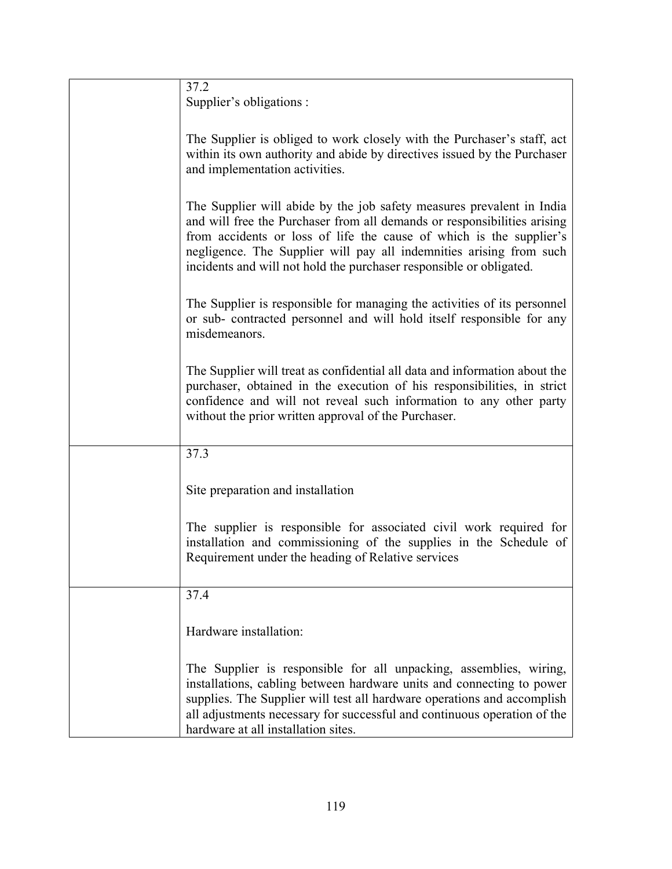| 37.2<br>Supplier's obligations :                                                                                                                                                                                                                                                                                                                                       |
|------------------------------------------------------------------------------------------------------------------------------------------------------------------------------------------------------------------------------------------------------------------------------------------------------------------------------------------------------------------------|
| The Supplier is obliged to work closely with the Purchaser's staff, act<br>within its own authority and abide by directives issued by the Purchaser<br>and implementation activities.                                                                                                                                                                                  |
| The Supplier will abide by the job safety measures prevalent in India<br>and will free the Purchaser from all demands or responsibilities arising<br>from accidents or loss of life the cause of which is the supplier's<br>negligence. The Supplier will pay all indemnities arising from such<br>incidents and will not hold the purchaser responsible or obligated. |
| The Supplier is responsible for managing the activities of its personnel<br>or sub- contracted personnel and will hold itself responsible for any<br>misdemeanors.                                                                                                                                                                                                     |
| The Supplier will treat as confidential all data and information about the<br>purchaser, obtained in the execution of his responsibilities, in strict<br>confidence and will not reveal such information to any other party<br>without the prior written approval of the Purchaser.                                                                                    |
| 37.3                                                                                                                                                                                                                                                                                                                                                                   |
| Site preparation and installation                                                                                                                                                                                                                                                                                                                                      |
| The supplier is responsible for associated civil work required for<br>installation and commissioning of the supplies in the Schedule of<br>Requirement under the heading of Relative services                                                                                                                                                                          |
| 37.4                                                                                                                                                                                                                                                                                                                                                                   |
| Hardware installation:                                                                                                                                                                                                                                                                                                                                                 |
| The Supplier is responsible for all unpacking, assemblies, wiring,<br>installations, cabling between hardware units and connecting to power<br>supplies. The Supplier will test all hardware operations and accomplish<br>all adjustments necessary for successful and continuous operation of the<br>hardware at all installation sites.                              |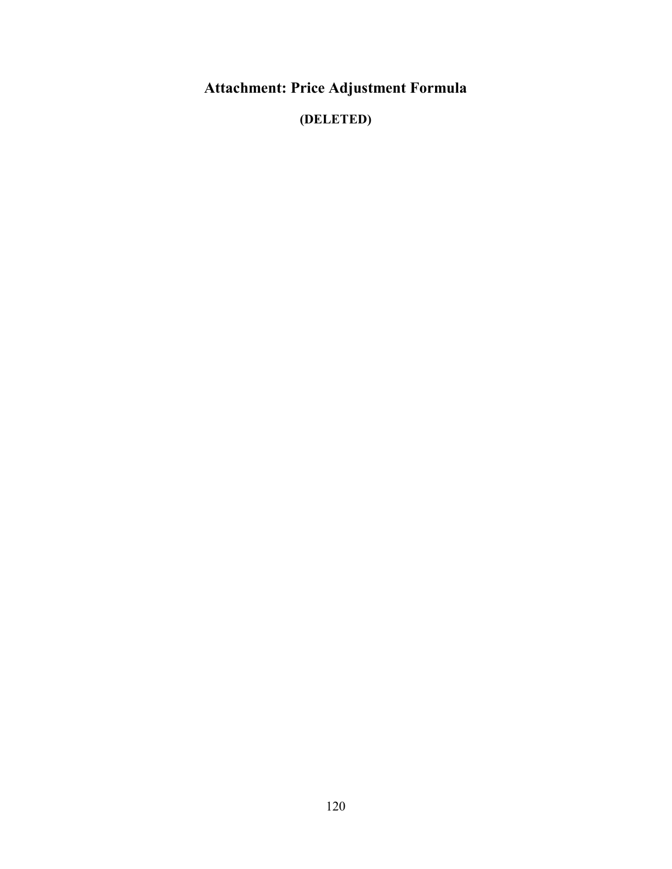Attachment: Price Adjustment Formula

(DELETED)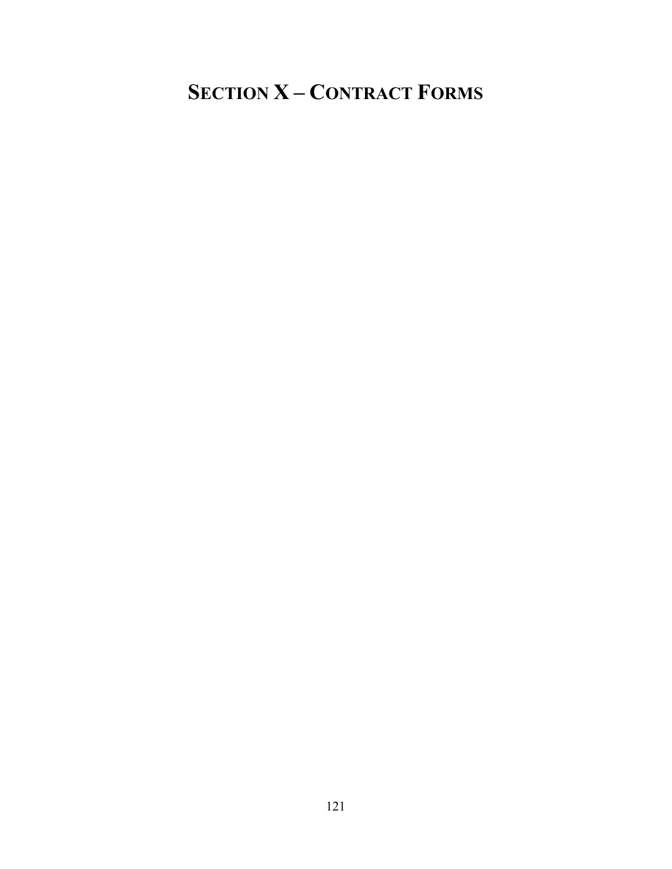# SECTION X – CONTRACT FORMS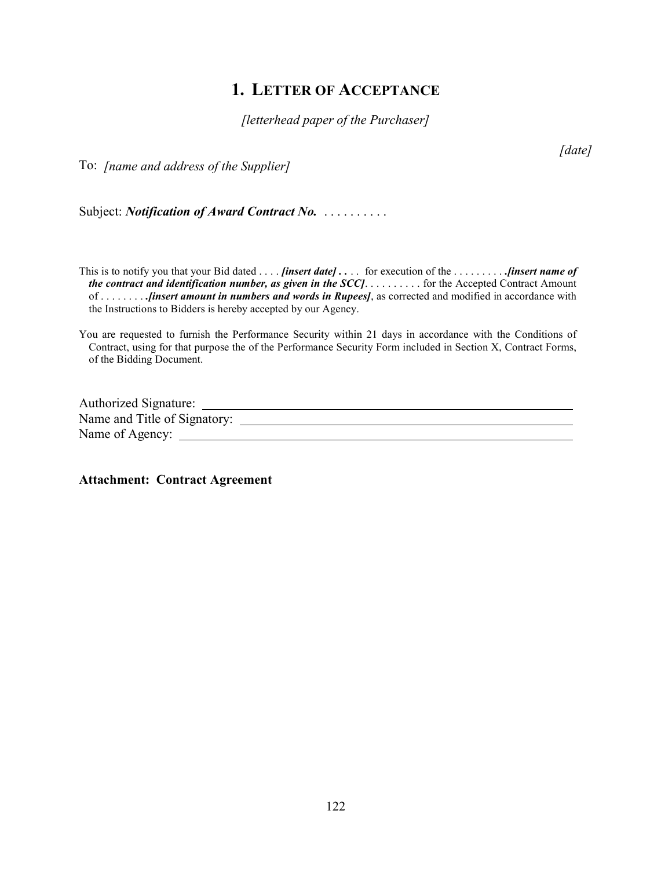### 1. LETTER OF ACCEPTANCE

[letterhead paper of the Purchaser]

To: [name and address of the Supplier]

[date]

Subject: *Notification of Award Contract No.* . . . . . . . . . .

This is to notify you that your Bid dated .... *[insert date]* .... for execution of the ......... *... [insert name of* the contract and identification number, as given in the  $SCC$ ]. . . . . . . . . . . for the Accepted Contract Amount of . . . . . . . . .[insert amount in numbers and words in Rupees], as corrected and modified in accordance with the Instructions to Bidders is hereby accepted by our Agency.

You are requested to furnish the Performance Security within 21 days in accordance with the Conditions of Contract, using for that purpose the of the Performance Security Form included in Section X, Contract Forms, of the Bidding Document.

Authorized Signature: Name and Title of Signatory: Name of Agency:

Attachment: Contract Agreement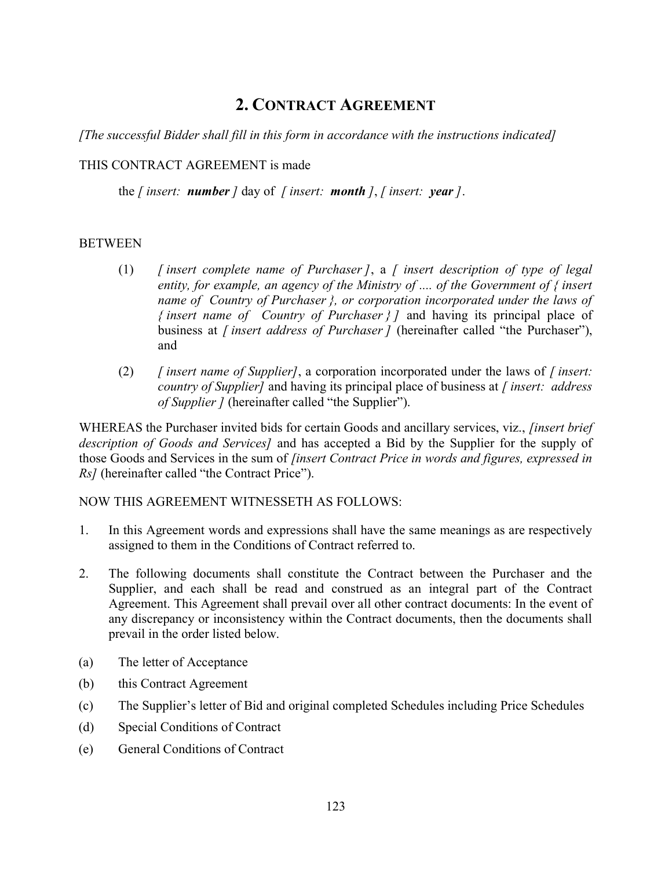## 2. CONTRACT AGREEMENT

[The successful Bidder shall fill in this form in accordance with the instructions indicated]

#### THIS CONTRACT AGREEMENT is made

the [insert: **number**] day of [insert: **month**], [insert: **year**].

#### **BETWEEN**

- (1)  $\int$  [insert complete name of Purchaser], a  $\int$  insert description of type of legal entity, for example, an agency of the Ministry of  $\ldots$  of the Government of  $\{$  insert name of Country of Purchaser *{, or corporation incorporated under the laws of* { insert name of Country of Purchaser  $\}$  ] and having its principal place of business at *[insert address of Purchaser]* (hereinafter called "the Purchaser"), and
- (2)  $\int$  *[ insert name of Supplier]*, a corporation incorporated under the laws of  $\int$  *insert:* country of Supplier] and having its principal place of business at  $\int$  insert: address of Supplier ] (hereinafter called "the Supplier").

WHEREAS the Purchaser invited bids for certain Goods and ancillary services, viz., *[insert brief* description of Goods and Services] and has accepted a Bid by the Supplier for the supply of those Goods and Services in the sum of *[insert Contract Price in words and figures, expressed in* Rs] (hereinafter called "the Contract Price").

#### NOW THIS AGREEMENT WITNESSETH AS FOLLOWS:

- 1. In this Agreement words and expressions shall have the same meanings as are respectively assigned to them in the Conditions of Contract referred to.
- 2. The following documents shall constitute the Contract between the Purchaser and the Supplier, and each shall be read and construed as an integral part of the Contract Agreement. This Agreement shall prevail over all other contract documents: In the event of any discrepancy or inconsistency within the Contract documents, then the documents shall prevail in the order listed below.
- (a) The letter of Acceptance
- (b) this Contract Agreement
- (c) The Supplier's letter of Bid and original completed Schedules including Price Schedules
- (d) Special Conditions of Contract
- (e) General Conditions of Contract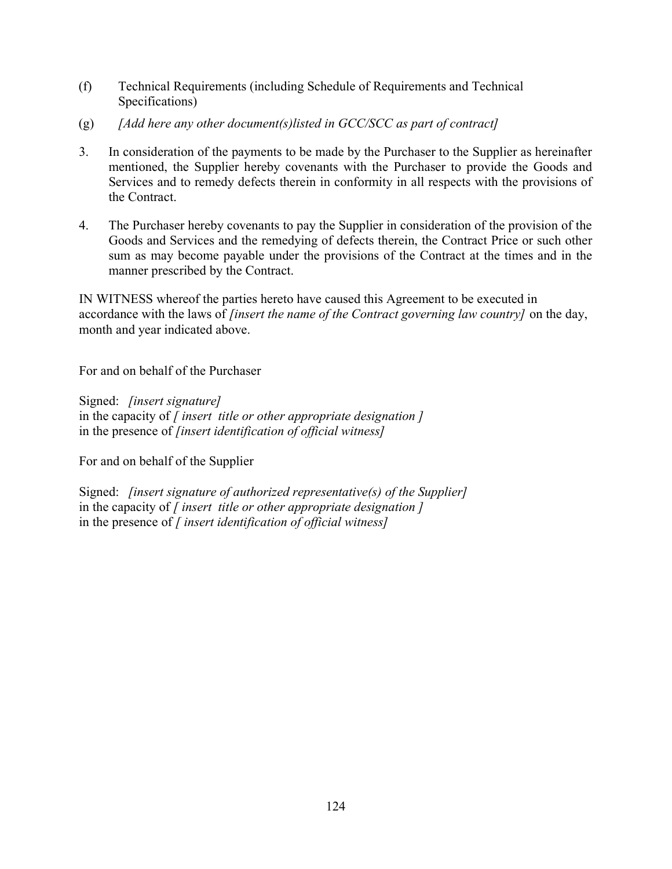- (f) Technical Requirements (including Schedule of Requirements and Technical Specifications)
- (g)  $[Add \text{ here any other document(s)}]$  and  $GCC/SCC$  as part of contract
- 3. In consideration of the payments to be made by the Purchaser to the Supplier as hereinafter mentioned, the Supplier hereby covenants with the Purchaser to provide the Goods and Services and to remedy defects therein in conformity in all respects with the provisions of the Contract.
- 4. The Purchaser hereby covenants to pay the Supplier in consideration of the provision of the Goods and Services and the remedying of defects therein, the Contract Price or such other sum as may become payable under the provisions of the Contract at the times and in the manner prescribed by the Contract.

IN WITNESS whereof the parties hereto have caused this Agreement to be executed in accordance with the laws of *[insert the name of the Contract governing law country]* on the day, month and year indicated above.

For and on behalf of the Purchaser

Signed: [insert signature] in the capacity of  $\int$  insert title or other appropriate designation  $\int$ in the presence of *[insert identification of official witness]* 

For and on behalf of the Supplier

Signed: *[insert signature of authorized representative(s) of the Supplier]* in the capacity of  $\int$  insert title or other appropriate designation  $\int$ in the presence of  $\int$  insert identification of official witness $\int$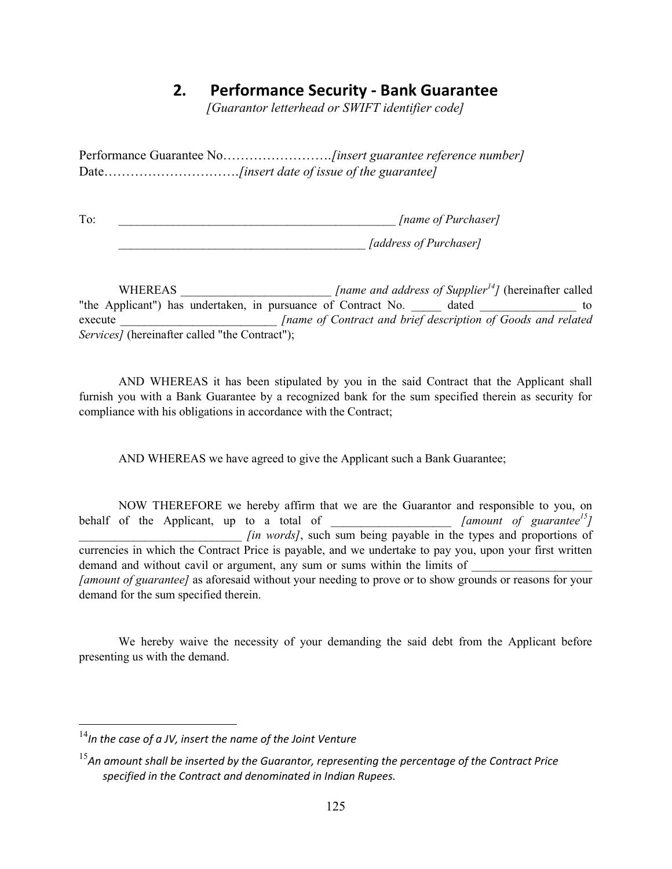### 2. Performance Security - Bank Guarantee

[Guarantor letterhead or SWIFT identifier code]

Performance Guarantee No…………………….[insert guarantee reference number] Date……………………………………....finsert date of issue of the guarantee]

To:  $[name of Purchaser]$ \_\_\_\_\_\_\_\_\_\_\_\_\_\_\_\_\_\_\_\_\_\_\_\_\_\_\_\_\_\_\_\_\_\_\_\_\_\_\_\_\_ [address of Purchaser]

WHEREAS  $\int$  [name and address of Supplier<sup>14</sup>] (hereinafter called "the Applicant") has undertaken, in pursuance of Contract No. \_\_\_\_ dated  $\qquad \qquad$  to execute **Figure 1** [name of Contract and brief description of Goods and related Services] (hereinafter called "the Contract");

 AND WHEREAS it has been stipulated by you in the said Contract that the Applicant shall furnish you with a Bank Guarantee by a recognized bank for the sum specified therein as security for compliance with his obligations in accordance with the Contract;

AND WHEREAS we have agreed to give the Applicant such a Bank Guarantee;

 NOW THEREFORE we hereby affirm that we are the Guarantor and responsible to you, on behalf of the Applicant, up to a total of  $\frac{1}{2}$  [amount of guarantee<sup>15</sup>] *lin words]*, such sum being payable in the types and proportions of currencies in which the Contract Price is payable, and we undertake to pay you, upon your first written demand and without cavil or argument, any sum or sums within the limits of [amount of guarantee] as aforesaid without your needing to prove or to show grounds or reasons for your demand for the sum specified therein.

 We hereby waive the necessity of your demanding the said debt from the Applicant before presenting us with the demand.

 $\overline{a}$ 

 $14$ In the case of a JV, insert the name of the Joint Venture

 $15$ An amount shall be inserted by the Guarantor, representing the percentage of the Contract Price specified in the Contract and denominated in Indian Rupees.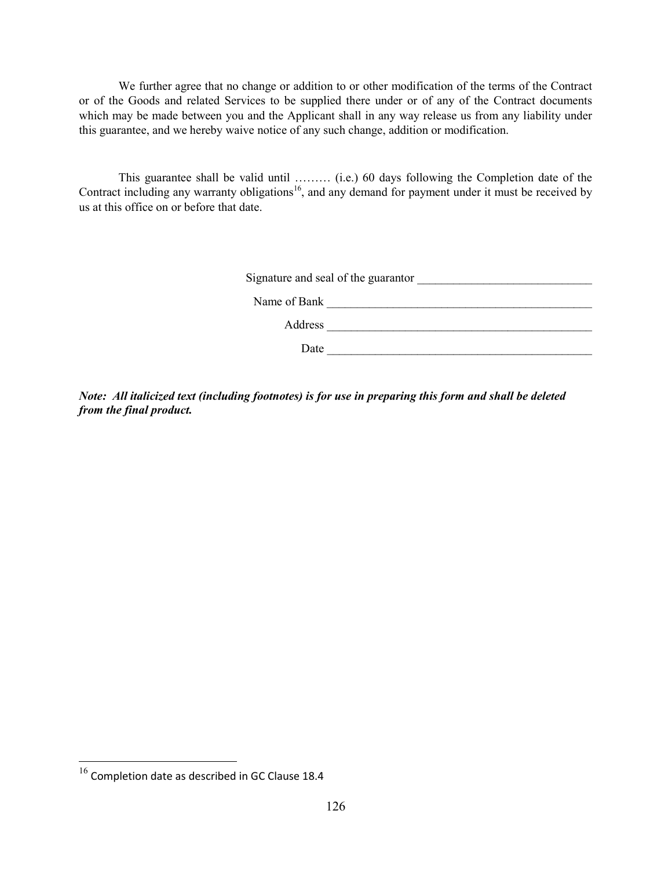We further agree that no change or addition to or other modification of the terms of the Contract or of the Goods and related Services to be supplied there under or of any of the Contract documents which may be made between you and the Applicant shall in any way release us from any liability under this guarantee, and we hereby waive notice of any such change, addition or modification.

 This guarantee shall be valid until ……… (i.e.) 60 days following the Completion date of the Contract including any warranty obligations<sup>16</sup>, and any demand for payment under it must be received by us at this office on or before that date.

| Signature and seal of the guarantor |  |
|-------------------------------------|--|
| Name of Bank                        |  |
| Address                             |  |
| Date                                |  |

Note: All italicized text (including footnotes) is for use in preparing this form and shall be deleted from the final product.

 $\overline{a}$ 

 $^{16}$  Completion date as described in GC Clause 18.4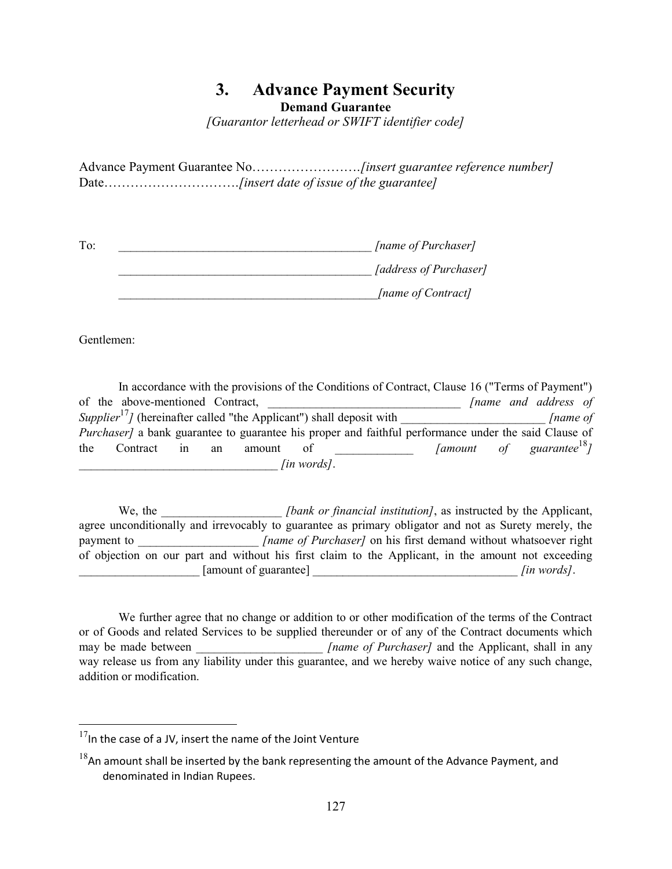# 3. Advance Payment Security

Demand Guarantee

[Guarantor letterhead or SWIFT identifier code]

Advance Payment Guarantee No…………………….[insert guarantee reference number] Date……………………………………....finsert date of issue of the guarantee]

| To: | [name of Purchaser]    |
|-----|------------------------|
|     | [address of Purchaser] |
|     | [name of Contract]     |

Gentlemen:

 $\overline{a}$ 

 In accordance with the provisions of the Conditions of Contract, Clause 16 ("Terms of Payment") of the above-mentioned Contract,  $\Box$  [name and address of Supplier<sup>17</sup>] (hereinafter called "the Applicant") shall deposit with  $\lceil$  [name of Purchaser] a bank guarantee to guarantee his proper and faithful performance under the said Clause of the Contract in an amount of  $\left\{\text{amount of} \right\}$   $\left\{\text{amount of} \right\}$  $\int$ [in words].

We, the *[bank or financial institution]*, as instructed by the Applicant, agree unconditionally and irrevocably to guarantee as primary obligator and not as Surety merely, the payment to https://www.fhame of Purchaser] on his first demand without whatsoever right of objection on our part and without his first claim to the Applicant, in the amount not exceeding [amount of guarantee]  $\left\{\text{in words}\right\}$ .

 We further agree that no change or addition to or other modification of the terms of the Contract or of Goods and related Services to be supplied thereunder or of any of the Contract documents which may be made between  $\qquad \qquad$  [name of Purchaser] and the Applicant, shall in any way release us from any liability under this guarantee, and we hereby waive notice of any such change, addition or modification.

 $17$ In the case of a JV, insert the name of the Joint Venture

 $18$ An amount shall be inserted by the bank representing the amount of the Advance Payment, and denominated in Indian Rupees.